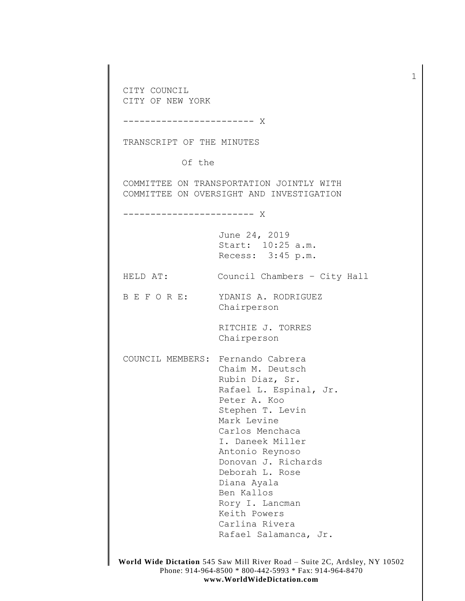CITY COUNCIL CITY OF NEW YORK ------------------------ X TRANSCRIPT OF THE MINUTES Of the COMMITTEE ON TRANSPORTATION JOINTLY WITH COMMITTEE ON OVERSIGHT AND INVESTIGATION ------------------------ X June 24, 2019 Start: 10:25 a.m. Recess: 3:45 p.m. HELD AT: Council Chambers – City Hall B E F O R E: YDANIS A. RODRIGUEZ Chairperson RITCHIE J. TORRES Chairperson COUNCIL MEMBERS: Fernando Cabrera Chaim M. Deutsch Rubin Diaz, Sr. Rafael L. Espinal, Jr. Peter A. Koo Stephen T. Levin Mark Levine Carlos Menchaca I. Daneek Miller Antonio Reynoso Donovan J. Richards Deborah L. Rose Diana Ayala Ben Kallos Rory I. Lancman Keith Powers Carlina Rivera Rafael Salamanca, Jr.

1

**World Wide Dictation** 545 Saw Mill River Road – Suite 2C, Ardsley, NY 10502 Phone: 914-964-8500 \* 800-442-5993 \* Fax: 914-964-8470 **www.WorldWideDictation.com**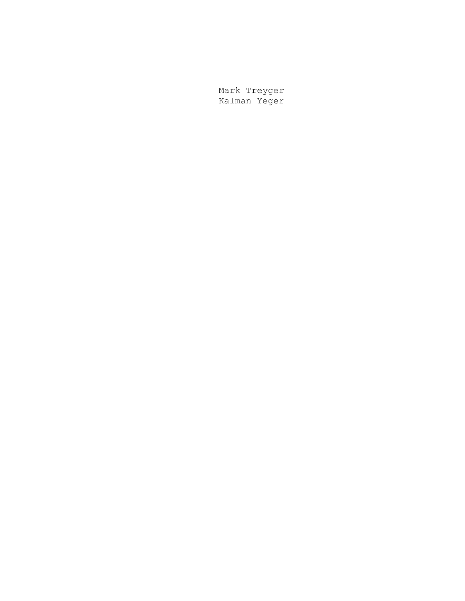Mark Treyger Kalman Yeger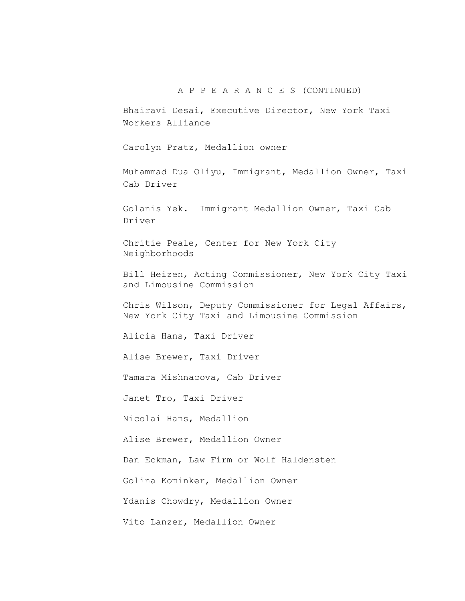## A P P E A R A N C E S (CONTINUED)

Bhairavi Desai, Executive Director, New York Taxi Workers Alliance

Carolyn Pratz, Medallion owner

Muhammad Dua Oliyu, Immigrant, Medallion Owner, Taxi Cab Driver

Golanis Yek. Immigrant Medallion Owner, Taxi Cab Driver

Chritie Peale, Center for New York City Neighborhoods

Bill Heizen, Acting Commissioner, New York City Taxi and Limousine Commission

Chris Wilson, Deputy Commissioner for Legal Affairs, New York City Taxi and Limousine Commission

Alicia Hans, Taxi Driver

Alise Brewer, Taxi Driver

Tamara Mishnacova, Cab Driver

Janet Tro, Taxi Driver

Nicolai Hans, Medallion

Alise Brewer, Medallion Owner

Dan Eckman, Law Firm or Wolf Haldensten

Golina Kominker, Medallion Owner

Ydanis Chowdry, Medallion Owner

Vito Lanzer, Medallion Owner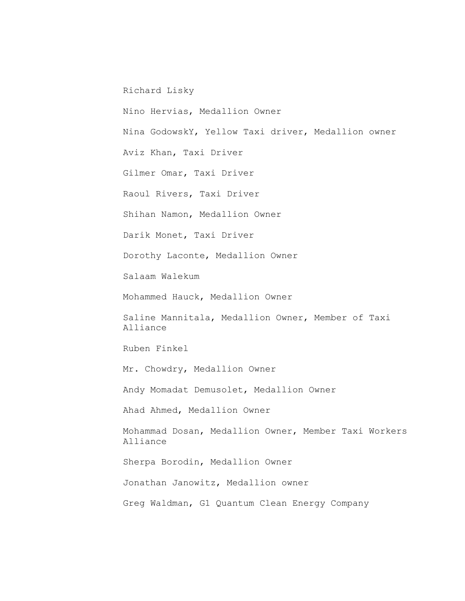Richard Lisky

Nino Hervias, Medallion Owner

Nina GodowskY, Yellow Taxi driver, Medallion owner

Aviz Khan, Taxi Driver

Gilmer Omar, Taxi Driver

Raoul Rivers, Taxi Driver

Shihan Namon, Medallion Owner

Darik Monet, Taxi Driver

Dorothy Laconte, Medallion Owner

Salaam Walekum

Mohammed Hauck, Medallion Owner

Saline Mannitala, Medallion Owner, Member of Taxi Alliance

Ruben Finkel

Mr. Chowdry, Medallion Owner

Andy Momadat Demusolet, Medallion Owner

Ahad Ahmed, Medallion Owner

Mohammad Dosan, Medallion Owner, Member Taxi Workers Alliance

Sherpa Borodin, Medallion Owner

Jonathan Janowitz, Medallion owner

Greg Waldman, G1 Quantum Clean Energy Company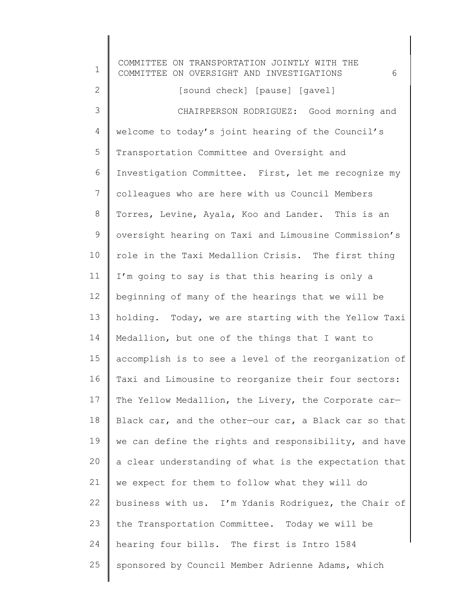1 2 3 4 5 6 7 8 9 10 11 12 13 14 15 16 17 18 19 20 21 22 23 24 25 COMMITTEE ON TRANSPORTATION JOINTLY WITH THE COMMITTEE ON OVERSIGHT AND INVESTIGATIONS 6 welcome to today's joint hearing of the Council's [sound check] [pause] [gavel] CHAIRPERSON RODRIGUEZ: Good morning and Transportation Committee and Oversight and Investigation Committee. First, let me recognize my colleagues who are here with us Council Members Torres, Levine, Ayala, Koo and Lander. This is an oversight hearing on Taxi and Limousine Commission's role in the Taxi Medallion Crisis. The first thing I'm going to say is that this hearing is only a beginning of many of the hearings that we will be holding. Today, we are starting with the Yellow Taxi Medallion, but one of the things that I want to accomplish is to see a level of the reorganization of Taxi and Limousine to reorganize their four sectors: The Yellow Medallion, the Livery, the Corporate car-Black car, and the other—our car, a Black car so that we can define the rights and responsibility, and have a clear understanding of what is the expectation that we expect for them to follow what they will do business with us. I'm Ydanis Rodriguez, the Chair of the Transportation Committee. Today we will be hearing four bills. The first is Intro 1584 sponsored by Council Member Adrienne Adams, which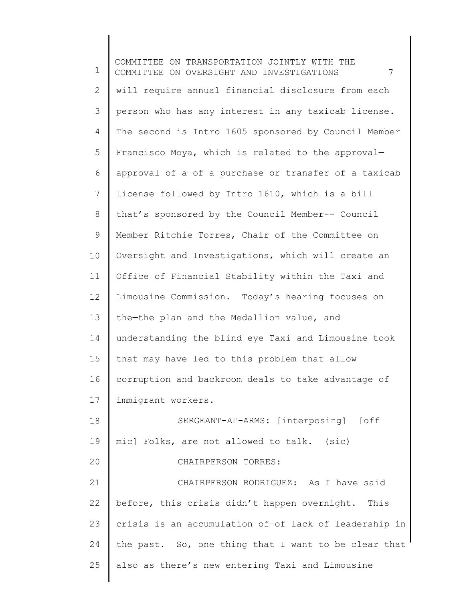1 2 3 4 5 6 7 8 9 10 11 12 13 14 15 16 17 18 19 20 21 22 23 24 25 COMMITTEE ON TRANSPORTATION JOINTLY WITH THE COMMITTEE ON OVERSIGHT AND INVESTIGATIONS 7 will require annual financial disclosure from each person who has any interest in any taxicab license. The second is Intro 1605 sponsored by Council Member Francisco Moya, which is related to the approval approval of a—of a purchase or transfer of a taxicab license followed by Intro 1610, which is a bill that's sponsored by the Council Member-- Council Member Ritchie Torres, Chair of the Committee on Oversight and Investigations, which will create an Office of Financial Stability within the Taxi and Limousine Commission. Today's hearing focuses on the—the plan and the Medallion value, and understanding the blind eye Taxi and Limousine took that may have led to this problem that allow corruption and backroom deals to take advantage of immigrant workers. SERGEANT-AT-ARMS: [interposing] [off mic] Folks, are not allowed to talk. (sic) CHAIRPERSON TORRES: CHAIRPERSON RODRIGUEZ: As I have said before, this crisis didn't happen overnight. This crisis is an accumulation of—of lack of leadership in the past. So, one thing that I want to be clear that also as there's new entering Taxi and Limousine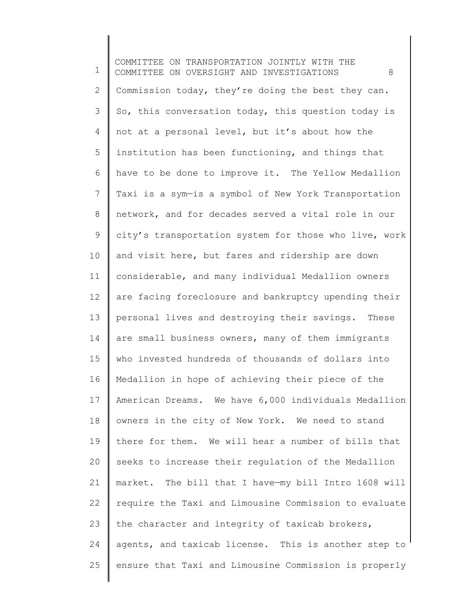1 2 3 4 5 6 7 8 9 10 11 12 13 14 15 16 17 18 19 20 21 22 23 24 25 COMMITTEE ON TRANSPORTATION JOINTLY WITH THE COMMITTEE ON OVERSIGHT AND INVESTIGATIONS 8 Commission today, they're doing the best they can. So, this conversation today, this question today is not at a personal level, but it's about how the institution has been functioning, and things that have to be done to improve it. The Yellow Medallion Taxi is a sym—is a symbol of New York Transportation network, and for decades served a vital role in our city's transportation system for those who live, work and visit here, but fares and ridership are down considerable, and many individual Medallion owners are facing foreclosure and bankruptcy upending their personal lives and destroying their savings. These are small business owners, many of them immigrants who invested hundreds of thousands of dollars into Medallion in hope of achieving their piece of the American Dreams. We have 6,000 individuals Medallion owners in the city of New York. We need to stand there for them. We will hear a number of bills that seeks to increase their regulation of the Medallion market. The bill that I have—my bill Intro 1608 will require the Taxi and Limousine Commission to evaluate the character and integrity of taxicab brokers, agents, and taxicab license. This is another step to ensure that Taxi and Limousine Commission is properly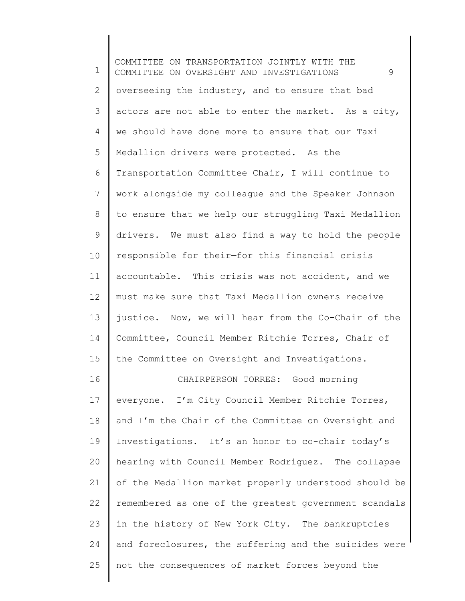1 2 3 4 5 6 7 8 9 10 11 12 13 14 15 16 17 18 19 20 21 22 23 24 25 COMMITTEE ON TRANSPORTATION JOINTLY WITH THE COMMITTEE ON OVERSIGHT AND INVESTIGATIONS 9 overseeing the industry, and to ensure that bad actors are not able to enter the market. As a city, we should have done more to ensure that our Taxi Medallion drivers were protected. As the Transportation Committee Chair, I will continue to work alongside my colleague and the Speaker Johnson to ensure that we help our struggling Taxi Medallion drivers. We must also find a way to hold the people responsible for their—for this financial crisis accountable. This crisis was not accident, and we must make sure that Taxi Medallion owners receive justice. Now, we will hear from the Co-Chair of the Committee, Council Member Ritchie Torres, Chair of the Committee on Oversight and Investigations. CHAIRPERSON TORRES: Good morning everyone. I'm City Council Member Ritchie Torres, and I'm the Chair of the Committee on Oversight and Investigations. It's an honor to co-chair today's hearing with Council Member Rodriguez. The collapse of the Medallion market properly understood should be remembered as one of the greatest government scandals in the history of New York City. The bankruptcies and foreclosures, the suffering and the suicides were not the consequences of market forces beyond the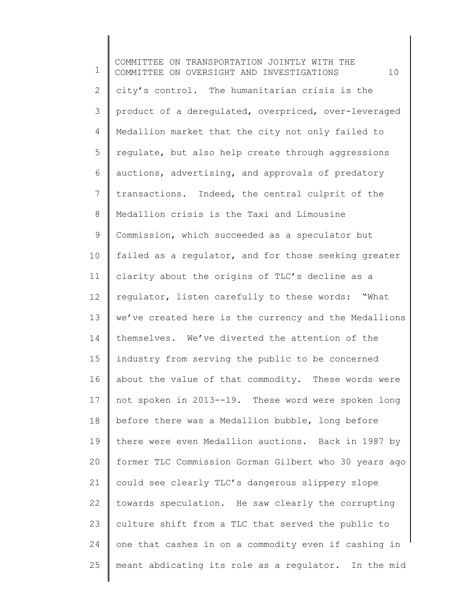1 2 3 4 5 6 7 8 9 10 11 12 13 14 15 16 17 18 19 20 21 22 23 24 25 COMMITTEE ON TRANSPORTATION JOINTLY WITH THE COMMITTEE ON OVERSIGHT AND INVESTIGATIONS 10 city's control. The humanitarian crisis is the product of a deregulated, overpriced, over-leveraged Medallion market that the city not only failed to regulate, but also help create through aggressions auctions, advertising, and approvals of predatory transactions. Indeed, the central culprit of the Medallion crisis is the Taxi and Limousine Commission, which succeeded as a speculator but failed as a regulator, and for those seeking greater clarity about the origins of TLC's decline as a regulator, listen carefully to these words: "What we've created here is the currency and the Medallions themselves. We've diverted the attention of the industry from serving the public to be concerned about the value of that commodity. These words were not spoken in 2013--19. These word were spoken long before there was a Medallion bubble, long before there were even Medallion auctions. Back in 1987 by former TLC Commission Gorman Gilbert who 30 years ago could see clearly TLC's dangerous slippery slope towards speculation. He saw clearly the corrupting culture shift from a TLC that served the public to one that cashes in on a commodity even if cashing in meant abdicating its role as a regulator. In the mid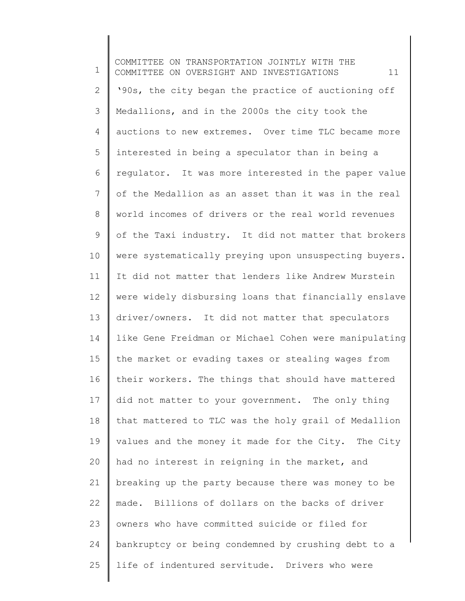1 2 3 4 5 6 7 8 9 10 11 12 13 14 15 16 17 18 19 20 21 22 23 24 25 COMMITTEE ON TRANSPORTATION JOINTLY WITH THE COMMITTEE ON OVERSIGHT AND INVESTIGATIONS 11 '90s, the city began the practice of auctioning off Medallions, and in the 2000s the city took the auctions to new extremes. Over time TLC became more interested in being a speculator than in being a regulator. It was more interested in the paper value of the Medallion as an asset than it was in the real world incomes of drivers or the real world revenues of the Taxi industry. It did not matter that brokers were systematically preying upon unsuspecting buyers. It did not matter that lenders like Andrew Murstein were widely disbursing loans that financially enslave driver/owners. It did not matter that speculators like Gene Freidman or Michael Cohen were manipulating the market or evading taxes or stealing wages from their workers. The things that should have mattered did not matter to your government. The only thing that mattered to TLC was the holy grail of Medallion values and the money it made for the City. The City had no interest in reigning in the market, and breaking up the party because there was money to be made. Billions of dollars on the backs of driver owners who have committed suicide or filed for bankruptcy or being condemned by crushing debt to a life of indentured servitude. Drivers who were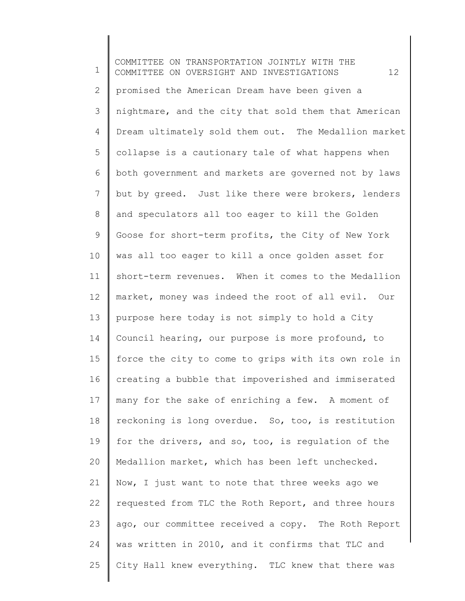1 2 3 4 5 6 7 8 9 10 11 12 13 14 15 16 17 18 19 20 21 22 23 24 25 COMMITTEE ON TRANSPORTATION JOINTLY WITH THE COMMITTEE ON OVERSIGHT AND INVESTIGATIONS 12 promised the American Dream have been given a nightmare, and the city that sold them that American Dream ultimately sold them out. The Medallion market collapse is a cautionary tale of what happens when both government and markets are governed not by laws but by greed. Just like there were brokers, lenders and speculators all too eager to kill the Golden Goose for short-term profits, the City of New York was all too eager to kill a once golden asset for short-term revenues. When it comes to the Medallion market, money was indeed the root of all evil. Our purpose here today is not simply to hold a City Council hearing, our purpose is more profound, to force the city to come to grips with its own role in creating a bubble that impoverished and immiserated many for the sake of enriching a few. A moment of reckoning is long overdue. So, too, is restitution for the drivers, and so, too, is regulation of the Medallion market, which has been left unchecked. Now, I just want to note that three weeks ago we requested from TLC the Roth Report, and three hours ago, our committee received a copy. The Roth Report was written in 2010, and it confirms that TLC and City Hall knew everything. TLC knew that there was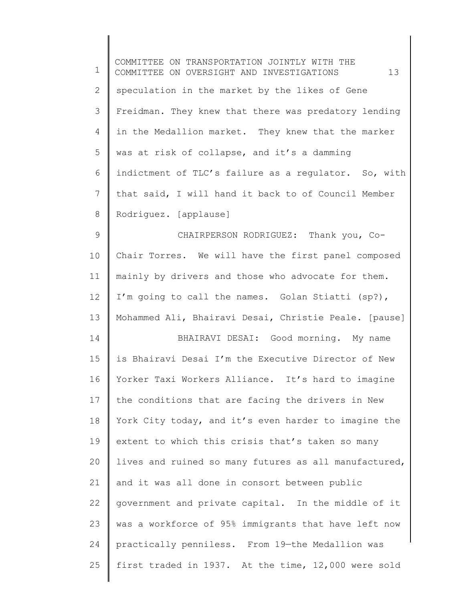| $\mathbf 1$    | COMMITTEE ON TRANSPORTATION JOINTLY WITH THE<br>13<br>COMMITTEE ON OVERSIGHT AND INVESTIGATIONS |
|----------------|-------------------------------------------------------------------------------------------------|
| $\mathbf{2}$   | speculation in the market by the likes of Gene                                                  |
| 3              | Freidman. They knew that there was predatory lending                                            |
| 4              | in the Medallion market. They knew that the marker                                              |
| 5              | was at risk of collapse, and it's a damming                                                     |
| 6              | indictment of TLC's failure as a regulator. So, with                                            |
| $\overline{7}$ | that said, I will hand it back to of Council Member                                             |
| $8\,$          | Rodriguez. [applause]                                                                           |
| $\mathsf 9$    | CHAIRPERSON RODRIGUEZ: Thank you, Co-                                                           |
| 10             | Chair Torres. We will have the first panel composed                                             |
| 11             | mainly by drivers and those who advocate for them.                                              |
| 12             | I'm going to call the names. Golan Stiatti (sp?),                                               |
| 13             | Mohammed Ali, Bhairavi Desai, Christie Peale. [pause]                                           |
| 14             | BHAIRAVI DESAI: Good morning. My name                                                           |
| 15             | is Bhairavi Desai I'm the Executive Director of New                                             |
| 16             | Yorker Taxi Workers Alliance. It's hard to imagine                                              |
| 17             | the conditions that are facing the drivers in New                                               |
| 18             | York City today, and it's even harder to imagine the                                            |
| 19             | extent to which this crisis that's taken so many                                                |
| 20             | lives and ruined so many futures as all manufactured,                                           |
| 21             | and it was all done in consort between public                                                   |
| 22             | government and private capital. In the middle of it                                             |
| 23             | was a workforce of 95% immigrants that have left now                                            |
| 24             | practically penniless. From 19-the Medallion was                                                |
| 25             | first traded in 1937. At the time, 12,000 were sold                                             |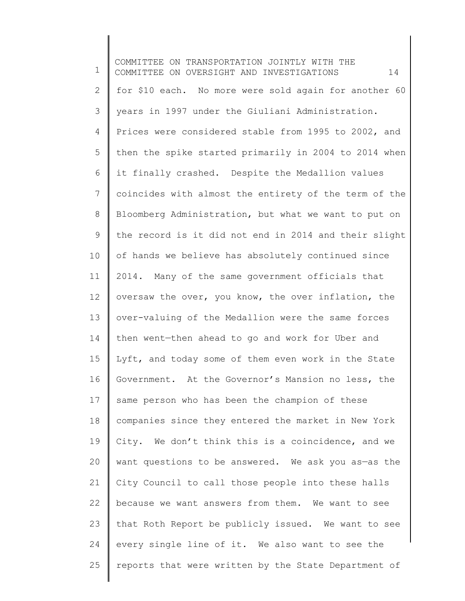1 2 3 4 5 6 7 8 9 10 11 12 13 14 15 16 17 18 19 20 21 22 23 24 25 COMMITTEE ON TRANSPORTATION JOINTLY WITH THE COMMITTEE ON OVERSIGHT AND INVESTIGATIONS 14 for \$10 each. No more were sold again for another 60 years in 1997 under the Giuliani Administration. Prices were considered stable from 1995 to 2002, and then the spike started primarily in 2004 to 2014 when it finally crashed. Despite the Medallion values coincides with almost the entirety of the term of the Bloomberg Administration, but what we want to put on the record is it did not end in 2014 and their slight of hands we believe has absolutely continued since 2014. Many of the same government officials that oversaw the over, you know, the over inflation, the over-valuing of the Medallion were the same forces then went—then ahead to go and work for Uber and Lyft, and today some of them even work in the State Government. At the Governor's Mansion no less, the same person who has been the champion of these companies since they entered the market in New York City. We don't think this is a coincidence, and we want questions to be answered. We ask you as-as the City Council to call those people into these halls because we want answers from them. We want to see that Roth Report be publicly issued. We want to see every single line of it. We also want to see the reports that were written by the State Department of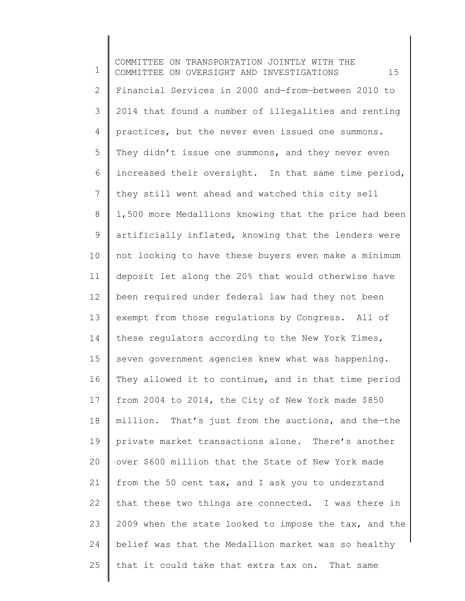1 2 3 4 5 6 7 8 9 10 11 12 13 14 15 16 17 18 19 20 21 22 23 24 25 COMMITTEE ON TRANSPORTATION JOINTLY WITH THE COMMITTEE ON OVERSIGHT AND INVESTIGATIONS 15 Financial Services in 2000 and—from—between 2010 to 2014 that found a number of illegalities and renting practices, but the never even issued one summons. They didn't issue one summons, and they never even increased their oversight. In that same time period, they still went ahead and watched this city sell 1,500 more Medallions knowing that the price had been artificially inflated, knowing that the lenders were not looking to have these buyers even make a minimum deposit let along the 20% that would otherwise have been required under federal law had they not been exempt from those regulations by Congress. All of these regulators according to the New York Times, seven government agencies knew what was happening. They allowed it to continue, and in that time period from 2004 to 2014, the City of New York made \$850 million. That's just from the auctions, and the—the private market transactions alone. There's another over \$600 million that the State of New York made from the 50 cent tax, and I ask you to understand that these two things are connected. I was there in 2009 when the state looked to impose the tax, and the belief was that the Medallion market was so healthy that it could take that extra tax on. That same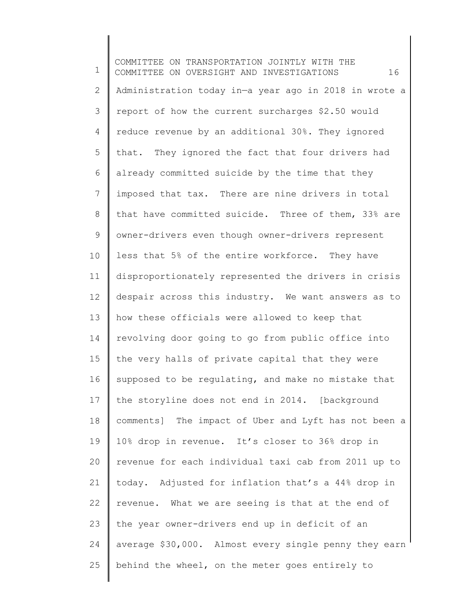1 2 3 4 5 6 7 8 9 10 11 12 13 14 15 16 17 18 19 20 21 22 23 24 25 COMMITTEE ON TRANSPORTATION JOINTLY WITH THE COMMITTEE ON OVERSIGHT AND INVESTIGATIONS 16 Administration today in—a year ago in 2018 in wrote a report of how the current surcharges \$2.50 would reduce revenue by an additional 30%. They ignored that. They ignored the fact that four drivers had already committed suicide by the time that they imposed that tax. There are nine drivers in total that have committed suicide. Three of them, 33% are owner-drivers even though owner-drivers represent less that 5% of the entire workforce. They have disproportionately represented the drivers in crisis despair across this industry. We want answers as to how these officials were allowed to keep that revolving door going to go from public office into the very halls of private capital that they were supposed to be regulating, and make no mistake that the storyline does not end in 2014. [background comments] The impact of Uber and Lyft has not been a 10% drop in revenue. It's closer to 36% drop in revenue for each individual taxi cab from 2011 up to today. Adjusted for inflation that's a 44% drop in revenue. What we are seeing is that at the end of the year owner-drivers end up in deficit of an average \$30,000. Almost every single penny they earn behind the wheel, on the meter goes entirely to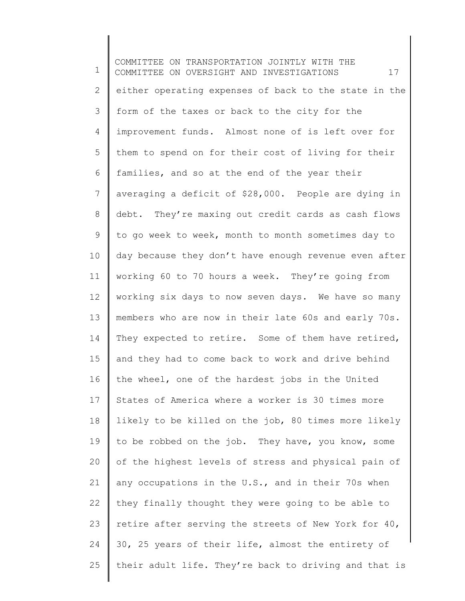1 2 3 4 5 6 7 8 9 10 11 12 13 14 15 16 17 18 19 20 21 22 23 24 25 COMMITTEE ON TRANSPORTATION JOINTLY WITH THE COMMITTEE ON OVERSIGHT AND INVESTIGATIONS 17 either operating expenses of back to the state in the form of the taxes or back to the city for the improvement funds. Almost none of is left over for them to spend on for their cost of living for their families, and so at the end of the year their averaging a deficit of \$28,000. People are dying in debt. They're maxing out credit cards as cash flows to go week to week, month to month sometimes day to day because they don't have enough revenue even after working 60 to 70 hours a week. They're going from working six days to now seven days. We have so many members who are now in their late 60s and early 70s. They expected to retire. Some of them have retired, and they had to come back to work and drive behind the wheel, one of the hardest jobs in the United States of America where a worker is 30 times more likely to be killed on the job, 80 times more likely to be robbed on the job. They have, you know, some of the highest levels of stress and physical pain of any occupations in the U.S., and in their 70s when they finally thought they were going to be able to retire after serving the streets of New York for 40, 30, 25 years of their life, almost the entirety of their adult life. They're back to driving and that is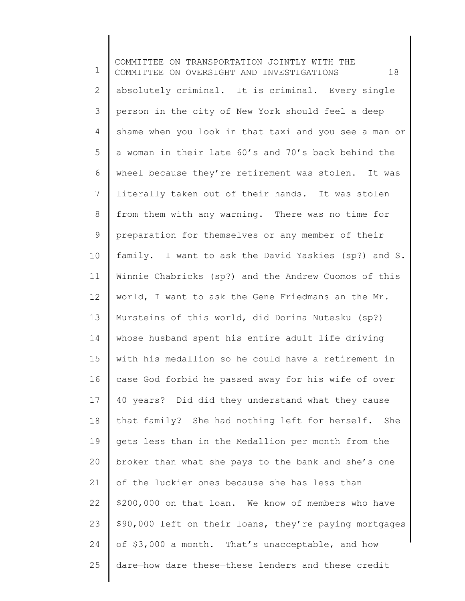1 2 3 4 5 6 7 8 9 10 11 12 13 14 15 16 17 18 19 20 21 22 23 24 25 COMMITTEE ON TRANSPORTATION JOINTLY WITH THE COMMITTEE ON OVERSIGHT AND INVESTIGATIONS 18 absolutely criminal. It is criminal. Every single person in the city of New York should feel a deep shame when you look in that taxi and you see a man or a woman in their late 60's and 70's back behind the wheel because they're retirement was stolen. It was literally taken out of their hands. It was stolen from them with any warning. There was no time for preparation for themselves or any member of their family. I want to ask the David Yaskies (sp?) and S. Winnie Chabricks (sp?) and the Andrew Cuomos of this world, I want to ask the Gene Friedmans an the Mr. Mursteins of this world, did Dorina Nutesku (sp?) whose husband spent his entire adult life driving with his medallion so he could have a retirement in case God forbid he passed away for his wife of over 40 years? Did—did they understand what they cause that family? She had nothing left for herself. She gets less than in the Medallion per month from the broker than what she pays to the bank and she's one of the luckier ones because she has less than \$200,000 on that loan. We know of members who have \$90,000 left on their loans, they're paying mortgages of \$3,000 a month. That's unacceptable, and how dare—how dare these—these lenders and these credit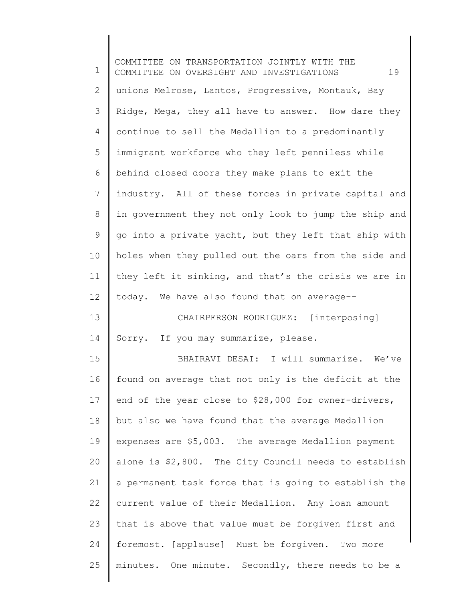1 2 3 4 5 6 7 8 9 10 11 12 13 14 15 16 17 18 19 20 21 22 23 24 25 COMMITTEE ON TRANSPORTATION JOINTLY WITH THE COMMITTEE ON OVERSIGHT AND INVESTIGATIONS 19 unions Melrose, Lantos, Progressive, Montauk, Bay Ridge, Mega, they all have to answer. How dare they continue to sell the Medallion to a predominantly immigrant workforce who they left penniless while behind closed doors they make plans to exit the industry. All of these forces in private capital and in government they not only look to jump the ship and go into a private yacht, but they left that ship with holes when they pulled out the oars from the side and they left it sinking, and that's the crisis we are in today. We have also found that on average-- CHAIRPERSON RODRIGUEZ: [interposing] Sorry. If you may summarize, please. BHAIRAVI DESAI: I will summarize. We've found on average that not only is the deficit at the end of the year close to \$28,000 for owner-drivers, but also we have found that the average Medallion expenses are \$5,003. The average Medallion payment alone is \$2,800. The City Council needs to establish a permanent task force that is going to establish the current value of their Medallion. Any loan amount that is above that value must be forgiven first and foremost. [applause] Must be forgiven. Two more minutes. One minute. Secondly, there needs to be a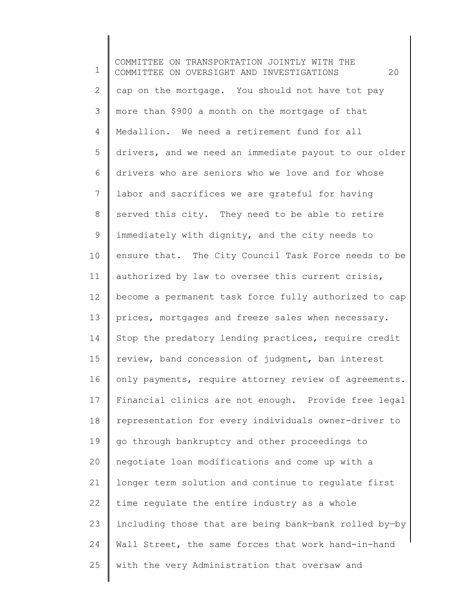1 2 3 4 5 6 7 8 9 10 11 12 13 14 15 16 17 18 19 20 21 22 23 24 25 COMMITTEE ON TRANSPORTATION JOINTLY WITH THE COMMITTEE ON OVERSIGHT AND INVESTIGATIONS 20 cap on the mortgage. You should not have tot pay more than \$900 a month on the mortgage of that Medallion. We need a retirement fund for all drivers, and we need an immediate payout to our older drivers who are seniors who we love and for whose labor and sacrifices we are grateful for having served this city. They need to be able to retire immediately with dignity, and the city needs to ensure that. The City Council Task Force needs to be authorized by law to oversee this current crisis, become a permanent task force fully authorized to cap prices, mortgages and freeze sales when necessary. Stop the predatory lending practices, require credit review, band concession of judgment, ban interest only payments, require attorney review of agreements. Financial clinics are not enough. Provide free legal representation for every individuals owner-driver to go through bankruptcy and other proceedings to negotiate loan modifications and come up with a longer term solution and continue to regulate first time regulate the entire industry as a whole including those that are being bank—bank rolled by—by Wall Street, the same forces that work hand-in-hand with the very Administration that oversaw and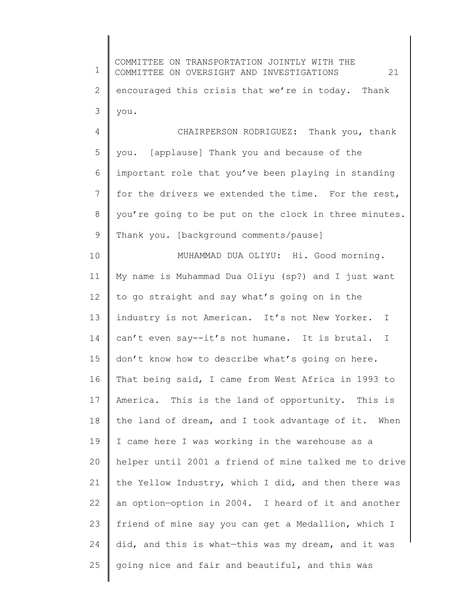1 2 3 4 5 6 7 8 9 10 11 12 13 14 15 16 17 18 19 20 21 22 23 24 25 COMMITTEE ON TRANSPORTATION JOINTLY WITH THE COMMITTEE ON OVERSIGHT AND INVESTIGATIONS 21 encouraged this crisis that we're in today. Thank you. CHAIRPERSON RODRIGUEZ: Thank you, thank you. [applause] Thank you and because of the important role that you've been playing in standing for the drivers we extended the time. For the rest, you're going to be put on the clock in three minutes. Thank you. [background comments/pause] MUHAMMAD DUA OLIYU: Hi. Good morning. My name is Muhammad Dua Oliyu (sp?) and I just want to go straight and say what's going on in the industry is not American. It's not New Yorker. I can't even say--it's not humane. It is brutal. I don't know how to describe what's going on here. That being said, I came from West Africa in 1993 to America. This is the land of opportunity. This is the land of dream, and I took advantage of it. When I came here I was working in the warehouse as a helper until 2001 a friend of mine talked me to drive the Yellow Industry, which I did, and then there was an option—option in 2004. I heard of it and another friend of mine say you can get a Medallion, which I did, and this is what—this was my dream, and it was going nice and fair and beautiful, and this was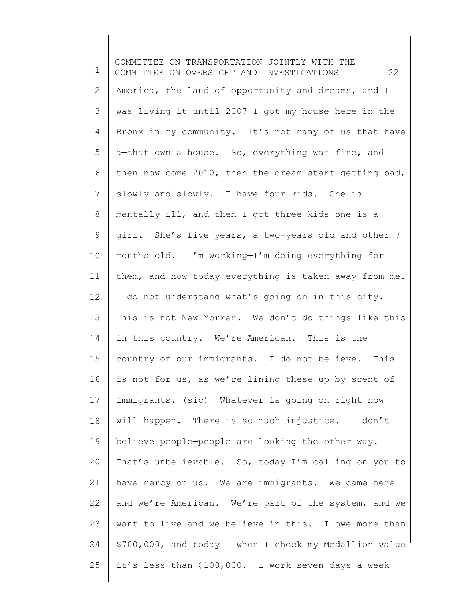1 2 3 4 5 6 7 8 9 10 11 12 13 14 15 16 17 18 19 20 21 22 23 24 25 COMMITTEE ON TRANSPORTATION JOINTLY WITH THE COMMITTEE ON OVERSIGHT AND INVESTIGATIONS 22 America, the land of opportunity and dreams, and I was living it until 2007 I got my house here in the Bronx in my community. It's not many of us that have a—that own a house. So, everything was fine, and then now come 2010, then the dream start getting bad, slowly and slowly. I have four kids. One is mentally ill, and then I got three kids one is a girl. She's five years, a two-years old and other 7 months old. I'm working—I'm doing everything for them, and now today everything is taken away from me. I do not understand what's going on in this city. This is not New Yorker. We don't do things like this in this country. We're American. This is the country of our immigrants. I do not believe. This is not for us, as we're lining these up by scent of immigrants. (sic) Whatever is going on right now will happen. There is so much injustice. I don't believe people—people are looking the other way. That's unbelievable. So, today I'm calling on you to have mercy on us. We are immigrants. We came here and we're American. We're part of the system, and we want to live and we believe in this. I owe more than \$700,000, and today I when I check my Medallion value it's less than \$100,000. I work seven days a week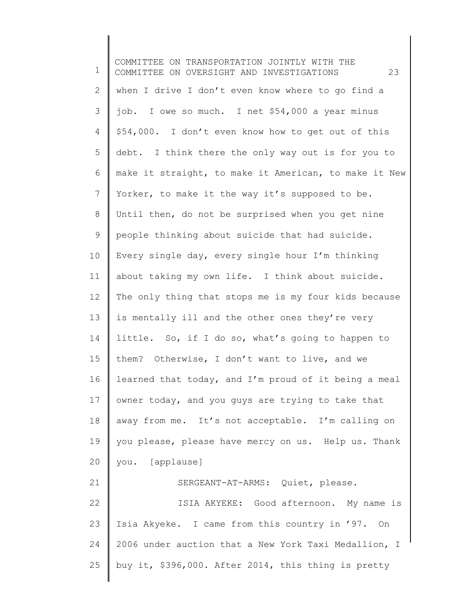1 2 3 4 5 6 7 8 9 10 11 12 13 14 15 16 17 18 19 20 21 22 23 24 25 COMMITTEE ON TRANSPORTATION JOINTLY WITH THE COMMITTEE ON OVERSIGHT AND INVESTIGATIONS 23 when I drive I don't even know where to go find a job. I owe so much. I net \$54,000 a year minus \$54,000. I don't even know how to get out of this debt. I think there the only way out is for you to make it straight, to make it American, to make it New Yorker, to make it the way it's supposed to be. Until then, do not be surprised when you get nine people thinking about suicide that had suicide. Every single day, every single hour I'm thinking about taking my own life. I think about suicide. The only thing that stops me is my four kids because is mentally ill and the other ones they're very little. So, if I do so, what's going to happen to them? Otherwise, I don't want to live, and we learned that today, and I'm proud of it being a meal owner today, and you guys are trying to take that away from me. It's not acceptable. I'm calling on you please, please have mercy on us. Help us. Thank you. [applause] SERGEANT-AT-ARMS: Quiet, please. ISIA AKYEKE: Good afternoon. My name is Isia Akyeke. I came from this country in '97. On 2006 under auction that a New York Taxi Medallion, I buy it, \$396,000. After 2014, this thing is pretty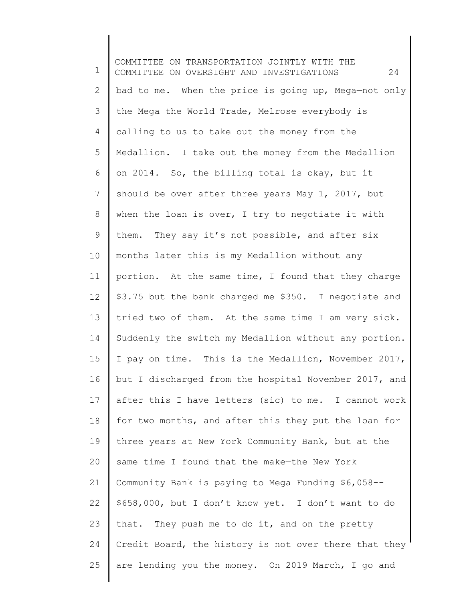1 2 3 4 5 6 7 8 9 10 11 12 13 14 15 16 17 18 19 20 21 22 23 24 25 COMMITTEE ON TRANSPORTATION JOINTLY WITH THE COMMITTEE ON OVERSIGHT AND INVESTIGATIONS 24 bad to me. When the price is going up, Mega—not only the Mega the World Trade, Melrose everybody is calling to us to take out the money from the Medallion. I take out the money from the Medallion on 2014. So, the billing total is okay, but it should be over after three years May 1, 2017, but when the loan is over, I try to negotiate it with them. They say it's not possible, and after six months later this is my Medallion without any portion. At the same time, I found that they charge \$3.75 but the bank charged me \$350. I negotiate and tried two of them. At the same time I am very sick. Suddenly the switch my Medallion without any portion. I pay on time. This is the Medallion, November 2017, but I discharged from the hospital November 2017, and after this I have letters (sic) to me. I cannot work for two months, and after this they put the loan for three years at New York Community Bank, but at the same time I found that the make—the New York Community Bank is paying to Mega Funding \$6,058-- \$658,000, but I don't know yet. I don't want to do that. They push me to do it, and on the pretty Credit Board, the history is not over there that they are lending you the money. On 2019 March, I go and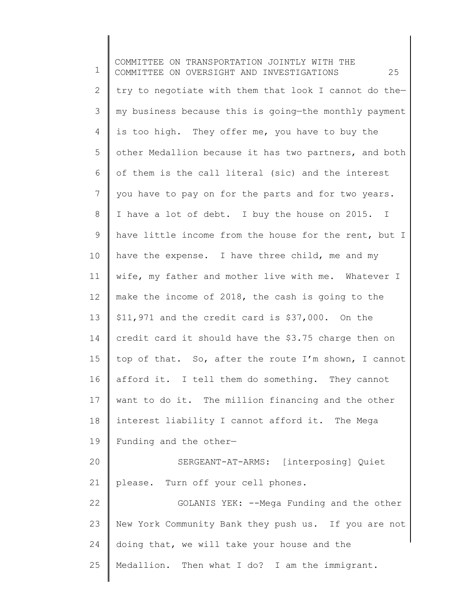1 2 3 4 5 6 7 8 9 10 11 12 13 14 15 16 17 18 19 20 21 22 23 24 25 COMMITTEE ON TRANSPORTATION JOINTLY WITH THE COMMITTEE ON OVERSIGHT AND INVESTIGATIONS 25 try to negotiate with them that look I cannot do the my business because this is going—the monthly payment is too high. They offer me, you have to buy the other Medallion because it has two partners, and both of them is the call literal (sic) and the interest you have to pay on for the parts and for two years. I have a lot of debt. I buy the house on 2015. I have little income from the house for the rent, but I have the expense. I have three child, me and my wife, my father and mother live with me. Whatever I make the income of 2018, the cash is going to the \$11,971 and the credit card is \$37,000. On the credit card it should have the \$3.75 charge then on top of that. So, after the route I'm shown, I cannot afford it. I tell them do something. They cannot want to do it. The million financing and the other interest liability I cannot afford it. The Mega Funding and the other— SERGEANT-AT-ARMS: [interposing] Quiet please. Turn off your cell phones. GOLANIS YEK: --Mega Funding and the other New York Community Bank they push us. If you are not doing that, we will take your house and the Medallion. Then what I do? I am the immigrant.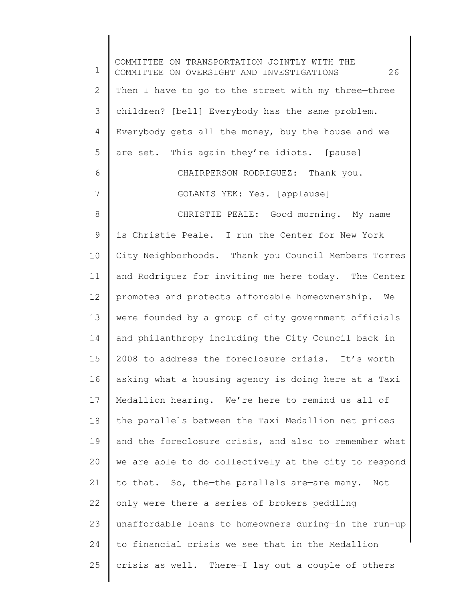1 2 3 4 5 6 7 8 9 10 11 12 13 14 15 16 17 18 19 20 21 22 23 24 25 COMMITTEE ON TRANSPORTATION JOINTLY WITH THE COMMITTEE ON OVERSIGHT AND INVESTIGATIONS 26 Then I have to go to the street with my three—three children? [bell] Everybody has the same problem. Everybody gets all the money, buy the house and we are set. This again they're idiots. [pause] CHAIRPERSON RODRIGUEZ: Thank you. GOLANIS YEK: Yes. [applause] CHRISTIE PEALE: Good morning. My name is Christie Peale. I run the Center for New York City Neighborhoods. Thank you Council Members Torres and Rodriguez for inviting me here today. The Center promotes and protects affordable homeownership. We were founded by a group of city government officials and philanthropy including the City Council back in 2008 to address the foreclosure crisis. It's worth asking what a housing agency is doing here at a Taxi Medallion hearing. We're here to remind us all of the parallels between the Taxi Medallion net prices and the foreclosure crisis, and also to remember what we are able to do collectively at the city to respond to that. So, the—the parallels are—are many. Not only were there a series of brokers peddling unaffordable loans to homeowners during—in the run-up to financial crisis we see that in the Medallion crisis as well. There—I lay out a couple of others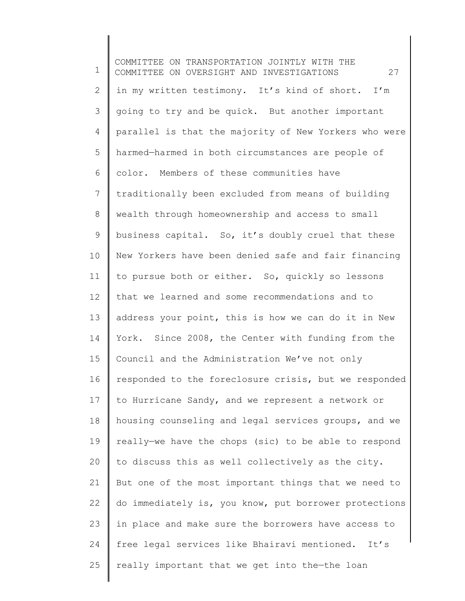1 2 3 4 5 6 7 8 9 10 11 12 13 14 15 16 17 18 19 20 21 22 23 24 25 COMMITTEE ON TRANSPORTATION JOINTLY WITH THE COMMITTEE ON OVERSIGHT AND INVESTIGATIONS 27 in my written testimony. It's kind of short. I'm going to try and be quick. But another important parallel is that the majority of New Yorkers who were harmed—harmed in both circumstances are people of color. Members of these communities have traditionally been excluded from means of building wealth through homeownership and access to small business capital. So, it's doubly cruel that these New Yorkers have been denied safe and fair financing to pursue both or either. So, quickly so lessons that we learned and some recommendations and to address your point, this is how we can do it in New York. Since 2008, the Center with funding from the Council and the Administration We've not only responded to the foreclosure crisis, but we responded to Hurricane Sandy, and we represent a network or housing counseling and legal services groups, and we really—we have the chops (sic) to be able to respond to discuss this as well collectively as the city. But one of the most important things that we need to do immediately is, you know, put borrower protections in place and make sure the borrowers have access to free legal services like Bhairavi mentioned. It's really important that we get into the—the loan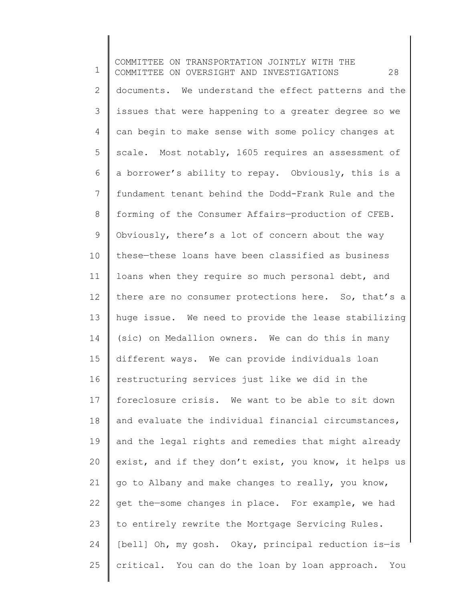1 2 3 4 5 6 7 8 9 10 11 12 13 14 15 16 17 18 19 20 21 22 23 24 25 COMMITTEE ON TRANSPORTATION JOINTLY WITH THE COMMITTEE ON OVERSIGHT AND INVESTIGATIONS 28 documents. We understand the effect patterns and the issues that were happening to a greater degree so we can begin to make sense with some policy changes at scale. Most notably, 1605 requires an assessment of a borrower's ability to repay. Obviously, this is a fundament tenant behind the Dodd-Frank Rule and the forming of the Consumer Affairs—production of CFEB. Obviously, there's a lot of concern about the way these—these loans have been classified as business loans when they require so much personal debt, and there are no consumer protections here. So, that's a huge issue. We need to provide the lease stabilizing (sic) on Medallion owners. We can do this in many different ways. We can provide individuals loan restructuring services just like we did in the foreclosure crisis. We want to be able to sit down and evaluate the individual financial circumstances, and the legal rights and remedies that might already exist, and if they don't exist, you know, it helps us go to Albany and make changes to really, you know, get the—some changes in place. For example, we had to entirely rewrite the Mortgage Servicing Rules. [bell] Oh, my gosh. Okay, principal reduction is—is critical. You can do the loan by loan approach. You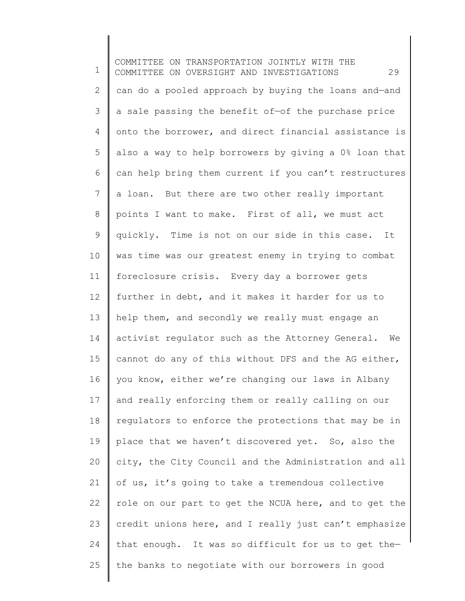1 2 3 4 5 6 7 8 9 10 11 12 13 14 15 16 17 18 19 20 21 22 23 24 25 COMMITTEE ON TRANSPORTATION JOINTLY WITH THE COMMITTEE ON OVERSIGHT AND INVESTIGATIONS 29 can do a pooled approach by buying the loans and—and a sale passing the benefit of—of the purchase price onto the borrower, and direct financial assistance is also a way to help borrowers by giving a 0% loan that can help bring them current if you can't restructures a loan. But there are two other really important points I want to make. First of all, we must act quickly. Time is not on our side in this case. It was time was our greatest enemy in trying to combat foreclosure crisis. Every day a borrower gets further in debt, and it makes it harder for us to help them, and secondly we really must engage an activist regulator such as the Attorney General. We cannot do any of this without DFS and the AG either, you know, either we're changing our laws in Albany and really enforcing them or really calling on our regulators to enforce the protections that may be in place that we haven't discovered yet. So, also the city, the City Council and the Administration and all of us, it's going to take a tremendous collective role on our part to get the NCUA here, and to get the credit unions here, and I really just can't emphasize that enough. It was so difficult for us to get the the banks to negotiate with our borrowers in good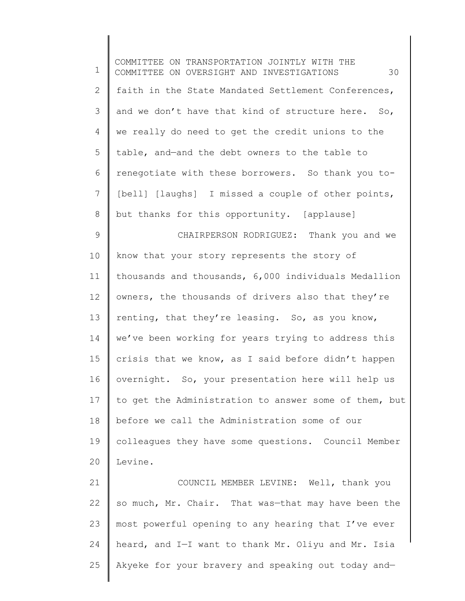| $\mathbf 1$     | COMMITTEE ON TRANSPORTATION JOINTLY WITH THE<br>30<br>COMMITTEE ON OVERSIGHT AND INVESTIGATIONS |
|-----------------|-------------------------------------------------------------------------------------------------|
| $\mathbf{2}$    | faith in the State Mandated Settlement Conferences,                                             |
| 3               | and we don't have that kind of structure here. So,                                              |
| $\overline{4}$  | we really do need to get the credit unions to the                                               |
| 5               | table, and-and the debt owners to the table to                                                  |
| 6               | renegotiate with these borrowers. So thank you to-                                              |
| $7\phantom{.}$  | [bell] [laughs] I missed a couple of other points,                                              |
| 8               | but thanks for this opportunity. [applause]                                                     |
| $\mathcal{G}$   | CHAIRPERSON RODRIGUEZ: Thank you and we                                                         |
| 10              | know that your story represents the story of                                                    |
| 11              | thousands and thousands, 6,000 individuals Medallion                                            |
| 12 <sup>°</sup> | owners, the thousands of drivers also that they're                                              |
| 13              | renting, that they're leasing. So, as you know,                                                 |
| 14              | we've been working for years trying to address this                                             |
| 15              | crisis that we know, as I said before didn't happen                                             |
| 16              | overnight. So, your presentation here will help us                                              |
| 17              | to get the Administration to answer some of them, but                                           |
| 18              | before we call the Administration some of our                                                   |
| 19              | colleagues they have some questions. Council Member                                             |
| 20              | Levine.                                                                                         |
| 21              | COUNCIL MEMBER LEVINE: Well, thank you                                                          |
| 22              | so much, Mr. Chair. That was-that may have been the                                             |
| 23              | most powerful opening to any hearing that I've ever                                             |
| 24              | heard, and I-I want to thank Mr. Oliyu and Mr. Isia                                             |

 $\parallel$ 

25 Akyeke for your bravery and speaking out today and—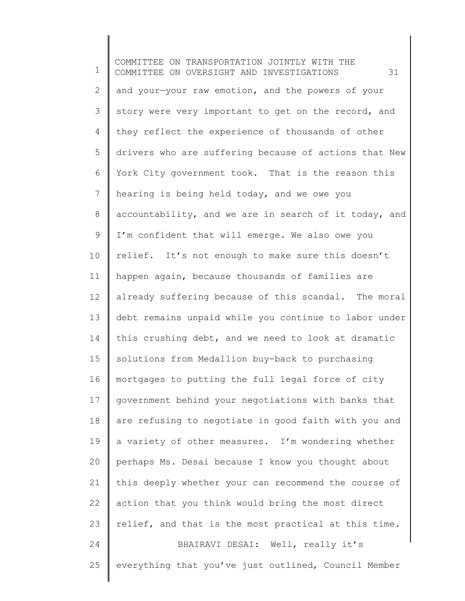1 2 3 4 5 6 7 8 9 10 11 12 13 14 15 16 17 18 19 20 21 22 23 24 25 COMMITTEE ON TRANSPORTATION JOINTLY WITH THE COMMITTEE ON OVERSIGHT AND INVESTIGATIONS 31 and your—your raw emotion, and the powers of your story were very important to get on the record, and they reflect the experience of thousands of other drivers who are suffering because of actions that New York City government took. That is the reason this hearing is being held today, and we owe you accountability, and we are in search of it today, and I'm confident that will emerge. We also owe you relief. It's not enough to make sure this doesn't happen again, because thousands of families are already suffering because of this scandal. The moral debt remains unpaid while you continue to labor under this crushing debt, and we need to look at dramatic solutions from Medallion buy-back to purchasing mortgages to putting the full legal force of city government behind your negotiations with banks that are refusing to negotiate in good faith with you and a variety of other measures. I'm wondering whether perhaps Ms. Desai because I know you thought about this deeply whether your can recommend the course of action that you think would bring the most direct relief, and that is the most practical at this time. BHAIRAVI DESAI: Well, really it's everything that you've just outlined, Council Member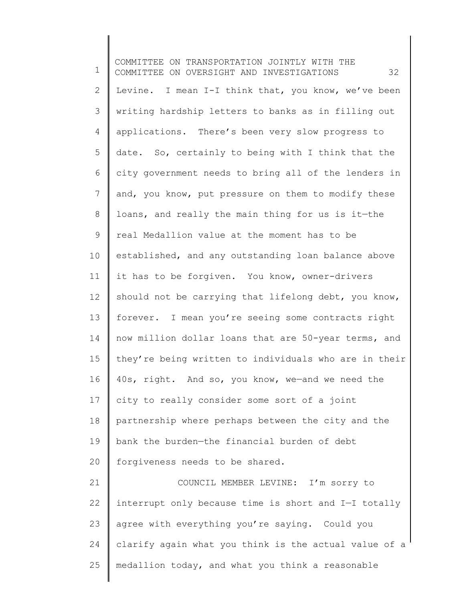1 2 3 4 5 6 7 8 9 10 11 12 13 14 15 16 17 18 19 20 21 22 23 24 25 COMMITTEE ON TRANSPORTATION JOINTLY WITH THE COMMITTEE ON OVERSIGHT AND INVESTIGATIONS 32 Levine. I mean I-I think that, you know, we've been writing hardship letters to banks as in filling out applications. There's been very slow progress to date. So, certainly to being with I think that the city government needs to bring all of the lenders in and, you know, put pressure on them to modify these loans, and really the main thing for us is it—the real Medallion value at the moment has to be established, and any outstanding loan balance above it has to be forgiven. You know, owner-drivers should not be carrying that lifelong debt, you know, forever. I mean you're seeing some contracts right now million dollar loans that are 50-year terms, and they're being written to individuals who are in their 40s, right. And so, you know, we—and we need the city to really consider some sort of a joint partnership where perhaps between the city and the bank the burden—the financial burden of debt forgiveness needs to be shared. COUNCIL MEMBER LEVINE: I'm sorry to interrupt only because time is short and I—I totally agree with everything you're saying. Could you clarify again what you think is the actual value of a medallion today, and what you think a reasonable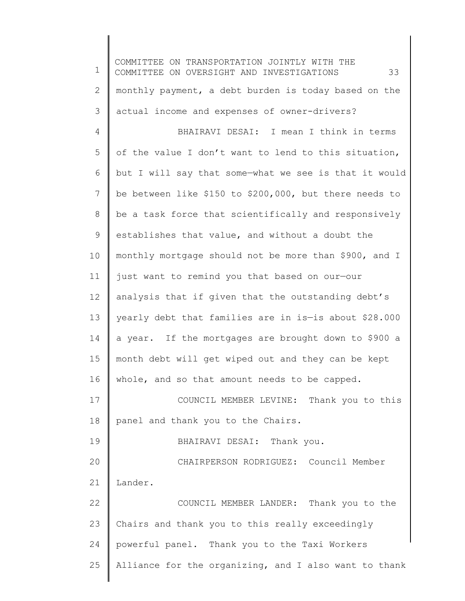1 2 3 4 5 6 7 8 9 10 11 12 13 14 15 16 17 18 19 20 21 22 23 24 25 COMMITTEE ON TRANSPORTATION JOINTLY WITH THE COMMITTEE ON OVERSIGHT AND INVESTIGATIONS 33 monthly payment, a debt burden is today based on the actual income and expenses of owner-drivers? BHAIRAVI DESAI: I mean I think in terms of the value I don't want to lend to this situation, but I will say that some—what we see is that it would be between like \$150 to \$200,000, but there needs to be a task force that scientifically and responsively establishes that value, and without a doubt the monthly mortgage should not be more than \$900, and I just want to remind you that based on our—our analysis that if given that the outstanding debt's yearly debt that families are in is—is about \$28.000 a year. If the mortgages are brought down to \$900 a month debt will get wiped out and they can be kept whole, and so that amount needs to be capped. COUNCIL MEMBER LEVINE: Thank you to this panel and thank you to the Chairs. BHAIRAVI DESAI: Thank you. CHAIRPERSON RODRIGUEZ: Council Member Lander. COUNCIL MEMBER LANDER: Thank you to the Chairs and thank you to this really exceedingly powerful panel. Thank you to the Taxi Workers Alliance for the organizing, and I also want to thank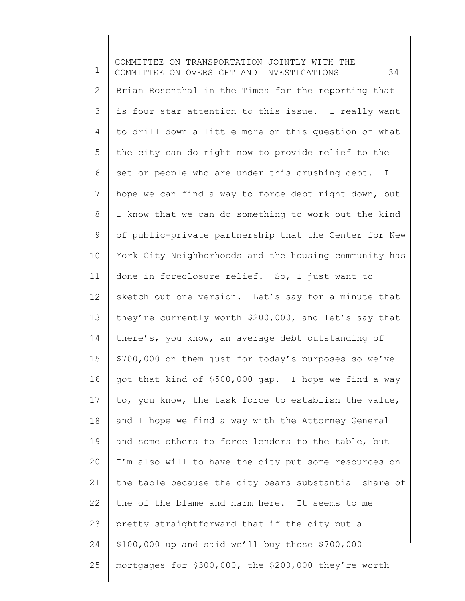1 2 3 4 5 6 7 8 9 10 11 12 13 14 15 16 17 18 19 20 21 22 23 24 25 COMMITTEE ON TRANSPORTATION JOINTLY WITH THE COMMITTEE ON OVERSIGHT AND INVESTIGATIONS 34 Brian Rosenthal in the Times for the reporting that is four star attention to this issue. I really want to drill down a little more on this question of what the city can do right now to provide relief to the set or people who are under this crushing debt. I hope we can find a way to force debt right down, but I know that we can do something to work out the kind of public-private partnership that the Center for New York City Neighborhoods and the housing community has done in foreclosure relief. So, I just want to sketch out one version. Let's say for a minute that they're currently worth \$200,000, and let's say that there's, you know, an average debt outstanding of \$700,000 on them just for today's purposes so we've got that kind of \$500,000 gap. I hope we find a way to, you know, the task force to establish the value, and I hope we find a way with the Attorney General and some others to force lenders to the table, but I'm also will to have the city put some resources on the table because the city bears substantial share of the—of the blame and harm here. It seems to me pretty straightforward that if the city put a \$100,000 up and said we'll buy those \$700,000 mortgages for \$300,000, the \$200,000 they're worth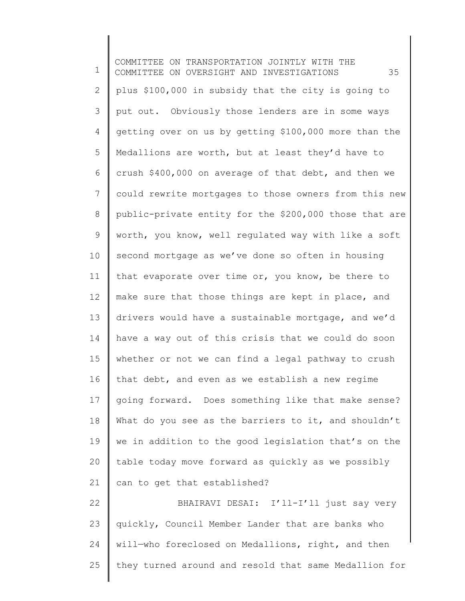1 2 3 4 5 6 7 8 9 10 11 12 13 14 15 16 17 18 19 20 21 22 23 24 25 COMMITTEE ON TRANSPORTATION JOINTLY WITH THE COMMITTEE ON OVERSIGHT AND INVESTIGATIONS 35 plus \$100,000 in subsidy that the city is going to put out. Obviously those lenders are in some ways getting over on us by getting \$100,000 more than the Medallions are worth, but at least they'd have to crush \$400,000 on average of that debt, and then we could rewrite mortgages to those owners from this new public-private entity for the \$200,000 those that are worth, you know, well regulated way with like a soft second mortgage as we've done so often in housing that evaporate over time or, you know, be there to make sure that those things are kept in place, and drivers would have a sustainable mortgage, and we'd have a way out of this crisis that we could do soon whether or not we can find a legal pathway to crush that debt, and even as we establish a new regime going forward. Does something like that make sense? What do you see as the barriers to it, and shouldn't we in addition to the good legislation that's on the table today move forward as quickly as we possibly can to get that established? BHAIRAVI DESAI: I'll-I'll just say very quickly, Council Member Lander that are banks who will—who foreclosed on Medallions, right, and then they turned around and resold that same Medallion for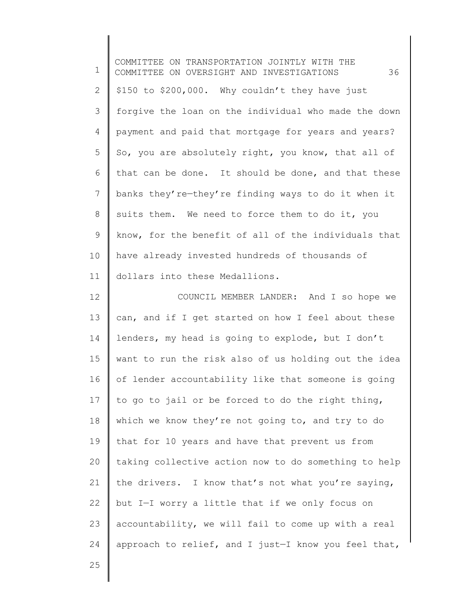| 1            | COMMITTEE ON TRANSPORTATION JOINTLY WITH THE<br>36<br>COMMITTEE ON OVERSIGHT AND INVESTIGATIONS |
|--------------|-------------------------------------------------------------------------------------------------|
| $\mathbf{2}$ | \$150 to \$200,000. Why couldn't they have just                                                 |
| 3            | forgive the loan on the individual who made the down                                            |
| 4            | payment and paid that mortgage for years and years?                                             |
| 5            | So, you are absolutely right, you know, that all of                                             |
| 6            | that can be done. It should be done, and that these                                             |
| 7            | banks they're-they're finding ways to do it when it                                             |
| $8\,$        | suits them. We need to force them to do it, you                                                 |
| $\mathsf 9$  | know, for the benefit of all of the individuals that                                            |
| 10           | have already invested hundreds of thousands of                                                  |
| 11           | dollars into these Medallions.                                                                  |
| 12           | COUNCIL MEMBER LANDER: And I so hope we                                                         |
| 13           | can, and if I get started on how I feel about these                                             |
| 14           | lenders, my head is going to explode, but I don't                                               |
| 15           | want to run the risk also of us holding out the idea                                            |
| 16           | of lender accountability like that someone is going                                             |
| 17           | to go to jail or be forced to do the right thing,                                               |
| 18           | which we know they're not going to, and try to do                                               |
| 19           | that for 10 years and have that prevent us from                                                 |
| 20           | taking collective action now to do something to help                                            |
| 21           | the drivers. I know that's not what you're saying,                                              |
| 22           | but I-I worry a little that if we only focus on                                                 |
| 23           | accountability, we will fail to come up with a real                                             |
| 24           | approach to relief, and I just-I know you feel that,                                            |
|              |                                                                                                 |

25

∥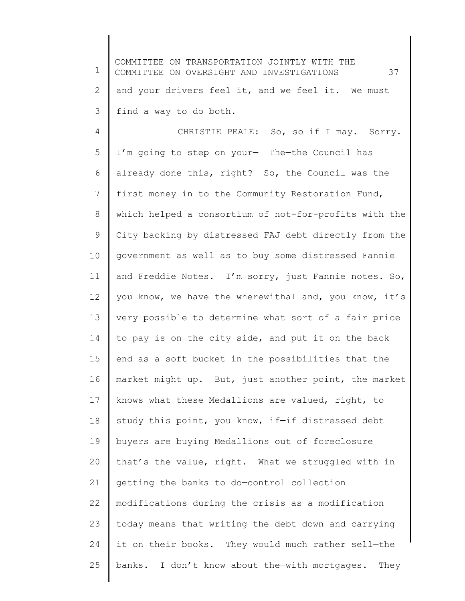1 2 3 4 5 6 7 8 9 10 11 12 13 14 15 16 17 18 19 20 21 22 23 24 25 COMMITTEE ON TRANSPORTATION JOINTLY WITH THE COMMITTEE ON OVERSIGHT AND INVESTIGATIONS 37 and your drivers feel it, and we feel it. We must find a way to do both. CHRISTIE PEALE: So, so if I may. Sorry. I'm going to step on your— The—the Council has already done this, right? So, the Council was the first money in to the Community Restoration Fund, which helped a consortium of not-for-profits with the City backing by distressed FAJ debt directly from the government as well as to buy some distressed Fannie and Freddie Notes. I'm sorry, just Fannie notes. So, you know, we have the wherewithal and, you know, it's very possible to determine what sort of a fair price to pay is on the city side, and put it on the back end as a soft bucket in the possibilities that the market might up. But, just another point, the market knows what these Medallions are valued, right, to study this point, you know, if—if distressed debt buyers are buying Medallions out of foreclosure that's the value, right. What we struggled with in getting the banks to do—control collection modifications during the crisis as a modification today means that writing the debt down and carrying it on their books. They would much rather sell—the banks. I don't know about the—with mortgages. They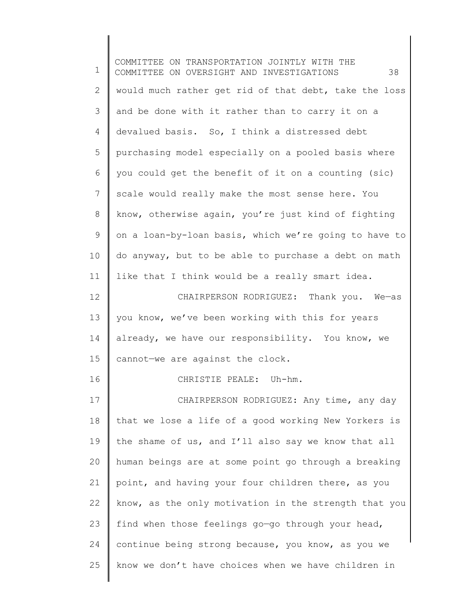1 2 3 4 5 6 7 8 9 10 11 12 13 14 15 16 17 18 19 20 21 22 23 24 25 COMMITTEE ON TRANSPORTATION JOINTLY WITH THE COMMITTEE ON OVERSIGHT AND INVESTIGATIONS 38 would much rather get rid of that debt, take the loss and be done with it rather than to carry it on a devalued basis. So, I think a distressed debt purchasing model especially on a pooled basis where you could get the benefit of it on a counting (sic) scale would really make the most sense here. You know, otherwise again, you're just kind of fighting on a loan-by-loan basis, which we're going to have to do anyway, but to be able to purchase a debt on math like that I think would be a really smart idea. CHAIRPERSON RODRIGUEZ: Thank you. We—as you know, we've been working with this for years already, we have our responsibility. You know, we cannot—we are against the clock. CHRISTIE PEALE: Uh-hm. CHAIRPERSON RODRIGUEZ: Any time, any day that we lose a life of a good working New Yorkers is the shame of us, and I'll also say we know that all human beings are at some point go through a breaking point, and having your four children there, as you know, as the only motivation in the strength that you find when those feelings go—go through your head, continue being strong because, you know, as you we know we don't have choices when we have children in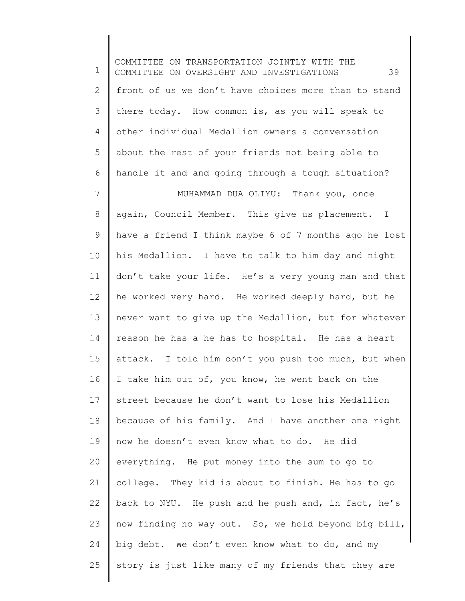1 2 3 4 5 6 7 8 9 10 11 12 13 14 15 16 17 18 19 20 21 22 23 24 25 COMMITTEE ON TRANSPORTATION JOINTLY WITH THE COMMITTEE ON OVERSIGHT AND INVESTIGATIONS 39 front of us we don't have choices more than to stand there today. How common is, as you will speak to other individual Medallion owners a conversation about the rest of your friends not being able to handle it and—and going through a tough situation? MUHAMMAD DUA OLIYU: Thank you, once again, Council Member. This give us placement. I have a friend I think maybe 6 of 7 months ago he lost his Medallion. I have to talk to him day and night don't take your life. He's a very young man and that he worked very hard. He worked deeply hard, but he never want to give up the Medallion, but for whatever reason he has a—he has to hospital. He has a heart attack. I told him don't you push too much, but when I take him out of, you know, he went back on the street because he don't want to lose his Medallion because of his family. And I have another one right now he doesn't even know what to do. He did everything. He put money into the sum to go to college. They kid is about to finish. He has to go back to NYU. He push and he push and, in fact, he's now finding no way out. So, we hold beyond big bill, big debt. We don't even know what to do, and my story is just like many of my friends that they are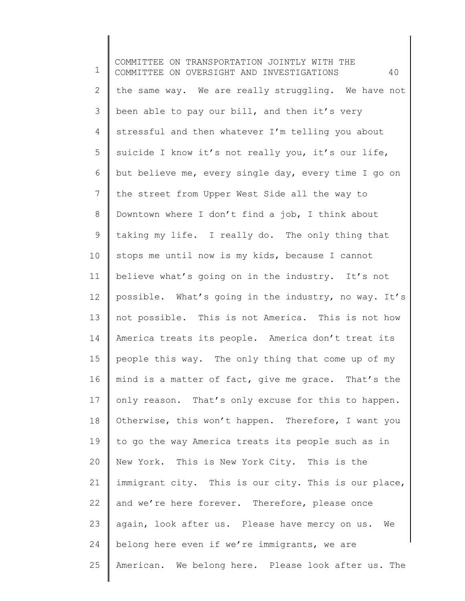1 2 3 4 5 6 7 8 9 10 11 12 13 14 15 16 17 18 19 20 21 22 23 24 25 COMMITTEE ON TRANSPORTATION JOINTLY WITH THE COMMITTEE ON OVERSIGHT AND INVESTIGATIONS 40 the same way. We are really struggling. We have not been able to pay our bill, and then it's very stressful and then whatever I'm telling you about suicide I know it's not really you, it's our life, but believe me, every single day, every time I go on the street from Upper West Side all the way to Downtown where I don't find a job, I think about taking my life. I really do. The only thing that stops me until now is my kids, because I cannot believe what's going on in the industry. It's not possible. What's going in the industry, no way. It's not possible. This is not America. This is not how America treats its people. America don't treat its people this way. The only thing that come up of my mind is a matter of fact, give me grace. That's the only reason. That's only excuse for this to happen. Otherwise, this won't happen. Therefore, I want you to go the way America treats its people such as in New York. This is New York City. This is the immigrant city. This is our city. This is our place, and we're here forever. Therefore, please once again, look after us. Please have mercy on us. We belong here even if we're immigrants, we are American. We belong here. Please look after us. The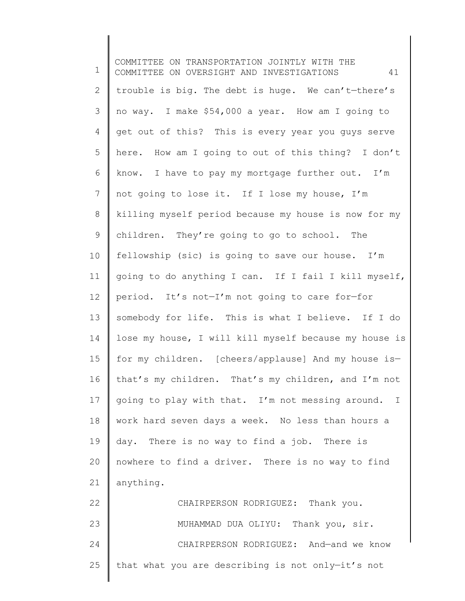1 2 3 4 5 6 7 8 9 10 11 12 13 14 15 16 17 18 19 20 21 22 23 24 25 COMMITTEE ON TRANSPORTATION JOINTLY WITH THE COMMITTEE ON OVERSIGHT AND INVESTIGATIONS 41 trouble is big. The debt is huge. We can't—there's no way. I make \$54,000 a year. How am I going to get out of this? This is every year you guys serve here. How am I going to out of this thing? I don't know. I have to pay my mortgage further out. I'm not going to lose it. If I lose my house, I'm killing myself period because my house is now for my children. They're going to go to school. The fellowship (sic) is going to save our house. I'm going to do anything I can. If I fail I kill myself, period. It's not—I'm not going to care for—for somebody for life. This is what I believe. If I do lose my house, I will kill myself because my house is for my children. [cheers/applause] And my house is that's my children. That's my children, and I'm not going to play with that. I'm not messing around. I work hard seven days a week. No less than hours a day. There is no way to find a job. There is nowhere to find a driver. There is no way to find anything. CHAIRPERSON RODRIGUEZ: Thank you. MUHAMMAD DUA OLIYU: Thank you, sir. CHAIRPERSON RODRIGUEZ: And—and we know that what you are describing is not only—it's not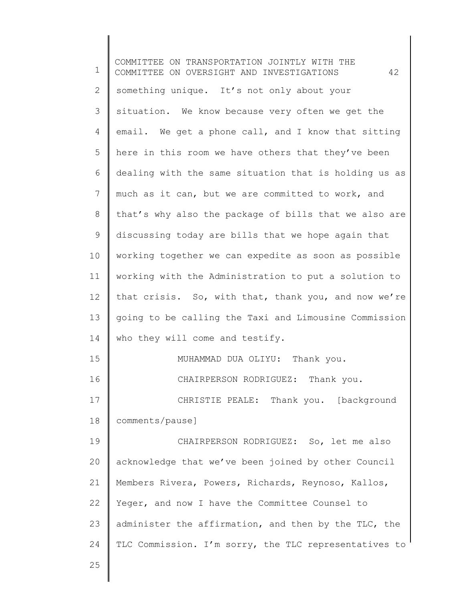| 1  | COMMITTEE ON TRANSPORTATION JOINTLY WITH THE<br>42<br>COMMITTEE ON OVERSIGHT AND INVESTIGATIONS |
|----|-------------------------------------------------------------------------------------------------|
| 2  | something unique. It's not only about your                                                      |
| 3  | situation. We know because very often we get the                                                |
| 4  | email. We get a phone call, and I know that sitting                                             |
| 5  | here in this room we have others that they've been                                              |
| 6  | dealing with the same situation that is holding us as                                           |
| 7  | much as it can, but we are committed to work, and                                               |
| 8  | that's why also the package of bills that we also are                                           |
| 9  | discussing today are bills that we hope again that                                              |
| 10 | working together we can expedite as soon as possible                                            |
| 11 | working with the Administration to put a solution to                                            |
| 12 | that crisis. So, with that, thank you, and now we're                                            |
| 13 | going to be calling the Taxi and Limousine Commission                                           |
| 14 | who they will come and testify.                                                                 |
| 15 | MUHAMMAD DUA OLIYU: Thank you.                                                                  |
| 16 | CHAIRPERSON RODRIGUEZ: Thank you.                                                               |
| 17 | CHRISTIE PEALE: Thank you. [background                                                          |
| 18 | comments/pause]                                                                                 |
| 19 | CHAIRPERSON RODRIGUEZ: So, let me also                                                          |
| 20 | acknowledge that we've been joined by other Council                                             |
| 21 | Members Rivera, Powers, Richards, Reynoso, Kallos,                                              |
| 22 | Yeger, and now I have the Committee Counsel to                                                  |
| 23 | administer the affirmation, and then by the TLC, the                                            |
| 24 | TLC Commission. I'm sorry, the TLC representatives to                                           |
| 25 |                                                                                                 |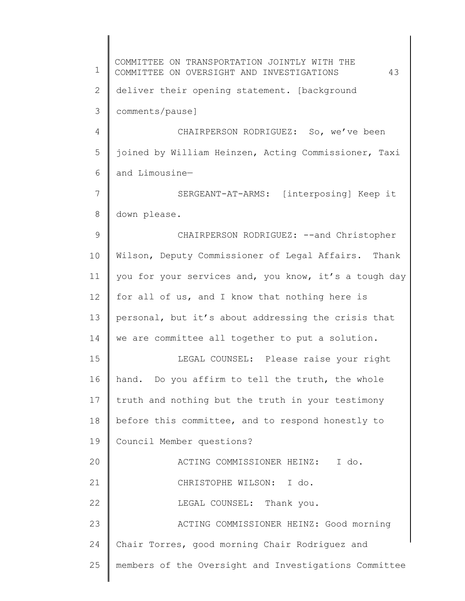1 2 3 4 5 6 7 8 9 10 11 12 13 14 15 16 17 18 19 20 21 22 23 24 25 COMMITTEE ON TRANSPORTATION JOINTLY WITH THE COMMITTEE ON OVERSIGHT AND INVESTIGATIONS 43 deliver their opening statement. [background comments/pause] CHAIRPERSON RODRIGUEZ: So, we've been joined by William Heinzen, Acting Commissioner, Taxi and Limousine— SERGEANT-AT-ARMS: [interposing] Keep it down please. CHAIRPERSON RODRIGUEZ: --and Christopher Wilson, Deputy Commissioner of Legal Affairs. Thank you for your services and, you know, it's a tough day for all of us, and I know that nothing here is personal, but it's about addressing the crisis that we are committee all together to put a solution. LEGAL COUNSEL: Please raise your right hand. Do you affirm to tell the truth, the whole truth and nothing but the truth in your testimony before this committee, and to respond honestly to Council Member questions? ACTING COMMISSIONER HEINZ: I do. CHRISTOPHE WILSON: I do. LEGAL COUNSEL: Thank you. ACTING COMMISSIONER HEINZ: Good morning Chair Torres, good morning Chair Rodriguez and members of the Oversight and Investigations Committee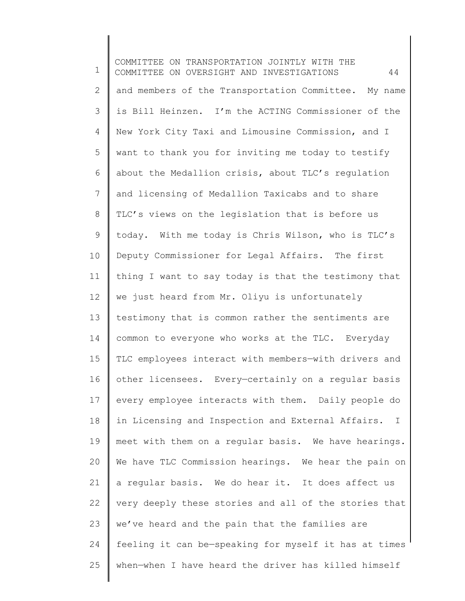1 2 3 4 5 6 7 8 9 10 11 12 13 14 15 16 17 18 19 20 21 22 23 24 25 COMMITTEE ON TRANSPORTATION JOINTLY WITH THE COMMITTEE ON OVERSIGHT AND INVESTIGATIONS 44 and members of the Transportation Committee. My name is Bill Heinzen. I'm the ACTING Commissioner of the New York City Taxi and Limousine Commission, and I want to thank you for inviting me today to testify about the Medallion crisis, about TLC's regulation and licensing of Medallion Taxicabs and to share TLC's views on the legislation that is before us today. With me today is Chris Wilson, who is TLC's Deputy Commissioner for Legal Affairs. The first thing I want to say today is that the testimony that we just heard from Mr. Oliyu is unfortunately testimony that is common rather the sentiments are common to everyone who works at the TLC. Everyday TLC employees interact with members—with drivers and other licensees. Every—certainly on a regular basis every employee interacts with them. Daily people do in Licensing and Inspection and External Affairs. I meet with them on a regular basis. We have hearings. We have TLC Commission hearings. We hear the pain on a regular basis. We do hear it. It does affect us very deeply these stories and all of the stories that we've heard and the pain that the families are feeling it can be—speaking for myself it has at times when—when I have heard the driver has killed himself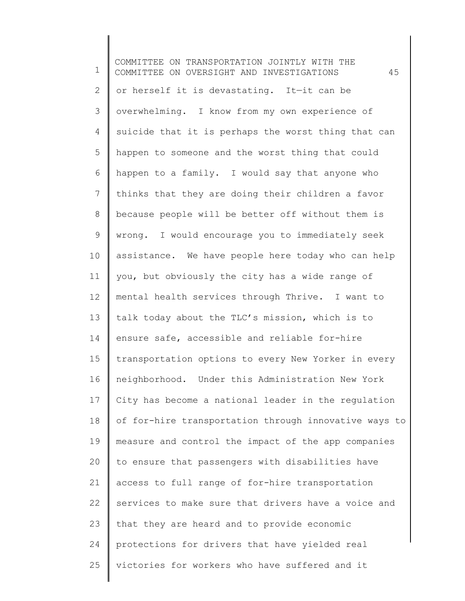1 2 3 4 5 6 7 8 9 10 11 12 13 14 15 16 17 18 19 20 21 22 23 24 25 COMMITTEE ON TRANSPORTATION JOINTLY WITH THE COMMITTEE ON OVERSIGHT AND INVESTIGATIONS 45 or herself it is devastating. It—it can be overwhelming. I know from my own experience of suicide that it is perhaps the worst thing that can happen to someone and the worst thing that could happen to a family. I would say that anyone who thinks that they are doing their children a favor because people will be better off without them is wrong. I would encourage you to immediately seek assistance. We have people here today who can help you, but obviously the city has a wide range of mental health services through Thrive. I want to talk today about the TLC's mission, which is to ensure safe, accessible and reliable for-hire transportation options to every New Yorker in every neighborhood. Under this Administration New York City has become a national leader in the regulation of for-hire transportation through innovative ways to measure and control the impact of the app companies to ensure that passengers with disabilities have access to full range of for-hire transportation services to make sure that drivers have a voice and that they are heard and to provide economic protections for drivers that have yielded real victories for workers who have suffered and it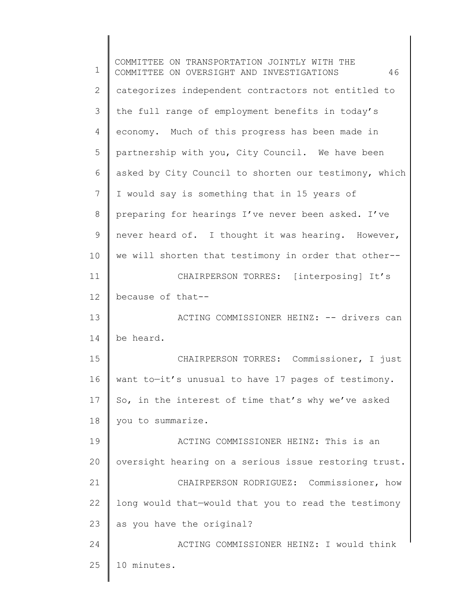1 2 3 4 5 6 7 8 9 10 11 12 13 14 15 16 17 18 19 20 21 22 23 24 25 COMMITTEE ON TRANSPORTATION JOINTLY WITH THE COMMITTEE ON OVERSIGHT AND INVESTIGATIONS 46 categorizes independent contractors not entitled to the full range of employment benefits in today's economy. Much of this progress has been made in partnership with you, City Council. We have been asked by City Council to shorten our testimony, which I would say is something that in 15 years of preparing for hearings I've never been asked. I've never heard of. I thought it was hearing. However, we will shorten that testimony in order that other-- CHAIRPERSON TORRES: [interposing] It's because of that-- ACTING COMMISSIONER HEINZ: -- drivers can be heard. CHAIRPERSON TORRES: Commissioner, I just want to—it's unusual to have 17 pages of testimony. So, in the interest of time that's why we've asked you to summarize. ACTING COMMISSIONER HEINZ: This is an oversight hearing on a serious issue restoring trust. CHAIRPERSON RODRIGUEZ: Commissioner, how long would that—would that you to read the testimony as you have the original? ACTING COMMISSIONER HEINZ: I would think 10 minutes.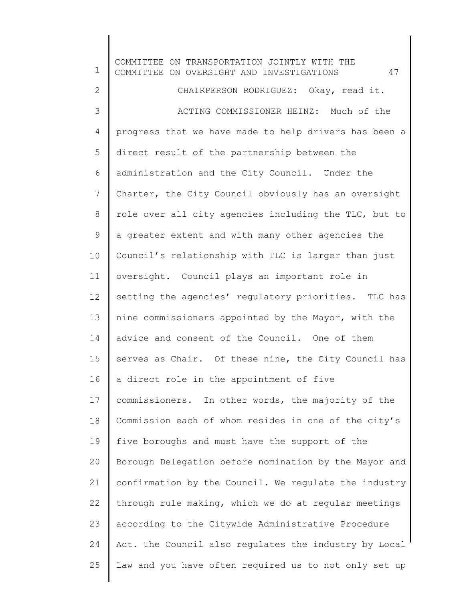1 2 3 4 5 6 7 8 9 10 11 12 13 14 15 16 17 18 19 20 21 22 23 24 25 COMMITTEE ON TRANSPORTATION JOINTLY WITH THE COMMITTEE ON OVERSIGHT AND INVESTIGATIONS 47 CHAIRPERSON RODRIGUEZ: Okay, read it. ACTING COMMISSIONER HEINZ: Much of the progress that we have made to help drivers has been a direct result of the partnership between the administration and the City Council. Under the Charter, the City Council obviously has an oversight role over all city agencies including the TLC, but to a greater extent and with many other agencies the Council's relationship with TLC is larger than just oversight. Council plays an important role in setting the agencies' regulatory priorities. TLC has nine commissioners appointed by the Mayor, with the advice and consent of the Council. One of them serves as Chair. Of these nine, the City Council has a direct role in the appointment of five commissioners. In other words, the majority of the Commission each of whom resides in one of the city's five boroughs and must have the support of the Borough Delegation before nomination by the Mayor and confirmation by the Council. We regulate the industry through rule making, which we do at regular meetings according to the Citywide Administrative Procedure Act. The Council also regulates the industry by Local Law and you have often required us to not only set up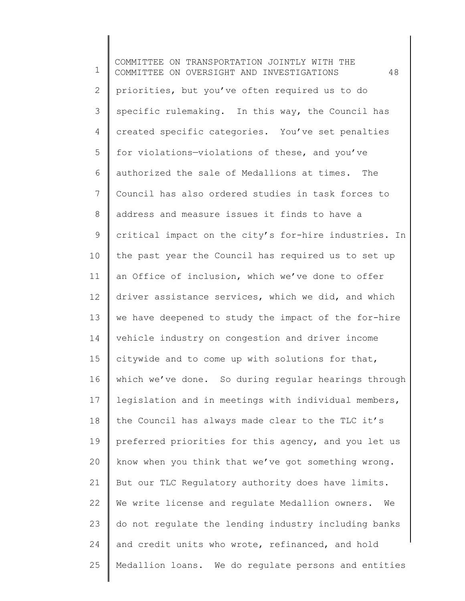1 2 3 4 5 6 7 8 9 10 11 12 13 14 15 16 17 18 19 20 21 22 23 24 25 COMMITTEE ON TRANSPORTATION JOINTLY WITH THE COMMITTEE ON OVERSIGHT AND INVESTIGATIONS 48 priorities, but you've often required us to do specific rulemaking. In this way, the Council has created specific categories. You've set penalties for violations—violations of these, and you've authorized the sale of Medallions at times. The Council has also ordered studies in task forces to address and measure issues it finds to have a critical impact on the city's for-hire industries. In the past year the Council has required us to set up an Office of inclusion, which we've done to offer driver assistance services, which we did, and which we have deepened to study the impact of the for-hire vehicle industry on congestion and driver income citywide and to come up with solutions for that, which we've done. So during regular hearings through legislation and in meetings with individual members, the Council has always made clear to the TLC it's preferred priorities for this agency, and you let us know when you think that we've got something wrong. But our TLC Regulatory authority does have limits. We write license and regulate Medallion owners. We do not regulate the lending industry including banks and credit units who wrote, refinanced, and hold Medallion loans. We do regulate persons and entities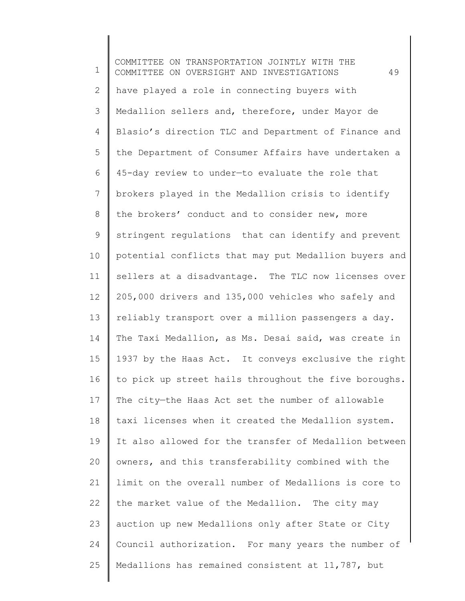1 2 3 4 5 6 7 8 9 10 11 12 13 14 15 16 17 18 19 20 21 22 23 24 25 COMMITTEE ON TRANSPORTATION JOINTLY WITH THE COMMITTEE ON OVERSIGHT AND INVESTIGATIONS 49 have played a role in connecting buyers with Medallion sellers and, therefore, under Mayor de Blasio's direction TLC and Department of Finance and the Department of Consumer Affairs have undertaken a 45-day review to under—to evaluate the role that brokers played in the Medallion crisis to identify the brokers' conduct and to consider new, more stringent regulations that can identify and prevent potential conflicts that may put Medallion buyers and sellers at a disadvantage. The TLC now licenses over 205,000 drivers and 135,000 vehicles who safely and reliably transport over a million passengers a day. The Taxi Medallion, as Ms. Desai said, was create in 1937 by the Haas Act. It conveys exclusive the right to pick up street hails throughout the five boroughs. The city—the Haas Act set the number of allowable taxi licenses when it created the Medallion system. It also allowed for the transfer of Medallion between owners, and this transferability combined with the limit on the overall number of Medallions is core to the market value of the Medallion. The city may auction up new Medallions only after State or City Council authorization. For many years the number of Medallions has remained consistent at 11,787, but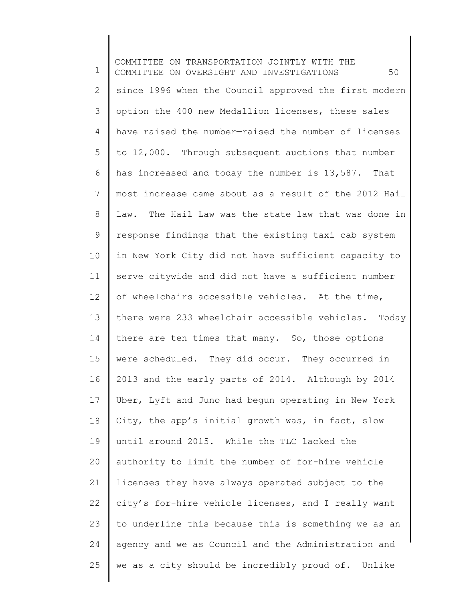1 2 3 4 5 6 7 8 9 10 11 12 13 14 15 16 17 18 19 20 21 22 23 24 25 COMMITTEE ON TRANSPORTATION JOINTLY WITH THE COMMITTEE ON OVERSIGHT AND INVESTIGATIONS 50 since 1996 when the Council approved the first modern option the 400 new Medallion licenses, these sales have raised the number—raised the number of licenses to 12,000. Through subsequent auctions that number has increased and today the number is 13,587. That most increase came about as a result of the 2012 Hail Law. The Hail Law was the state law that was done in response findings that the existing taxi cab system in New York City did not have sufficient capacity to serve citywide and did not have a sufficient number of wheelchairs accessible vehicles. At the time, there were 233 wheelchair accessible vehicles. Today there are ten times that many. So, those options were scheduled. They did occur. They occurred in 2013 and the early parts of 2014. Although by 2014 Uber, Lyft and Juno had begun operating in New York City, the app's initial growth was, in fact, slow until around 2015. While the TLC lacked the authority to limit the number of for-hire vehicle licenses they have always operated subject to the city's for-hire vehicle licenses, and I really want to underline this because this is something we as an agency and we as Council and the Administration and we as a city should be incredibly proud of. Unlike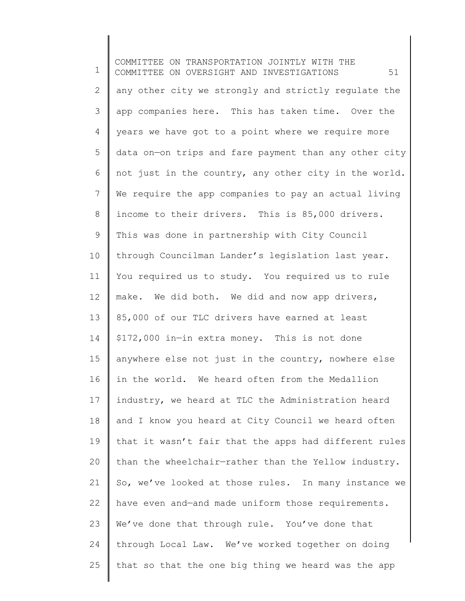1 2 3 4 5 6 7 8 9 10 11 12 13 14 15 16 17 18 19 20 21 22 23 24 25 COMMITTEE ON TRANSPORTATION JOINTLY WITH THE COMMITTEE ON OVERSIGHT AND INVESTIGATIONS 51 any other city we strongly and strictly regulate the app companies here. This has taken time. Over the years we have got to a point where we require more data on—on trips and fare payment than any other city not just in the country, any other city in the world. We require the app companies to pay an actual living income to their drivers. This is 85,000 drivers. This was done in partnership with City Council through Councilman Lander's legislation last year. You required us to study. You required us to rule make. We did both. We did and now app drivers, 85,000 of our TLC drivers have earned at least \$172,000 in—in extra money. This is not done anywhere else not just in the country, nowhere else in the world. We heard often from the Medallion industry, we heard at TLC the Administration heard and I know you heard at City Council we heard often that it wasn't fair that the apps had different rules than the wheelchair—rather than the Yellow industry. So, we've looked at those rules. In many instance we have even and—and made uniform those requirements. We've done that through rule. You've done that through Local Law. We've worked together on doing that so that the one big thing we heard was the app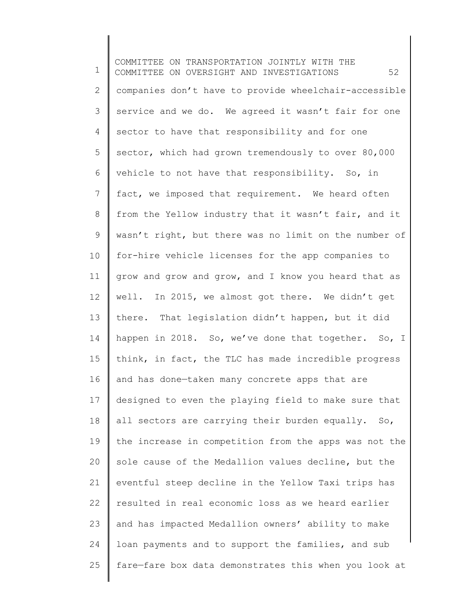1 2 3 4 5 6 7 8 9 10 11 12 13 14 15 16 17 18 19 20 21 22 23 24 25 COMMITTEE ON TRANSPORTATION JOINTLY WITH THE COMMITTEE ON OVERSIGHT AND INVESTIGATIONS 52 companies don't have to provide wheelchair-accessible service and we do. We agreed it wasn't fair for one sector to have that responsibility and for one sector, which had grown tremendously to over 80,000 vehicle to not have that responsibility. So, in fact, we imposed that requirement. We heard often from the Yellow industry that it wasn't fair, and it wasn't right, but there was no limit on the number of for-hire vehicle licenses for the app companies to grow and grow and grow, and I know you heard that as well. In 2015, we almost got there. We didn't get there. That legislation didn't happen, but it did happen in 2018. So, we've done that together. So, I think, in fact, the TLC has made incredible progress and has done—taken many concrete apps that are designed to even the playing field to make sure that all sectors are carrying their burden equally. So, the increase in competition from the apps was not the sole cause of the Medallion values decline, but the eventful steep decline in the Yellow Taxi trips has resulted in real economic loss as we heard earlier and has impacted Medallion owners' ability to make loan payments and to support the families, and sub fare—fare box data demonstrates this when you look at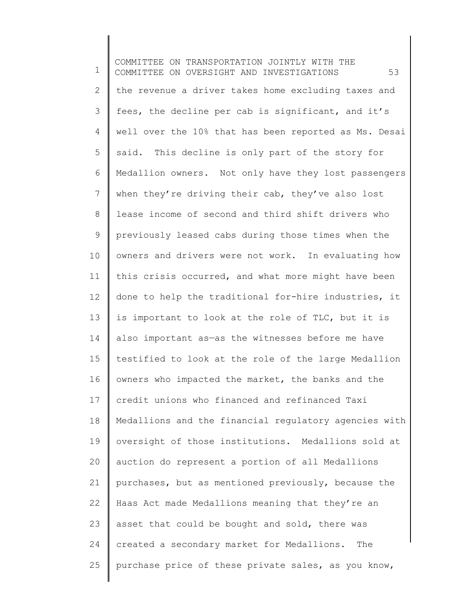1 2 3 4 5 6 7 8 9 10 11 12 13 14 15 16 17 18 19 20 21 22 23 24 25 COMMITTEE ON TRANSPORTATION JOINTLY WITH THE COMMITTEE ON OVERSIGHT AND INVESTIGATIONS 53 the revenue a driver takes home excluding taxes and fees, the decline per cab is significant, and it's well over the 10% that has been reported as Ms. Desai said. This decline is only part of the story for Medallion owners. Not only have they lost passengers when they're driving their cab, they've also lost lease income of second and third shift drivers who previously leased cabs during those times when the owners and drivers were not work. In evaluating how this crisis occurred, and what more might have been done to help the traditional for-hire industries, it is important to look at the role of TLC, but it is also important as—as the witnesses before me have testified to look at the role of the large Medallion owners who impacted the market, the banks and the credit unions who financed and refinanced Taxi Medallions and the financial regulatory agencies with oversight of those institutions. Medallions sold at auction do represent a portion of all Medallions purchases, but as mentioned previously, because the Haas Act made Medallions meaning that they're an asset that could be bought and sold, there was created a secondary market for Medallions. The purchase price of these private sales, as you know,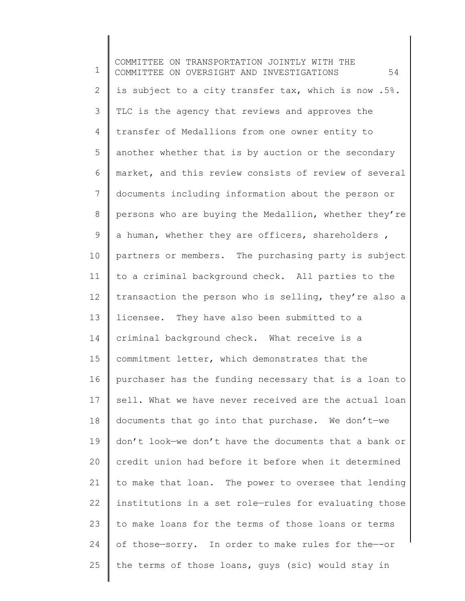1 2 3 4 5 6 7 8 9 10 11 12 13 14 15 16 17 18 19 20 21 22 23 24 25 COMMITTEE ON TRANSPORTATION JOINTLY WITH THE COMMITTEE ON OVERSIGHT AND INVESTIGATIONS 54 is subject to a city transfer tax, which is now .5%. TLC is the agency that reviews and approves the transfer of Medallions from one owner entity to another whether that is by auction or the secondary market, and this review consists of review of several documents including information about the person or persons who are buying the Medallion, whether they're a human, whether they are officers, shareholders , partners or members. The purchasing party is subject to a criminal background check. All parties to the transaction the person who is selling, they're also a licensee. They have also been submitted to a criminal background check. What receive is a commitment letter, which demonstrates that the purchaser has the funding necessary that is a loan to sell. What we have never received are the actual loan documents that go into that purchase. We don't—we don't look—we don't have the documents that a bank or credit union had before it before when it determined to make that loan. The power to oversee that lending institutions in a set role—rules for evaluating those to make loans for the terms of those loans or terms of those—sorry. In order to make rules for the—-or the terms of those loans, guys (sic) would stay in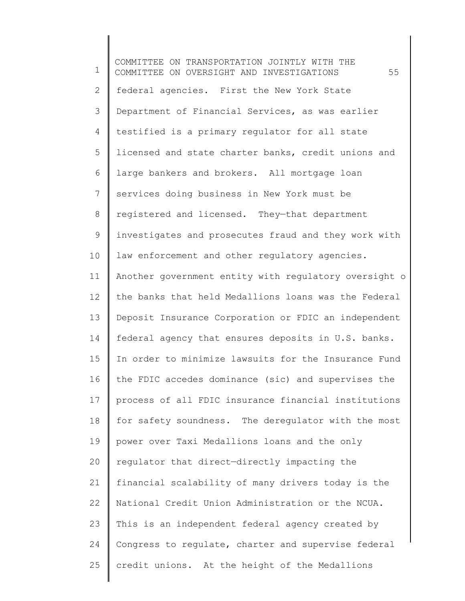1 2 3 4 5 6 7 8 9 10 11 12 13 14 15 16 17 18 19 20 21 22 23 24 25 COMMITTEE ON TRANSPORTATION JOINTLY WITH THE COMMITTEE ON OVERSIGHT AND INVESTIGATIONS 55 federal agencies. First the New York State Department of Financial Services, as was earlier testified is a primary regulator for all state licensed and state charter banks, credit unions and large bankers and brokers. All mortgage loan services doing business in New York must be registered and licensed. They—that department investigates and prosecutes fraud and they work with law enforcement and other regulatory agencies. Another government entity with regulatory oversight o the banks that held Medallions loans was the Federal Deposit Insurance Corporation or FDIC an independent federal agency that ensures deposits in U.S. banks. In order to minimize lawsuits for the Insurance Fund the FDIC accedes dominance (sic) and supervises the process of all FDIC insurance financial institutions for safety soundness. The deregulator with the most power over Taxi Medallions loans and the only regulator that direct—directly impacting the financial scalability of many drivers today is the National Credit Union Administration or the NCUA. This is an independent federal agency created by Congress to regulate, charter and supervise federal credit unions. At the height of the Medallions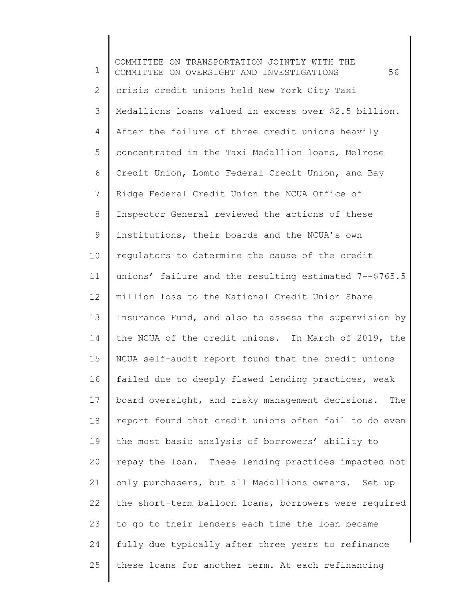1 2 3 4 5 6 7 8 9 10 11 12 13 14 15 16 17 18 19 20 21 22 23 24 25 COMMITTEE ON TRANSPORTATION JOINTLY WITH THE COMMITTEE ON OVERSIGHT AND INVESTIGATIONS 56 crisis credit unions held New York City Taxi Medallions loans valued in excess over \$2.5 billion. After the failure of three credit unions heavily concentrated in the Taxi Medallion loans, Melrose Credit Union, Lomto Federal Credit Union, and Bay Ridge Federal Credit Union the NCUA Office of Inspector General reviewed the actions of these institutions, their boards and the NCUA's own regulators to determine the cause of the credit unions' failure and the resulting estimated 7--\$765.5 million loss to the National Credit Union Share Insurance Fund, and also to assess the supervision by the NCUA of the credit unions. In March of 2019, the NCUA self-audit report found that the credit unions failed due to deeply flawed lending practices, weak board oversight, and risky management decisions. The report found that credit unions often fail to do even the most basic analysis of borrowers' ability to repay the loan. These lending practices impacted not only purchasers, but all Medallions owners. Set up the short-term balloon loans, borrowers were required to go to their lenders each time the loan became fully due typically after three years to refinance these loans for another term. At each refinancing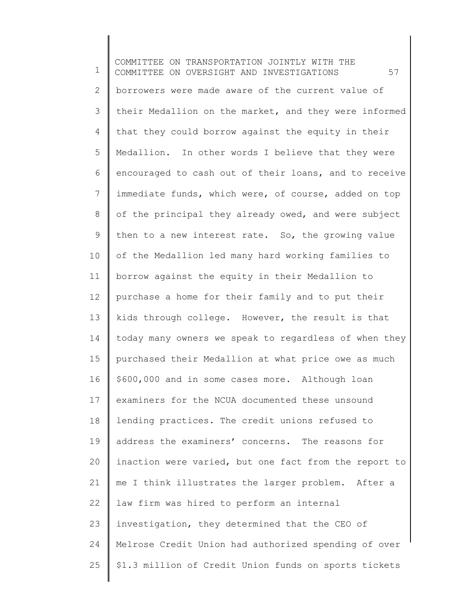1 2 3 4 5 6 7 8 9 10 11 12 13 14 15 16 17 18 19 20 21 22 23 24 25 COMMITTEE ON TRANSPORTATION JOINTLY WITH THE COMMITTEE ON OVERSIGHT AND INVESTIGATIONS 57 borrowers were made aware of the current value of their Medallion on the market, and they were informed that they could borrow against the equity in their Medallion. In other words I believe that they were encouraged to cash out of their loans, and to receive immediate funds, which were, of course, added on top of the principal they already owed, and were subject then to a new interest rate. So, the growing value of the Medallion led many hard working families to borrow against the equity in their Medallion to purchase a home for their family and to put their kids through college. However, the result is that today many owners we speak to regardless of when they purchased their Medallion at what price owe as much \$600,000 and in some cases more. Although loan examiners for the NCUA documented these unsound lending practices. The credit unions refused to address the examiners' concerns. The reasons for inaction were varied, but one fact from the report to me I think illustrates the larger problem. After a law firm was hired to perform an internal investigation, they determined that the CEO of Melrose Credit Union had authorized spending of over \$1.3 million of Credit Union funds on sports tickets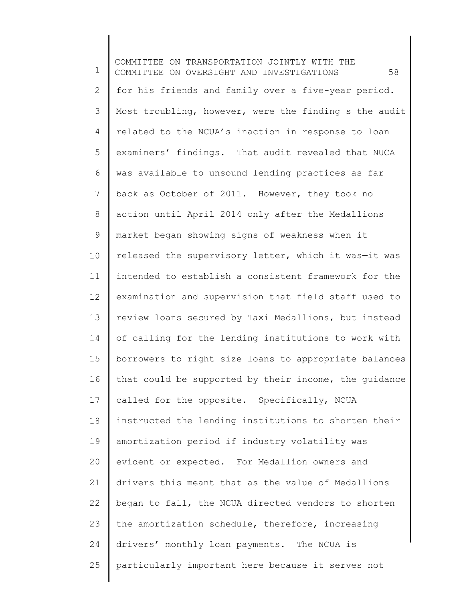1 2 3 4 5 6 7 8 9 10 11 12 13 14 15 16 17 18 19 20 21 22 23 24 25 COMMITTEE ON TRANSPORTATION JOINTLY WITH THE COMMITTEE ON OVERSIGHT AND INVESTIGATIONS 58 for his friends and family over a five-year period. Most troubling, however, were the finding s the audit related to the NCUA's inaction in response to loan examiners' findings. That audit revealed that NUCA was available to unsound lending practices as far back as October of 2011. However, they took no action until April 2014 only after the Medallions market began showing signs of weakness when it released the supervisory letter, which it was—it was intended to establish a consistent framework for the examination and supervision that field staff used to review loans secured by Taxi Medallions, but instead of calling for the lending institutions to work with borrowers to right size loans to appropriate balances that could be supported by their income, the guidance called for the opposite. Specifically, NCUA instructed the lending institutions to shorten their amortization period if industry volatility was evident or expected. For Medallion owners and drivers this meant that as the value of Medallions began to fall, the NCUA directed vendors to shorten the amortization schedule, therefore, increasing drivers' monthly loan payments. The NCUA is particularly important here because it serves not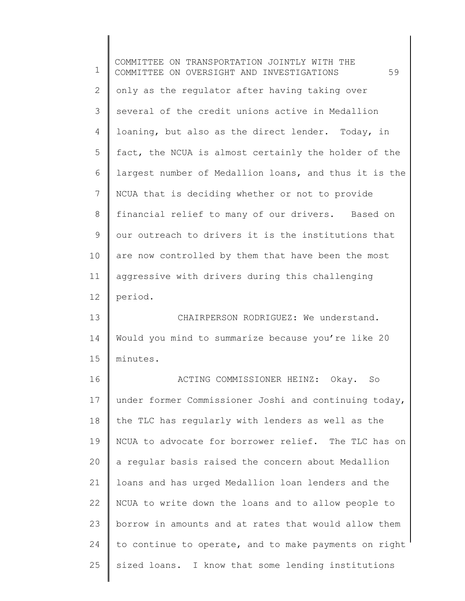1 2 3 4 5 6 7 8 9 10 11 12 13 14 15 16 17 18 19 20 21 22 23 24 25 COMMITTEE ON TRANSPORTATION JOINTLY WITH THE COMMITTEE ON OVERSIGHT AND INVESTIGATIONS 59 only as the regulator after having taking over several of the credit unions active in Medallion loaning, but also as the direct lender. Today, in fact, the NCUA is almost certainly the holder of the largest number of Medallion loans, and thus it is the NCUA that is deciding whether or not to provide financial relief to many of our drivers. Based on our outreach to drivers it is the institutions that are now controlled by them that have been the most aggressive with drivers during this challenging period. CHAIRPERSON RODRIGUEZ: We understand. Would you mind to summarize because you're like 20 minutes. ACTING COMMISSIONER HEINZ: Okay. So under former Commissioner Joshi and continuing today, the TLC has regularly with lenders as well as the NCUA to advocate for borrower relief. The TLC has on a regular basis raised the concern about Medallion loans and has urged Medallion loan lenders and the NCUA to write down the loans and to allow people to borrow in amounts and at rates that would allow them to continue to operate, and to make payments on right sized loans. I know that some lending institutions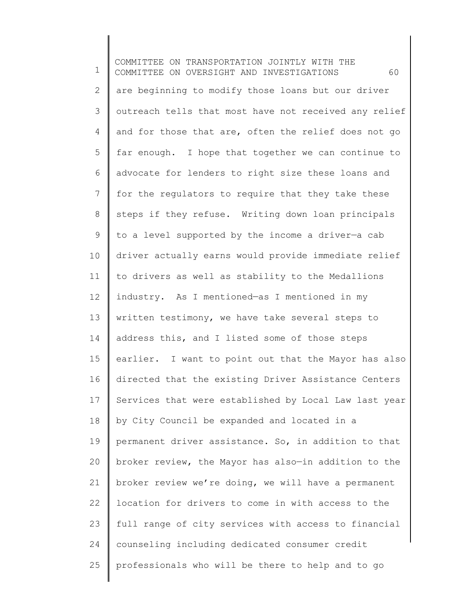1 2 3 4 5 6 7 8 9 10 11 12 13 14 15 16 17 18 19 20 21 22 23 24 25 COMMITTEE ON TRANSPORTATION JOINTLY WITH THE COMMITTEE ON OVERSIGHT AND INVESTIGATIONS 60 are beginning to modify those loans but our driver outreach tells that most have not received any relief and for those that are, often the relief does not go far enough. I hope that together we can continue to advocate for lenders to right size these loans and for the regulators to require that they take these steps if they refuse. Writing down loan principals to a level supported by the income a driver—a cab driver actually earns would provide immediate relief to drivers as well as stability to the Medallions industry. As I mentioned—as I mentioned in my written testimony, we have take several steps to address this, and I listed some of those steps earlier. I want to point out that the Mayor has also directed that the existing Driver Assistance Centers Services that were established by Local Law last year by City Council be expanded and located in a permanent driver assistance. So, in addition to that broker review, the Mayor has also—in addition to the broker review we're doing, we will have a permanent location for drivers to come in with access to the full range of city services with access to financial counseling including dedicated consumer credit professionals who will be there to help and to go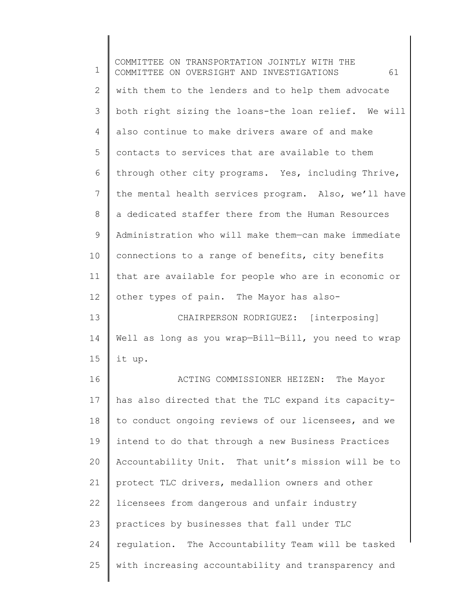1 2 3 4 5 6 7 8 9 10 11 12 13 14 15 16 17 18 19 20 21 22 23 24 25 COMMITTEE ON TRANSPORTATION JOINTLY WITH THE COMMITTEE ON OVERSIGHT AND INVESTIGATIONS 61 with them to the lenders and to help them advocate both right sizing the loans-the loan relief. We will also continue to make drivers aware of and make contacts to services that are available to them through other city programs. Yes, including Thrive, the mental health services program. Also, we'll have a dedicated staffer there from the Human Resources Administration who will make them—can make immediate connections to a range of benefits, city benefits that are available for people who are in economic or other types of pain. The Mayor has also-CHAIRPERSON RODRIGUEZ: [interposing] Well as long as you wrap-Bill-Bill, you need to wrap it up. ACTING COMMISSIONER HEIZEN: The Mayor has also directed that the TLC expand its capacityto conduct ongoing reviews of our licensees, and we intend to do that through a new Business Practices Accountability Unit. That unit's mission will be to protect TLC drivers, medallion owners and other licensees from dangerous and unfair industry practices by businesses that fall under TLC regulation. The Accountability Team will be tasked with increasing accountability and transparency and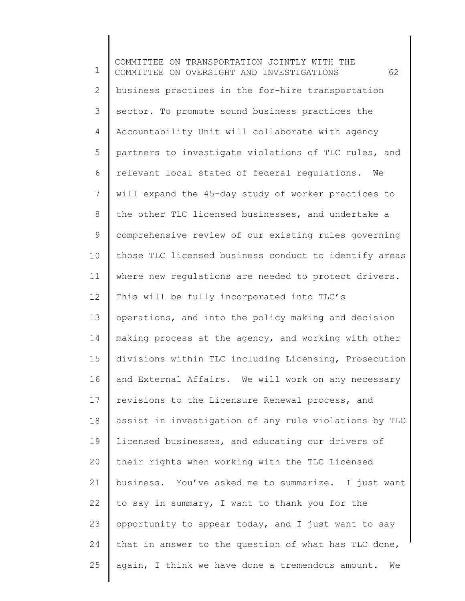1 2 3 4 5 6 7 8 9 10 11 12 13 14 15 16 17 18 19 20 21 22 23 24 25 COMMITTEE ON TRANSPORTATION JOINTLY WITH THE COMMITTEE ON OVERSIGHT AND INVESTIGATIONS 62 business practices in the for-hire transportation sector. To promote sound business practices the Accountability Unit will collaborate with agency partners to investigate violations of TLC rules, and relevant local stated of federal regulations. We will expand the 45-day study of worker practices to the other TLC licensed businesses, and undertake a comprehensive review of our existing rules governing those TLC licensed business conduct to identify areas where new requlations are needed to protect drivers. This will be fully incorporated into TLC's operations, and into the policy making and decision making process at the agency, and working with other divisions within TLC including Licensing, Prosecution and External Affairs. We will work on any necessary revisions to the Licensure Renewal process, and assist in investigation of any rule violations by TLC licensed businesses, and educating our drivers of their rights when working with the TLC Licensed business. You've asked me to summarize. I just want to say in summary, I want to thank you for the opportunity to appear today, and I just want to say that in answer to the question of what has TLC done, again, I think we have done a tremendous amount. We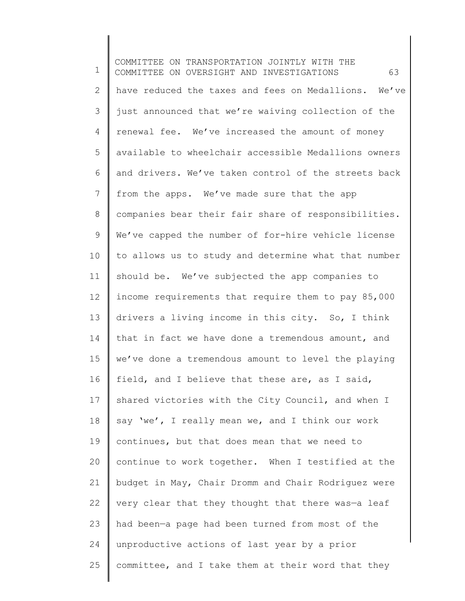1 2 3 4 5 6 7 8 9 10 11 12 13 14 15 16 17 18 19 20 21 22 23 24 25 COMMITTEE ON TRANSPORTATION JOINTLY WITH THE COMMITTEE ON OVERSIGHT AND INVESTIGATIONS 63 have reduced the taxes and fees on Medallions. We've just announced that we're waiving collection of the renewal fee. We've increased the amount of money available to wheelchair accessible Medallions owners and drivers. We've taken control of the streets back from the apps. We've made sure that the app companies bear their fair share of responsibilities. We've capped the number of for-hire vehicle license to allows us to study and determine what that number should be. We've subjected the app companies to income requirements that require them to pay 85,000 drivers a living income in this city. So, I think that in fact we have done a tremendous amount, and we've done a tremendous amount to level the playing field, and I believe that these are, as I said, shared victories with the City Council, and when I say 'we', I really mean we, and I think our work continues, but that does mean that we need to continue to work together. When I testified at the budget in May, Chair Dromm and Chair Rodriguez were very clear that they thought that there was—a leaf had been—a page had been turned from most of the unproductive actions of last year by a prior committee, and I take them at their word that they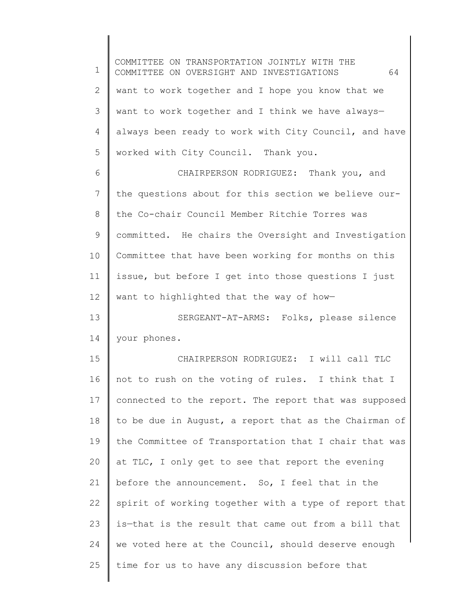1 2 3 4 5 6 7 8 9 10 11 12 13 14 15 16 17 18 19 20 21 22 23 24 25 COMMITTEE ON TRANSPORTATION JOINTLY WITH THE COMMITTEE ON OVERSIGHT AND INVESTIGATIONS 64 want to work together and I hope you know that we want to work together and I think we have always always been ready to work with City Council, and have worked with City Council. Thank you. CHAIRPERSON RODRIGUEZ: Thank you, and the questions about for this section we believe ourthe Co-chair Council Member Ritchie Torres was committed. He chairs the Oversight and Investigation Committee that have been working for months on this issue, but before I get into those questions I just want to highlighted that the way of how— SERGEANT-AT-ARMS: Folks, please silence your phones. CHAIRPERSON RODRIGUEZ: I will call TLC not to rush on the voting of rules. I think that I connected to the report. The report that was supposed to be due in August, a report that as the Chairman of the Committee of Transportation that I chair that was at TLC, I only get to see that report the evening before the announcement. So, I feel that in the spirit of working together with a type of report that is—that is the result that came out from a bill that we voted here at the Council, should deserve enough time for us to have any discussion before that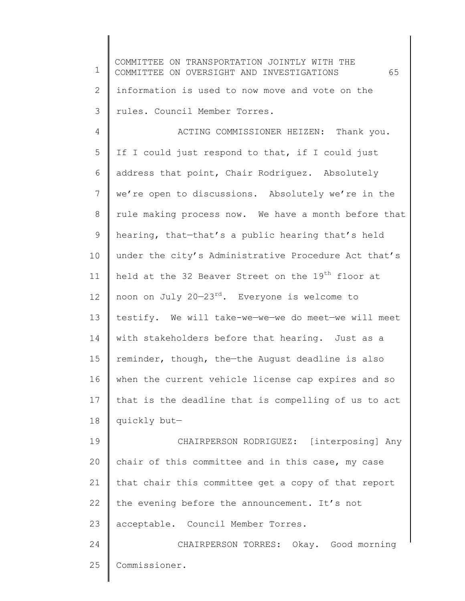1 2 3 4 5 6 7 8 9 10 11 12 13 14 15 16 17 18 19 20 21 22 23 24 25 COMMITTEE ON TRANSPORTATION JOINTLY WITH THE COMMITTEE ON OVERSIGHT AND INVESTIGATIONS 65 information is used to now move and vote on the rules. Council Member Torres. ACTING COMMISSIONER HEIZEN: Thank you. If I could just respond to that, if I could just address that point, Chair Rodriguez. Absolutely we're open to discussions. Absolutely we're in the rule making process now. We have a month before that hearing, that—that's a public hearing that's held under the city's Administrative Procedure Act that's held at the 32 Beaver Street on the 19<sup>th</sup> floor at noon on July 20-23<sup>rd</sup>. Everyone is welcome to testify. We will take-we—we—we do meet—we will meet with stakeholders before that hearing. Just as a reminder, though, the—the August deadline is also when the current vehicle license cap expires and so that is the deadline that is compelling of us to act quickly but— CHAIRPERSON RODRIGUEZ: [interposing] Any chair of this committee and in this case, my case that chair this committee get a copy of that report the evening before the announcement. It's not acceptable. Council Member Torres. CHAIRPERSON TORRES: Okay. Good morning Commissioner.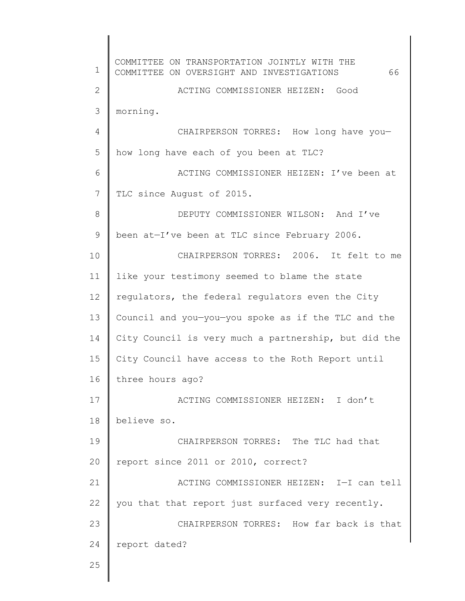1 2 3 4 5 6 7 8 9 10 11 12 13 14 15 16 17 18 19 20 21 22 23 24 25 COMMITTEE ON TRANSPORTATION JOINTLY WITH THE COMMITTEE ON OVERSIGHT AND INVESTIGATIONS 66 ACTING COMMISSIONER HEIZEN: Good morning. CHAIRPERSON TORRES: How long have you how long have each of you been at TLC? ACTING COMMISSIONER HEIZEN: I've been at TLC since August of 2015. DEPUTY COMMISSIONER WILSON: And I've been at—I've been at TLC since February 2006. CHAIRPERSON TORRES: 2006. It felt to me like your testimony seemed to blame the state regulators, the federal regulators even the City Council and you—you—you spoke as if the TLC and the City Council is very much a partnership, but did the City Council have access to the Roth Report until three hours ago? ACTING COMMISSIONER HEIZEN: I don't believe so. CHAIRPERSON TORRES: The TLC had that report since 2011 or 2010, correct? ACTING COMMISSIONER HEIZEN: I—I can tell you that that report just surfaced very recently. CHAIRPERSON TORRES: How far back is that report dated?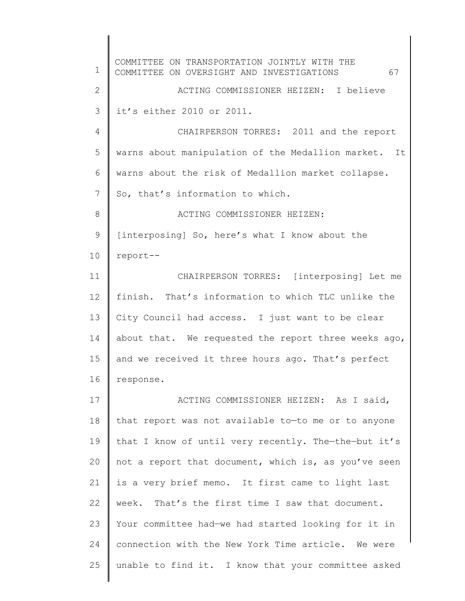1 2 3 4 5 6 7 8 9 10 11 12 13 14 15 16 17 18 19 20 21 22 23 24 25 COMMITTEE ON TRANSPORTATION JOINTLY WITH THE COMMITTEE ON OVERSIGHT AND INVESTIGATIONS 67 ACTING COMMISSIONER HEIZEN: I believe it's either 2010 or 2011. CHAIRPERSON TORRES: 2011 and the report warns about manipulation of the Medallion market. It warns about the risk of Medallion market collapse. So, that's information to which. ACTING COMMISSIONER HEIZEN: [interposing] So, here's what I know about the report-- CHAIRPERSON TORRES: [interposing] Let me finish. That's information to which TLC unlike the City Council had access. I just want to be clear about that. We requested the report three weeks ago, and we received it three hours ago. That's perfect response. ACTING COMMISSIONER HEIZEN: As I said, that report was not available to—to me or to anyone that I know of until very recently. The—the—but it's not a report that document, which is, as you've seen is a very brief memo. It first came to light last week. That's the first time I saw that document. Your committee had—we had started looking for it in connection with the New York Time article. We were unable to find it. I know that your committee asked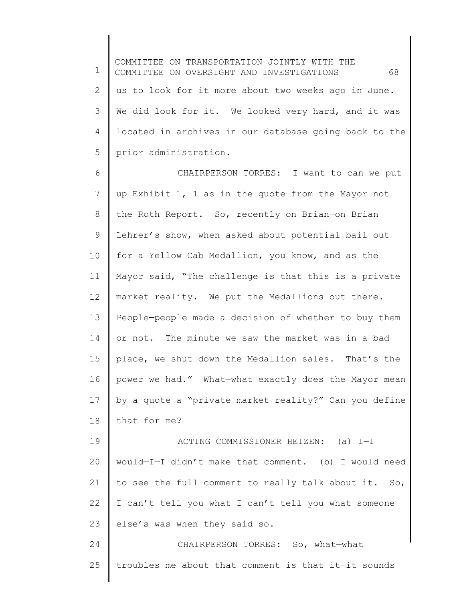1 2 3 4 5 COMMITTEE ON TRANSPORTATION JOINTLY WITH THE COMMITTEE ON OVERSIGHT AND INVESTIGATIONS 68 us to look for it more about two weeks ago in June. We did look for it. We looked very hard, and it was located in archives in our database going back to the prior administration.

6 7 8 9 10 11 12 13 14 15 16 17 18 CHAIRPERSON TORRES: I want to—can we put up Exhibit 1, 1 as in the quote from the Mayor not the Roth Report. So, recently on Brian—on Brian Lehrer's show, when asked about potential bail out for a Yellow Cab Medallion, you know, and as the Mayor said, "The challenge is that this is a private market reality. We put the Medallions out there. People—people made a decision of whether to buy them or not. The minute we saw the market was in a bad place, we shut down the Medallion sales. That's the power we had." What—what exactly does the Mayor mean by a quote a "private market reality?" Can you define that for me?

19 20 21 22 23 ACTING COMMISSIONER HEIZEN: (a) I—I would—I—I didn't make that comment. (b) I would need to see the full comment to really talk about it. So, I can't tell you what—I can't tell you what someone else's was when they said so.

24 25 CHAIRPERSON TORRES: So, what—what troubles me about that comment is that it—it sounds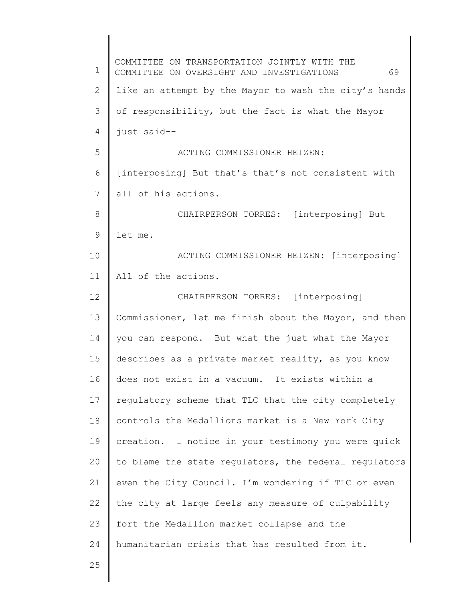1 2 3 4 5 6 7 8 9 10 11 12 13 14 15 16 17 18 19 20 21 22 23 24 25 COMMITTEE ON TRANSPORTATION JOINTLY WITH THE COMMITTEE ON OVERSIGHT AND INVESTIGATIONS 69 like an attempt by the Mayor to wash the city's hands of responsibility, but the fact is what the Mayor just said-- ACTING COMMISSIONER HEIZEN: [interposing] But that's—that's not consistent with all of his actions. CHAIRPERSON TORRES: [interposing] But let me. ACTING COMMISSIONER HEIZEN: [interposing] All of the actions. CHAIRPERSON TORRES: [interposing] Commissioner, let me finish about the Mayor, and then you can respond. But what the—just what the Mayor describes as a private market reality, as you know does not exist in a vacuum. It exists within a regulatory scheme that TLC that the city completely controls the Medallions market is a New York City creation. I notice in your testimony you were quick to blame the state regulators, the federal regulators even the City Council. I'm wondering if TLC or even the city at large feels any measure of culpability fort the Medallion market collapse and the humanitarian crisis that has resulted from it.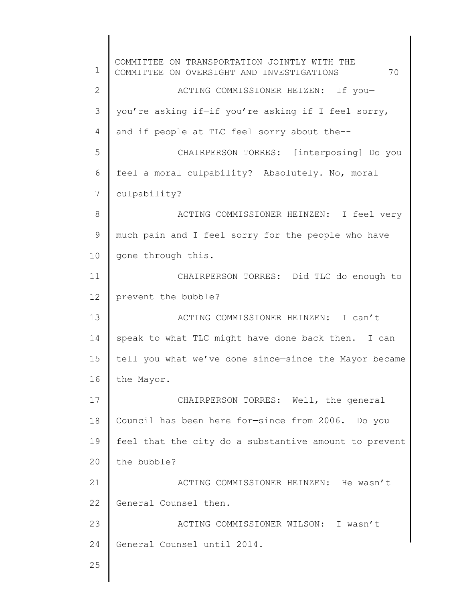1 2 3 4 5 6 7 8 9 10 11 12 13 14 15 16 17 18 19 20 21 22 23 24 25 COMMITTEE ON TRANSPORTATION JOINTLY WITH THE COMMITTEE ON OVERSIGHT AND INVESTIGATIONS 70 ACTING COMMISSIONER HEIZEN: If you you're asking if—if you're asking if I feel sorry, and if people at TLC feel sorry about the-- CHAIRPERSON TORRES: [interposing] Do you feel a moral culpability? Absolutely. No, moral culpability? ACTING COMMISSIONER HEINZEN: I feel very much pain and I feel sorry for the people who have gone through this. CHAIRPERSON TORRES: Did TLC do enough to prevent the bubble? ACTING COMMISSIONER HEINZEN: I can't speak to what TLC might have done back then. I can tell you what we've done since—since the Mayor became the Mayor. CHAIRPERSON TORRES: Well, the general Council has been here for—since from 2006. Do you feel that the city do a substantive amount to prevent the bubble? ACTING COMMISSIONER HEINZEN: He wasn't General Counsel then. ACTING COMMISSIONER WILSON: I wasn't General Counsel until 2014.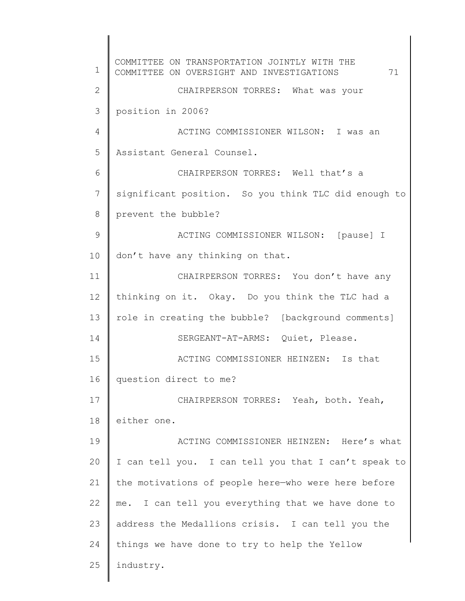1 2 3 4 5 6 7 8 9 10 11 12 13 14 15 16 17 18 19 20 21 22 23 24 25 COMMITTEE ON TRANSPORTATION JOINTLY WITH THE COMMITTEE ON OVERSIGHT AND INVESTIGATIONS 71 CHAIRPERSON TORRES: What was your position in 2006? ACTING COMMISSIONER WILSON: I was an Assistant General Counsel. CHAIRPERSON TORRES: Well that's a significant position. So you think TLC did enough to prevent the bubble? ACTING COMMISSIONER WILSON: [pause] I don't have any thinking on that. CHAIRPERSON TORRES: You don't have any thinking on it. Okay. Do you think the TLC had a role in creating the bubble? [background comments] SERGEANT-AT-ARMS: Quiet, Please. ACTING COMMISSIONER HEINZEN: Is that question direct to me? CHAIRPERSON TORRES: Yeah, both. Yeah, either one. ACTING COMMISSIONER HEINZEN: Here's what I can tell you. I can tell you that I can't speak to the motivations of people here—who were here before me. I can tell you everything that we have done to address the Medallions crisis. I can tell you the things we have done to try to help the Yellow industry.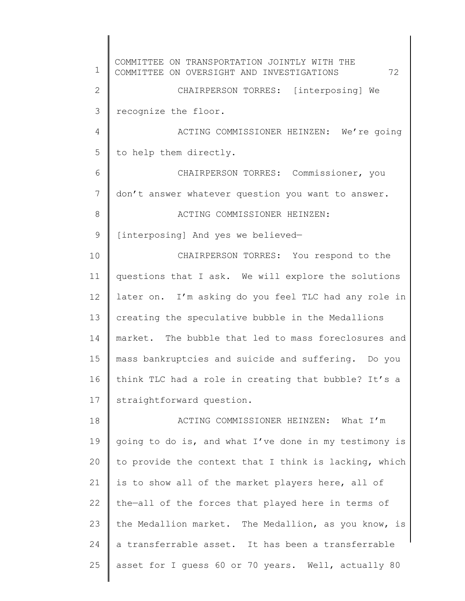1 2 3 4 5 6 7 8 9 10 11 12 13 14 15 16 17 18 19 20 21 22 23 24 25 COMMITTEE ON TRANSPORTATION JOINTLY WITH THE COMMITTEE ON OVERSIGHT AND INVESTIGATIONS 72 CHAIRPERSON TORRES: [interposing] We recognize the floor. ACTING COMMISSIONER HEINZEN: We're going to help them directly. CHAIRPERSON TORRES: Commissioner, you don't answer whatever question you want to answer. ACTING COMMISSIONER HEINZEN: [interposing] And yes we believed— CHAIRPERSON TORRES: You respond to the questions that I ask. We will explore the solutions later on. I'm asking do you feel TLC had any role in creating the speculative bubble in the Medallions market. The bubble that led to mass foreclosures and mass bankruptcies and suicide and suffering. Do you think TLC had a role in creating that bubble? It's a straightforward question. ACTING COMMISSIONER HEINZEN: What I'm going to do is, and what I've done in my testimony is to provide the context that I think is lacking, which is to show all of the market players here, all of the—all of the forces that played here in terms of the Medallion market. The Medallion, as you know, is a transferrable asset. It has been a transferrable asset for I guess 60 or 70 years. Well, actually 80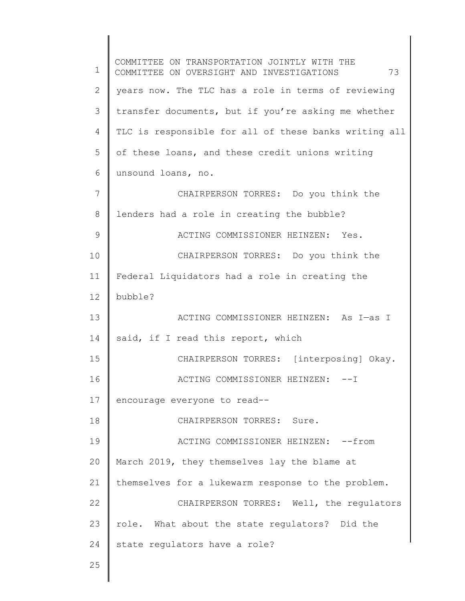1 2 3 4 5 6 7 8 9 10 11 12 13 14 15 16 17 18 19 20 21 22 23 24 25 COMMITTEE ON TRANSPORTATION JOINTLY WITH THE COMMITTEE ON OVERSIGHT AND INVESTIGATIONS 73 years now. The TLC has a role in terms of reviewing transfer documents, but if you're asking me whether TLC is responsible for all of these banks writing all of these loans, and these credit unions writing unsound loans, no. CHAIRPERSON TORRES: Do you think the lenders had a role in creating the bubble? ACTING COMMISSIONER HEINZEN: Yes. CHAIRPERSON TORRES: Do you think the Federal Liquidators had a role in creating the bubble? ACTING COMMISSIONER HEINZEN: As I—as I said, if I read this report, which CHAIRPERSON TORRES: [interposing] Okay. ACTING COMMISSIONER HEINZEN: --I encourage everyone to read-- CHAIRPERSON TORRES: Sure. ACTING COMMISSIONER HEINZEN: -- from March 2019, they themselves lay the blame at themselves for a lukewarm response to the problem. CHAIRPERSON TORRES: Well, the regulators role. What about the state regulators? Did the state regulators have a role?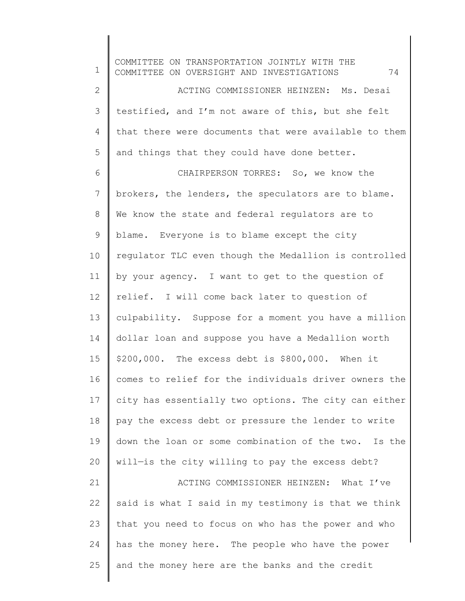1 2 3 4 5 6 7 8 9 10 11 12 13 14 15 16 17 18 19 20 21 22 23 24 25 COMMITTEE ON TRANSPORTATION JOINTLY WITH THE COMMITTEE ON OVERSIGHT AND INVESTIGATIONS 74 ACTING COMMISSIONER HEINZEN: Ms. Desai testified, and I'm not aware of this, but she felt that there were documents that were available to them and things that they could have done better. CHAIRPERSON TORRES: So, we know the brokers, the lenders, the speculators are to blame. We know the state and federal regulators are to blame. Everyone is to blame except the city regulator TLC even though the Medallion is controlled by your agency. I want to get to the question of relief. I will come back later to question of culpability. Suppose for a moment you have a million dollar loan and suppose you have a Medallion worth \$200,000. The excess debt is \$800,000. When it comes to relief for the individuals driver owners the city has essentially two options. The city can either pay the excess debt or pressure the lender to write down the loan or some combination of the two. Is the will—is the city willing to pay the excess debt? ACTING COMMISSIONER HEINZEN: What I've said is what I said in my testimony is that we think that you need to focus on who has the power and who has the money here. The people who have the power and the money here are the banks and the credit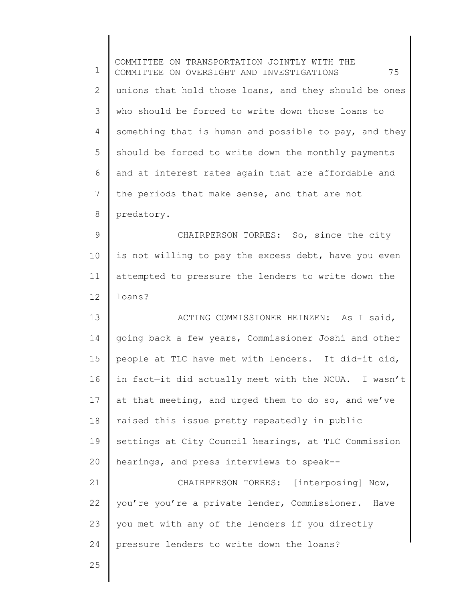| 1             | COMMITTEE ON TRANSPORTATION JOINTLY WITH THE<br>75<br>COMMITTEE ON OVERSIGHT AND INVESTIGATIONS |
|---------------|-------------------------------------------------------------------------------------------------|
| $\mathbf{2}$  | unions that hold those loans, and they should be ones                                           |
| 3             | who should be forced to write down those loans to                                               |
| 4             | something that is human and possible to pay, and they                                           |
| 5             | should be forced to write down the monthly payments                                             |
| 6             | and at interest rates again that are affordable and                                             |
| 7             | the periods that make sense, and that are not                                                   |
| $\,8\,$       | predatory.                                                                                      |
| $\mathcal{G}$ | CHAIRPERSON TORRES: So, since the city                                                          |
| 10            | is not willing to pay the excess debt, have you even                                            |
| 11            | attempted to pressure the lenders to write down the                                             |
| 12            | loans?                                                                                          |
| 13            | ACTING COMMISSIONER HEINZEN: As I said,                                                         |
| 14            | going back a few years, Commissioner Joshi and other                                            |
| 15            | people at TLC have met with lenders. It did-it did,                                             |
| 16            | in fact-it did actually meet with the NCUA. I wasn't                                            |
| 17            | at that meeting, and urged them to do so, and we've                                             |
| 18            | raised this issue pretty repeatedly in public                                                   |
| 19            | settings at City Council hearings, at TLC Commission                                            |
| 20            | hearings, and press interviews to speak--                                                       |
| 21            | CHAIRPERSON TORRES: [interposing] Now,                                                          |
| 22            | you're-you're a private lender, Commissioner. Have                                              |
| 23            | you met with any of the lenders if you directly                                                 |
| 24            | pressure lenders to write down the loans?                                                       |
| 25            |                                                                                                 |
|               |                                                                                                 |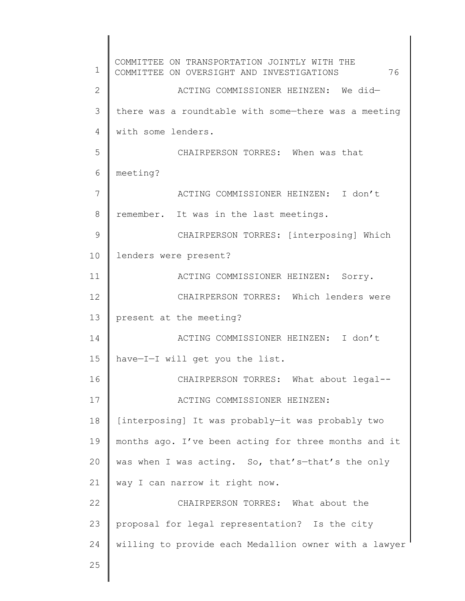1 2 3 4 5 6 7 8 9 10 11 12 13 14 15 16 17 18 19 20 21 22 23 24 25 COMMITTEE ON TRANSPORTATION JOINTLY WITH THE COMMITTEE ON OVERSIGHT AND INVESTIGATIONS 76 ACTING COMMISSIONER HEINZEN: We did there was a roundtable with some—there was a meeting with some lenders. CHAIRPERSON TORRES: When was that meeting? ACTING COMMISSIONER HEINZEN: I don't remember. It was in the last meetings. CHAIRPERSON TORRES: [interposing] Which lenders were present? ACTING COMMISSIONER HEINZEN: Sorry. CHAIRPERSON TORRES: Which lenders were present at the meeting? ACTING COMMISSIONER HEINZEN: I don't have—I—I will get you the list. CHAIRPERSON TORRES: What about legal-- ACTING COMMISSIONER HEINZEN: [interposing] It was probably—it was probably two months ago. I've been acting for three months and it was when I was acting. So, that's-that's the only way I can narrow it right now. CHAIRPERSON TORRES: What about the proposal for legal representation? Is the city willing to provide each Medallion owner with a lawyer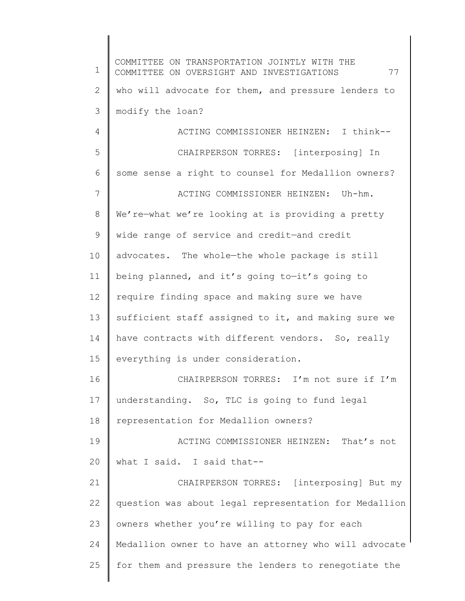1 2 3 4 5 6 7 8 9 10 11 12 13 14 15 16 17 18 19 20 21 22 23 24 25 COMMITTEE ON TRANSPORTATION JOINTLY WITH THE COMMITTEE ON OVERSIGHT AND INVESTIGATIONS 77 who will advocate for them, and pressure lenders to modify the loan? ACTING COMMISSIONER HEINZEN: I think-- CHAIRPERSON TORRES: [interposing] In some sense a right to counsel for Medallion owners? ACTING COMMISSIONER HEINZEN: Uh-hm. We're-what we're looking at is providing a pretty wide range of service and credit—and credit advocates. The whole—the whole package is still being planned, and it's going to—it's going to require finding space and making sure we have sufficient staff assigned to it, and making sure we have contracts with different vendors. So, really everything is under consideration. CHAIRPERSON TORRES: I'm not sure if I'm understanding. So, TLC is going to fund legal representation for Medallion owners? ACTING COMMISSIONER HEINZEN: That's not what I said. I said that-- CHAIRPERSON TORRES: [interposing] But my question was about legal representation for Medallion owners whether you're willing to pay for each Medallion owner to have an attorney who will advocate for them and pressure the lenders to renegotiate the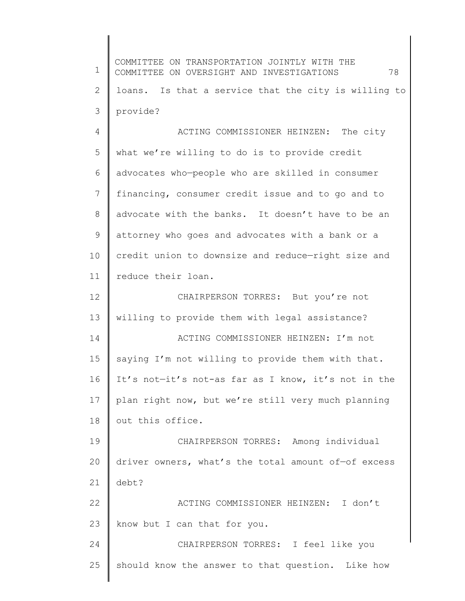1 2 3 4 5 6 7 8 9 10 11 12 13 14 15 16 17 18 19 20 21 22 23 24 25 COMMITTEE ON TRANSPORTATION JOINTLY WITH THE COMMITTEE ON OVERSIGHT AND INVESTIGATIONS 78 loans. Is that a service that the city is willing to provide? ACTING COMMISSIONER HEINZEN: The city what we're willing to do is to provide credit advocates who—people who are skilled in consumer financing, consumer credit issue and to go and to advocate with the banks. It doesn't have to be an attorney who goes and advocates with a bank or a credit union to downsize and reduce—right size and reduce their loan. CHAIRPERSON TORRES: But you're not willing to provide them with legal assistance? ACTING COMMISSIONER HEINZEN: I'm not saying I'm not willing to provide them with that. It's not—it's not-as far as I know, it's not in the plan right now, but we're still very much planning out this office. CHAIRPERSON TORRES: Among individual driver owners, what's the total amount of—of excess debt? ACTING COMMISSIONER HEINZEN: I don't know but I can that for you. CHAIRPERSON TORRES: I feel like you should know the answer to that question. Like how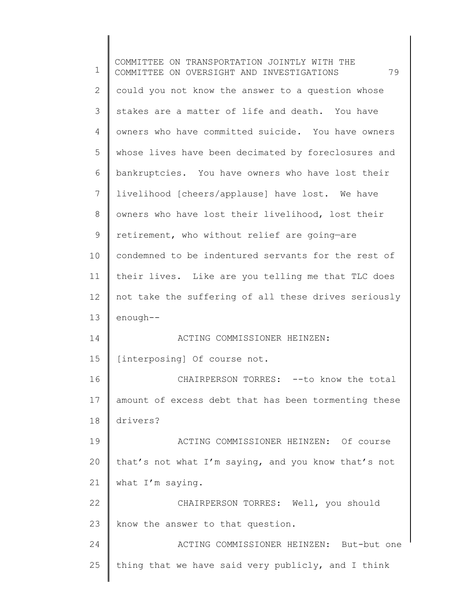1 2 3 4 5 6 7 8 9 10 11 12 13 14 15 16 17 18 19 20 21 22 23 24 25 COMMITTEE ON TRANSPORTATION JOINTLY WITH THE COMMITTEE ON OVERSIGHT AND INVESTIGATIONS 79 could you not know the answer to a question whose stakes are a matter of life and death. You have owners who have committed suicide. You have owners whose lives have been decimated by foreclosures and bankruptcies. You have owners who have lost their livelihood [cheers/applause] have lost. We have owners who have lost their livelihood, lost their retirement, who without relief are going—are condemned to be indentured servants for the rest of their lives. Like are you telling me that TLC does not take the suffering of all these drives seriously enough-- ACTING COMMISSIONER HEINZEN: [interposing] Of course not. CHAIRPERSON TORRES: -- to know the total amount of excess debt that has been tormenting these drivers? ACTING COMMISSIONER HEINZEN: Of course that's not what I'm saying, and you know that's not what I'm saying. CHAIRPERSON TORRES: Well, you should know the answer to that question. ACTING COMMISSIONER HEINZEN: But-but one thing that we have said very publicly, and I think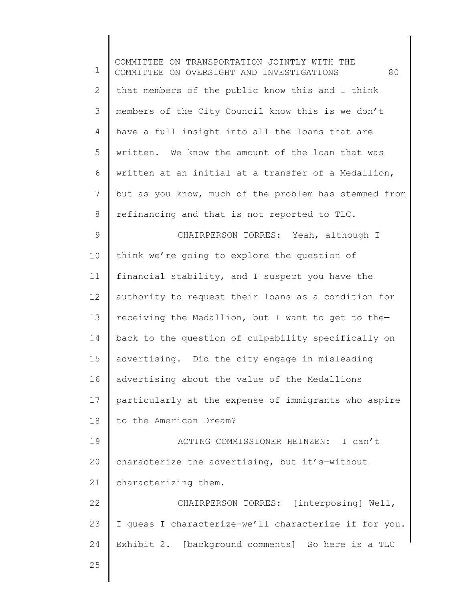1 2 3 4 5 6 7 8 9 10 11 12 13 14 15 16 17 18 19 20 21 22 23 24 25 COMMITTEE ON TRANSPORTATION JOINTLY WITH THE COMMITTEE ON OVERSIGHT AND INVESTIGATIONS 80 that members of the public know this and I think members of the City Council know this is we don't have a full insight into all the loans that are written. We know the amount of the loan that was written at an initial—at a transfer of a Medallion, but as you know, much of the problem has stemmed from refinancing and that is not reported to TLC. CHAIRPERSON TORRES: Yeah, although I think we're going to explore the question of financial stability, and I suspect you have the authority to request their loans as a condition for receiving the Medallion, but I want to get to the back to the question of culpability specifically on advertising. Did the city engage in misleading advertising about the value of the Medallions particularly at the expense of immigrants who aspire to the American Dream? ACTING COMMISSIONER HEINZEN: I can't characterize the advertising, but it's—without characterizing them. CHAIRPERSON TORRES: [interposing] Well, I guess I characterize-we'll characterize if for you. Exhibit 2. [background comments] So here is a TLC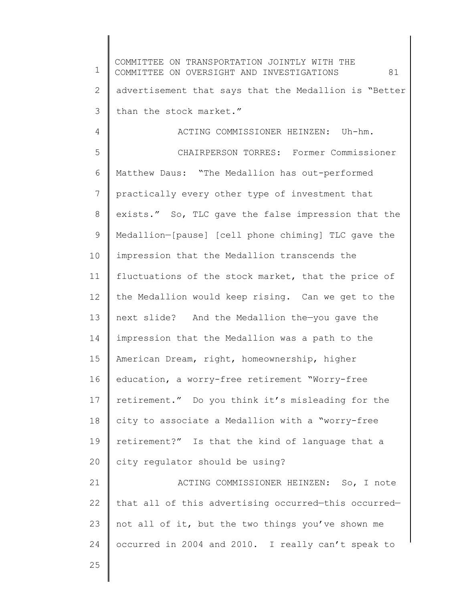1 2 3 4 5 6 7 8 9 10 11 12 13 14 15 16 17 18 19 20 21 22 23 24 25 COMMITTEE ON TRANSPORTATION JOINTLY WITH THE COMMITTEE ON OVERSIGHT AND INVESTIGATIONS 81 advertisement that says that the Medallion is "Better than the stock market." ACTING COMMISSIONER HEINZEN: Uh-hm. CHAIRPERSON TORRES: Former Commissioner Matthew Daus: "The Medallion has out-performed practically every other type of investment that exists." So, TLC gave the false impression that the Medallion—[pause] [cell phone chiming] TLC gave the impression that the Medallion transcends the fluctuations of the stock market, that the price of the Medallion would keep rising. Can we get to the next slide? And the Medallion the—you gave the impression that the Medallion was a path to the American Dream, right, homeownership, higher education, a worry-free retirement "Worry-free retirement." Do you think it's misleading for the city to associate a Medallion with a "worry-free retirement?" Is that the kind of language that a city regulator should be using? ACTING COMMISSIONER HEINZEN: So, I note that all of this advertising occurred—this occurred not all of it, but the two things you've shown me occurred in 2004 and 2010. I really can't speak to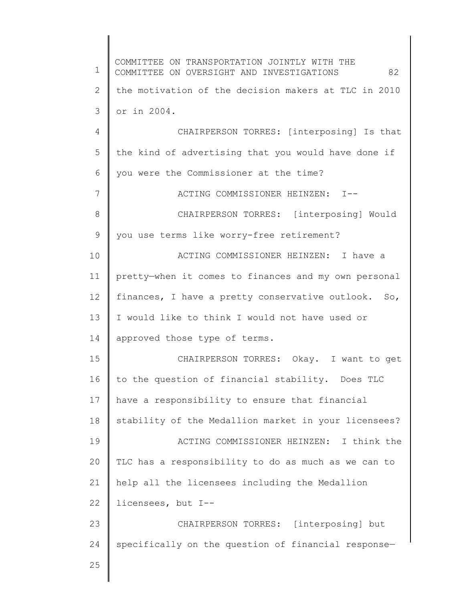1 2 3 4 5 6 7 8 9 10 11 12 13 14 15 16 17 18 19 20 21 22 23 24 25 COMMITTEE ON TRANSPORTATION JOINTLY WITH THE COMMITTEE ON OVERSIGHT AND INVESTIGATIONS 82 the motivation of the decision makers at TLC in 2010 or in 2004. CHAIRPERSON TORRES: [interposing] Is that the kind of advertising that you would have done if you were the Commissioner at the time? ACTING COMMISSIONER HEINZEN: I-- CHAIRPERSON TORRES: [interposing] Would you use terms like worry-free retirement? ACTING COMMISSIONER HEINZEN: I have a pretty—when it comes to finances and my own personal finances, I have a pretty conservative outlook. So, I would like to think I would not have used or approved those type of terms. CHAIRPERSON TORRES: Okay. I want to get to the question of financial stability. Does TLC have a responsibility to ensure that financial stability of the Medallion market in your licensees? ACTING COMMISSIONER HEINZEN: I think the TLC has a responsibility to do as much as we can to help all the licensees including the Medallion licensees, but I-- CHAIRPERSON TORRES: [interposing] but specifically on the question of financial response—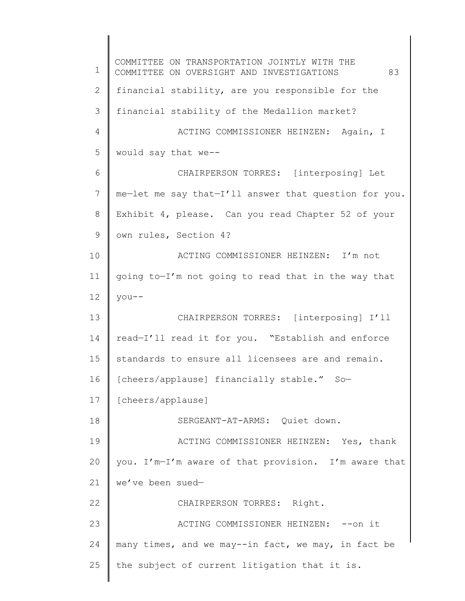1 2 3 4 5 6 7 8 9 10 11 12 13 14 15 16 17 18 19 20 21 22 23 24 25 COMMITTEE ON TRANSPORTATION JOINTLY WITH THE COMMITTEE ON OVERSIGHT AND INVESTIGATIONS 83 financial stability, are you responsible for the financial stability of the Medallion market? ACTING COMMISSIONER HEINZEN: Again, I would say that we-- CHAIRPERSON TORRES: [interposing] Let me—let me say that—I'll answer that question for you. Exhibit 4, please. Can you read Chapter 52 of your own rules, Section 4? ACTING COMMISSIONER HEINZEN: I'm not going to—I'm not going to read that in the way that you-- CHAIRPERSON TORRES: [interposing] I'll read—I'll read it for you. "Establish and enforce standards to ensure all licensees are and remain. [cheers/applause] financially stable." So— [cheers/applause] SERGEANT-AT-ARMS: Quiet down. ACTING COMMISSIONER HEINZEN: Yes, thank you. I'm—I'm aware of that provision. I'm aware that we've been sued— CHAIRPERSON TORRES: Right. ACTING COMMISSIONER HEINZEN: -- on it many times, and we may--in fact, we may, in fact be the subject of current litigation that it is.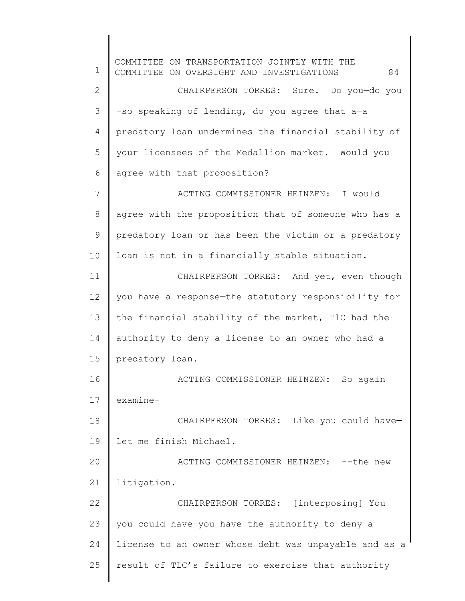1 2 3 4 5 6 7 8 9 10 11 12 13 14 15 16 17 18 19 20 21 22 23 24 25 COMMITTEE ON TRANSPORTATION JOINTLY WITH THE COMMITTEE ON OVERSIGHT AND INVESTIGATIONS 84 CHAIRPERSON TORRES: Sure. Do you—do you –so speaking of lending, do you agree that a—a predatory loan undermines the financial stability of your licensees of the Medallion market. Would you agree with that proposition? ACTING COMMISSIONER HEINZEN: I would agree with the proposition that of someone who has a predatory loan or has been the victim or a predatory loan is not in a financially stable situation. CHAIRPERSON TORRES: And yet, even though you have a response—the statutory responsibility for the financial stability of the market, TlC had the authority to deny a license to an owner who had a predatory loan. ACTING COMMISSIONER HEINZEN: So again examine-CHAIRPERSON TORRES: Like you could have let me finish Michael. ACTING COMMISSIONER HEINZEN: -- the new litigation. CHAIRPERSON TORRES: [interposing] You you could have—you have the authority to deny a license to an owner whose debt was unpayable and as a result of TLC's failure to exercise that authority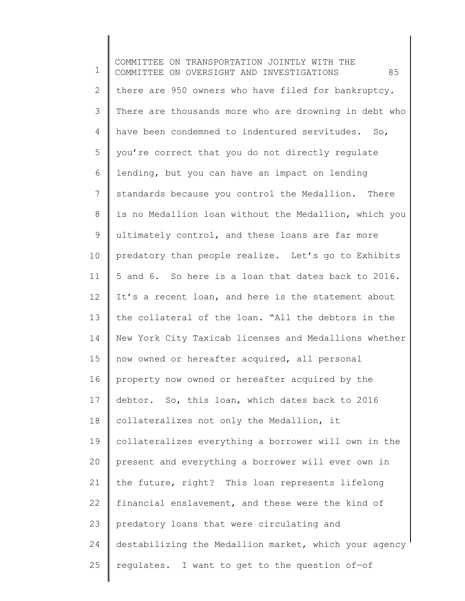1 2 3 4 5 6 7 8 9 10 11 12 13 14 15 16 17 18 19 20 21 22 23 24 25 COMMITTEE ON TRANSPORTATION JOINTLY WITH THE COMMITTEE ON OVERSIGHT AND INVESTIGATIONS 85 there are 950 owners who have filed for bankruptcy. There are thousands more who are drowning in debt who have been condemned to indentured servitudes. So, you're correct that you do not directly regulate lending, but you can have an impact on lending standards because you control the Medallion. There is no Medallion loan without the Medallion, which you ultimately control, and these loans are far more predatory than people realize. Let's go to Exhibits 5 and 6. So here is a loan that dates back to 2016. It's a recent loan, and here is the statement about the collateral of the loan. "All the debtors in the New York City Taxicab licenses and Medallions whether now owned or hereafter acquired, all personal property now owned or hereafter acquired by the debtor. So, this loan, which dates back to 2016 collateralizes not only the Medallion, it collateralizes everything a borrower will own in the present and everything a borrower will ever own in the future, right? This loan represents lifelong financial enslavement, and these were the kind of predatory loans that were circulating and destabilizing the Medallion market, which your agency regulates. I want to get to the question of—of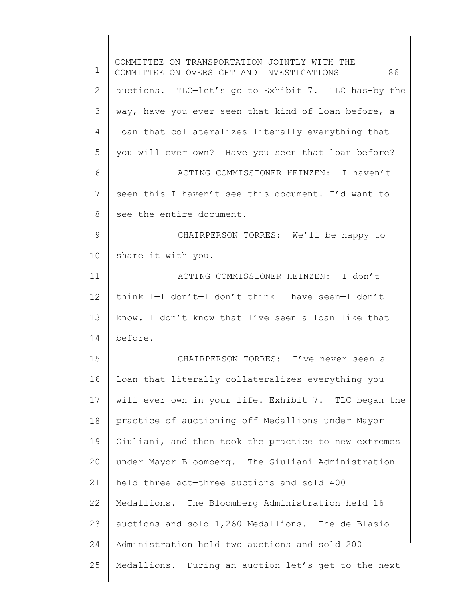1 2 3 4 5 6 7 8 9 10 11 12 13 14 15 16 17 18 19 20 21 22 23 24 25 COMMITTEE ON TRANSPORTATION JOINTLY WITH THE COMMITTEE ON OVERSIGHT AND INVESTIGATIONS 86 auctions. TLC—let's go to Exhibit 7. TLC has-by the way, have you ever seen that kind of loan before, a loan that collateralizes literally everything that you will ever own? Have you seen that loan before? ACTING COMMISSIONER HEINZEN: I haven't seen this—I haven't see this document. I'd want to see the entire document. CHAIRPERSON TORRES: We'll be happy to share it with you. ACTING COMMISSIONER HEINZEN: I don't think I—I don't—I don't think I have seen—I don't know. I don't know that I've seen a loan like that before. CHAIRPERSON TORRES: I've never seen a loan that literally collateralizes everything you will ever own in your life. Exhibit 7. TLC began the practice of auctioning off Medallions under Mayor Giuliani, and then took the practice to new extremes under Mayor Bloomberg. The Giuliani Administration held three act—three auctions and sold 400 Medallions. The Bloomberg Administration held 16 auctions and sold 1,260 Medallions. The de Blasio Administration held two auctions and sold 200 Medallions. During an auction—let's get to the next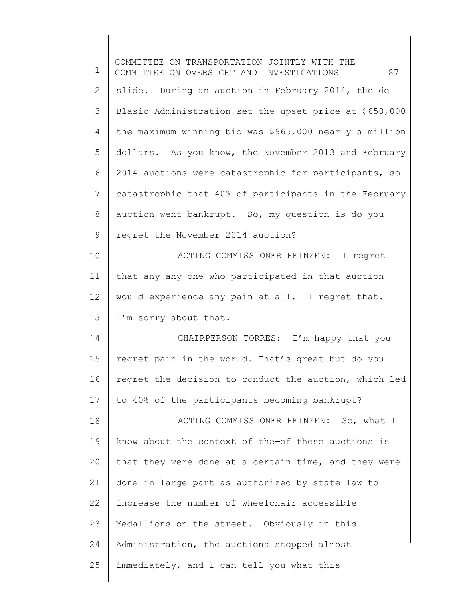| 1              | COMMITTEE ON TRANSPORTATION JOINTLY WITH THE<br>87<br>COMMITTEE ON OVERSIGHT AND INVESTIGATIONS |
|----------------|-------------------------------------------------------------------------------------------------|
| 2              | slide. During an auction in February 2014, the de                                               |
| 3              | Blasio Administration set the upset price at \$650,000                                          |
| $\overline{4}$ | the maximum winning bid was \$965,000 nearly a million                                          |
| 5              | dollars. As you know, the November 2013 and February                                            |
| 6              | 2014 auctions were catastrophic for participants, so                                            |
| 7              | catastrophic that 40% of participants in the February                                           |
| $8\,$          | auction went bankrupt. So, my question is do you                                                |
| 9              | regret the November 2014 auction?                                                               |
| 10             | ACTING COMMISSIONER HEINZEN: I regret                                                           |
| 11             | that any-any one who participated in that auction                                               |
| 12             | would experience any pain at all. I regret that.                                                |
| 13             | I'm sorry about that.                                                                           |
| 14             | CHAIRPERSON TORRES: I'm happy that you                                                          |
| 15             | regret pain in the world. That's great but do you                                               |
| 16             | regret the decision to conduct the auction, which led                                           |
| 17             | to 40% of the participants becoming bankrupt?                                                   |
| 18             | ACTING COMMISSIONER HEINZEN: So, what I                                                         |
| 19             | know about the context of the-of these auctions is                                              |
| 20             | that they were done at a certain time, and they were                                            |
| 21             | done in large part as authorized by state law to                                                |
| 22             | increase the number of wheelchair accessible                                                    |
| 23             | Medallions on the street. Obviously in this                                                     |
| 24             | Administration, the auctions stopped almost                                                     |
| 25             | immediately, and I can tell you what this                                                       |

 $\overline{\phantom{a}}$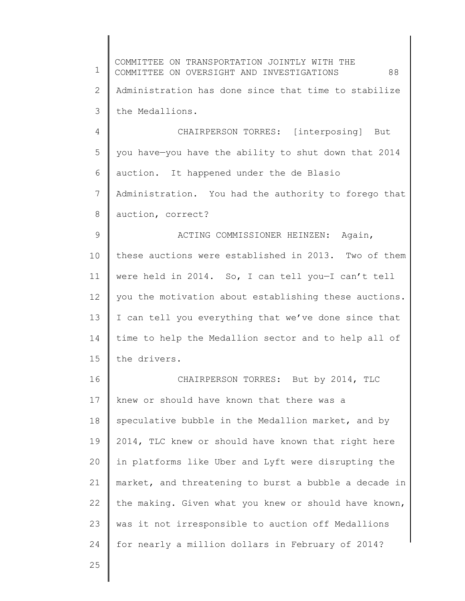1 2 3 4 5 6 7 8 9 10 11 12 13 14 15 16 17 18 19 20 21 22 23 24 25 COMMITTEE ON TRANSPORTATION JOINTLY WITH THE COMMITTEE ON OVERSIGHT AND INVESTIGATIONS 88 Administration has done since that time to stabilize the Medallions. CHAIRPERSON TORRES: [interposing] But you have—you have the ability to shut down that 2014 auction. It happened under the de Blasio Administration. You had the authority to forego that auction, correct? ACTING COMMISSIONER HEINZEN: Again, these auctions were established in 2013. Two of them were held in 2014. So, I can tell you—I can't tell you the motivation about establishing these auctions. I can tell you everything that we've done since that time to help the Medallion sector and to help all of the drivers. CHAIRPERSON TORRES: But by 2014, TLC knew or should have known that there was a speculative bubble in the Medallion market, and by 2014, TLC knew or should have known that right here in platforms like Uber and Lyft were disrupting the market, and threatening to burst a bubble a decade in the making. Given what you knew or should have known, was it not irresponsible to auction off Medallions for nearly a million dollars in February of 2014?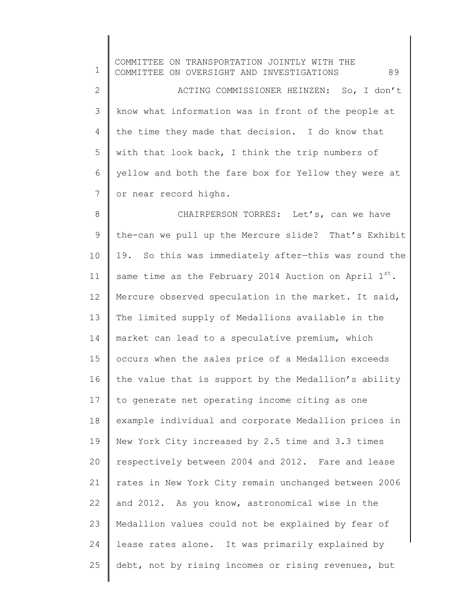| $\mathbf 1$    | COMMITTEE ON TRANSPORTATION JOINTLY WITH THE<br>89<br>COMMITTEE ON OVERSIGHT AND INVESTIGATIONS |
|----------------|-------------------------------------------------------------------------------------------------|
| $\mathbf{2}$   | ACTING COMMISSIONER HEINZEN: So, I don't                                                        |
| 3              | know what information was in front of the people at                                             |
| 4              | the time they made that decision. I do know that                                                |
| 5              | with that look back, I think the trip numbers of                                                |
| 6              | yellow and both the fare box for Yellow they were at                                            |
| $7\phantom{.}$ | or near record highs.                                                                           |
| $\,8\,$        | CHAIRPERSON TORRES: Let's, can we have                                                          |
| $\mathsf 9$    | the-can we pull up the Mercure slide? That's Exhibit                                            |
| 10             | 19. So this was immediately after-this was round the                                            |
| 11             | same time as the February 2014 Auction on April $1^{st}$ .                                      |
| 12             | Mercure observed speculation in the market. It said,                                            |
| 13             | The limited supply of Medallions available in the                                               |
| 14             | market can lead to a speculative premium, which                                                 |
| 15             | occurs when the sales price of a Medallion exceeds                                              |
| 16             | the value that is support by the Medallion's ability                                            |
| 17             | to generate net operating income citing as one                                                  |
| 18             | example individual and corporate Medallion prices in                                            |
| 19             | New York City increased by 2.5 time and 3.3 times                                               |
| 20             | respectively between 2004 and 2012. Fare and lease                                              |
| 21             | rates in New York City remain unchanged between 2006                                            |
| 22             | and 2012. As you know, astronomical wise in the                                                 |
| 23             | Medallion values could not be explained by fear of                                              |
| 24             | lease rates alone. It was primarily explained by                                                |
| 25             | debt, not by rising incomes or rising revenues, but                                             |
|                |                                                                                                 |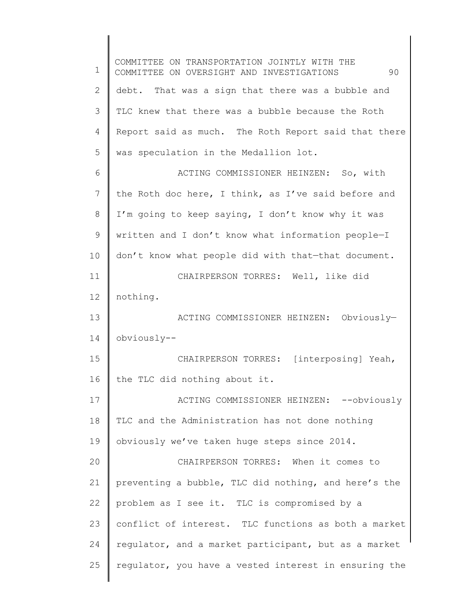1 2 3 4 5 6 7 8 9 10 11 12 13 14 15 16 17 18 19 20 21 22 23 24 25 COMMITTEE ON TRANSPORTATION JOINTLY WITH THE COMMITTEE ON OVERSIGHT AND INVESTIGATIONS 90 debt. That was a sign that there was a bubble and TLC knew that there was a bubble because the Roth Report said as much. The Roth Report said that there was speculation in the Medallion lot. ACTING COMMISSIONER HEINZEN: So, with the Roth doc here, I think, as I've said before and I'm going to keep saying, I don't know why it was written and I don't know what information people—I don't know what people did with that—that document. CHAIRPERSON TORRES: Well, like did nothing. ACTING COMMISSIONER HEINZEN: Obviously obviously-- CHAIRPERSON TORRES: [interposing] Yeah, the TLC did nothing about it. ACTING COMMISSIONER HEINZEN: --obviously TLC and the Administration has not done nothing obviously we've taken huge steps since 2014. CHAIRPERSON TORRES: When it comes to preventing a bubble, TLC did nothing, and here's the problem as I see it. TLC is compromised by a conflict of interest. TLC functions as both a market regulator, and a market participant, but as a market regulator, you have a vested interest in ensuring the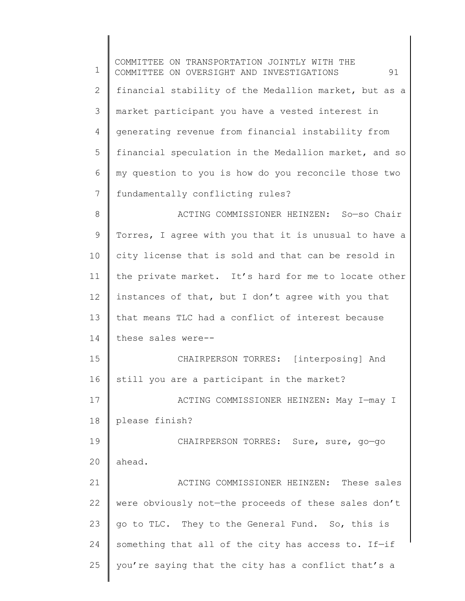1 2 3 4 5 6 7 8 9 10 11 12 13 14 15 16 17 18 19 20 21 22 23 24 25 COMMITTEE ON TRANSPORTATION JOINTLY WITH THE COMMITTEE ON OVERSIGHT AND INVESTIGATIONS 91 financial stability of the Medallion market, but as a market participant you have a vested interest in generating revenue from financial instability from financial speculation in the Medallion market, and so my question to you is how do you reconcile those two fundamentally conflicting rules? ACTING COMMISSIONER HEINZEN: So—so Chair Torres, I agree with you that it is unusual to have a city license that is sold and that can be resold in the private market. It's hard for me to locate other instances of that, but I don't agree with you that that means TLC had a conflict of interest because these sales were-- CHAIRPERSON TORRES: [interposing] And still you are a participant in the market? ACTING COMMISSIONER HEINZEN: May I—may I please finish? CHAIRPERSON TORRES: Sure, sure, go—go ahead. ACTING COMMISSIONER HEINZEN: These sales were obviously not—the proceeds of these sales don't go to TLC. They to the General Fund. So, this is something that all of the city has access to. If-if you're saying that the city has a conflict that's a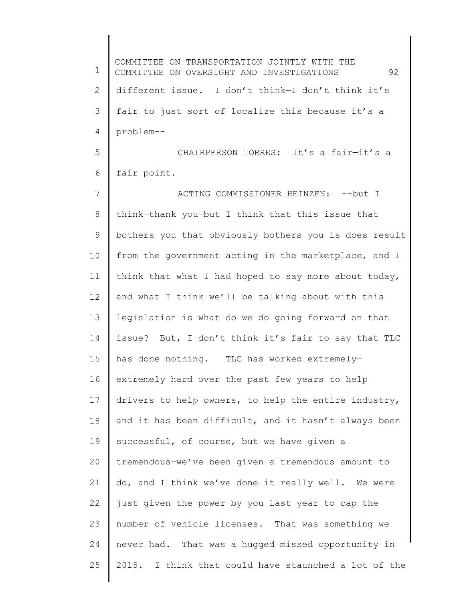1 2 3 4 5 6 7 8 9 10 11 12 13 14 15 16 17 18 19 20 21 22 23 24 25 COMMITTEE ON TRANSPORTATION JOINTLY WITH THE COMMITTEE ON OVERSIGHT AND INVESTIGATIONS 92 different issue. I don't think—I don't think it's fair to just sort of localize this because it's a problem-- CHAIRPERSON TORRES: It's a fair—it's a fair point. ACTING COMMISSIONER HEINZEN: --but I think—thank you—but I think that this issue that bothers you that obviously bothers you is—does result from the government acting in the marketplace, and I think that what I had hoped to say more about today, and what I think we'll be talking about with this legislation is what do we do going forward on that issue? But, I don't think it's fair to say that TLC has done nothing. TLC has worked extremely extremely hard over the past few years to help drivers to help owners, to help the entire industry, and it has been difficult, and it hasn't always been successful, of course, but we have given a tremendous—we've been given a tremendous amount to do, and I think we've done it really well. We were just given the power by you last year to cap the number of vehicle licenses. That was something we never had. That was a hugged missed opportunity in 2015. I think that could have staunched a lot of the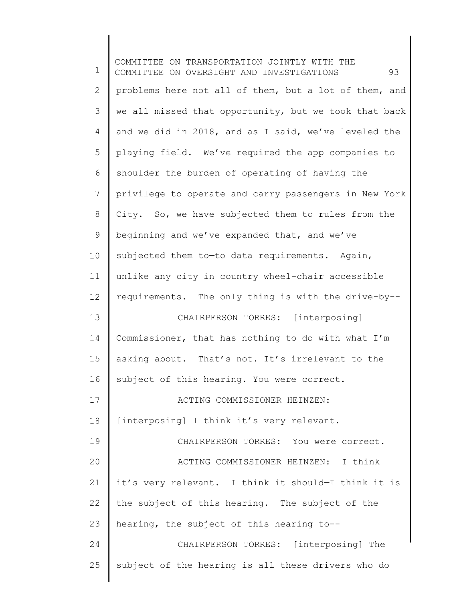1 2 3 4 5 6 7 8 9 10 11 12 13 14 15 16 17 18 19 20 21 22 23 24 25 COMMITTEE ON TRANSPORTATION JOINTLY WITH THE COMMITTEE ON OVERSIGHT AND INVESTIGATIONS 93 problems here not all of them, but a lot of them, and we all missed that opportunity, but we took that back and we did in 2018, and as I said, we've leveled the playing field. We've required the app companies to shoulder the burden of operating of having the privilege to operate and carry passengers in New York City. So, we have subjected them to rules from the beginning and we've expanded that, and we've subjected them to-to data requirements. Again, unlike any city in country wheel-chair accessible requirements. The only thing is with the drive-by-- CHAIRPERSON TORRES: [interposing] Commissioner, that has nothing to do with what I'm asking about. That's not. It's irrelevant to the subject of this hearing. You were correct. ACTING COMMISSIONER HEINZEN: [interposing] I think it's very relevant. CHAIRPERSON TORRES: You were correct. ACTING COMMISSIONER HEINZEN: I think it's very relevant. I think it should—I think it is the subject of this hearing. The subject of the hearing, the subject of this hearing to-- CHAIRPERSON TORRES: [interposing] The subject of the hearing is all these drivers who do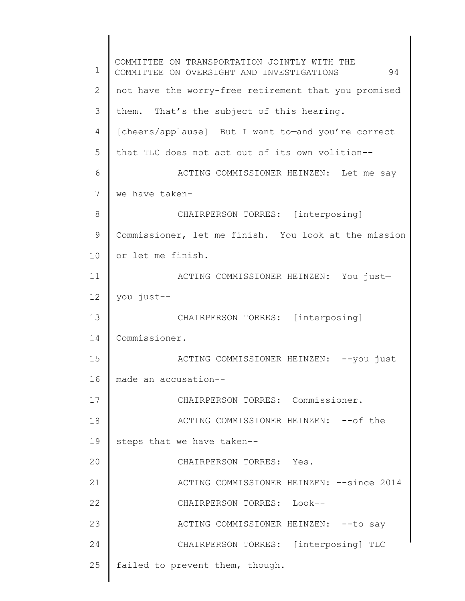1 2 3 4 5 6 7 8 9 10 11 12 13 14 15 16 17 18 19 20 21 22 23 24 25 COMMITTEE ON TRANSPORTATION JOINTLY WITH THE COMMITTEE ON OVERSIGHT AND INVESTIGATIONS 94 not have the worry-free retirement that you promised them. That's the subject of this hearing. [cheers/applause] But I want to—and you're correct that TLC does not act out of its own volition-- ACTING COMMISSIONER HEINZEN: Let me say we have taken-CHAIRPERSON TORRES: [interposing] Commissioner, let me finish. You look at the mission or let me finish. ACTING COMMISSIONER HEINZEN: You just you just-- CHAIRPERSON TORRES: [interposing] Commissioner. ACTING COMMISSIONER HEINZEN: -- you just made an accusation-- CHAIRPERSON TORRES: Commissioner. ACTING COMMISSIONER HEINZEN: -- of the steps that we have taken-- CHAIRPERSON TORRES: Yes. ACTING COMMISSIONER HEINZEN: --since 2014 CHAIRPERSON TORRES: Look-- ACTING COMMISSIONER HEINZEN: -- to say CHAIRPERSON TORRES: [interposing] TLC failed to prevent them, though.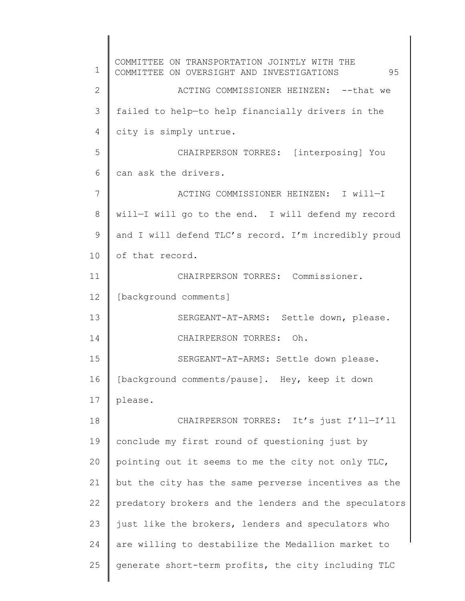1 2 3 4 5 6 7 8 9 10 11 12 13 14 15 16 17 18 19 20 21 22 23 24 25 COMMITTEE ON TRANSPORTATION JOINTLY WITH THE COMMITTEE ON OVERSIGHT AND INVESTIGATIONS 95 ACTING COMMISSIONER HEINZEN: --that we failed to help—to help financially drivers in the city is simply untrue. CHAIRPERSON TORRES: [interposing] You can ask the drivers. ACTING COMMISSIONER HEINZEN: I will—I will—I will go to the end. I will defend my record and I will defend TLC's record. I'm incredibly proud of that record. CHAIRPERSON TORRES: Commissioner. [background comments] SERGEANT-AT-ARMS: Settle down, please. CHAIRPERSON TORRES: Oh. SERGEANT-AT-ARMS: Settle down please. [background comments/pause]. Hey, keep it down please. CHAIRPERSON TORRES: It's just I'll—I'll conclude my first round of questioning just by pointing out it seems to me the city not only TLC, but the city has the same perverse incentives as the predatory brokers and the lenders and the speculators just like the brokers, lenders and speculators who are willing to destabilize the Medallion market to generate short-term profits, the city including TLC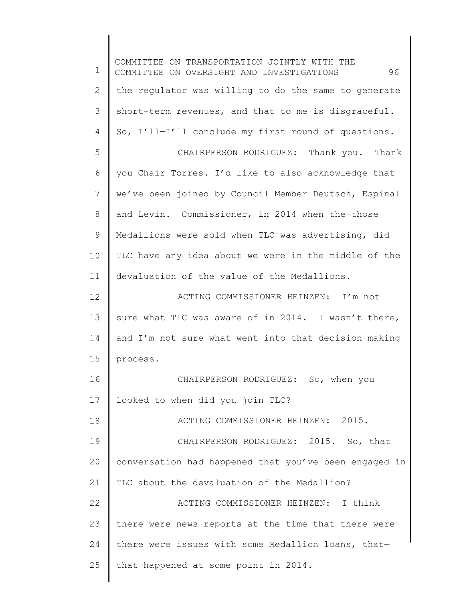1 2 3 4 5 6 7 8 9 10 11 12 13 14 15 16 17 18 19 20 21 22 23 24 25 COMMITTEE ON TRANSPORTATION JOINTLY WITH THE COMMITTEE ON OVERSIGHT AND INVESTIGATIONS 96 the regulator was willing to do the same to generate short-term revenues, and that to me is disgraceful. So, I'll—I'll conclude my first round of questions. CHAIRPERSON RODRIGUEZ: Thank you. Thank you Chair Torres. I'd like to also acknowledge that we've been joined by Council Member Deutsch, Espinal and Levin. Commissioner, in 2014 when the—those Medallions were sold when TLC was advertising, did TLC have any idea about we were in the middle of the devaluation of the value of the Medallions. ACTING COMMISSIONER HEINZEN: I'm not sure what TLC was aware of in 2014. I wasn't there, and I'm not sure what went into that decision making process. CHAIRPERSON RODRIGUEZ: So, when you looked to—when did you join TLC? ACTING COMMISSIONER HEINZEN: 2015. CHAIRPERSON RODRIGUEZ: 2015. So, that conversation had happened that you've been engaged in TLC about the devaluation of the Medallion? ACTING COMMISSIONER HEINZEN: I think there were news reports at the time that there were there were issues with some Medallion loans, that that happened at some point in 2014.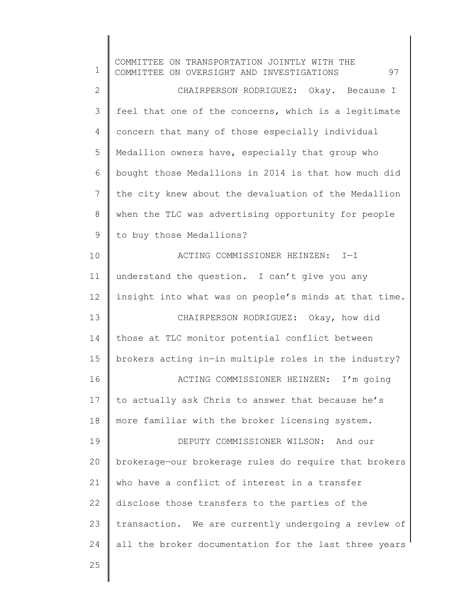1 2 3 4 5 6 7 8 9 10 11 12 13 14 15 16 17 18 19 20 21 22 23 24 25 COMMITTEE ON TRANSPORTATION JOINTLY WITH THE COMMITTEE ON OVERSIGHT AND INVESTIGATIONS 97 CHAIRPERSON RODRIGUEZ: Okay. Because I feel that one of the concerns, which is a legitimate concern that many of those especially individual Medallion owners have, especially that group who bought those Medallions in 2014 is that how much did the city knew about the devaluation of the Medallion when the TLC was advertising opportunity for people to buy those Medallions? ACTING COMMISSIONER HEINZEN: I—I understand the question. I can't give you any insight into what was on people's minds at that time. CHAIRPERSON RODRIGUEZ: Okay, how did those at TLC monitor potential conflict between brokers acting in—in multiple roles in the industry? ACTING COMMISSIONER HEINZEN: I'm going to actually ask Chris to answer that because he's more familiar with the broker licensing system. DEPUTY COMMISSIONER WILSON: And our brokerage—our brokerage rules do require that brokers who have a conflict of interest in a transfer disclose those transfers to the parties of the transaction. We are currently undergoing a review of all the broker documentation for the last three years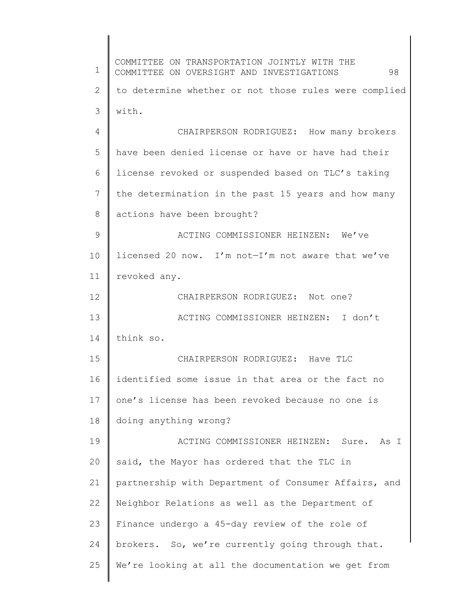1 2 3 4 5 6 7 8 9 10 11 12 13 14 15 16 17 18 19 20 21 22 23 24 25 COMMITTEE ON TRANSPORTATION JOINTLY WITH THE COMMITTEE ON OVERSIGHT AND INVESTIGATIONS 98 to determine whether or not those rules were complied with. CHAIRPERSON RODRIGUEZ: How many brokers have been denied license or have or have had their license revoked or suspended based on TLC's taking the determination in the past 15 years and how many actions have been brought? ACTING COMMISSIONER HEINZEN: We've licensed 20 now. I'm not—I'm not aware that we've revoked any. CHAIRPERSON RODRIGUEZ: Not one? ACTING COMMISSIONER HEINZEN: I don't think so. CHAIRPERSON RODRIGUEZ: Have TLC identified some issue in that area or the fact no one's license has been revoked because no one is doing anything wrong? ACTING COMMISSIONER HEINZEN: Sure. As I said, the Mayor has ordered that the TLC in partnership with Department of Consumer Affairs, and Neighbor Relations as well as the Department of Finance undergo a 45-day review of the role of brokers. So, we're currently going through that. We're looking at all the documentation we get from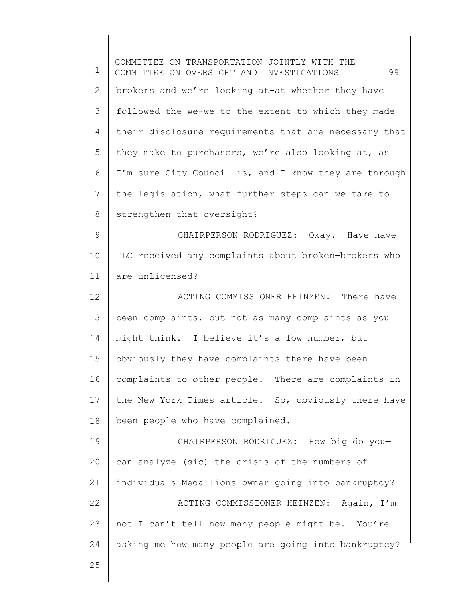1 2 3 4 5 6 7 8 9 10 11 12 13 14 15 16 17 18 19 20 21 22 23 24 COMMITTEE ON TRANSPORTATION JOINTLY WITH THE COMMITTEE ON OVERSIGHT AND INVESTIGATIONS 99 brokers and we're looking at-at whether they have followed the—we-we—to the extent to which they made their disclosure requirements that are necessary that they make to purchasers, we're also looking at, as I'm sure City Council is, and I know they are through the legislation, what further steps can we take to strengthen that oversight? CHAIRPERSON RODRIGUEZ: Okay. Have—have TLC received any complaints about broken—brokers who are unlicensed? ACTING COMMISSIONER HEINZEN: There have been complaints, but not as many complaints as you might think. I believe it's a low number, but obviously they have complaints—there have been complaints to other people. There are complaints in the New York Times article. So, obviously there have been people who have complained. CHAIRPERSON RODRIGUEZ: How big do you can analyze (sic) the crisis of the numbers of individuals Medallions owner going into bankruptcy? ACTING COMMISSIONER HEINZEN: Again, I'm not—I can't tell how many people might be. You're asking me how many people are going into bankruptcy?

25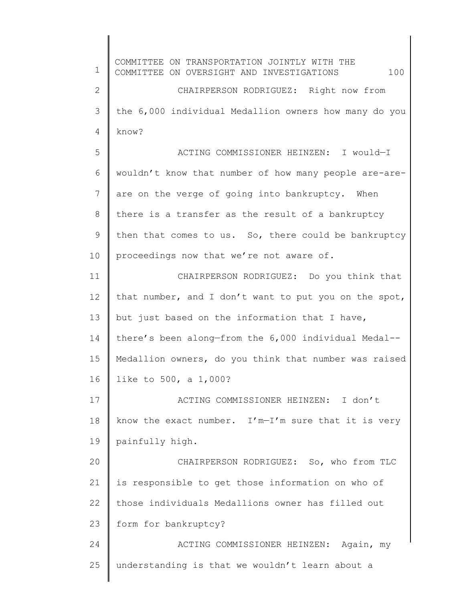1 2 3 4 5 6 7 8 9 10 11 12 13 14 15 16 17 18 19 20 21 22 23 24 25 COMMITTEE ON TRANSPORTATION JOINTLY WITH THE COMMITTEE ON OVERSIGHT AND INVESTIGATIONS 100 CHAIRPERSON RODRIGUEZ: Right now from the 6,000 individual Medallion owners how many do you know? ACTING COMMISSIONER HEINZEN: I would—I wouldn't know that number of how many people are-areare on the verge of going into bankruptcy. When there is a transfer as the result of a bankruptcy then that comes to us. So, there could be bankruptcy proceedings now that we're not aware of. CHAIRPERSON RODRIGUEZ: Do you think that that number, and I don't want to put you on the spot, but just based on the information that I have, there's been along—from the 6,000 individual Medal-- Medallion owners, do you think that number was raised like to 500, a 1,000? ACTING COMMISSIONER HEINZEN: I don't know the exact number.  $I'm-I'm$  sure that it is very painfully high. CHAIRPERSON RODRIGUEZ: So, who from TLC is responsible to get those information on who of those individuals Medallions owner has filled out form for bankruptcy? ACTING COMMISSIONER HEINZEN: Again, my understanding is that we wouldn't learn about a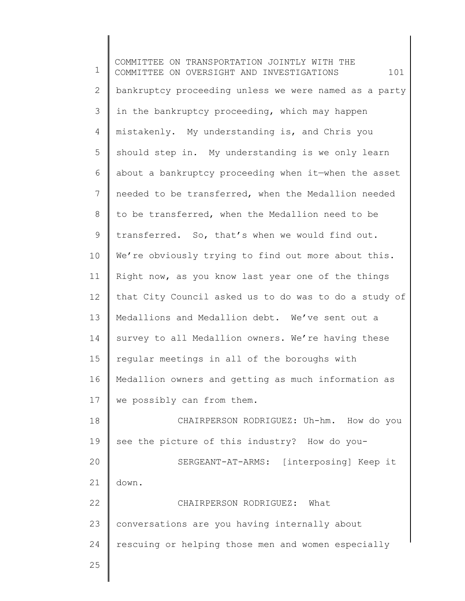1 2 3 4 5 6 7 8 9 10 11 12 13 14 15 16 17 18 19 20 21 22 23 24 25 COMMITTEE ON TRANSPORTATION JOINTLY WITH THE COMMITTEE ON OVERSIGHT AND INVESTIGATIONS  $101$ bankruptcy proceeding unless we were named as a party in the bankruptcy proceeding, which may happen mistakenly. My understanding is, and Chris you should step in. My understanding is we only learn about a bankruptcy proceeding when it—when the asset needed to be transferred, when the Medallion needed to be transferred, when the Medallion need to be transferred. So, that's when we would find out. We're obviously trying to find out more about this. Right now, as you know last year one of the things that City Council asked us to do was to do a study of Medallions and Medallion debt. We've sent out a survey to all Medallion owners. We're having these regular meetings in all of the boroughs with Medallion owners and getting as much information as we possibly can from them. CHAIRPERSON RODRIGUEZ: Uh-hm. How do you see the picture of this industry? How do you-SERGEANT-AT-ARMS: [interposing] Keep it down. CHAIRPERSON RODRIGUEZ: What conversations are you having internally about rescuing or helping those men and women especially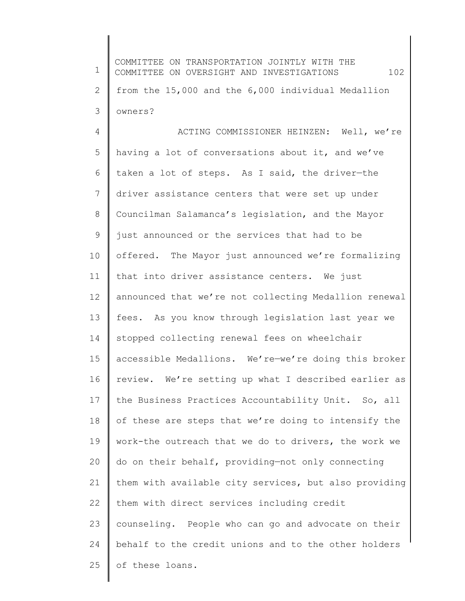| 1               | COMMITTEE ON TRANSPORTATION JOINTLY WITH THE<br>102<br>COMMITTEE ON OVERSIGHT AND INVESTIGATIONS |
|-----------------|--------------------------------------------------------------------------------------------------|
| 2               | from the 15,000 and the 6,000 individual Medallion                                               |
| 3               | owners?                                                                                          |
| $\overline{4}$  | ACTING COMMISSIONER HEINZEN: Well, we're                                                         |
| 5               | having a lot of conversations about it, and we've                                                |
| 6               | taken a lot of steps. As I said, the driver-the                                                  |
| 7               | driver assistance centers that were set up under                                                 |
| 8               | Councilman Salamanca's legislation, and the Mayor                                                |
| 9               | just announced or the services that had to be                                                    |
| 10              | offered. The Mayor just announced we're formalizing                                              |
| 11              | that into driver assistance centers. We just                                                     |
| 12 <sup>°</sup> | announced that we're not collecting Medallion renewal                                            |
| 13              | fees. As you know through legislation last year we                                               |
| 14              | stopped collecting renewal fees on wheelchair                                                    |
| 15              | accessible Medallions. We're-we're doing this broker                                             |
| 16              | review. We're setting up what I described earlier as                                             |
| 17              | the Business Practices Accountability Unit. So, all                                              |
| 18              | of these are steps that we're doing to intensify the                                             |
| 19              | work-the outreach that we do to drivers, the work we                                             |
| 20              | do on their behalf, providing-not only connecting                                                |
| 21              | them with available city services, but also providing                                            |
| 22              | them with direct services including credit                                                       |
| 23              | counseling. People who can go and advocate on their                                              |
| 24              | behalf to the credit unions and to the other holders                                             |
| 25              | of these loans.                                                                                  |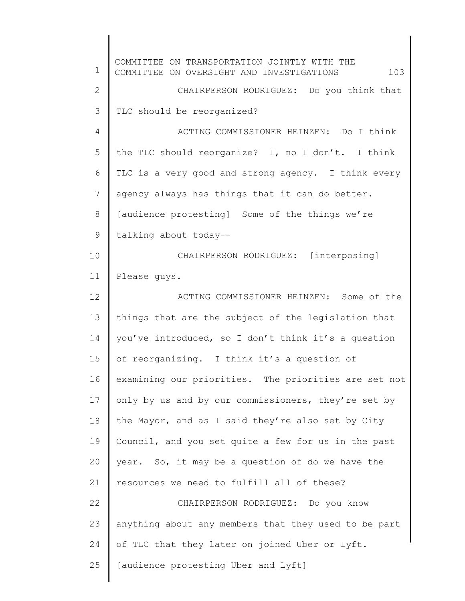1 2 3 4 5 6 7 8 9 10 11 12 13 14 15 16 17 18 19 20 21 22 23 24 25 COMMITTEE ON TRANSPORTATION JOINTLY WITH THE COMMITTEE ON OVERSIGHT AND INVESTIGATIONS  $103$ CHAIRPERSON RODRIGUEZ: Do you think that TLC should be reorganized? ACTING COMMISSIONER HEINZEN: Do I think the TLC should reorganize? I, no I don't. I think TLC is a very good and strong agency. I think every agency always has things that it can do better. [audience protesting] Some of the things we're talking about today-- CHAIRPERSON RODRIGUEZ: [interposing] Please guys. ACTING COMMISSIONER HEINZEN: Some of the things that are the subject of the legislation that you've introduced, so I don't think it's a question of reorganizing. I think it's a question of examining our priorities. The priorities are set not only by us and by our commissioners, they're set by the Mayor, and as I said they're also set by City Council, and you set quite a few for us in the past year. So, it may be a question of do we have the resources we need to fulfill all of these? CHAIRPERSON RODRIGUEZ: Do you know anything about any members that they used to be part of TLC that they later on joined Uber or Lyft. [audience protesting Uber and Lyft]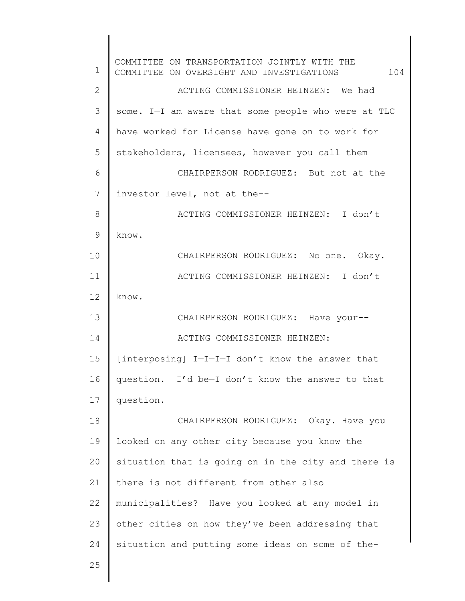| $\mathbf 1$  | COMMITTEE ON TRANSPORTATION JOINTLY WITH THE<br>104<br>COMMITTEE ON OVERSIGHT AND INVESTIGATIONS |
|--------------|--------------------------------------------------------------------------------------------------|
| $\mathbf{2}$ | ACTING COMMISSIONER HEINZEN: We had                                                              |
| 3            | some. I-I am aware that some people who were at TLC                                              |
| 4            | have worked for License have gone on to work for                                                 |
| 5            | stakeholders, licensees, however you call them                                                   |
| 6            | CHAIRPERSON RODRIGUEZ: But not at the                                                            |
| 7            | investor level, not at the--                                                                     |
| 8            | ACTING COMMISSIONER HEINZEN: I don't                                                             |
| 9            | know.                                                                                            |
| 10           | CHAIRPERSON RODRIGUEZ: No one. Okay.                                                             |
| 11           | ACTING COMMISSIONER HEINZEN: I don't                                                             |
| 12           | know.                                                                                            |
| 13           | CHAIRPERSON RODRIGUEZ: Have your--                                                               |
| 14           | ACTING COMMISSIONER HEINZEN:                                                                     |
| 15           | [interposing] I-I-I-I don't know the answer that                                                 |
| 16           | question. I'd be-I don't know the answer to that                                                 |
| 17           | question.                                                                                        |
| 18           | CHAIRPERSON RODRIGUEZ: Okay. Have you                                                            |
| 19           | looked on any other city because you know the                                                    |
| 20           | situation that is going on in the city and there is                                              |
| 21           | there is not different from other also                                                           |
| 22           | municipalities? Have you looked at any model in                                                  |
| 23           | other cities on how they've been addressing that                                                 |
| 24           | situation and putting some ideas on some of the-                                                 |
| 25           |                                                                                                  |
|              |                                                                                                  |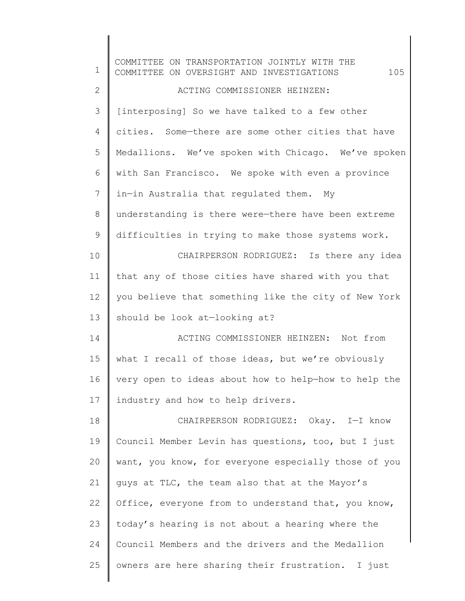| $\mathbf 1$     | COMMITTEE ON TRANSPORTATION JOINTLY WITH THE<br>105<br>COMMITTEE ON OVERSIGHT AND INVESTIGATIONS |
|-----------------|--------------------------------------------------------------------------------------------------|
| $\mathbf{2}$    | ACTING COMMISSIONER HEINZEN:                                                                     |
| 3               | [interposing] So we have talked to a few other                                                   |
| $\overline{4}$  | cities. Some-there are some other cities that have                                               |
| 5               | Medallions. We've spoken with Chicago. We've spoken                                              |
| 6               | with San Francisco. We spoke with even a province                                                |
| $7\phantom{.0}$ | in-in Australia that regulated them. My                                                          |
| $\,8\,$         | understanding is there were-there have been extreme                                              |
| $\mathsf 9$     | difficulties in trying to make those systems work.                                               |
| 10              | CHAIRPERSON RODRIGUEZ: Is there any idea                                                         |
| 11              | that any of those cities have shared with you that                                               |
| 12              | you believe that something like the city of New York                                             |
| 13              | should be look at-looking at?                                                                    |
| 14              | ACTING COMMISSIONER HEINZEN: Not from                                                            |
| 15              | what I recall of those ideas, but we're obviously                                                |
| 16              | very open to ideas about how to help-how to help the                                             |
| 17              | industry and how to help drivers.                                                                |
| 18              | CHAIRPERSON RODRIGUEZ: Okay. I-I know                                                            |
| 19              | Council Member Levin has questions, too, but I just                                              |
| 20              | want, you know, for everyone especially those of you                                             |
| 21              | guys at TLC, the team also that at the Mayor's                                                   |
| 22              | Office, everyone from to understand that, you know,                                              |
| 23              | today's hearing is not about a hearing where the                                                 |
| 24              | Council Members and the drivers and the Medallion                                                |
| 25              | owners are here sharing their frustration. I just                                                |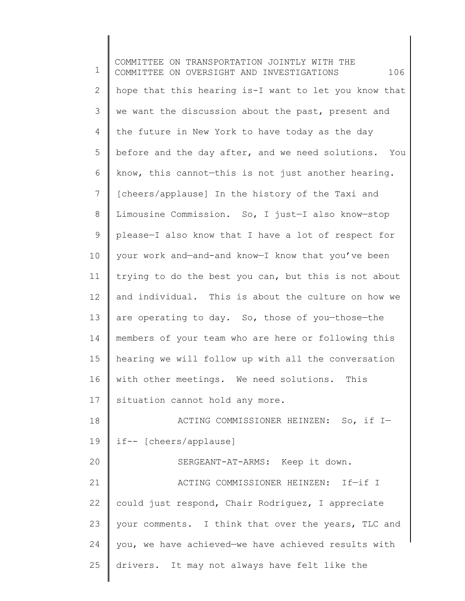1 2 3 4 5 6 7 8 9 10 11 12 13 14 15 16 17 18 19 20 21 22 23 24 25 COMMITTEE ON TRANSPORTATION JOINTLY WITH THE COMMITTEE ON OVERSIGHT AND INVESTIGATIONS  $106$ hope that this hearing is-I want to let you know that we want the discussion about the past, present and the future in New York to have today as the day before and the day after, and we need solutions. You know, this cannot—this is not just another hearing. [cheers/applause] In the history of the Taxi and Limousine Commission. So, I just—I also know—stop please—I also know that I have a lot of respect for your work and—and-and know—I know that you've been trying to do the best you can, but this is not about and individual. This is about the culture on how we are operating to day. So, those of you-those-the members of your team who are here or following this hearing we will follow up with all the conversation with other meetings. We need solutions. This situation cannot hold any more. ACTING COMMISSIONER HEINZEN: So, if I if-- [cheers/applause] SERGEANT-AT-ARMS: Keep it down. ACTING COMMISSIONER HEINZEN: If—if I could just respond, Chair Rodriguez, I appreciate your comments. I think that over the years, TLC and you, we have achieved—we have achieved results with drivers. It may not always have felt like the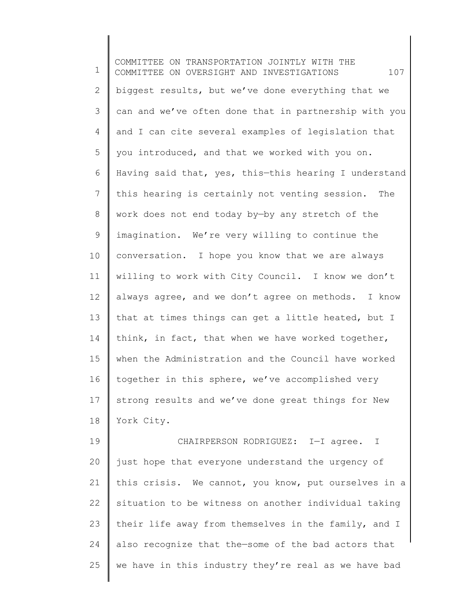1 2 3 4 5 6 7 8 9 10 11 12 13 14 15 16 17 18 19 20 21 22 23 COMMITTEE ON TRANSPORTATION JOINTLY WITH THE COMMITTEE ON OVERSIGHT AND INVESTIGATIONS  $107$ biggest results, but we've done everything that we can and we've often done that in partnership with you and I can cite several examples of legislation that you introduced, and that we worked with you on. Having said that, yes, this—this hearing I understand this hearing is certainly not venting session. The work does not end today by—by any stretch of the imagination. We're very willing to continue the conversation. I hope you know that we are always willing to work with City Council. I know we don't always agree, and we don't agree on methods. I know that at times things can get a little heated, but I think, in fact, that when we have worked together, when the Administration and the Council have worked together in this sphere, we've accomplished very strong results and we've done great things for New York City. CHAIRPERSON RODRIGUEZ: I—I agree. I just hope that everyone understand the urgency of this crisis. We cannot, you know, put ourselves in a situation to be witness on another individual taking their life away from themselves in the family, and I

also recognize that the—some of the bad actors that

we have in this industry they're real as we have bad

24

25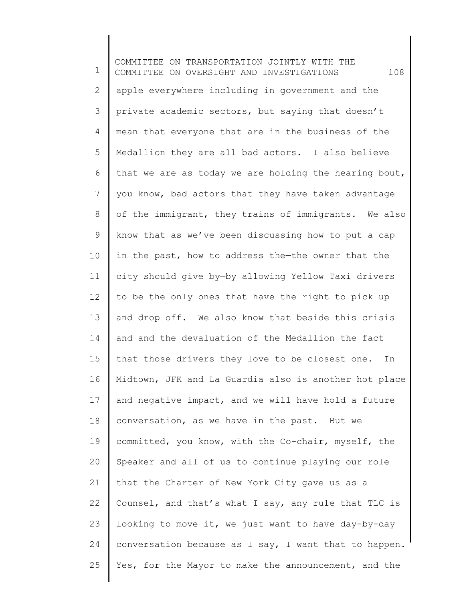1 2 3 4 5 6 7 8 9 10 11 12 13 14 15 16 17 18 19 20 21 22 23 24 25 COMMITTEE ON TRANSPORTATION JOINTLY WITH THE COMMITTEE ON OVERSIGHT AND INVESTIGATIONS 108 apple everywhere including in government and the private academic sectors, but saying that doesn't mean that everyone that are in the business of the Medallion they are all bad actors. I also believe that we are—as today we are holding the hearing bout, you know, bad actors that they have taken advantage of the immigrant, they trains of immigrants. We also know that as we've been discussing how to put a cap in the past, how to address the—the owner that the city should give by—by allowing Yellow Taxi drivers to be the only ones that have the right to pick up and drop off. We also know that beside this crisis and—and the devaluation of the Medallion the fact that those drivers they love to be closest one. In Midtown, JFK and La Guardia also is another hot place and negative impact, and we will have—hold a future conversation, as we have in the past. But we committed, you know, with the Co-chair, myself, the Speaker and all of us to continue playing our role that the Charter of New York City gave us as a Counsel, and that's what I say, any rule that TLC is looking to move it, we just want to have day-by-day conversation because as I say, I want that to happen. Yes, for the Mayor to make the announcement, and the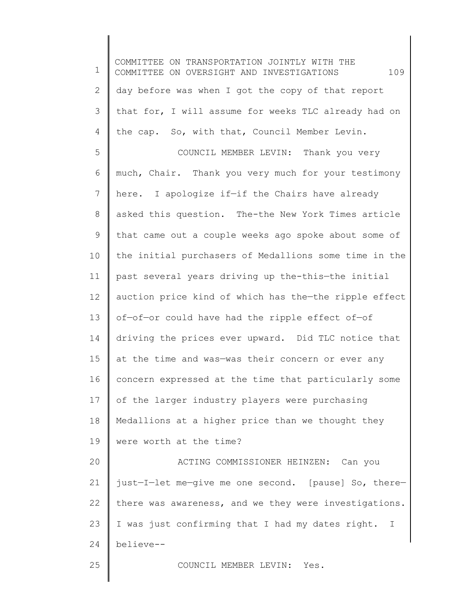1 2 3 4 5 6 7 8 9 10 11 12 13 14 15 16 17 18 19 20 21 22 23 24 25 COMMITTEE ON TRANSPORTATION JOINTLY WITH THE COMMITTEE ON OVERSIGHT AND INVESTIGATIONS 109 day before was when I got the copy of that report that for, I will assume for weeks TLC already had on the cap. So, with that, Council Member Levin. COUNCIL MEMBER LEVIN: Thank you very much, Chair. Thank you very much for your testimony here. I apologize if-if the Chairs have already asked this question. The-the New York Times article that came out a couple weeks ago spoke about some of the initial purchasers of Medallions some time in the past several years driving up the-this—the initial auction price kind of which has the—the ripple effect of—of—or could have had the ripple effect of—of driving the prices ever upward. Did TLC notice that at the time and was—was their concern or ever any concern expressed at the time that particularly some of the larger industry players were purchasing Medallions at a higher price than we thought they were worth at the time? ACTING COMMISSIONER HEINZEN: Can you just—I—let me—give me one second. [pause] So, there there was awareness, and we they were investigations. I was just confirming that I had my dates right. I believe-- COUNCIL MEMBER LEVIN: Yes.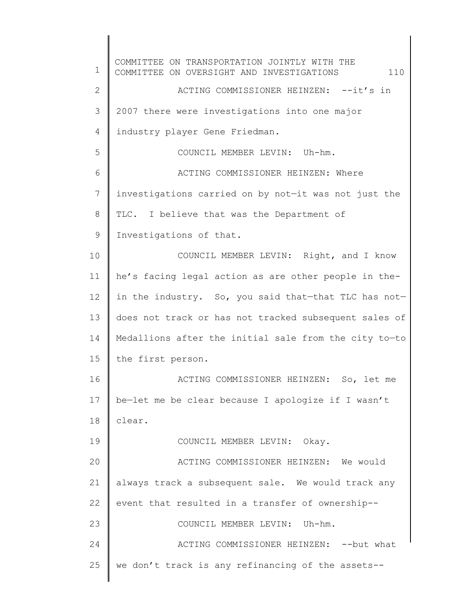1 2 3 4 5 6 7 8 9 10 11 12 13 14 15 16 17 18 19 20 21 22 23 24 25 COMMITTEE ON TRANSPORTATION JOINTLY WITH THE COMMITTEE ON OVERSIGHT AND INVESTIGATIONS  $110$ ACTING COMMISSIONER HEINZEN: --it's in 2007 there were investigations into one major industry player Gene Friedman. COUNCIL MEMBER LEVIN: Uh-hm. ACTING COMMISSIONER HEINZEN: Where investigations carried on by not—it was not just the TLC. I believe that was the Department of Investigations of that. COUNCIL MEMBER LEVIN: Right, and I know he's facing legal action as are other people in thein the industry. So, you said that—that TLC has not does not track or has not tracked subsequent sales of Medallions after the initial sale from the city to—to the first person. ACTING COMMISSIONER HEINZEN: So, let me be—let me be clear because I apologize if I wasn't clear. COUNCIL MEMBER LEVIN: Okay. ACTING COMMISSIONER HEINZEN: We would always track a subsequent sale. We would track any event that resulted in a transfer of ownership-- COUNCIL MEMBER LEVIN: Uh-hm. ACTING COMMISSIONER HEINZEN: -- but what we don't track is any refinancing of the assets--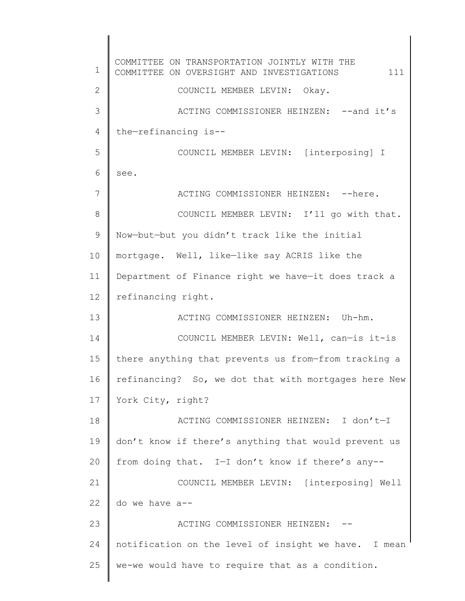1 2 3 4 5 6 7 8 9 10 11 12 13 14 15 16 17 18 19 20 21 22 23 24 25 COMMITTEE ON TRANSPORTATION JOINTLY WITH THE COMMITTEE ON OVERSIGHT AND INVESTIGATIONS 111 COUNCIL MEMBER LEVIN: Okay. ACTING COMMISSIONER HEINZEN: --and it's the—refinancing is-- COUNCIL MEMBER LEVIN: [interposing] I see. ACTING COMMISSIONER HEINZEN: -- here. COUNCIL MEMBER LEVIN: I'll go with that. Now—but—but you didn't track like the initial mortgage. Well, like—like say ACRIS like the Department of Finance right we have—it does track a refinancing right. ACTING COMMISSIONER HEINZEN: Uh-hm. COUNCIL MEMBER LEVIN: Well, can—is it-is there anything that prevents us from—from tracking a refinancing? So, we dot that with mortgages here New York City, right? ACTING COMMISSIONER HEINZEN: I don't—I don't know if there's anything that would prevent us from doing that. I—I don't know if there's any-- COUNCIL MEMBER LEVIN: [interposing] Well do we have a-- ACTING COMMISSIONER HEINZEN: notification on the level of insight we have. I mean we-we would have to require that as a condition.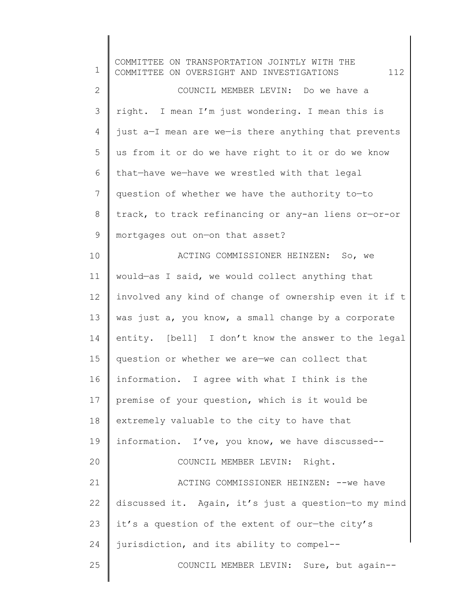| 1            | COMMITTEE ON TRANSPORTATION JOINTLY WITH THE<br>112<br>COMMITTEE ON OVERSIGHT AND INVESTIGATIONS |
|--------------|--------------------------------------------------------------------------------------------------|
| $\mathbf{2}$ | COUNCIL MEMBER LEVIN: Do we have a                                                               |
| 3            | right. I mean I'm just wondering. I mean this is                                                 |
| 4            | just a-I mean are we-is there anything that prevents                                             |
| 5            | us from it or do we have right to it or do we know                                               |
| 6            | that-have we-have we wrestled with that legal                                                    |
| 7            | question of whether we have the authority to-to                                                  |
| 8            | track, to track refinancing or any-an liens or-or-or                                             |
| 9            | mortgages out on-on that asset?                                                                  |
| 10           | ACTING COMMISSIONER HEINZEN: So, we                                                              |
| 11           | would-as I said, we would collect anything that                                                  |
| 12           | involved any kind of change of ownership even it if t                                            |
| 13           | was just a, you know, a small change by a corporate                                              |
| 14           | entity. [bell] I don't know the answer to the legal                                              |
| 15           | question or whether we are-we can collect that                                                   |
| 16           | information. I agree with what I think is the                                                    |
| 17           | premise of your question, which is it would be                                                   |
| 18           | extremely valuable to the city to have that                                                      |
| 19           | information. I've, you know, we have discussed--                                                 |
| 20           | COUNCIL MEMBER LEVIN: Right.                                                                     |
| 21           | ACTING COMMISSIONER HEINZEN: -- we have                                                          |
| 22           | discussed it. Again, it's just a question-to my mind                                             |
| 23           | it's a question of the extent of our-the city's                                                  |
| 24           | jurisdiction, and its ability to compel--                                                        |
| 25           | COUNCIL MEMBER LEVIN: Sure, but again--                                                          |
|              |                                                                                                  |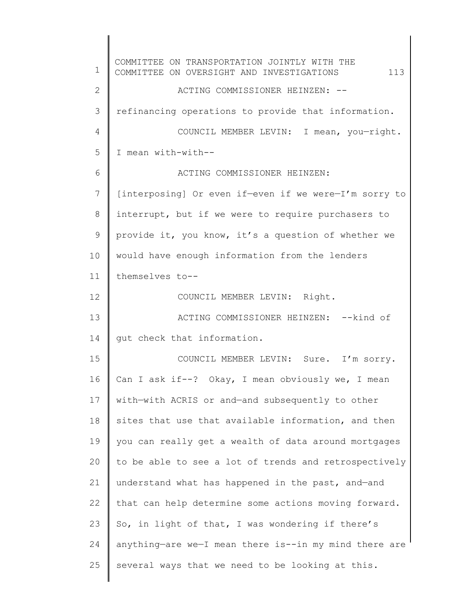1 2 3 4 5 6 7 8 9 10 11 12 13 14 15 16 17 18 19 20 21 22 23 24 25 COMMITTEE ON TRANSPORTATION JOINTLY WITH THE COMMITTEE ON OVERSIGHT AND INVESTIGATIONS 113 ACTING COMMISSIONER HEINZEN: - refinancing operations to provide that information. COUNCIL MEMBER LEVIN: I mean, you—right. I mean with-with-- ACTING COMMISSIONER HEINZEN: [interposing] Or even if—even if we were—I'm sorry to interrupt, but if we were to require purchasers to provide it, you know, it's a question of whether we would have enough information from the lenders themselves to-- COUNCIL MEMBER LEVIN: Right. ACTING COMMISSIONER HEINZEN: -- kind of gut check that information. COUNCIL MEMBER LEVIN: Sure. I'm sorry. Can I ask if--? Okay, I mean obviously we, I mean with—with ACRIS or and—and subsequently to other sites that use that available information, and then you can really get a wealth of data around mortgages to be able to see a lot of trends and retrospectively understand what has happened in the past, and—and that can help determine some actions moving forward. So, in light of that, I was wondering if there's anything—are we—I mean there is--in my mind there are several ways that we need to be looking at this.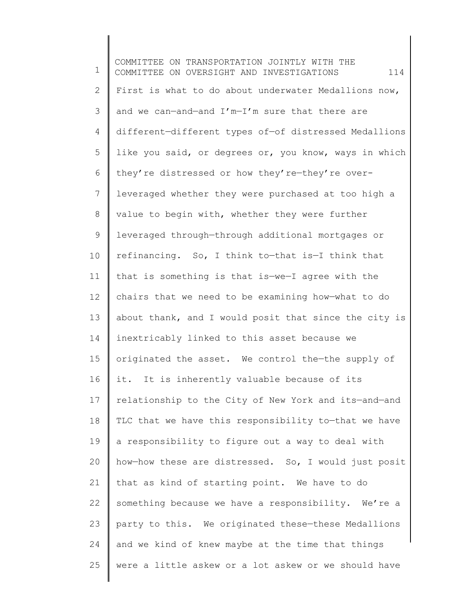1 2 3 4 5 6 7 8 9 10 11 12 13 14 15 16 17 18 19 20 21 22 23 24 25 COMMITTEE ON TRANSPORTATION JOINTLY WITH THE COMMITTEE ON OVERSIGHT AND INVESTIGATIONS  $114$ First is what to do about underwater Medallions now, and we can—and—and I'm—I'm sure that there are different—different types of—of distressed Medallions like you said, or degrees or, you know, ways in which they're distressed or how they're—they're overleveraged whether they were purchased at too high a value to begin with, whether they were further leveraged through—through additional mortgages or refinancing. So, I think to—that is—I think that that is something is that is—we—I agree with the chairs that we need to be examining how—what to do about thank, and I would posit that since the city is inextricably linked to this asset because we originated the asset. We control the—the supply of it. It is inherently valuable because of its relationship to the City of New York and its—and—and TLC that we have this responsibility to-that we have a responsibility to figure out a way to deal with how—how these are distressed. So, I would just posit that as kind of starting point. We have to do something because we have a responsibility. We're a party to this. We originated these—these Medallions and we kind of knew maybe at the time that things were a little askew or a lot askew or we should have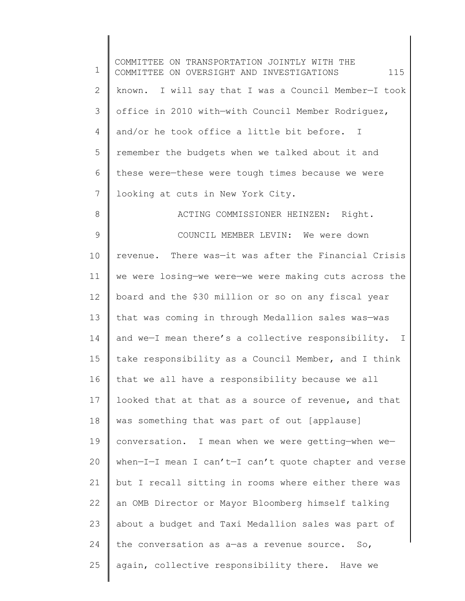| 1             | COMMITTEE ON TRANSPORTATION JOINTLY WITH THE<br>115<br>COMMITTEE ON OVERSIGHT AND INVESTIGATIONS |
|---------------|--------------------------------------------------------------------------------------------------|
| $\mathbf{2}$  | known. I will say that I was a Council Member-I took                                             |
| 3             | office in 2010 with-with Council Member Rodriguez,                                               |
| 4             | and/or he took office a little bit before. I                                                     |
| 5             | remember the budgets when we talked about it and                                                 |
| 6             | these were-these were tough times because we were                                                |
| 7             | looking at cuts in New York City.                                                                |
| $8\,$         | ACTING COMMISSIONER HEINZEN: Right.                                                              |
| $\mathcal{G}$ | COUNCIL MEMBER LEVIN: We were down                                                               |
| 10            | revenue. There was-it was after the Financial Crisis                                             |
| 11            | we were losing-we were-we were making cuts across the                                            |
| 12            | board and the \$30 million or so on any fiscal year                                              |
| 13            | that was coming in through Medallion sales was-was                                               |
| 14            | and we-I mean there's a collective responsibility. I                                             |
| 15            | take responsibility as a Council Member, and I think                                             |
| 16            | that we all have a responsibility because we all                                                 |
| 17            | looked that at that as a source of revenue, and that                                             |
| 18            | was something that was part of out [applause]                                                    |
| 19            | conversation. I mean when we were getting-when we-                                               |
| 20            | when-I-I mean I can't-I can't quote chapter and verse                                            |
| 21            | but I recall sitting in rooms where either there was                                             |
| 22            | an OMB Director or Mayor Bloomberg himself talking                                               |
| 23            | about a budget and Taxi Medallion sales was part of                                              |
| 24            | the conversation as a-as a revenue source. So,                                                   |
| 25            | again, collective responsibility there. Have we                                                  |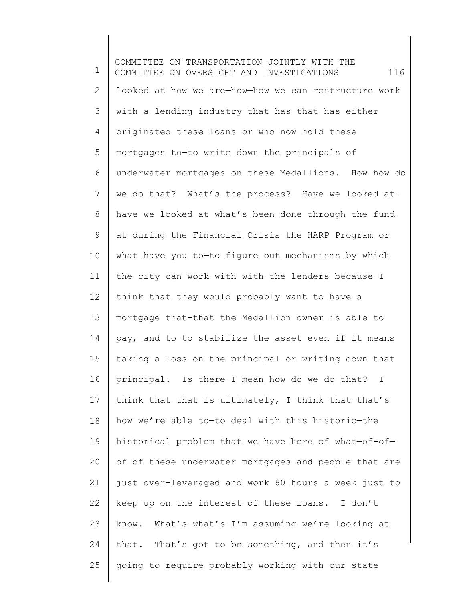1 2 3 4 5 6 7 8 9 10 11 12 13 14 15 16 17 18 19 20 21 22 23 24 25 COMMITTEE ON TRANSPORTATION JOINTLY WITH THE COMMITTEE ON OVERSIGHT AND INVESTIGATIONS  $116$ looked at how we are—how—how we can restructure work with a lending industry that has—that has either originated these loans or who now hold these mortgages to—to write down the principals of underwater mortgages on these Medallions. How—how do we do that? What's the process? Have we looked at have we looked at what's been done through the fund at—during the Financial Crisis the HARP Program or what have you to—to figure out mechanisms by which the city can work with—with the lenders because I think that they would probably want to have a mortgage that-that the Medallion owner is able to pay, and to—to stabilize the asset even if it means taking a loss on the principal or writing down that principal. Is there—I mean how do we do that? I think that that is—ultimately, I think that that's how we're able to—to deal with this historic—the historical problem that we have here of what—of-of of—of these underwater mortgages and people that are just over-leveraged and work 80 hours a week just to keep up on the interest of these loans. I don't know. What's—what's—I'm assuming we're looking at that. That's got to be something, and then it's going to require probably working with our state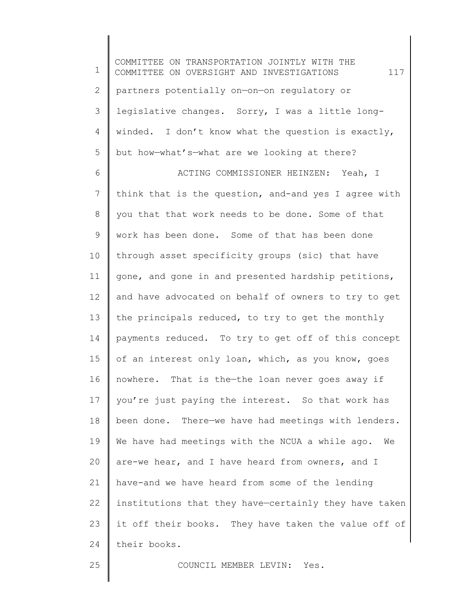1 2 3 4 5 6 7 8 9 10 11 12 13 14 15 16 17 18 19 20 21 22 23 24 COMMITTEE ON TRANSPORTATION JOINTLY WITH THE COMMITTEE ON OVERSIGHT AND INVESTIGATIONS 117 partners potentially on—on—on regulatory or legislative changes. Sorry, I was a little longwinded. I don't know what the question is exactly, but how—what's—what are we looking at there? ACTING COMMISSIONER HEINZEN: Yeah, I think that is the question, and-and yes I agree with you that that work needs to be done. Some of that work has been done. Some of that has been done through asset specificity groups (sic) that have gone, and gone in and presented hardship petitions, and have advocated on behalf of owners to try to get the principals reduced, to try to get the monthly payments reduced. To try to get off of this concept of an interest only loan, which, as you know, goes nowhere. That is the—the loan never goes away if you're just paying the interest. So that work has been done. There—we have had meetings with lenders. We have had meetings with the NCUA a while ago. We are-we hear, and I have heard from owners, and I have-and we have heard from some of the lending institutions that they have—certainly they have taken it off their books. They have taken the value off of their books.

25

COUNCIL MEMBER LEVIN: Yes.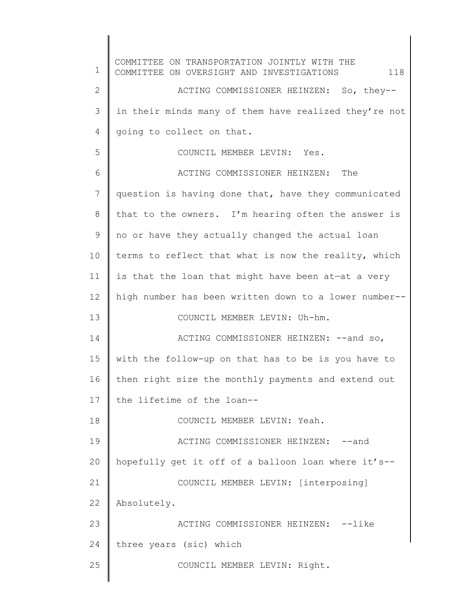1 2 3 4 5 6 7 8 9 10 11 12 13 14 15 16 17 18 19 20 21 22 23 24 25 COMMITTEE ON TRANSPORTATION JOINTLY WITH THE COMMITTEE ON OVERSIGHT AND INVESTIGATIONS  $118$ ACTING COMMISSIONER HEINZEN: So, they- in their minds many of them have realized they're not going to collect on that. COUNCIL MEMBER LEVIN: Yes. ACTING COMMISSIONER HEINZEN: The question is having done that, have they communicated that to the owners. I'm hearing often the answer is no or have they actually changed the actual loan terms to reflect that what is now the reality, which is that the loan that might have been at—at a very high number has been written down to a lower number-- COUNCIL MEMBER LEVIN: Uh-hm. ACTING COMMISSIONER HEINZEN: -- and so, with the follow-up on that has to be is you have to then right size the monthly payments and extend out the lifetime of the loan-- COUNCIL MEMBER LEVIN: Yeah. ACTING COMMISSIONER HEINZEN: -- and hopefully get it off of a balloon loan where it's-- COUNCIL MEMBER LEVIN: [interposing] Absolutely. ACTING COMMISSIONER HEINZEN: --like three years (sic) which COUNCIL MEMBER LEVIN: Right.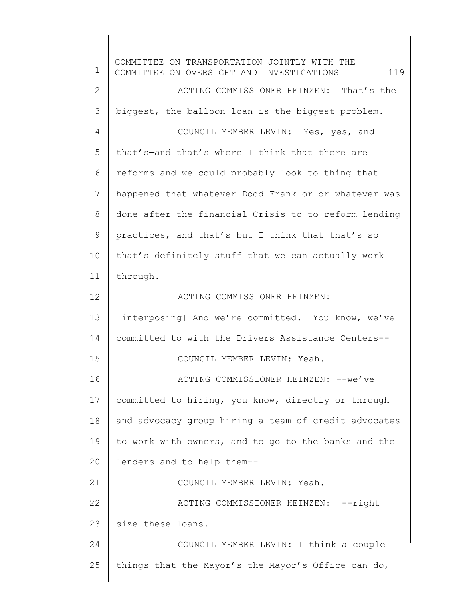1 2 3 4 5 6 7 8 9 10 11 12 13 14 15 16 17 18 19 20 21 22 23 24 25 COMMITTEE ON TRANSPORTATION JOINTLY WITH THE COMMITTEE ON OVERSIGHT AND INVESTIGATIONS  $119$ ACTING COMMISSIONER HEINZEN: That's the biggest, the balloon loan is the biggest problem. COUNCIL MEMBER LEVIN: Yes, yes, and that's—and that's where I think that there are reforms and we could probably look to thing that happened that whatever Dodd Frank or—or whatever was done after the financial Crisis to—to reform lending practices, and that's—but I think that that's—so that's definitely stuff that we can actually work through. ACTING COMMISSIONER HEINZEN: [interposing] And we're committed. You know, we've committed to with the Drivers Assistance Centers-- COUNCIL MEMBER LEVIN: Yeah. ACTING COMMISSIONER HEINZEN: --we've committed to hiring, you know, directly or through and advocacy group hiring a team of credit advocates to work with owners, and to go to the banks and the lenders and to help them-- COUNCIL MEMBER LEVIN: Yeah. ACTING COMMISSIONER HEINZEN: --right size these loans. COUNCIL MEMBER LEVIN: I think a couple things that the Mayor's—the Mayor's Office can do,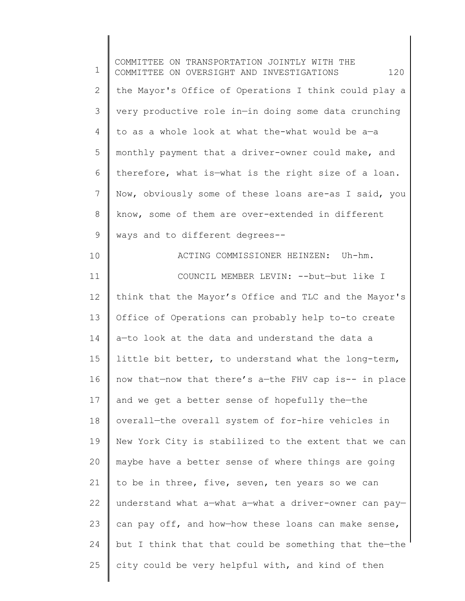1 2 3 4 5 6 7 8 9 10 11 12 13 14 15 16 17 18 19 20 21 22 23 24 25 COMMITTEE ON TRANSPORTATION JOINTLY WITH THE COMMITTEE ON OVERSIGHT AND INVESTIGATIONS 120 the Mayor's Office of Operations I think could play a very productive role in—in doing some data crunching to as a whole look at what the-what would be a—a monthly payment that a driver-owner could make, and therefore, what is—what is the right size of a loan. Now, obviously some of these loans are-as I said, you know, some of them are over-extended in different ways and to different degrees-- ACTING COMMISSIONER HEINZEN: Uh-hm. COUNCIL MEMBER LEVIN: --but—but like I think that the Mayor's Office and TLC and the Mayor's Office of Operations can probably help to-to create a—to look at the data and understand the data a little bit better, to understand what the long-term, now that—now that there's a—the FHV cap is-- in place and we get a better sense of hopefully the—the overall—the overall system of for-hire vehicles in New York City is stabilized to the extent that we can maybe have a better sense of where things are going to be in three, five, seven, ten years so we can understand what a—what a—what a driver-owner can pay can pay off, and how—how these loans can make sense, but I think that that could be something that the—the city could be very helpful with, and kind of then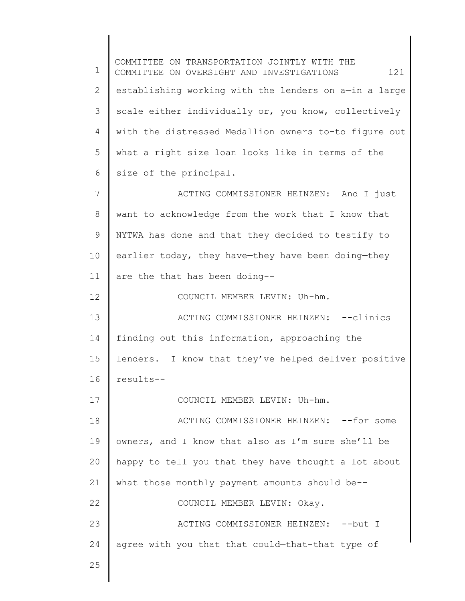1 2 3 4 5 6 7 8 9 10 11 12 13 14 15 16 17 18 19 20 21 22 23 24 25 COMMITTEE ON TRANSPORTATION JOINTLY WITH THE COMMITTEE ON OVERSIGHT AND INVESTIGATIONS 121 establishing working with the lenders on a—in a large scale either individually or, you know, collectively with the distressed Medallion owners to-to figure out what a right size loan looks like in terms of the size of the principal. ACTING COMMISSIONER HEINZEN: And I just want to acknowledge from the work that I know that NYTWA has done and that they decided to testify to earlier today, they have—they have been doing—they are the that has been doing-- COUNCIL MEMBER LEVIN: Uh-hm. ACTING COMMISSIONER HEINZEN: -- clinics finding out this information, approaching the lenders. I know that they've helped deliver positive results-- COUNCIL MEMBER LEVIN: Uh-hm. ACTING COMMISSIONER HEINZEN: --for some owners, and I know that also as I'm sure she'll be happy to tell you that they have thought a lot about what those monthly payment amounts should be-- COUNCIL MEMBER LEVIN: Okay. ACTING COMMISSIONER HEINZEN: -- but I agree with you that that could—that-that type of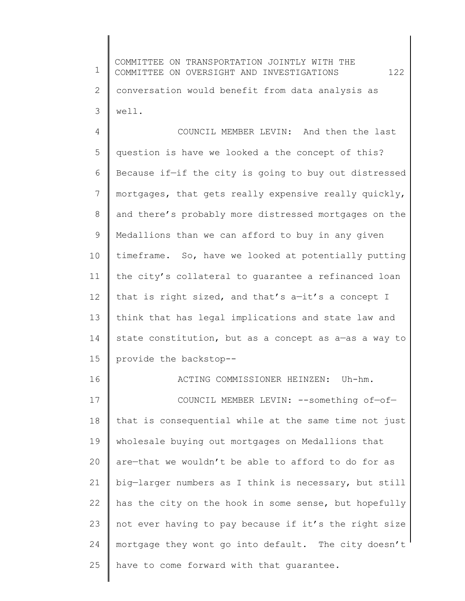1 2 3 4 5 6 7 8 9 10 11 12 13 14 15 16 17 18 19 20 21 22 23 24 25 COMMITTEE ON TRANSPORTATION JOINTLY WITH THE COMMITTEE ON OVERSIGHT AND INVESTIGATIONS 122 conversation would benefit from data analysis as well. COUNCIL MEMBER LEVIN: And then the last question is have we looked a the concept of this? Because if—if the city is going to buy out distressed mortgages, that gets really expensive really quickly, and there's probably more distressed mortgages on the Medallions than we can afford to buy in any given timeframe. So, have we looked at potentially putting the city's collateral to guarantee a refinanced loan that is right sized, and that's a—it's a concept I think that has legal implications and state law and state constitution, but as a concept as a—as a way to provide the backstop-- ACTING COMMISSIONER HEINZEN: Uh-hm. COUNCIL MEMBER LEVIN: --something of—of that is consequential while at the same time not just wholesale buying out mortgages on Medallions that are—that we wouldn't be able to afford to do for as big—larger numbers as I think is necessary, but still has the city on the hook in some sense, but hopefully not ever having to pay because if it's the right size mortgage they wont go into default. The city doesn't have to come forward with that guarantee.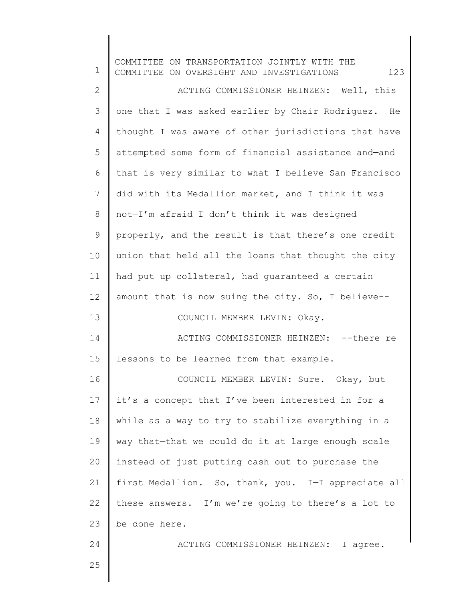| $\mathbf 1$ | COMMITTEE ON TRANSPORTATION JOINTLY WITH THE<br>123<br>COMMITTEE ON OVERSIGHT AND INVESTIGATIONS |
|-------------|--------------------------------------------------------------------------------------------------|
| 2           | ACTING COMMISSIONER HEINZEN: Well, this                                                          |
| 3           | one that I was asked earlier by Chair Rodriguez. He                                              |
| 4           | thought I was aware of other jurisdictions that have                                             |
| 5           | attempted some form of financial assistance and-and                                              |
| 6           | that is very similar to what I believe San Francisco                                             |
| 7           | did with its Medallion market, and I think it was                                                |
| $8\,$       | not-I'm afraid I don't think it was designed                                                     |
| 9           | properly, and the result is that there's one credit                                              |
| 10          | union that held all the loans that thought the city                                              |
| 11          | had put up collateral, had quaranteed a certain                                                  |
| 12          | amount that is now suing the city. So, I believe--                                               |
| 13          | COUNCIL MEMBER LEVIN: Okay.                                                                      |
| 14          | ACTING COMMISSIONER HEINZEN: -- there re                                                         |
| 15          | lessons to be learned from that example.                                                         |
| 16          | COUNCIL MEMBER LEVIN: Sure. Okay, but                                                            |
| 17          | it's a concept that I've been interested in for a                                                |
| 18          | while as a way to try to stabilize everything in a                                               |
| 19          | way that-that we could do it at large enough scale                                               |
| 20          | instead of just putting cash out to purchase the                                                 |
| 21          | first Medallion. So, thank, you. I-I appreciate all                                              |
| 22          | these answers. I'm-we're going to-there's a lot to                                               |
| 23          | be done here.                                                                                    |
| 24          | ACTING COMMISSIONER HEINZEN: I agree.                                                            |
| 25          |                                                                                                  |
|             |                                                                                                  |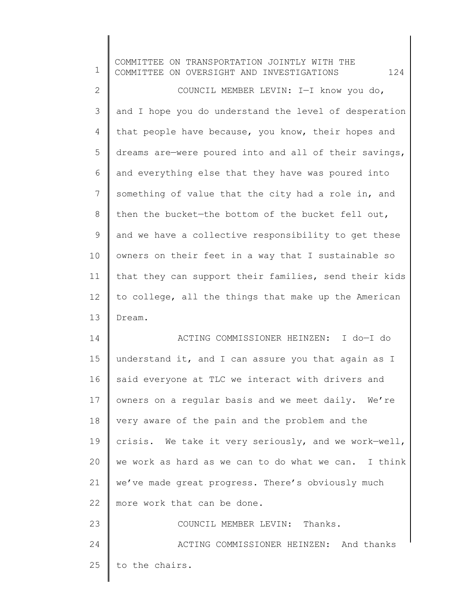| $\mathbf 1$    | COMMITTEE ON TRANSPORTATION JOINTLY WITH THE<br>124<br>COMMITTEE ON OVERSIGHT AND INVESTIGATIONS |
|----------------|--------------------------------------------------------------------------------------------------|
| $\mathbf{2}$   | COUNCIL MEMBER LEVIN: I-I know you do,                                                           |
| 3              | and I hope you do understand the level of desperation                                            |
| $\overline{4}$ | that people have because, you know, their hopes and                                              |
| 5              | dreams are-were poured into and all of their savings,                                            |
| 6              | and everything else that they have was poured into                                               |
| $7\phantom{.}$ | something of value that the city had a role in, and                                              |
| $\,8\,$        | then the bucket-the bottom of the bucket fell out,                                               |
| $\mathsf 9$    | and we have a collective responsibility to get these                                             |
| 10             | owners on their feet in a way that I sustainable so                                              |
| 11             | that they can support their families, send their kids                                            |
| 12             | to college, all the things that make up the American                                             |
| 13             | Dream.                                                                                           |
| 14             | ACTING COMMISSIONER HEINZEN: I do-I do                                                           |
| 15             | understand it, and I can assure you that again as I                                              |
| 16             | said everyone at TLC we interact with drivers and                                                |
| 17             | owners on a regular basis and we meet daily. We're                                               |
| 18             | very aware of the pain and the problem and the                                                   |
| 19             | crisis. We take it very seriously, and we work-well,                                             |
| 20             | we work as hard as we can to do what we can. I think                                             |
| 21             | we've made great progress. There's obviously much                                                |
| 22             | more work that can be done.                                                                      |
| 23             | COUNCIL MEMBER LEVIN:<br>Thanks.                                                                 |
| 24             | ACTING COMMISSIONER HEINZEN: And thanks                                                          |
| 25             | to the chairs.                                                                                   |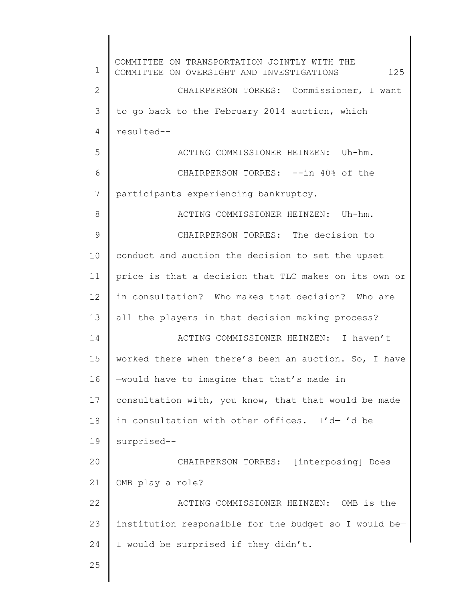1 2 3 4 5 6 7 8 9 10 11 12 13 14 15 16 17 18 19 20 21 22 23 24 25 COMMITTEE ON TRANSPORTATION JOINTLY WITH THE COMMITTEE ON OVERSIGHT AND INVESTIGATIONS 125 CHAIRPERSON TORRES: Commissioner, I want to go back to the February 2014 auction, which resulted-- ACTING COMMISSIONER HEINZEN: Uh-hm. CHAIRPERSON TORRES: --in 40% of the participants experiencing bankruptcy. ACTING COMMISSIONER HEINZEN: Uh-hm. CHAIRPERSON TORRES: The decision to conduct and auction the decision to set the upset price is that a decision that TLC makes on its own or in consultation? Who makes that decision? Who are all the players in that decision making process? ACTING COMMISSIONER HEINZEN: I haven't worked there when there's been an auction. So, I have —would have to imagine that that's made in consultation with, you know, that that would be made in consultation with other offices. I'd—I'd be surprised-- CHAIRPERSON TORRES: [interposing] Does OMB play a role? ACTING COMMISSIONER HEINZEN: OMB is the institution responsible for the budget so I would be— I would be surprised if they didn't.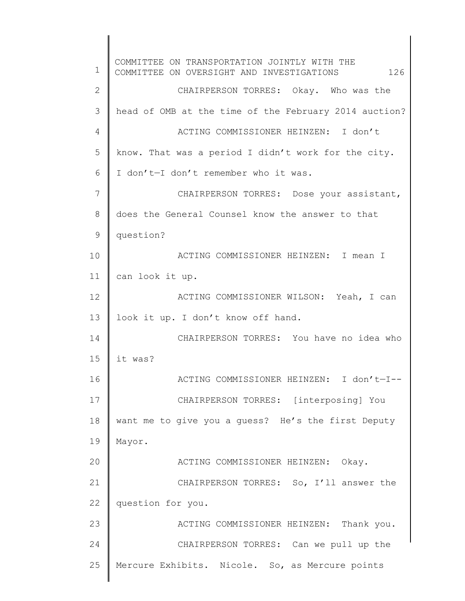1 2 3 4 5 6 7 8 9 10 11 12 13 14 15 16 17 18 19 20 21 22 23 24 25 COMMITTEE ON TRANSPORTATION JOINTLY WITH THE COMMITTEE ON OVERSIGHT AND INVESTIGATIONS 126 CHAIRPERSON TORRES: Okay. Who was the head of OMB at the time of the February 2014 auction? ACTING COMMISSIONER HEINZEN: I don't know. That was a period I didn't work for the city. I don't-I don't remember who it was. CHAIRPERSON TORRES: Dose your assistant, does the General Counsel know the answer to that question? ACTING COMMISSIONER HEINZEN: I mean I can look it up. ACTING COMMISSIONER WILSON: Yeah, I can look it up. I don't know off hand. CHAIRPERSON TORRES: You have no idea who it was? ACTING COMMISSIONER HEINZEN: I don't—I-- CHAIRPERSON TORRES: [interposing] You want me to give you a guess? He's the first Deputy Mayor. ACTING COMMISSIONER HEINZEN: Okay. CHAIRPERSON TORRES: So, I'll answer the question for you. ACTING COMMISSIONER HEINZEN: Thank you. CHAIRPERSON TORRES: Can we pull up the Mercure Exhibits. Nicole. So, as Mercure points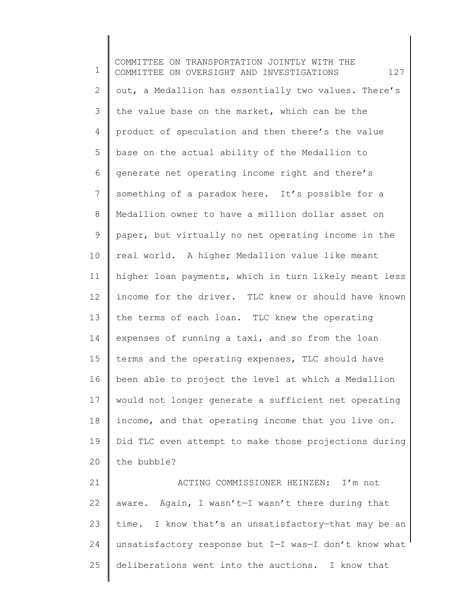1 2 3 4 5 6 7 8 9 10 11 12 13 14 15 16 17 18 19 20 21 COMMITTEE ON TRANSPORTATION JOINTLY WITH THE COMMITTEE ON OVERSIGHT AND INVESTIGATIONS 127 out, a Medallion has essentially two values. There's the value base on the market, which can be the product of speculation and then there's the value base on the actual ability of the Medallion to generate net operating income right and there's something of a paradox here. It's possible for a Medallion owner to have a million dollar asset on paper, but virtually no net operating income in the real world. A higher Medallion value like meant higher loan payments, which in turn likely meant less income for the driver. TLC knew or should have known the terms of each loan. TLC knew the operating expenses of running a taxi, and so from the loan terms and the operating expenses, TLC should have been able to project the level at which a Medallion would not longer generate a sufficient net operating income, and that operating income that you live on. Did TLC even attempt to make those projections during the bubble? ACTING COMMISSIONER HEINZEN: I'm not

22 23 24 25 aware. Again, I wasn't—I wasn't there during that time. I know that's an unsatisfactory—that may be an unsatisfactory response but I—I was—I don't know what deliberations went into the auctions. I know that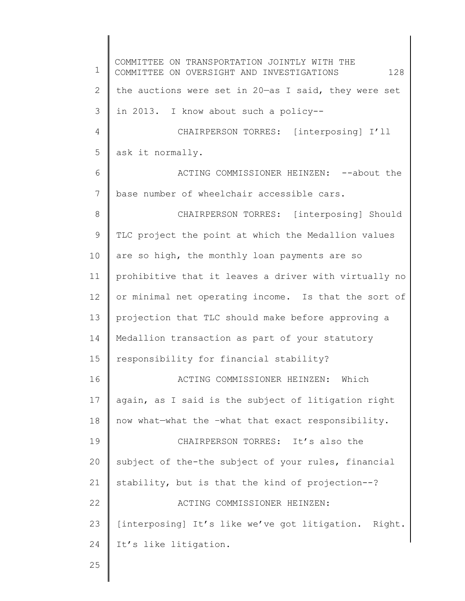1 2 3 4 5 6 7 8 9 10 11 12 13 14 15 16 17 18 19 20 21 22 23 24 25 COMMITTEE ON TRANSPORTATION JOINTLY WITH THE COMMITTEE ON OVERSIGHT AND INVESTIGATIONS 128 the auctions were set in 20—as I said, they were set in 2013. I know about such a policy-- CHAIRPERSON TORRES: [interposing] I'll ask it normally. ACTING COMMISSIONER HEINZEN: --about the base number of wheelchair accessible cars. CHAIRPERSON TORRES: [interposing] Should TLC project the point at which the Medallion values are so high, the monthly loan payments are so prohibitive that it leaves a driver with virtually no or minimal net operating income. Is that the sort of projection that TLC should make before approving a Medallion transaction as part of your statutory responsibility for financial stability? ACTING COMMISSIONER HEINZEN: Which again, as I said is the subject of litigation right now what—what the –what that exact responsibility. CHAIRPERSON TORRES: It's also the subject of the-the subject of your rules, financial stability, but is that the kind of projection--? ACTING COMMISSIONER HEINZEN: [interposing] It's like we've got litigation. Right. It's like litigation.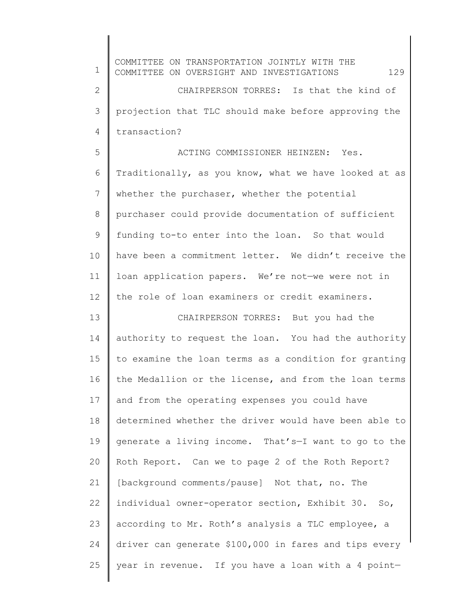1 2 3 4 5 6 7 8 9 10 11 12 13 14 15 16 17 18 19 20 21 22 23 24 25 COMMITTEE ON TRANSPORTATION JOINTLY WITH THE COMMITTEE ON OVERSIGHT AND INVESTIGATIONS 129 CHAIRPERSON TORRES: Is that the kind of projection that TLC should make before approving the transaction? ACTING COMMISSIONER HEINZEN: Yes. Traditionally, as you know, what we have looked at as whether the purchaser, whether the potential purchaser could provide documentation of sufficient funding to-to enter into the loan. So that would have been a commitment letter. We didn't receive the loan application papers. We're not—we were not in the role of loan examiners or credit examiners. CHAIRPERSON TORRES: But you had the authority to request the loan. You had the authority to examine the loan terms as a condition for granting the Medallion or the license, and from the loan terms and from the operating expenses you could have determined whether the driver would have been able to generate a living income. That's—I want to go to the Roth Report. Can we to page 2 of the Roth Report? [background comments/pause] Not that, no. The individual owner-operator section, Exhibit 30. So, according to Mr. Roth's analysis a TLC employee, a driver can generate \$100,000 in fares and tips every year in revenue. If you have a loan with a 4 point—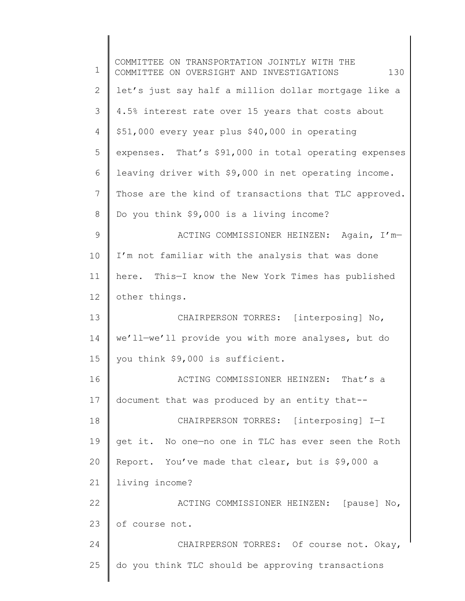| $\mathbf 1$     | COMMITTEE ON TRANSPORTATION JOINTLY WITH THE<br>130<br>COMMITTEE ON OVERSIGHT AND INVESTIGATIONS |
|-----------------|--------------------------------------------------------------------------------------------------|
| $\mathbf{2}$    | let's just say half a million dollar mortgage like a                                             |
| 3               | 4.5% interest rate over 15 years that costs about                                                |
| $\overline{4}$  | \$51,000 every year plus \$40,000 in operating                                                   |
| 5               | expenses. That's \$91,000 in total operating expenses                                            |
| 6               | leaving driver with \$9,000 in net operating income.                                             |
| $7\phantom{.0}$ | Those are the kind of transactions that TLC approved.                                            |
| $\,8\,$         | Do you think \$9,000 is a living income?                                                         |
| 9               | ACTING COMMISSIONER HEINZEN: Again, I'm-                                                         |
| 10              | I'm not familiar with the analysis that was done                                                 |
| 11              | here. This-I know the New York Times has published                                               |
| 12              | other things.                                                                                    |
| 13              | CHAIRPERSON TORRES: [interposing] No,                                                            |
| 14              | we'll-we'll provide you with more analyses, but do                                               |
| 15              | you think \$9,000 is sufficient.                                                                 |
| 16              | ACTING COMMISSIONER HEINZEN: That's a                                                            |
| 17              | document that was produced by an entity that--                                                   |
| 18              | CHAIRPERSON TORRES: [interposing] I-I                                                            |
| 19              | get it. No one-no one in TLC has ever seen the Roth                                              |
| 20              | Report. You've made that clear, but is \$9,000 a                                                 |
| 21              | living income?                                                                                   |
| 22              | ACTING COMMISSIONER HEINZEN: [pause] No,                                                         |
| 23              | of course not.                                                                                   |
| 24              | CHAIRPERSON TORRES: Of course not. Okay,                                                         |
| 25              | do you think TLC should be approving transactions                                                |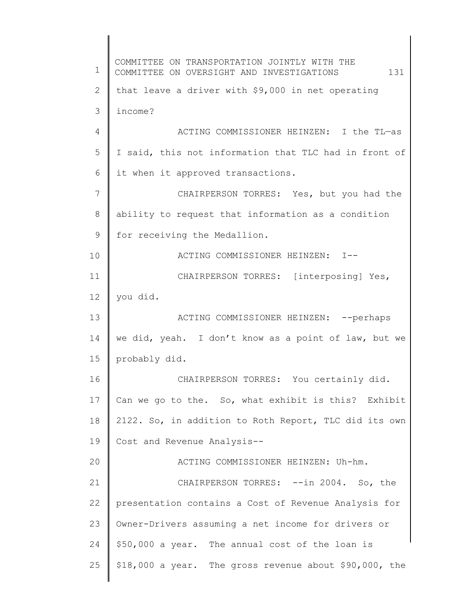1 2 3 4 5 6 7 8 9 10 11 12 13 14 15 16 17 18 19 20 21 22 23 24 25 COMMITTEE ON TRANSPORTATION JOINTLY WITH THE COMMITTEE ON OVERSIGHT AND INVESTIGATIONS 131 that leave a driver with \$9,000 in net operating income? ACTING COMMISSIONER HEINZEN: I the TL—as I said, this not information that TLC had in front of it when it approved transactions. CHAIRPERSON TORRES: Yes, but you had the ability to request that information as a condition for receiving the Medallion. ACTING COMMISSIONER HEINZEN: I-- CHAIRPERSON TORRES: [interposing] Yes, you did. ACTING COMMISSIONER HEINZEN: --perhaps we did, yeah. I don't know as a point of law, but we probably did. CHAIRPERSON TORRES: You certainly did. Can we go to the. So, what exhibit is this? Exhibit 2122. So, in addition to Roth Report, TLC did its own Cost and Revenue Analysis-- ACTING COMMISSIONER HEINZEN: Uh-hm. CHAIRPERSON TORRES: --in 2004. So, the presentation contains a Cost of Revenue Analysis for Owner-Drivers assuming a net income for drivers or \$50,000 a year. The annual cost of the loan is \$18,000 a year. The gross revenue about \$90,000, the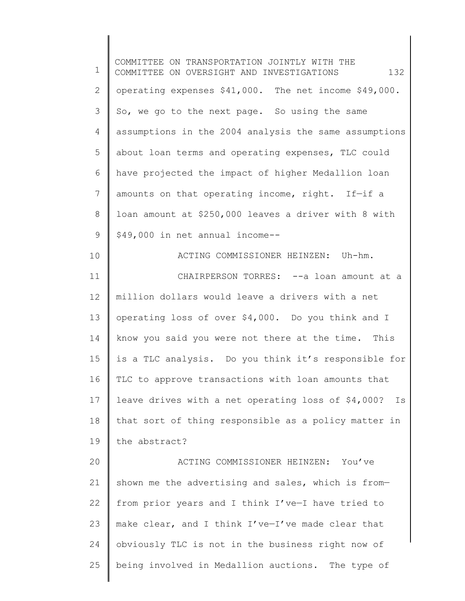1 2 3 4 5 6 7 8 9 10 11 12 13 14 15 16 17 18 19 20 21 22 23 24 25 COMMITTEE ON TRANSPORTATION JOINTLY WITH THE COMMITTEE ON OVERSIGHT AND INVESTIGATIONS 132 operating expenses \$41,000. The net income \$49,000. So, we go to the next page. So using the same assumptions in the 2004 analysis the same assumptions about loan terms and operating expenses, TLC could have projected the impact of higher Medallion loan amounts on that operating income, right. If—if a loan amount at \$250,000 leaves a driver with 8 with \$49,000 in net annual income-- ACTING COMMISSIONER HEINZEN: Uh-hm. CHAIRPERSON TORRES: -- a loan amount at a million dollars would leave a drivers with a net operating loss of over \$4,000. Do you think and I know you said you were not there at the time. This is a TLC analysis. Do you think it's responsible for TLC to approve transactions with loan amounts that leave drives with a net operating loss of \$4,000? Is that sort of thing responsible as a policy matter in the abstract? ACTING COMMISSIONER HEINZEN: You've shown me the advertising and sales, which is from from prior years and I think I've—I have tried to make clear, and I think I've—I've made clear that obviously TLC is not in the business right now of being involved in Medallion auctions. The type of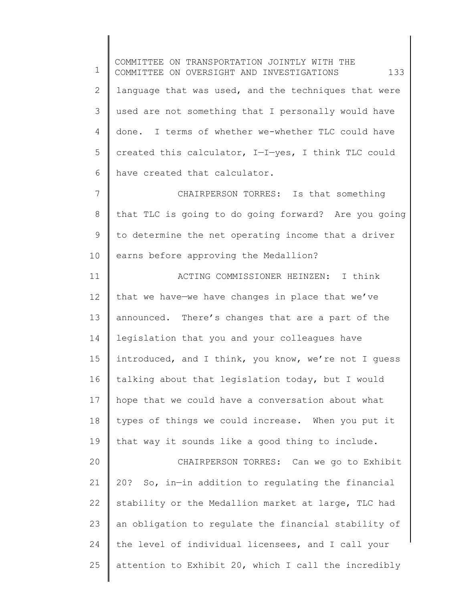1 2 3 4 5 6 7 8 9 10 11 12 13 14 15 16 17 18 19 20 21 22 23 24 25 COMMITTEE ON TRANSPORTATION JOINTLY WITH THE COMMITTEE ON OVERSIGHT AND INVESTIGATIONS 133 language that was used, and the techniques that were used are not something that I personally would have done. I terms of whether we-whether TLC could have created this calculator, I—I—yes, I think TLC could have created that calculator. CHAIRPERSON TORRES: Is that something that TLC is going to do going forward? Are you going to determine the net operating income that a driver earns before approving the Medallion? ACTING COMMISSIONER HEINZEN: I think that we have—we have changes in place that we've announced. There's changes that are a part of the legislation that you and your colleagues have introduced, and I think, you know, we're not I guess talking about that legislation today, but I would hope that we could have a conversation about what types of things we could increase. When you put it that way it sounds like a good thing to include. CHAIRPERSON TORRES: Can we go to Exhibit 20? So, in—in addition to regulating the financial stability or the Medallion market at large, TLC had an obligation to regulate the financial stability of the level of individual licensees, and I call your attention to Exhibit 20, which I call the incredibly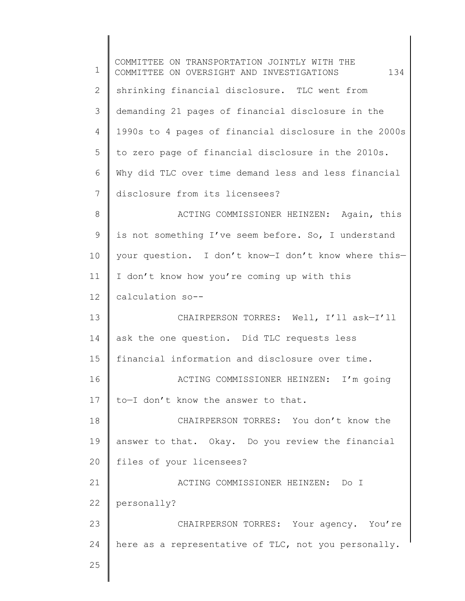1 2 3 4 5 6 7 8 9 10 11 12 13 14 15 16 17 18 19 20 21 22 23 24 25 COMMITTEE ON TRANSPORTATION JOINTLY WITH THE COMMITTEE ON OVERSIGHT AND INVESTIGATIONS 134 shrinking financial disclosure. TLC went from demanding 21 pages of financial disclosure in the 1990s to 4 pages of financial disclosure in the 2000s to zero page of financial disclosure in the 2010s. Why did TLC over time demand less and less financial disclosure from its licensees? ACTING COMMISSIONER HEINZEN: Again, this is not something I've seem before. So, I understand your question. I don't know—I don't know where this— I don't know how you're coming up with this calculation so-- CHAIRPERSON TORRES: Well, I'll ask—I'll ask the one question. Did TLC requests less financial information and disclosure over time. ACTING COMMISSIONER HEINZEN: I'm going to—I don't know the answer to that. CHAIRPERSON TORRES: You don't know the answer to that. Okay. Do you review the financial files of your licensees? ACTING COMMISSIONER HEINZEN: Do I personally? CHAIRPERSON TORRES: Your agency. You're here as a representative of TLC, not you personally.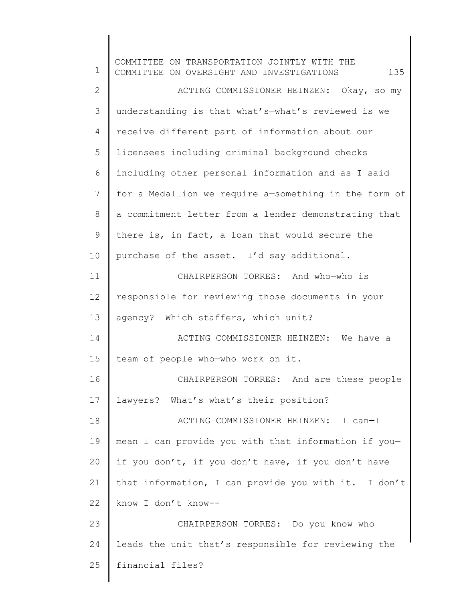1 2 3 4 5 6 7 8 9 10 11 12 13 14 15 16 17 18 19 20 21 22 23 24 25 COMMITTEE ON TRANSPORTATION JOINTLY WITH THE COMMITTEE ON OVERSIGHT AND INVESTIGATIONS  $135$ ACTING COMMISSIONER HEINZEN: Okay, so my understanding is that what's—what's reviewed is we receive different part of information about our licensees including criminal background checks including other personal information and as I said for a Medallion we require a—something in the form of a commitment letter from a lender demonstrating that there is, in fact, a loan that would secure the purchase of the asset. I'd say additional. CHAIRPERSON TORRES: And who—who is responsible for reviewing those documents in your agency? Which staffers, which unit? ACTING COMMISSIONER HEINZEN: We have a team of people who—who work on it. CHAIRPERSON TORRES: And are these people lawyers? What's—what's their position? ACTING COMMISSIONER HEINZEN: I can—I mean I can provide you with that information if you if you don't, if you don't have, if you don't have that information, I can provide you with it. I don't know—I don't know-- CHAIRPERSON TORRES: Do you know who leads the unit that's responsible for reviewing the financial files?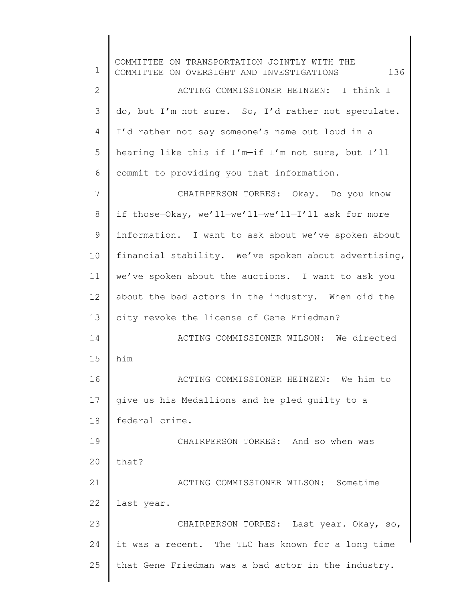1 2 3 4 5 6 7 8 9 10 11 12 13 14 15 16 17 18 19 20 21 22 23 24 25 COMMITTEE ON TRANSPORTATION JOINTLY WITH THE COMMITTEE ON OVERSIGHT AND INVESTIGATIONS  $136$ ACTING COMMISSIONER HEINZEN: I think I do, but I'm not sure. So, I'd rather not speculate. I'd rather not say someone's name out loud in a hearing like this if I'm—if I'm not sure, but I'll commit to providing you that information. CHAIRPERSON TORRES: Okay. Do you know if those—Okay, we'll—we'll—we'll—I'll ask for more information. I want to ask about—we've spoken about financial stability. We've spoken about advertising, we've spoken about the auctions. I want to ask you about the bad actors in the industry. When did the city revoke the license of Gene Friedman? ACTING COMMISSIONER WILSON: We directed him ACTING COMMISSIONER HEINZEN: We him to give us his Medallions and he pled guilty to a federal crime. CHAIRPERSON TORRES: And so when was that? ACTING COMMISSIONER WILSON: Sometime last year. CHAIRPERSON TORRES: Last year. Okay, so, it was a recent. The TLC has known for a long time that Gene Friedman was a bad actor in the industry.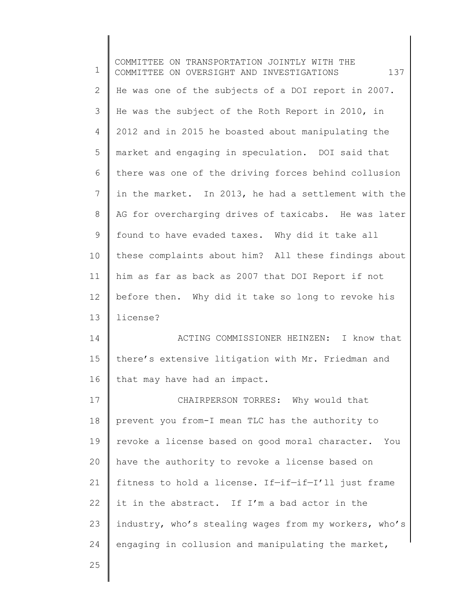1 2 3 4 5 6 7 8 9 10 11 12 13 14 15 16 17 18 19 20 21 22 23 24 COMMITTEE ON TRANSPORTATION JOINTLY WITH THE COMMITTEE ON OVERSIGHT AND INVESTIGATIONS  $137$ He was one of the subjects of a DOI report in 2007. He was the subject of the Roth Report in 2010, in 2012 and in 2015 he boasted about manipulating the market and engaging in speculation. DOI said that there was one of the driving forces behind collusion in the market. In 2013, he had a settlement with the AG for overcharging drives of taxicabs. He was later found to have evaded taxes. Why did it take all these complaints about him? All these findings about him as far as back as 2007 that DOI Report if not before then. Why did it take so long to revoke his license? ACTING COMMISSIONER HEINZEN: I know that there's extensive litigation with Mr. Friedman and that may have had an impact. CHAIRPERSON TORRES: Why would that prevent you from-I mean TLC has the authority to revoke a license based on good moral character. You have the authority to revoke a license based on fitness to hold a license. If—if—if—I'll just frame it in the abstract. If I'm a bad actor in the industry, who's stealing wages from my workers, who's engaging in collusion and manipulating the market,

25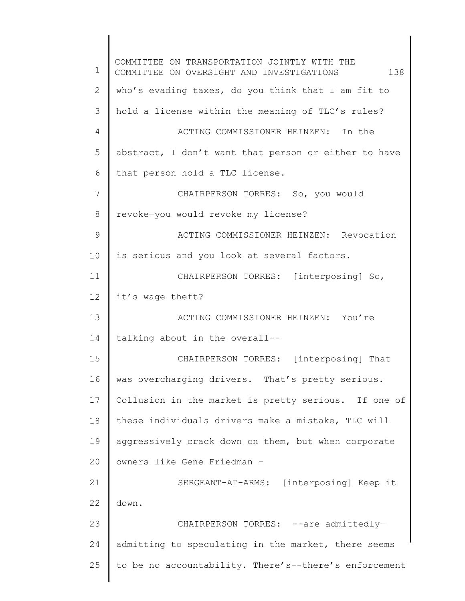1 2 3 4 5 6 7 8 9 10 11 12 13 14 15 16 17 18 19 20 21 22 23 24 25 COMMITTEE ON TRANSPORTATION JOINTLY WITH THE COMMITTEE ON OVERSIGHT AND INVESTIGATIONS 138 who's evading taxes, do you think that I am fit to hold a license within the meaning of TLC's rules? ACTING COMMISSIONER HEINZEN: In the abstract, I don't want that person or either to have that person hold a TLC license. CHAIRPERSON TORRES: So, you would revoke—you would revoke my license? ACTING COMMISSIONER HEINZEN: Revocation is serious and you look at several factors. CHAIRPERSON TORRES: [interposing] So, it's wage theft? ACTING COMMISSIONER HEINZEN: You're talking about in the overall-- CHAIRPERSON TORRES: [interposing] That was overcharging drivers. That's pretty serious. Collusion in the market is pretty serious. If one of these individuals drivers make a mistake, TLC will aggressively crack down on them, but when corporate owners like Gene Friedman – SERGEANT-AT-ARMS: [interposing] Keep it down. CHAIRPERSON TORRES: --are admittedlyadmitting to speculating in the market, there seems to be no accountability. There's--there's enforcement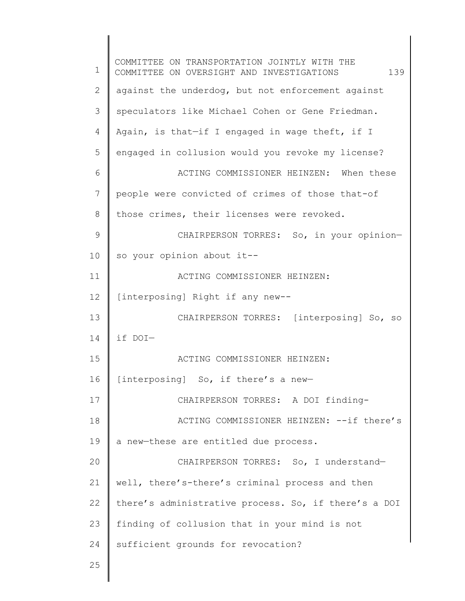1 2 3 4 5 6 7 8 9 10 11 12 13 14 15 16 17 18 19 20 21 22 23 24 25 COMMITTEE ON TRANSPORTATION JOINTLY WITH THE COMMITTEE ON OVERSIGHT AND INVESTIGATIONS 139 against the underdog, but not enforcement against speculators like Michael Cohen or Gene Friedman. Again, is that—if I engaged in wage theft, if I engaged in collusion would you revoke my license? ACTING COMMISSIONER HEINZEN: When these people were convicted of crimes of those that-of those crimes, their licenses were revoked. CHAIRPERSON TORRES: So, in your opinion so your opinion about it-- ACTING COMMISSIONER HEINZEN: [interposing] Right if any new-- CHAIRPERSON TORRES: [interposing] So, so if DOI— ACTING COMMISSIONER HEINZEN: [interposing] So, if there's a new— CHAIRPERSON TORRES: A DOI finding-ACTING COMMISSIONER HEINZEN: --if there's a new—these are entitled due process. CHAIRPERSON TORRES: So, I understand well, there's-there's criminal process and then there's administrative process. So, if there's a DOI finding of collusion that in your mind is not sufficient grounds for revocation?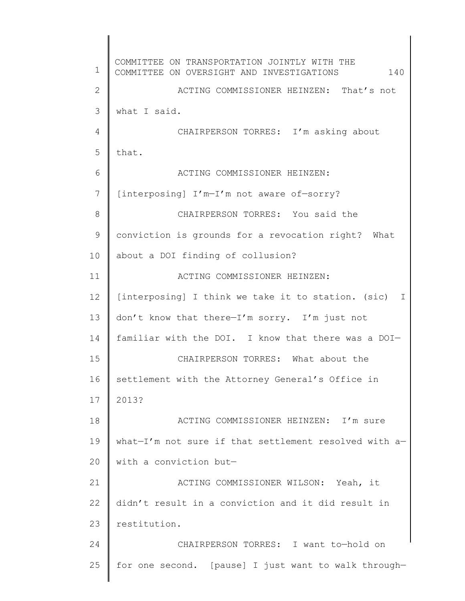1 2 3 4 5 6 7 8 9 10 11 12 13 14 15 16 17 18 19 20 21 22 23 24 25 COMMITTEE ON TRANSPORTATION JOINTLY WITH THE COMMITTEE ON OVERSIGHT AND INVESTIGATIONS 140 ACTING COMMISSIONER HEINZEN: That's not what I said. CHAIRPERSON TORRES: I'm asking about that. ACTING COMMISSIONER HEINZEN: [interposing] I'm—I'm not aware of—sorry? CHAIRPERSON TORRES: You said the conviction is grounds for a revocation right? What about a DOI finding of collusion? ACTING COMMISSIONER HEINZEN: [interposing] I think we take it to station. (sic) I don't know that there—I'm sorry. I'm just not familiar with the DOI. I know that there was a DOI— CHAIRPERSON TORRES: What about the settlement with the Attorney General's Office in 2013? ACTING COMMISSIONER HEINZEN: I'm sure what—I'm not sure if that settlement resolved with a with a conviction but— ACTING COMMISSIONER WILSON: Yeah, it didn't result in a conviction and it did result in restitution. CHAIRPERSON TORRES: I want to—hold on for one second. [pause] I just want to walk through—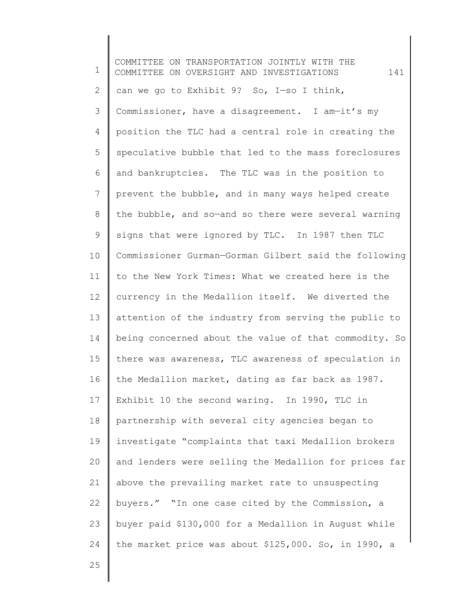1 2 3 4 5 6 7 8 9 10 11 12 13 14 15 16 17 18 19 20 21 22 23 24 COMMITTEE ON TRANSPORTATION JOINTLY WITH THE COMMITTEE ON OVERSIGHT AND INVESTIGATIONS 141 can we go to Exhibit 9? So, I—so I think, Commissioner, have a disagreement. I am—it's my position the TLC had a central role in creating the speculative bubble that led to the mass foreclosures and bankruptcies. The TLC was in the position to prevent the bubble, and in many ways helped create the bubble, and so—and so there were several warning signs that were ignored by TLC. In 1987 then TLC Commissioner Gurman—Gorman Gilbert said the following to the New York Times: What we created here is the currency in the Medallion itself. We diverted the attention of the industry from serving the public to being concerned about the value of that commodity. So there was awareness, TLC awareness of speculation in the Medallion market, dating as far back as 1987. Exhibit 10 the second waring. In 1990, TLC in partnership with several city agencies began to investigate "complaints that taxi Medallion brokers and lenders were selling the Medallion for prices far above the prevailing market rate to unsuspecting buyers." "In one case cited by the Commission, a buyer paid \$130,000 for a Medallion in August while the market price was about \$125,000. So, in 1990, a

25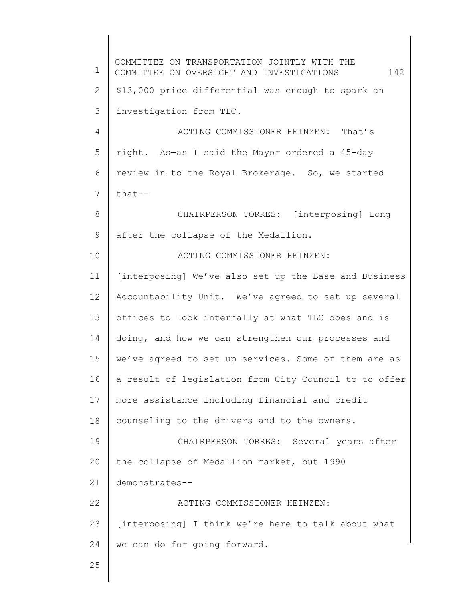1 2 3 4 5 6 7 8 9 10 11 12 13 14 15 16 17 18 19 20 21 22 23 24 25 COMMITTEE ON TRANSPORTATION JOINTLY WITH THE COMMITTEE ON OVERSIGHT AND INVESTIGATIONS 142 \$13,000 price differential was enough to spark an investigation from TLC. ACTING COMMISSIONER HEINZEN: That's right. As—as I said the Mayor ordered a 45-day review in to the Royal Brokerage. So, we started that-- CHAIRPERSON TORRES: [interposing] Long after the collapse of the Medallion. ACTING COMMISSIONER HEINZEN: [interposing] We've also set up the Base and Business Accountability Unit. We've agreed to set up several offices to look internally at what TLC does and is doing, and how we can strengthen our processes and we've agreed to set up services. Some of them are as a result of legislation from City Council to—to offer more assistance including financial and credit counseling to the drivers and to the owners. CHAIRPERSON TORRES: Several years after the collapse of Medallion market, but 1990 demonstrates-- ACTING COMMISSIONER HEINZEN: [interposing] I think we're here to talk about what we can do for going forward.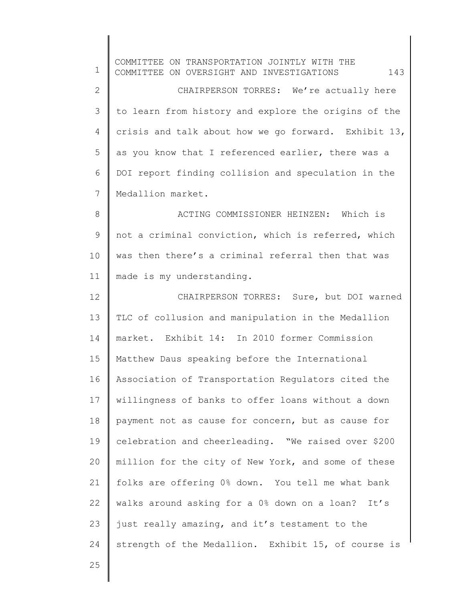| 1            | COMMITTEE ON TRANSPORTATION JOINTLY WITH THE<br>143<br>COMMITTEE ON OVERSIGHT AND INVESTIGATIONS |
|--------------|--------------------------------------------------------------------------------------------------|
| $\mathbf{2}$ | CHAIRPERSON TORRES: We're actually here                                                          |
| 3            | to learn from history and explore the origins of the                                             |
| 4            | crisis and talk about how we go forward. Exhibit 13,                                             |
| 5            | as you know that I referenced earlier, there was a                                               |
| 6            | DOI report finding collision and speculation in the                                              |
| 7            | Medallion market.                                                                                |
| 8            | ACTING COMMISSIONER HEINZEN: Which is                                                            |
| 9            | not a criminal conviction, which is referred, which                                              |
| 10           | was then there's a criminal referral then that was                                               |
| 11           | made is my understanding.                                                                        |
| 12           | CHAIRPERSON TORRES: Sure, but DOI warned                                                         |
| 13           | TLC of collusion and manipulation in the Medallion                                               |
| 14           | market. Exhibit 14: In 2010 former Commission                                                    |
| 15           | Matthew Daus speaking before the International                                                   |
| 16           | Association of Transportation Regulators cited the                                               |
| 17           | willingness of banks to offer loans without a down                                               |
| 18           | payment not as cause for concern, but as cause for                                               |
| 19           | celebration and cheerleading. "We raised over \$200                                              |
| 20           | million for the city of New York, and some of these                                              |
| 21           | folks are offering 0% down. You tell me what bank                                                |
| 22           | walks around asking for a 0% down on a loan? It's                                                |
| 23           | just really amazing, and it's testament to the                                                   |
| 24           | strength of the Medallion. Exhibit 15, of course is                                              |
| 25           |                                                                                                  |
|              |                                                                                                  |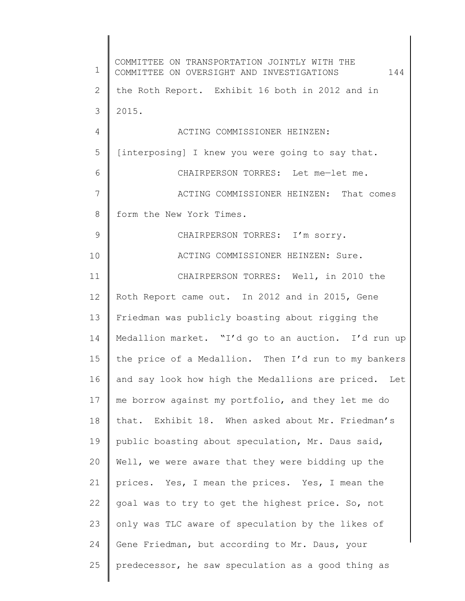1 2 3 4 5 6 7 8 9 10 11 12 13 14 15 16 17 18 19 20 21 22 23 24 25 COMMITTEE ON TRANSPORTATION JOINTLY WITH THE COMMITTEE ON OVERSIGHT AND INVESTIGATIONS 144 the Roth Report. Exhibit 16 both in 2012 and in 2015. ACTING COMMISSIONER HEINZEN: [interposing] I knew you were going to say that. CHAIRPERSON TORRES: Let me—let me. ACTING COMMISSIONER HEINZEN: That comes form the New York Times. CHAIRPERSON TORRES: I'm sorry. ACTING COMMISSIONER HEINZEN: Sure. CHAIRPERSON TORRES: Well, in 2010 the Roth Report came out. In 2012 and in 2015, Gene Friedman was publicly boasting about rigging the Medallion market. "I'd go to an auction. I'd run up the price of a Medallion. Then I'd run to my bankers and say look how high the Medallions are priced. Let me borrow against my portfolio, and they let me do that. Exhibit 18. When asked about Mr. Friedman's public boasting about speculation, Mr. Daus said, Well, we were aware that they were bidding up the prices. Yes, I mean the prices. Yes, I mean the goal was to try to get the highest price. So, not only was TLC aware of speculation by the likes of Gene Friedman, but according to Mr. Daus, your predecessor, he saw speculation as a good thing as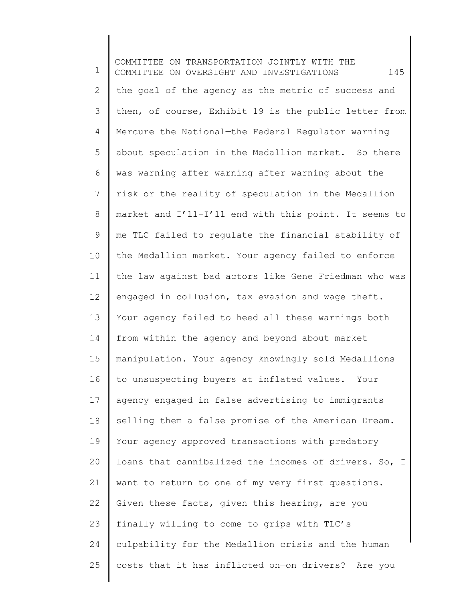1 2 3 4 5 6 7 8 9 10 11 12 13 14 15 16 17 18 19 20 21 22 23 24 25 COMMITTEE ON TRANSPORTATION JOINTLY WITH THE COMMITTEE ON OVERSIGHT AND INVESTIGATIONS 145 the goal of the agency as the metric of success and then, of course, Exhibit 19 is the public letter from Mercure the National—the Federal Regulator warning about speculation in the Medallion market. So there was warning after warning after warning about the risk or the reality of speculation in the Medallion market and I'll-I'll end with this point. It seems to me TLC failed to regulate the financial stability of the Medallion market. Your agency failed to enforce the law against bad actors like Gene Friedman who was engaged in collusion, tax evasion and wage theft. Your agency failed to heed all these warnings both from within the agency and beyond about market manipulation. Your agency knowingly sold Medallions to unsuspecting buyers at inflated values. Your agency engaged in false advertising to immigrants selling them a false promise of the American Dream. Your agency approved transactions with predatory loans that cannibalized the incomes of drivers. So, I want to return to one of my very first questions. Given these facts, given this hearing, are you finally willing to come to grips with TLC's culpability for the Medallion crisis and the human costs that it has inflicted on—on drivers? Are you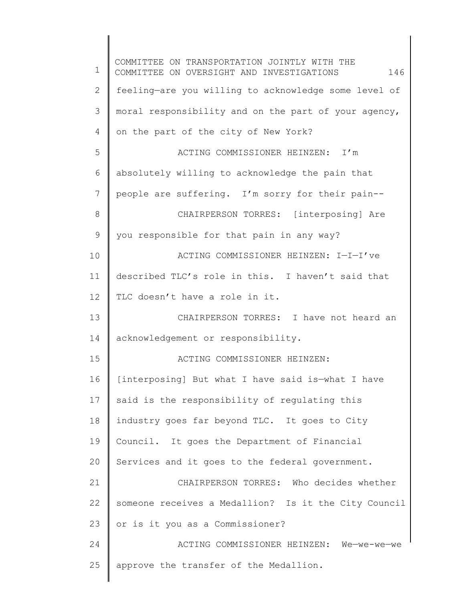1 2 3 4 5 6 7 8 9 10 11 12 13 14 15 16 17 18 19 20 21 22 23 24 25 COMMITTEE ON TRANSPORTATION JOINTLY WITH THE COMMITTEE ON OVERSIGHT AND INVESTIGATIONS 146 feeling—are you willing to acknowledge some level of moral responsibility and on the part of your agency, on the part of the city of New York? ACTING COMMISSIONER HEINZEN: I'm absolutely willing to acknowledge the pain that people are suffering. I'm sorry for their pain-- CHAIRPERSON TORRES: [interposing] Are you responsible for that pain in any way? ACTING COMMISSIONER HEINZEN: I—I—I've described TLC's role in this. I haven't said that TLC doesn't have a role in it. CHAIRPERSON TORRES: I have not heard an acknowledgement or responsibility. ACTING COMMISSIONER HEINZEN: [interposing] But what I have said is—what I have said is the responsibility of regulating this industry goes far beyond TLC. It goes to City Council. It goes the Department of Financial Services and it goes to the federal government. CHAIRPERSON TORRES: Who decides whether someone receives a Medallion? Is it the City Council or is it you as a Commissioner? ACTING COMMISSIONER HEINZEN: We—we-we—we approve the transfer of the Medallion.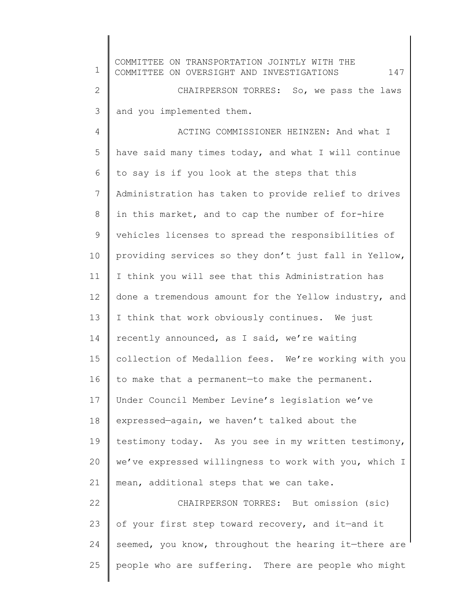| $\mathbf 1$ | COMMITTEE ON TRANSPORTATION JOINTLY WITH THE<br>147<br>COMMITTEE ON OVERSIGHT AND INVESTIGATIONS |
|-------------|--------------------------------------------------------------------------------------------------|
| $\mathbf 2$ | CHAIRPERSON TORRES: So, we pass the laws                                                         |
| 3           | and you implemented them.                                                                        |
| 4           | ACTING COMMISSIONER HEINZEN: And what I                                                          |
| 5           | have said many times today, and what I will continue                                             |
| 6           | to say is if you look at the steps that this                                                     |
| 7           | Administration has taken to provide relief to drives                                             |
| 8           | in this market, and to cap the number of for-hire                                                |
| 9           | vehicles licenses to spread the responsibilities of                                              |
| 10          | providing services so they don't just fall in Yellow,                                            |
| 11          | I think you will see that this Administration has                                                |
| 12          | done a tremendous amount for the Yellow industry, and                                            |
| 13          | I think that work obviously continues. We just                                                   |
| 14          | recently announced, as I said, we're waiting                                                     |
| 15          | collection of Medallion fees. We're working with you                                             |
| 16          | to make that a permanent-to make the permanent.                                                  |
| 17          | Under Council Member Levine's legislation we've                                                  |
| 18          | expressed-again, we haven't talked about the                                                     |
| 19          | testimony today. As you see in my written testimony,                                             |
| 20          | we've expressed willingness to work with you, which I                                            |
| 21          | mean, additional steps that we can take.                                                         |
| 22          | CHAIRPERSON TORRES: But omission (sic)                                                           |
| 23          | of your first step toward recovery, and it-and it                                                |
| 24          | seemed, you know, throughout the hearing it-there are                                            |
| 25          | people who are suffering. There are people who might                                             |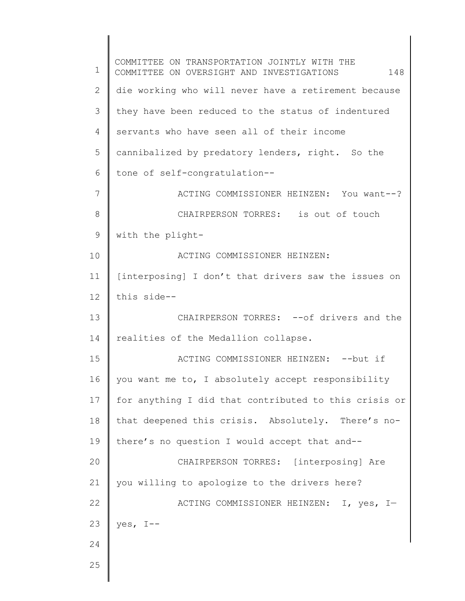1 2 3 4 5 6 7 8 9 10 11 12 13 14 15 16 17 18 19 20 21 22 23 24 25 COMMITTEE ON TRANSPORTATION JOINTLY WITH THE COMMITTEE ON OVERSIGHT AND INVESTIGATIONS 148 die working who will never have a retirement because they have been reduced to the status of indentured servants who have seen all of their income cannibalized by predatory lenders, right. So the tone of self-congratulation-- ACTING COMMISSIONER HEINZEN: You want--? CHAIRPERSON TORRES: is out of touch with the plight-ACTING COMMISSIONER HEINZEN: [interposing] I don't that drivers saw the issues on this side-- CHAIRPERSON TORRES: -- of drivers and the realities of the Medallion collapse. ACTING COMMISSIONER HEINZEN: -- but if you want me to, I absolutely accept responsibility for anything I did that contributed to this crisis or that deepened this crisis. Absolutely. There's nothere's no question I would accept that and-- CHAIRPERSON TORRES: [interposing] Are you willing to apologize to the drivers here? ACTING COMMISSIONER HEINZEN: I, yes, I yes, I--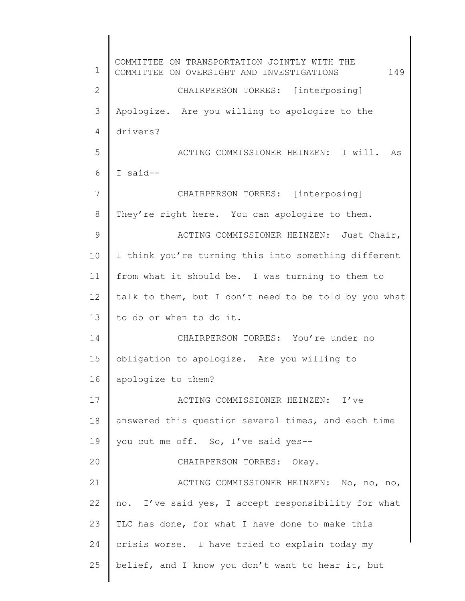1 2 3 4 5 6 7 8 9 10 11 12 13 14 15 16 17 18 19 20 21 22 23 24 25 COMMITTEE ON TRANSPORTATION JOINTLY WITH THE COMMITTEE ON OVERSIGHT AND INVESTIGATIONS 149 CHAIRPERSON TORRES: [interposing] Apologize. Are you willing to apologize to the drivers? ACTING COMMISSIONER HEINZEN: I will. As I said-- CHAIRPERSON TORRES: [interposing] They're right here. You can apologize to them. ACTING COMMISSIONER HEINZEN: Just Chair, I think you're turning this into something different from what it should be. I was turning to them to talk to them, but I don't need to be told by you what to do or when to do it. CHAIRPERSON TORRES: You're under no obligation to apologize. Are you willing to apologize to them? ACTING COMMISSIONER HEINZEN: I've answered this question several times, and each time you cut me off. So, I've said yes-- CHAIRPERSON TORRES: Okay. ACTING COMMISSIONER HEINZEN: No, no, no, no. I've said yes, I accept responsibility for what TLC has done, for what I have done to make this crisis worse. I have tried to explain today my belief, and I know you don't want to hear it, but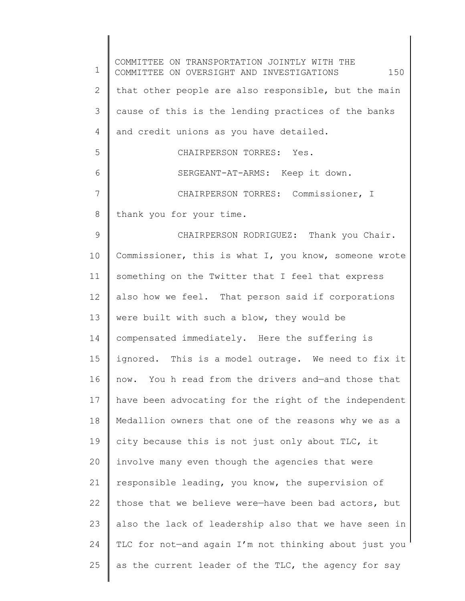1 2 3 4 5 6 7 8 9 10 11 12 13 14 15 16 17 18 19 20 21 22 23 24 25 COMMITTEE ON TRANSPORTATION JOINTLY WITH THE COMMITTEE ON OVERSIGHT AND INVESTIGATIONS 150 that other people are also responsible, but the main cause of this is the lending practices of the banks and credit unions as you have detailed. CHAIRPERSON TORRES: Yes. SERGEANT-AT-ARMS: Keep it down. CHAIRPERSON TORRES: Commissioner, I thank you for your time. CHAIRPERSON RODRIGUEZ: Thank you Chair. Commissioner, this is what I, you know, someone wrote something on the Twitter that I feel that express also how we feel. That person said if corporations were built with such a blow, they would be compensated immediately. Here the suffering is ignored. This is a model outrage. We need to fix it now. You h read from the drivers and—and those that have been advocating for the right of the independent Medallion owners that one of the reasons why we as a city because this is not just only about TLC, it involve many even though the agencies that were responsible leading, you know, the supervision of those that we believe were—have been bad actors, but also the lack of leadership also that we have seen in TLC for not-and again I'm not thinking about just you as the current leader of the TLC, the agency for say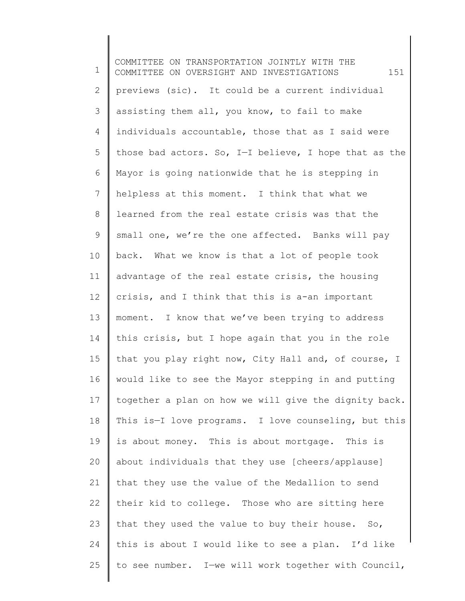1 2 3 4 5 6 7 8 9 10 11 12 13 14 15 16 17 18 19 20 21 22 23 24 25 COMMITTEE ON TRANSPORTATION JOINTLY WITH THE COMMITTEE ON OVERSIGHT AND INVESTIGATIONS 151 previews (sic). It could be a current individual assisting them all, you know, to fail to make individuals accountable, those that as I said were those bad actors. So, I—I believe, I hope that as the Mayor is going nationwide that he is stepping in helpless at this moment. I think that what we learned from the real estate crisis was that the small one, we're the one affected. Banks will pay back. What we know is that a lot of people took advantage of the real estate crisis, the housing crisis, and I think that this is a-an important moment. I know that we've been trying to address this crisis, but I hope again that you in the role that you play right now, City Hall and, of course, I would like to see the Mayor stepping in and putting together a plan on how we will give the dignity back. This is—I love programs. I love counseling, but this is about money. This is about mortgage. This is about individuals that they use [cheers/applause] that they use the value of the Medallion to send their kid to college. Those who are sitting here that they used the value to buy their house. So, this is about I would like to see a plan. I'd like to see number. I—we will work together with Council,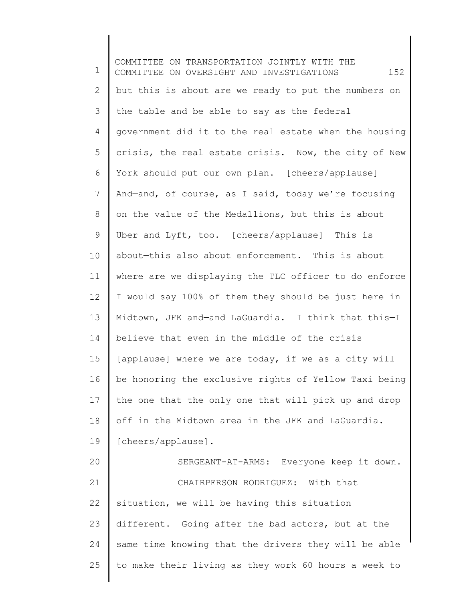1 2 3 4 5 6 7 8 9 10 11 12 13 14 15 16 17 18 19 20 21 22 23 24 25 COMMITTEE ON TRANSPORTATION JOINTLY WITH THE COMMITTEE ON OVERSIGHT AND INVESTIGATIONS 152 but this is about are we ready to put the numbers on the table and be able to say as the federal government did it to the real estate when the housing crisis, the real estate crisis. Now, the city of New York should put our own plan. [cheers/applause] And—and, of course, as I said, today we're focusing on the value of the Medallions, but this is about Uber and Lyft, too. [cheers/applause] This is about—this also about enforcement. This is about where are we displaying the TLC officer to do enforce I would say 100% of them they should be just here in Midtown, JFK and—and LaGuardia. I think that this—I believe that even in the middle of the crisis [applause] where we are today, if we as a city will be honoring the exclusive rights of Yellow Taxi being the one that—the only one that will pick up and drop off in the Midtown area in the JFK and LaGuardia. [cheers/applause]. SERGEANT-AT-ARMS: Everyone keep it down. CHAIRPERSON RODRIGUEZ: With that situation, we will be having this situation different. Going after the bad actors, but at the same time knowing that the drivers they will be able to make their living as they work 60 hours a week to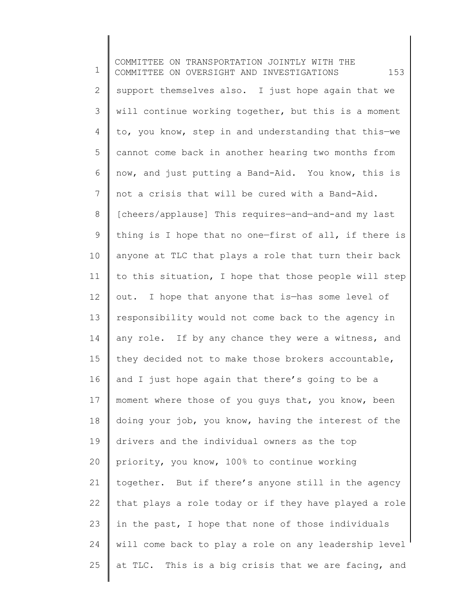1 2 3 4 5 6 7 8 9 10 11 12 13 14 15 16 17 18 19 20 21 22 23 24 25 COMMITTEE ON TRANSPORTATION JOINTLY WITH THE COMMITTEE ON OVERSIGHT AND INVESTIGATIONS 153 support themselves also. I just hope again that we will continue working together, but this is a moment to, you know, step in and understanding that this—we cannot come back in another hearing two months from now, and just putting a Band-Aid. You know, this is not a crisis that will be cured with a Band-Aid. [cheers/applause] This requires—and—and-and my last thing is I hope that no one—first of all, if there is anyone at TLC that plays a role that turn their back to this situation, I hope that those people will step out. I hope that anyone that is—has some level of responsibility would not come back to the agency in any role. If by any chance they were a witness, and they decided not to make those brokers accountable, and I just hope again that there's going to be a moment where those of you guys that, you know, been doing your job, you know, having the interest of the drivers and the individual owners as the top priority, you know, 100% to continue working together. But if there's anyone still in the agency that plays a role today or if they have played a role in the past, I hope that none of those individuals will come back to play a role on any leadership level at TLC. This is a big crisis that we are facing, and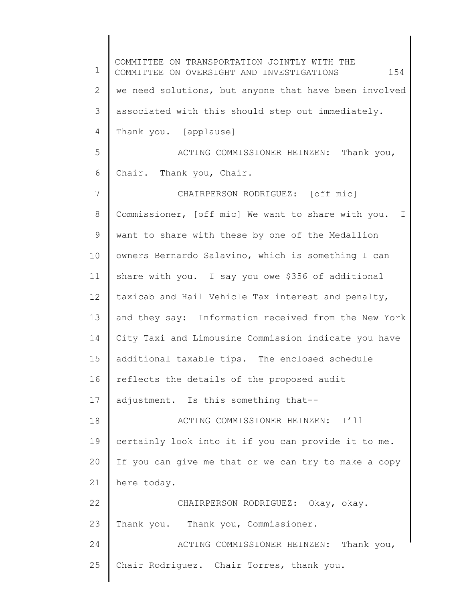1 2 3 4 5 6 7 8 9 10 11 12 13 14 15 16 17 18 19 20 21 22 23 24 25 COMMITTEE ON TRANSPORTATION JOINTLY WITH THE COMMITTEE ON OVERSIGHT AND INVESTIGATIONS 154 we need solutions, but anyone that have been involved associated with this should step out immediately. Thank you. [applause] ACTING COMMISSIONER HEINZEN: Thank you, Chair. Thank you, Chair. CHAIRPERSON RODRIGUEZ: [off mic] Commissioner, [off mic] We want to share with you. I want to share with these by one of the Medallion owners Bernardo Salavino, which is something I can share with you. I say you owe \$356 of additional taxicab and Hail Vehicle Tax interest and penalty, and they say: Information received from the New York City Taxi and Limousine Commission indicate you have additional taxable tips. The enclosed schedule reflects the details of the proposed audit adjustment. Is this something that-- ACTING COMMISSIONER HEINZEN: I'll certainly look into it if you can provide it to me. If you can give me that or we can try to make a copy here today. CHAIRPERSON RODRIGUEZ: Okay, okay. Thank you. Thank you, Commissioner. ACTING COMMISSIONER HEINZEN: Thank you, Chair Rodriguez. Chair Torres, thank you.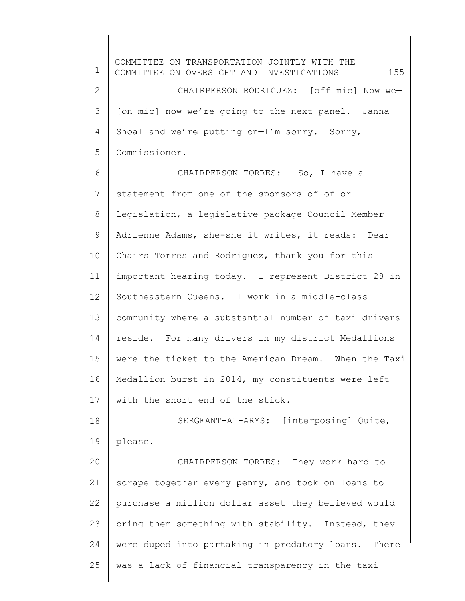1 2 3 4 5 6 7 8 9 10 11 12 13 14 15 16 17 18 19 20 21 22 23 24 25 COMMITTEE ON TRANSPORTATION JOINTLY WITH THE COMMITTEE ON OVERSIGHT AND INVESTIGATIONS 155 CHAIRPERSON RODRIGUEZ: [off mic] Now we— [on mic] now we're going to the next panel. Janna Shoal and we're putting on—I'm sorry. Sorry, Commissioner. CHAIRPERSON TORRES: So, I have a statement from one of the sponsors of—of or legislation, a legislative package Council Member Adrienne Adams, she-she—it writes, it reads: Dear Chairs Torres and Rodriguez, thank you for this important hearing today. I represent District 28 in Southeastern Queens. I work in a middle-class community where a substantial number of taxi drivers reside. For many drivers in my district Medallions were the ticket to the American Dream. When the Taxi Medallion burst in 2014, my constituents were left with the short end of the stick. SERGEANT-AT-ARMS: [interposing] Quite, please. CHAIRPERSON TORRES: They work hard to scrape together every penny, and took on loans to purchase a million dollar asset they believed would bring them something with stability. Instead, they were duped into partaking in predatory loans. There was a lack of financial transparency in the taxi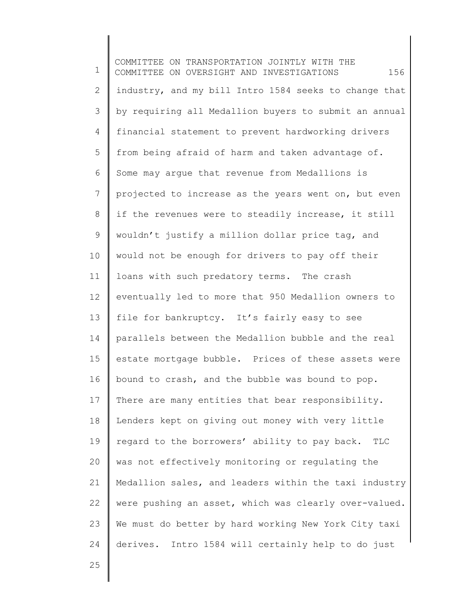1 2 3 4 5 6 7 8 9 10 11 12 13 14 15 16 17 18 19 20 21 22 23 24 COMMITTEE ON TRANSPORTATION JOINTLY WITH THE COMMITTEE ON OVERSIGHT AND INVESTIGATIONS 156 industry, and my bill Intro 1584 seeks to change that by requiring all Medallion buyers to submit an annual financial statement to prevent hardworking drivers from being afraid of harm and taken advantage of. Some may argue that revenue from Medallions is projected to increase as the years went on, but even if the revenues were to steadily increase, it still wouldn't justify a million dollar price tag, and would not be enough for drivers to pay off their loans with such predatory terms. The crash eventually led to more that 950 Medallion owners to file for bankruptcy. It's fairly easy to see parallels between the Medallion bubble and the real estate mortgage bubble. Prices of these assets were bound to crash, and the bubble was bound to pop. There are many entities that bear responsibility. Lenders kept on giving out money with very little regard to the borrowers' ability to pay back. TLC was not effectively monitoring or regulating the Medallion sales, and leaders within the taxi industry were pushing an asset, which was clearly over-valued. We must do better by hard working New York City taxi derives. Intro 1584 will certainly help to do just

25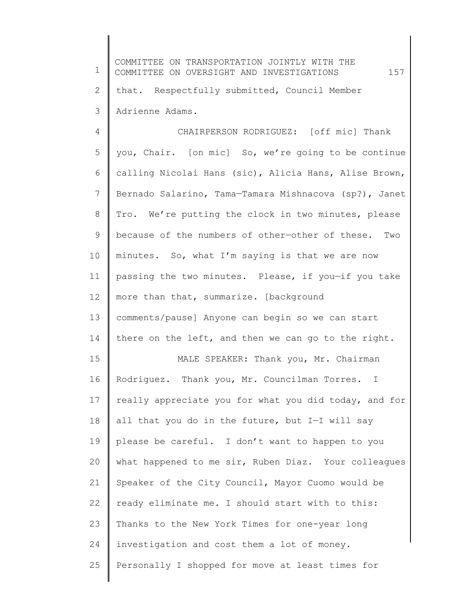| $\mathbf 1$ | COMMITTEE ON TRANSPORTATION JOINTLY WITH THE<br>157<br>COMMITTEE ON OVERSIGHT AND INVESTIGATIONS |
|-------------|--------------------------------------------------------------------------------------------------|
| 2           | that. Respectfully submitted, Council Member                                                     |
| 3           | Adrienne Adams.                                                                                  |
| 4           | CHAIRPERSON RODRIGUEZ: [off mic] Thank                                                           |
| 5           | you, Chair. [on mic] So, we're going to be continue                                              |
| 6           | calling Nicolai Hans (sic), Alicia Hans, Alise Brown,                                            |
| 7           | Bernado Salarino, Tama-Tamara Mishnacova (sp?), Janet                                            |
| $8\,$       | Tro. We're putting the clock in two minutes, please                                              |
| $\mathsf 9$ | because of the numbers of other-other of these. Two                                              |
| 10          | minutes. So, what I'm saying is that we are now                                                  |
| 11          | passing the two minutes. Please, if you-if you take                                              |
| 12          | more than that, summarize. [background                                                           |
| 13          | comments/pause] Anyone can begin so we can start                                                 |
| 14          | there on the left, and then we can go to the right.                                              |
| 15          | MALE SPEAKER: Thank you, Mr. Chairman                                                            |
| 16          | Rodriguez. Thank you, Mr. Councilman Torres. I                                                   |
| 17          | really appreciate you for what you did today, and for                                            |
| 18          | all that you do in the future, but I-I will say                                                  |
| 19          | please be careful. I don't want to happen to you                                                 |
| 20          | what happened to me sir, Ruben Diaz. Your colleagues                                             |
| 21          | Speaker of the City Council, Mayor Cuomo would be                                                |
| 22          | ready eliminate me. I should start with to this:                                                 |
| 23          | Thanks to the New York Times for one-year long                                                   |
| 24          | investigation and cost them a lot of money.                                                      |
| 25          | Personally I shopped for move at least times for                                                 |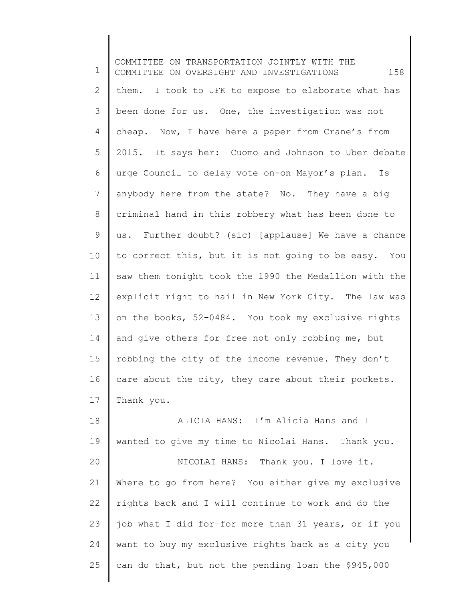1 2 3 4 5 6 7 8 9 10 11 12 13 14 15 16 17 18 COMMITTEE ON TRANSPORTATION JOINTLY WITH THE COMMITTEE ON OVERSIGHT AND INVESTIGATIONS 158 them. I took to JFK to expose to elaborate what has been done for us. One, the investigation was not cheap. Now, I have here a paper from Crane's from 2015. It says her: Cuomo and Johnson to Uber debate urge Council to delay vote on-on Mayor's plan. Is anybody here from the state? No. They have a big criminal hand in this robbery what has been done to us. Further doubt? (sic) [applause] We have a chance to correct this, but it is not going to be easy. You saw them tonight took the 1990 the Medallion with the explicit right to hail in New York City. The law was on the books, 52-0484. You took my exclusive rights and give others for free not only robbing me, but robbing the city of the income revenue. They don't care about the city, they care about their pockets. Thank you. ALICIA HANS: I'm Alicia Hans and I

19 20 wanted to give my time to Nicolai Hans. Thank you. NICOLAI HANS: Thank you. I love it.

21 22 23 24 25 Where to go from here? You either give my exclusive rights back and I will continue to work and do the job what I did for—for more than 31 years, or if you want to buy my exclusive rights back as a city you can do that, but not the pending loan the \$945,000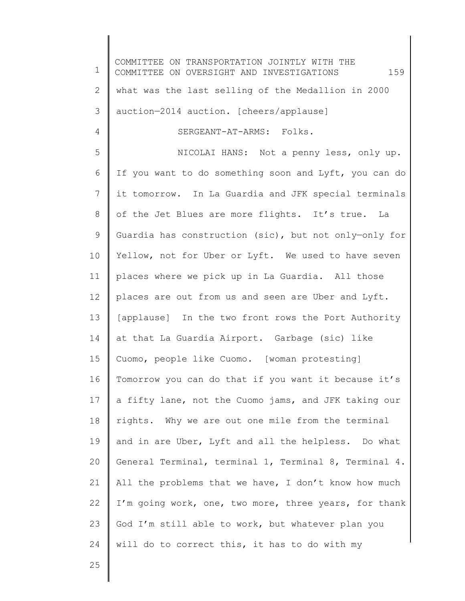1 2 3 4 5 6 7 8 9 10 11 12 13 14 15 16 17 18 19 20 21 22 23 24 COMMITTEE ON TRANSPORTATION JOINTLY WITH THE COMMITTEE ON OVERSIGHT AND INVESTIGATIONS 159 what was the last selling of the Medallion in 2000 auction—2014 auction. [cheers/applause] SERGEANT-AT-ARMS: Folks. NICOLAI HANS: Not a penny less, only up. If you want to do something soon and Lyft, you can do it tomorrow. In La Guardia and JFK special terminals of the Jet Blues are more flights. It's true. La Guardia has construction (sic), but not only—only for Yellow, not for Uber or Lyft. We used to have seven places where we pick up in La Guardia. All those places are out from us and seen are Uber and Lyft. [applause] In the two front rows the Port Authority at that La Guardia Airport. Garbage (sic) like Cuomo, people like Cuomo. [woman protesting] Tomorrow you can do that if you want it because it's a fifty lane, not the Cuomo jams, and JFK taking our rights. Why we are out one mile from the terminal and in are Uber, Lyft and all the helpless. Do what General Terminal, terminal 1, Terminal 8, Terminal 4. All the problems that we have, I don't know how much I'm going work, one, two more, three years, for thank God I'm still able to work, but whatever plan you will do to correct this, it has to do with my

25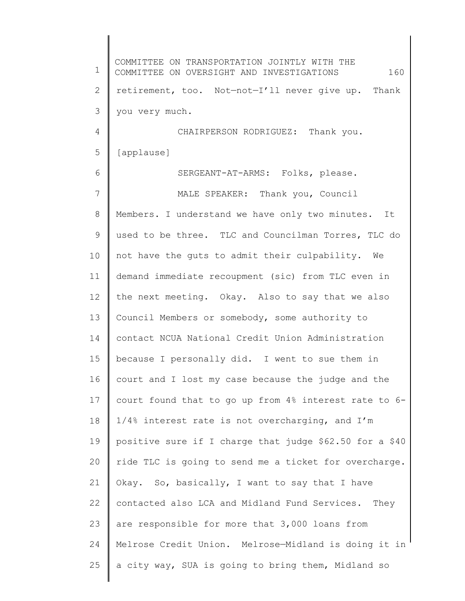1 2 3 4 5 6 7 8 9 10 11 12 13 14 15 16 17 18 19 20 21 22 23 24 25 COMMITTEE ON TRANSPORTATION JOINTLY WITH THE COMMITTEE ON OVERSIGHT AND INVESTIGATIONS 160 retirement, too. Not—not—I'll never give up. Thank you very much. CHAIRPERSON RODRIGUEZ: Thank you. [applause] SERGEANT-AT-ARMS: Folks, please. MALE SPEAKER: Thank you, Council Members. I understand we have only two minutes. It used to be three. TLC and Councilman Torres, TLC do not have the guts to admit their culpability. We demand immediate recoupment (sic) from TLC even in the next meeting. Okay. Also to say that we also Council Members or somebody, some authority to contact NCUA National Credit Union Administration because I personally did. I went to sue them in court and I lost my case because the judge and the court found that to go up from 4% interest rate to 6- 1/4% interest rate is not overcharging, and I'm positive sure if I charge that judge \$62.50 for a \$40 ride TLC is going to send me a ticket for overcharge. Okay. So, basically, I want to say that I have contacted also LCA and Midland Fund Services. They are responsible for more that 3,000 loans from Melrose Credit Union. Melrose—Midland is doing it in a city way, SUA is going to bring them, Midland so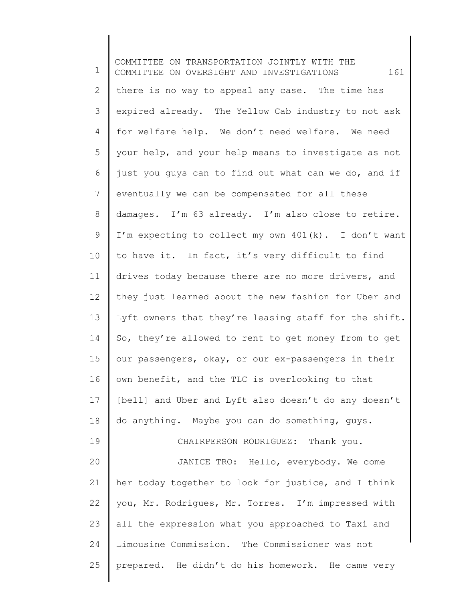1 2 3 4 5 6 7 8 9 10 11 12 13 14 15 16 17 18 19 20 21 22 23 24 25 COMMITTEE ON TRANSPORTATION JOINTLY WITH THE COMMITTEE ON OVERSIGHT AND INVESTIGATIONS 161 there is no way to appeal any case. The time has expired already. The Yellow Cab industry to not ask for welfare help. We don't need welfare. We need your help, and your help means to investigate as not just you guys can to find out what can we do, and if eventually we can be compensated for all these damages. I'm 63 already. I'm also close to retire. I'm expecting to collect my own 401(k). I don't want to have it. In fact, it's very difficult to find drives today because there are no more drivers, and they just learned about the new fashion for Uber and Lyft owners that they're leasing staff for the shift. So, they're allowed to rent to get money from—to get our passengers, okay, or our ex-passengers in their own benefit, and the TLC is overlooking to that [bell] and Uber and Lyft also doesn't do any-doesn't do anything. Maybe you can do something, guys. CHAIRPERSON RODRIGUEZ: Thank you. JANICE TRO: Hello, everybody. We come her today together to look for justice, and I think you, Mr. Rodrigues, Mr. Torres. I'm impressed with all the expression what you approached to Taxi and Limousine Commission. The Commissioner was not prepared. He didn't do his homework. He came very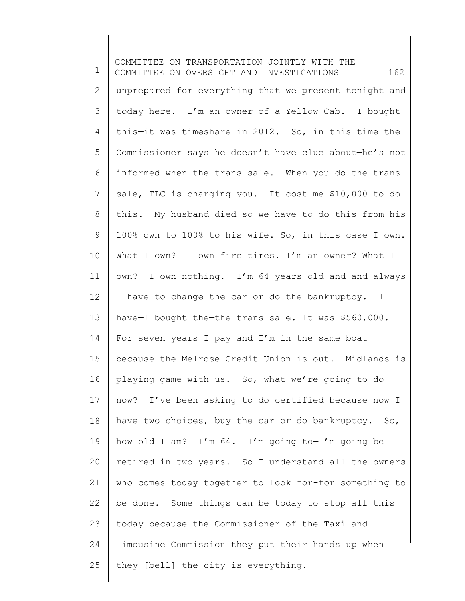1 2 3 4 5 6 7 8 9 10 11 12 13 14 15 16 17 18 19 20 21 22 23 24 25 COMMITTEE ON TRANSPORTATION JOINTLY WITH THE COMMITTEE ON OVERSIGHT AND INVESTIGATIONS 162 unprepared for everything that we present tonight and today here. I'm an owner of a Yellow Cab. I bought this—it was timeshare in 2012. So, in this time the Commissioner says he doesn't have clue about—he's not informed when the trans sale. When you do the trans sale, TLC is charging you. It cost me \$10,000 to do this. My husband died so we have to do this from his 100% own to 100% to his wife. So, in this case I own. What I own? I own fire tires. I'm an owner? What I own? I own nothing. I'm 64 years old and—and always I have to change the car or do the bankruptcy. I have—I bought the—the trans sale. It was \$560,000. For seven years I pay and I'm in the same boat because the Melrose Credit Union is out. Midlands is playing game with us. So, what we're going to do now? I've been asking to do certified because now I have two choices, buy the car or do bankruptcy. So, how old I am? I'm 64. I'm going to—I'm going be retired in two years. So I understand all the owners who comes today together to look for-for something to be done. Some things can be today to stop all this today because the Commissioner of the Taxi and Limousine Commission they put their hands up when they [bell]—the city is everything.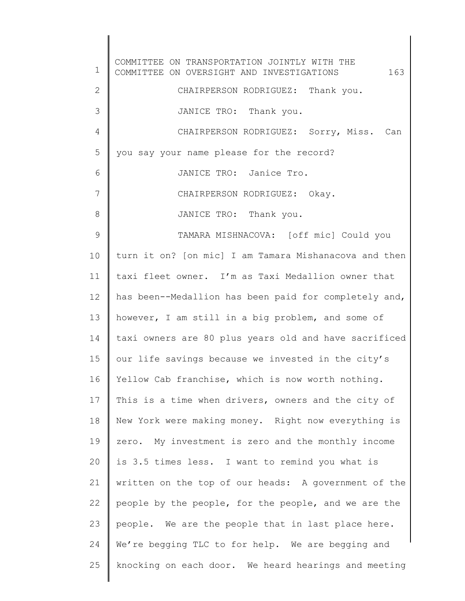1 2 3 4 5 6 7 8 9 10 11 12 13 14 15 16 17 18 19 20 21 22 23 24 25 COMMITTEE ON TRANSPORTATION JOINTLY WITH THE COMMITTEE ON OVERSIGHT AND INVESTIGATIONS 163 CHAIRPERSON RODRIGUEZ: Thank you. JANICE TRO: Thank you. CHAIRPERSON RODRIGUEZ: Sorry, Miss. Can you say your name please for the record? JANICE TRO: Janice Tro. CHAIRPERSON RODRIGUEZ: Okay. JANICE TRO: Thank you. TAMARA MISHNACOVA: [off mic] Could you turn it on? [on mic] I am Tamara Mishanacova and then taxi fleet owner. I'm as Taxi Medallion owner that has been--Medallion has been paid for completely and, however, I am still in a big problem, and some of taxi owners are 80 plus years old and have sacrificed our life savings because we invested in the city's Yellow Cab franchise, which is now worth nothing. This is a time when drivers, owners and the city of New York were making money. Right now everything is zero. My investment is zero and the monthly income is 3.5 times less. I want to remind you what is written on the top of our heads: A government of the people by the people, for the people, and we are the people. We are the people that in last place here. We're begging TLC to for help. We are begging and knocking on each door. We heard hearings and meeting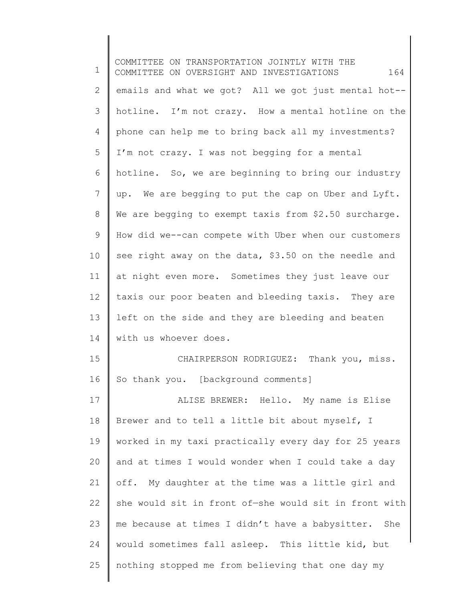1 2 3 4 5 6 7 8 9 10 11 12 13 14 15 16 17 18 19 20 21 22 23 24 25 COMMITTEE ON TRANSPORTATION JOINTLY WITH THE COMMITTEE ON OVERSIGHT AND INVESTIGATIONS 164 emails and what we got? All we got just mental hot- hotline. I'm not crazy. How a mental hotline on the phone can help me to bring back all my investments? I'm not crazy. I was not begging for a mental hotline. So, we are beginning to bring our industry up. We are begging to put the cap on Uber and Lyft. We are begging to exempt taxis from \$2.50 surcharge. How did we--can compete with Uber when our customers see right away on the data, \$3.50 on the needle and at night even more. Sometimes they just leave our taxis our poor beaten and bleeding taxis. They are left on the side and they are bleeding and beaten with us whoever does. CHAIRPERSON RODRIGUEZ: Thank you, miss. So thank you. [background comments] ALISE BREWER: Hello. My name is Elise Brewer and to tell a little bit about myself, I worked in my taxi practically every day for 25 years and at times I would wonder when I could take a day off. My daughter at the time was a little girl and she would sit in front of—she would sit in front with me because at times I didn't have a babysitter. She would sometimes fall asleep. This little kid, but nothing stopped me from believing that one day my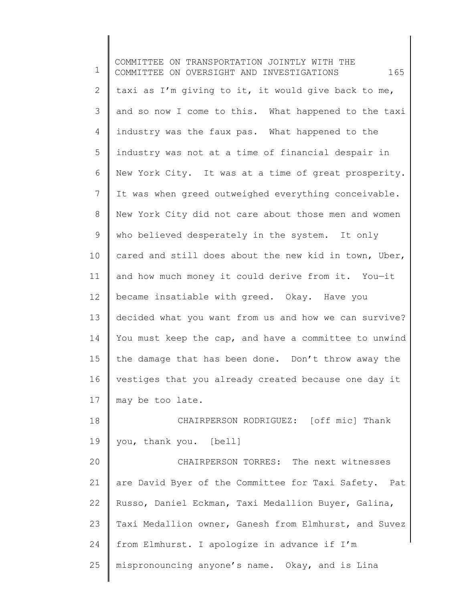1 2 3 4 5 6 7 8 9 10 11 12 13 14 15 16 17 18 19 20 21 22 23 24 25 COMMITTEE ON TRANSPORTATION JOINTLY WITH THE COMMITTEE ON OVERSIGHT AND INVESTIGATIONS 165 taxi as I'm giving to it, it would give back to me, and so now I come to this. What happened to the taxi industry was the faux pas. What happened to the industry was not at a time of financial despair in New York City. It was at a time of great prosperity. It was when greed outweighed everything conceivable. New York City did not care about those men and women who believed desperately in the system. It only cared and still does about the new kid in town, Uber, and how much money it could derive from it. You—it became insatiable with greed. Okay. Have you decided what you want from us and how we can survive? You must keep the cap, and have a committee to unwind the damage that has been done. Don't throw away the vestiges that you already created because one day it may be too late. CHAIRPERSON RODRIGUEZ: [off mic] Thank you, thank you. [bell] CHAIRPERSON TORRES: The next witnesses are David Byer of the Committee for Taxi Safety. Pat Russo, Daniel Eckman, Taxi Medallion Buyer, Galina, Taxi Medallion owner, Ganesh from Elmhurst, and Suvez from Elmhurst. I apologize in advance if I'm mispronouncing anyone's name. Okay, and is Lina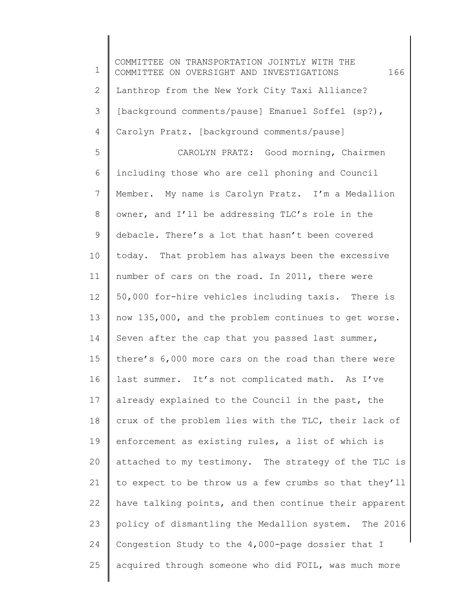1 2 3 4 5 6 7 8 9 10 11 12 13 14 15 16 17 18 19 20 21 22 23 24 25 COMMITTEE ON TRANSPORTATION JOINTLY WITH THE COMMITTEE ON OVERSIGHT AND INVESTIGATIONS 166 Lanthrop from the New York City Taxi Alliance? [background comments/pause] Emanuel Soffel (sp?), Carolyn Pratz. [background comments/pause] CAROLYN PRATZ: Good morning, Chairmen including those who are cell phoning and Council Member. My name is Carolyn Pratz. I'm a Medallion owner, and I'll be addressing TLC's role in the debacle. There's a lot that hasn't been covered today. That problem has always been the excessive number of cars on the road. In 2011, there were 50,000 for-hire vehicles including taxis. There is now 135,000, and the problem continues to get worse. Seven after the cap that you passed last summer, there's 6,000 more cars on the road than there were last summer. It's not complicated math. As I've already explained to the Council in the past, the crux of the problem lies with the TLC, their lack of enforcement as existing rules, a list of which is attached to my testimony. The strategy of the TLC is to expect to be throw us a few crumbs so that they'll have talking points, and then continue their apparent policy of dismantling the Medallion system. The 2016 Congestion Study to the 4,000-page dossier that I acquired through someone who did FOIL, was much more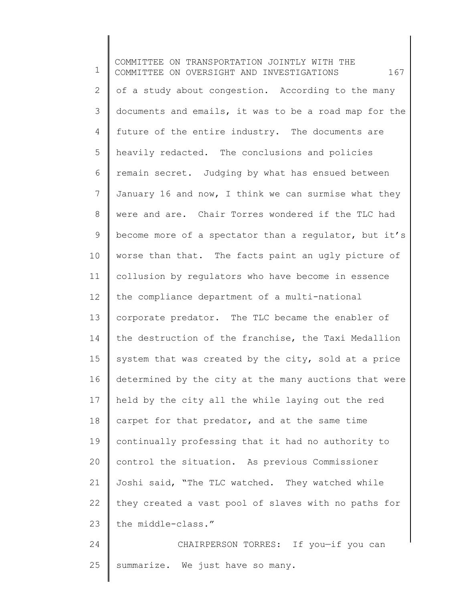1 2 3 4 5 6 7 8 9 10 11 12 13 14 15 16 17 18 19 20 21 22 23 24 COMMITTEE ON TRANSPORTATION JOINTLY WITH THE COMMITTEE ON OVERSIGHT AND INVESTIGATIONS 167 of a study about congestion. According to the many documents and emails, it was to be a road map for the future of the entire industry. The documents are heavily redacted. The conclusions and policies remain secret. Judging by what has ensued between January 16 and now, I think we can surmise what they were and are. Chair Torres wondered if the TLC had become more of a spectator than a regulator, but it's worse than that. The facts paint an ugly picture of collusion by regulators who have become in essence the compliance department of a multi-national corporate predator. The TLC became the enabler of the destruction of the franchise, the Taxi Medallion system that was created by the city, sold at a price determined by the city at the many auctions that were held by the city all the while laying out the red carpet for that predator, and at the same time continually professing that it had no authority to control the situation. As previous Commissioner Joshi said, "The TLC watched. They watched while they created a vast pool of slaves with no paths for the middle-class." CHAIRPERSON TORRES: If you—if you can

25 summarize. We just have so many.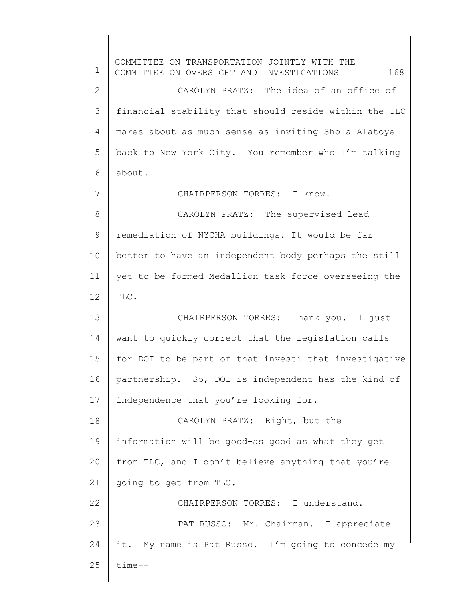1 2 3 4 5 6 7 8 9 10 11 12 13 14 15 16 17 18 19 20 21 22 23 24 25 COMMITTEE ON TRANSPORTATION JOINTLY WITH THE COMMITTEE ON OVERSIGHT AND INVESTIGATIONS 168 CAROLYN PRATZ: The idea of an office of financial stability that should reside within the TLC makes about as much sense as inviting Shola Alatoye back to New York City. You remember who I'm talking about. CHAIRPERSON TORRES: I know. CAROLYN PRATZ: The supervised lead remediation of NYCHA buildings. It would be far better to have an independent body perhaps the still yet to be formed Medallion task force overseeing the TLC. CHAIRPERSON TORRES: Thank you. I just want to quickly correct that the legislation calls for DOI to be part of that investi-that investigative partnership. So, DOI is independent—has the kind of independence that you're looking for. CAROLYN PRATZ: Right, but the information will be good-as good as what they get from TLC, and I don't believe anything that you're going to get from TLC. CHAIRPERSON TORRES: I understand. PAT RUSSO: Mr. Chairman. I appreciate it. My name is Pat Russo. I'm going to concede my time--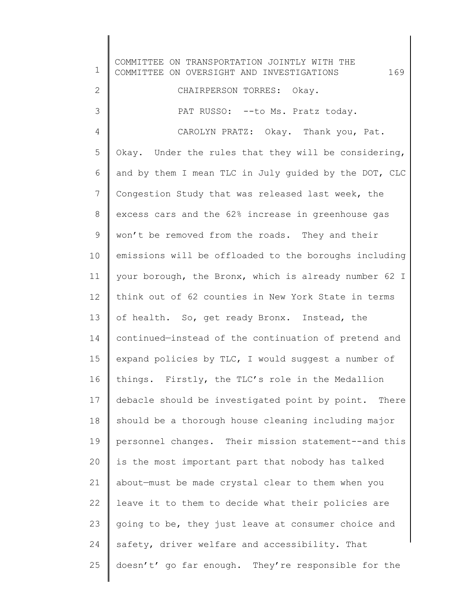1 2 3 4 5 6 7 8 9 10 11 12 13 14 15 16 17 18 19 20 21 22 23 24 25 COMMITTEE ON TRANSPORTATION JOINTLY WITH THE COMMITTEE ON OVERSIGHT AND INVESTIGATIONS 169 CHAIRPERSON TORRES: Okay. PAT RUSSO: -- to Ms. Pratz today. CAROLYN PRATZ: Okay. Thank you, Pat. Okay. Under the rules that they will be considering, and by them I mean TLC in July guided by the DOT, CLC Congestion Study that was released last week, the excess cars and the 62% increase in greenhouse gas won't be removed from the roads. They and their emissions will be offloaded to the boroughs including your borough, the Bronx, which is already number 62 I think out of 62 counties in New York State in terms of health. So, get ready Bronx. Instead, the continued—instead of the continuation of pretend and expand policies by TLC, I would suggest a number of things. Firstly, the TLC's role in the Medallion debacle should be investigated point by point. There should be a thorough house cleaning including major personnel changes. Their mission statement--and this is the most important part that nobody has talked about—must be made crystal clear to them when you leave it to them to decide what their policies are going to be, they just leave at consumer choice and safety, driver welfare and accessibility. That doesn't' go far enough. They're responsible for the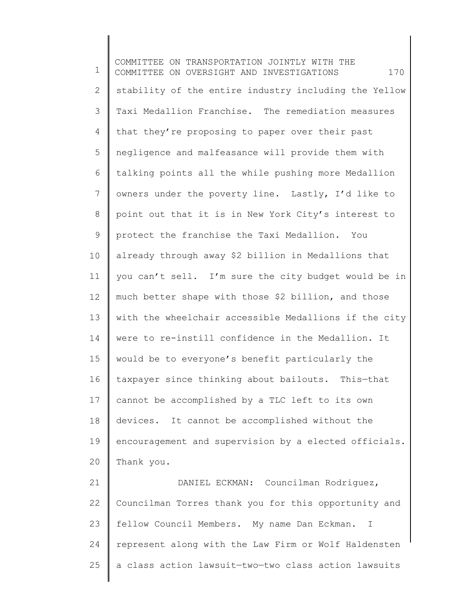1 2 3 4 5 6 7 8 9 10 11 12 13 14 15 16 17 18 19 20 21 COMMITTEE ON TRANSPORTATION JOINTLY WITH THE COMMITTEE ON OVERSIGHT AND INVESTIGATIONS 170 stability of the entire industry including the Yellow Taxi Medallion Franchise. The remediation measures that they're proposing to paper over their past negligence and malfeasance will provide them with talking points all the while pushing more Medallion owners under the poverty line. Lastly, I'd like to point out that it is in New York City's interest to protect the franchise the Taxi Medallion. You already through away \$2 billion in Medallions that you can't sell. I'm sure the city budget would be in much better shape with those \$2 billion, and those with the wheelchair accessible Medallions if the city were to re-instill confidence in the Medallion. It would be to everyone's benefit particularly the taxpayer since thinking about bailouts. This—that cannot be accomplished by a TLC left to its own devices. It cannot be accomplished without the encouragement and supervision by a elected officials. Thank you. DANIEL ECKMAN: Councilman Rodriguez,

22 23 24 25 Councilman Torres thank you for this opportunity and fellow Council Members. My name Dan Eckman. I represent along with the Law Firm or Wolf Haldensten a class action lawsuit—two—two class action lawsuits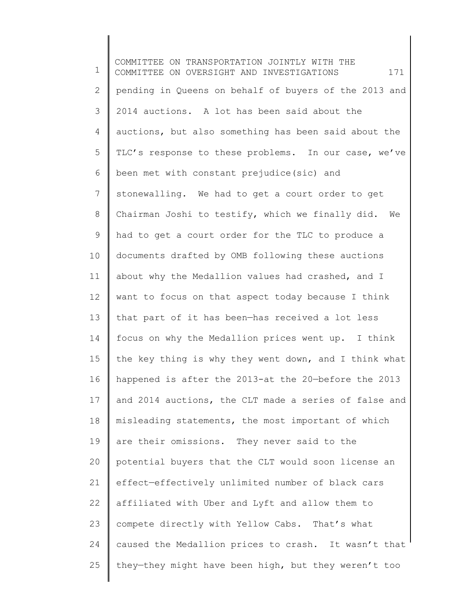1 2 3 4 5 6 7 8 9 10 11 12 13 14 15 16 17 18 19 20 21 22 23 24 25 COMMITTEE ON TRANSPORTATION JOINTLY WITH THE COMMITTEE ON OVERSIGHT AND INVESTIGATIONS 171 pending in Queens on behalf of buyers of the 2013 and 2014 auctions. A lot has been said about the auctions, but also something has been said about the TLC's response to these problems. In our case, we've been met with constant prejudice(sic) and stonewalling. We had to get a court order to get Chairman Joshi to testify, which we finally did. We had to get a court order for the TLC to produce a documents drafted by OMB following these auctions about why the Medallion values had crashed, and I want to focus on that aspect today because I think that part of it has been—has received a lot less focus on why the Medallion prices went up. I think the key thing is why they went down, and I think what happened is after the 2013-at the 20—before the 2013 and 2014 auctions, the CLT made a series of false and misleading statements, the most important of which are their omissions. They never said to the potential buyers that the CLT would soon license an effect—effectively unlimited number of black cars affiliated with Uber and Lyft and allow them to compete directly with Yellow Cabs. That's what caused the Medallion prices to crash. It wasn't that they—they might have been high, but they weren't too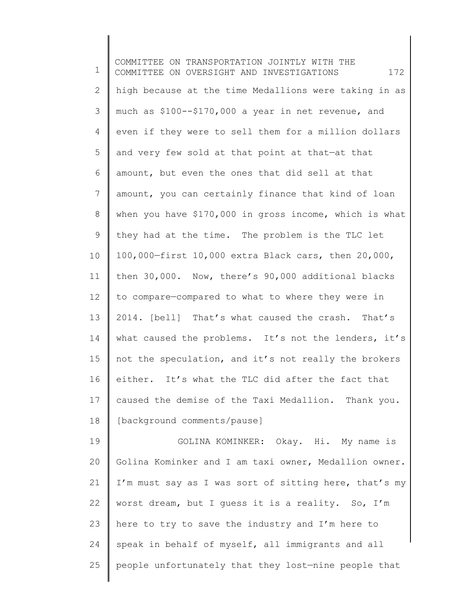1 2 3 4 5 6 7 8 9 10 11 12 13 14 15 16 17 18 19 20 21 22 23 COMMITTEE ON TRANSPORTATION JOINTLY WITH THE COMMITTEE ON OVERSIGHT AND INVESTIGATIONS  $172$ high because at the time Medallions were taking in as much as \$100--\$170,000 a year in net revenue, and even if they were to sell them for a million dollars and very few sold at that point at that—at that amount, but even the ones that did sell at that amount, you can certainly finance that kind of loan when you have \$170,000 in gross income, which is what they had at the time. The problem is the TLC let 100,000—first 10,000 extra Black cars, then 20,000, then 30,000. Now, there's 90,000 additional blacks to compare—compared to what to where they were in 2014. [bell] That's what caused the crash. That's what caused the problems. It's not the lenders, it's not the speculation, and it's not really the brokers either. It's what the TLC did after the fact that caused the demise of the Taxi Medallion. Thank you. [background comments/pause] GOLINA KOMINKER: Okay. Hi. My name is Golina Kominker and I am taxi owner, Medallion owner. I'm must say as I was sort of sitting here, that's my worst dream, but I guess it is a reality. So, I'm here to try to save the industry and I'm here to

speak in behalf of myself, all immigrants and all

people unfortunately that they lost—nine people that

24

25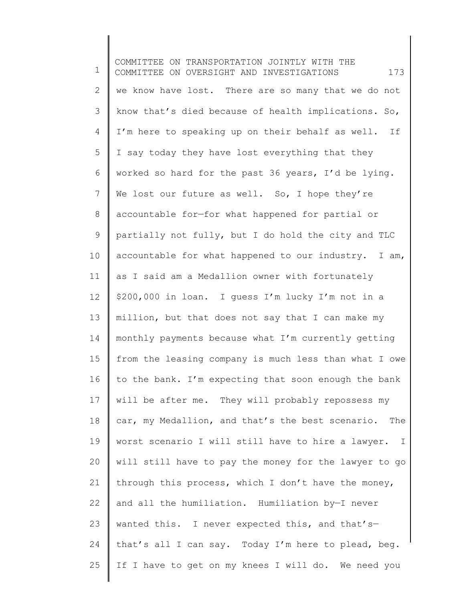1 2 3 4 5 6 7 8 9 10 11 12 13 14 15 16 17 18 19 20 21 22 23 24 25 COMMITTEE ON TRANSPORTATION JOINTLY WITH THE COMMITTEE ON OVERSIGHT AND INVESTIGATIONS 173 we know have lost. There are so many that we do not know that's died because of health implications. So, I'm here to speaking up on their behalf as well. If I say today they have lost everything that they worked so hard for the past 36 years, I'd be lying. We lost our future as well. So, I hope they're accountable for—for what happened for partial or partially not fully, but I do hold the city and TLC accountable for what happened to our industry. I am, as I said am a Medallion owner with fortunately \$200,000 in loan. I guess I'm lucky I'm not in a million, but that does not say that I can make my monthly payments because what I'm currently getting from the leasing company is much less than what I owe to the bank. I'm expecting that soon enough the bank will be after me. They will probably repossess my car, my Medallion, and that's the best scenario. The worst scenario I will still have to hire a lawyer. I will still have to pay the money for the lawyer to go through this process, which I don't have the money, and all the humiliation. Humiliation by—I never wanted this. I never expected this, and that'sthat's all I can say. Today I'm here to plead, beg. If I have to get on my knees I will do. We need you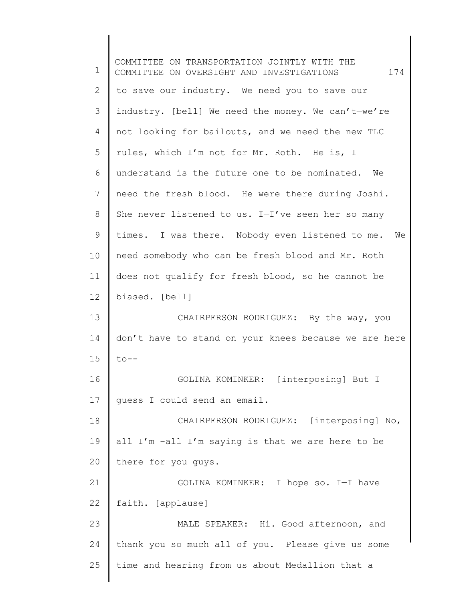1 2 3 4 5 6 7 8 9 10 11 12 13 14 15 16 17 18 19 20 21 22 23 24 25 COMMITTEE ON TRANSPORTATION JOINTLY WITH THE COMMITTEE ON OVERSIGHT AND INVESTIGATIONS 174 to save our industry. We need you to save our industry. [bell] We need the money. We can't—we're not looking for bailouts, and we need the new TLC rules, which I'm not for Mr. Roth. He is, I understand is the future one to be nominated. We need the fresh blood. He were there during Joshi. She never listened to us. I—I've seen her so many times. I was there. Nobody even listened to me. We need somebody who can be fresh blood and Mr. Roth does not qualify for fresh blood, so he cannot be biased. [bell] CHAIRPERSON RODRIGUEZ: By the way, you don't have to stand on your knees because we are here  $to --$ GOLINA KOMINKER: [interposing] But I guess I could send an email. CHAIRPERSON RODRIGUEZ: [interposing] No, all I'm –all I'm saying is that we are here to be there for you guys. GOLINA KOMINKER: I hope so. I—I have faith. [applause] MALE SPEAKER: Hi. Good afternoon, and thank you so much all of you. Please give us some time and hearing from us about Medallion that a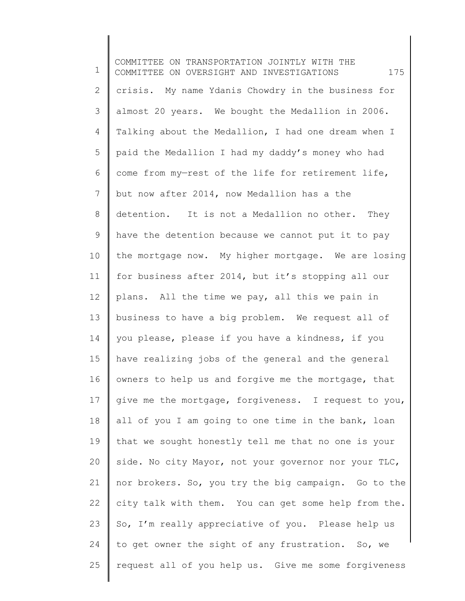1 2 3 4 5 6 7 8 9 10 11 12 13 14 15 16 17 18 19 20 21 22 23 24 25 COMMITTEE ON TRANSPORTATION JOINTLY WITH THE COMMITTEE ON OVERSIGHT AND INVESTIGATIONS 175 crisis. My name Ydanis Chowdry in the business for almost 20 years. We bought the Medallion in 2006. Talking about the Medallion, I had one dream when I paid the Medallion I had my daddy's money who had come from my—rest of the life for retirement life, but now after 2014, now Medallion has a the detention. It is not a Medallion no other. They have the detention because we cannot put it to pay the mortgage now. My higher mortgage. We are losing for business after 2014, but it's stopping all our plans. All the time we pay, all this we pain in business to have a big problem. We request all of you please, please if you have a kindness, if you have realizing jobs of the general and the general owners to help us and forgive me the mortgage, that give me the mortgage, forgiveness. I request to you, all of you I am going to one time in the bank, loan that we sought honestly tell me that no one is your side. No city Mayor, not your governor nor your TLC, nor brokers. So, you try the big campaign. Go to the city talk with them. You can get some help from the. So, I'm really appreciative of you. Please help us to get owner the sight of any frustration. So, we request all of you help us. Give me some forgiveness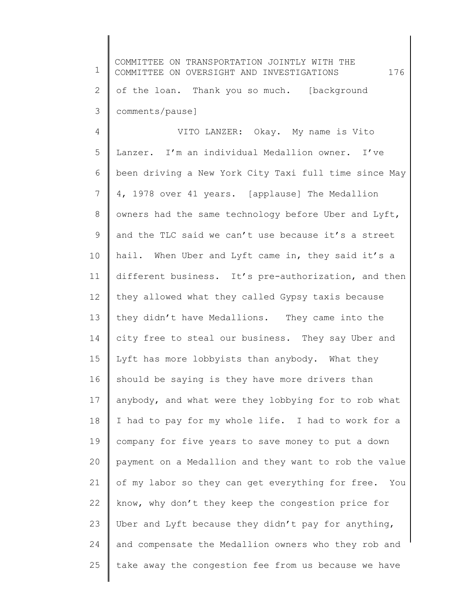1 2 3 4 5 6 7 8 9 10 11 12 13 14 15 16 17 18 19 20 21 22 23 24 25 COMMITTEE ON TRANSPORTATION JOINTLY WITH THE COMMITTEE ON OVERSIGHT AND INVESTIGATIONS 176 of the loan. Thank you so much. [background comments/pause] VITO LANZER: Okay. My name is Vito Lanzer. I'm an individual Medallion owner. I've been driving a New York City Taxi full time since May 4, 1978 over 41 years. [applause] The Medallion owners had the same technology before Uber and Lyft, and the TLC said we can't use because it's a street hail. When Uber and Lyft came in, they said it's a different business. It's pre-authorization, and then they allowed what they called Gypsy taxis because they didn't have Medallions. They came into the city free to steal our business. They say Uber and Lyft has more lobbyists than anybody. What they should be saying is they have more drivers than anybody, and what were they lobbying for to rob what I had to pay for my whole life. I had to work for a company for five years to save money to put a down payment on a Medallion and they want to rob the value of my labor so they can get everything for free. You know, why don't they keep the congestion price for Uber and Lyft because they didn't pay for anything, and compensate the Medallion owners who they rob and take away the congestion fee from us because we have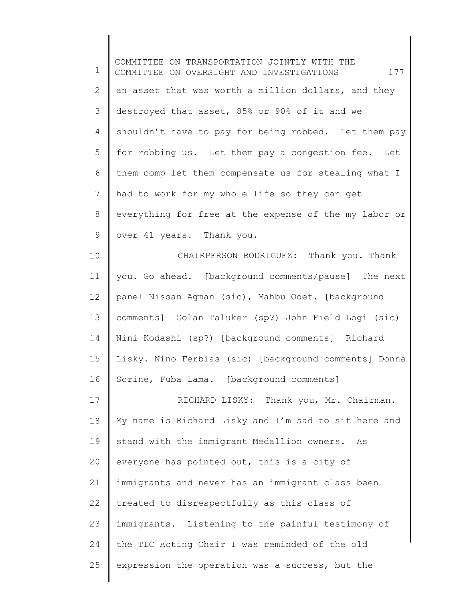1 2 3 4 5 6 7 8 9 10 11 12 13 14 15 16 17 18 19 20 21 22 23 24 25 COMMITTEE ON TRANSPORTATION JOINTLY WITH THE COMMITTEE ON OVERSIGHT AND INVESTIGATIONS 177 an asset that was worth a million dollars, and they destroyed that asset, 85% or 90% of it and we shouldn't have to pay for being robbed. Let them pay for robbing us. Let them pay a congestion fee. Let them comp—let them compensate us for stealing what I had to work for my whole life so they can get everything for free at the expense of the my labor or over 41 years. Thank you. CHAIRPERSON RODRIGUEZ: Thank you. Thank you. Go ahead. [background comments/pause] The next panel Nissan Agman (sic), Mahbu Odet. [background comments] Golan Taluker (sp?) John Field Logi (sic) Nini Kodashi (sp?) [background comments] Richard Lisky. Nino Ferbias (sic) [background comments] Donna Sorine, Fuba Lama. [background comments] RICHARD LISKY: Thank you, Mr. Chairman. My name is Richard Lisky and I'm sad to sit here and stand with the immigrant Medallion owners. As everyone has pointed out, this is a city of immigrants and never has an immigrant class been treated to disrespectfully as this class of immigrants. Listening to the painful testimony of the TLC Acting Chair I was reminded of the old expression the operation was a success, but the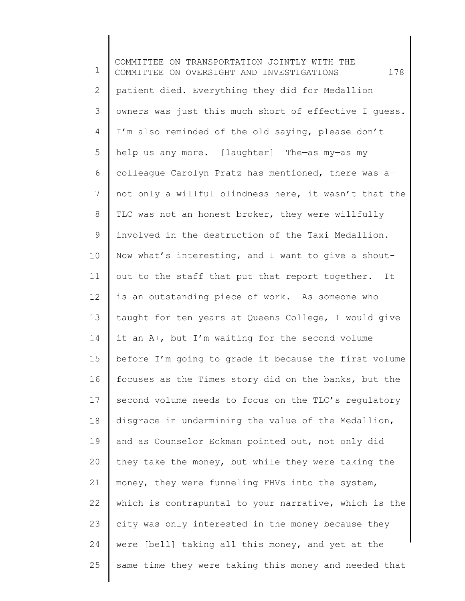1 2 3 4 5 6 7 8 9 10 11 12 13 14 15 16 17 18 19 20 21 22 23 24 25 COMMITTEE ON TRANSPORTATION JOINTLY WITH THE COMMITTEE ON OVERSIGHT AND INVESTIGATIONS 178 patient died. Everything they did for Medallion owners was just this much short of effective I guess. I'm also reminded of the old saying, please don't help us any more. [laughter] The—as my—as my colleague Carolyn Pratz has mentioned, there was a not only a willful blindness here, it wasn't that the TLC was not an honest broker, they were willfully involved in the destruction of the Taxi Medallion. Now what's interesting, and I want to give a shoutout to the staff that put that report together. It is an outstanding piece of work. As someone who taught for ten years at Queens College, I would give it an A+, but I'm waiting for the second volume before I'm going to grade it because the first volume focuses as the Times story did on the banks, but the second volume needs to focus on the TLC's regulatory disgrace in undermining the value of the Medallion, and as Counselor Eckman pointed out, not only did they take the money, but while they were taking the money, they were funneling FHVs into the system, which is contrapuntal to your narrative, which is the city was only interested in the money because they were [bell] taking all this money, and yet at the same time they were taking this money and needed that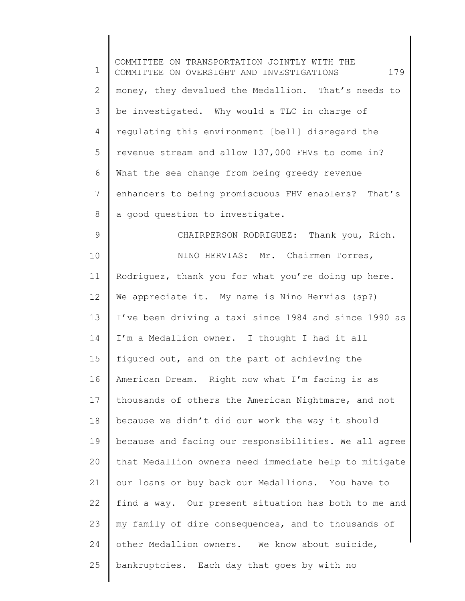1 2 3 4 5 6 7 8 9 10 11 12 13 14 15 16 17 18 19 20 21 22 23 24 25 COMMITTEE ON TRANSPORTATION JOINTLY WITH THE COMMITTEE ON OVERSIGHT AND INVESTIGATIONS 179 money, they devalued the Medallion. That's needs to be investigated. Why would a TLC in charge of regulating this environment [bell] disregard the revenue stream and allow 137,000 FHVs to come in? What the sea change from being greedy revenue enhancers to being promiscuous FHV enablers? That's a good question to investigate. CHAIRPERSON RODRIGUEZ: Thank you, Rich. NINO HERVIAS: Mr. Chairmen Torres, Rodriguez, thank you for what you're doing up here. We appreciate it. My name is Nino Hervias (sp?) I've been driving a taxi since 1984 and since 1990 as I'm a Medallion owner. I thought I had it all figured out, and on the part of achieving the American Dream. Right now what I'm facing is as thousands of others the American Nightmare, and not because we didn't did our work the way it should because and facing our responsibilities. We all agree that Medallion owners need immediate help to mitigate our loans or buy back our Medallions. You have to find a way. Our present situation has both to me and my family of dire consequences, and to thousands of other Medallion owners. We know about suicide, bankruptcies. Each day that goes by with no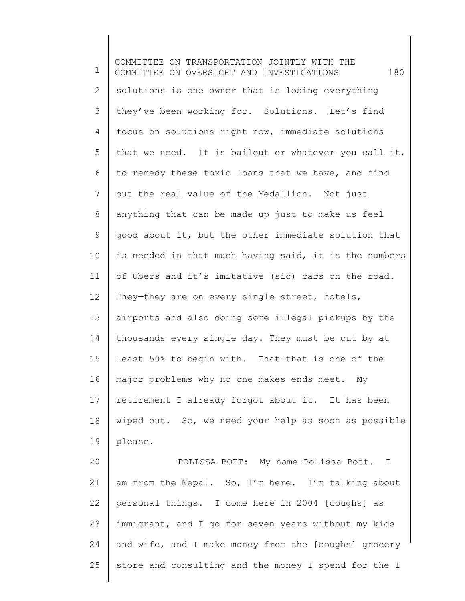1 2 3 4 5 6 7 8 9 10 11 12 13 14 15 16 17 18 19 20 21 22 23 COMMITTEE ON TRANSPORTATION JOINTLY WITH THE COMMITTEE ON OVERSIGHT AND INVESTIGATIONS 180 solutions is one owner that is losing everything they've been working for. Solutions. Let's find focus on solutions right now, immediate solutions that we need. It is bailout or whatever you call it, to remedy these toxic loans that we have, and find out the real value of the Medallion. Not just anything that can be made up just to make us feel good about it, but the other immediate solution that is needed in that much having said, it is the numbers of Ubers and it's imitative (sic) cars on the road. They-they are on every single street, hotels, airports and also doing some illegal pickups by the thousands every single day. They must be cut by at least 50% to begin with. That-that is one of the major problems why no one makes ends meet. My retirement I already forgot about it. It has been wiped out. So, we need your help as soon as possible please. POLISSA BOTT: My name Polissa Bott. I am from the Nepal. So, I'm here. I'm talking about personal things. I come here in 2004 [coughs] as immigrant, and I go for seven years without my kids

and wife, and I make money from the [coughs] grocery

store and consulting and the money I spend for the—I

24

25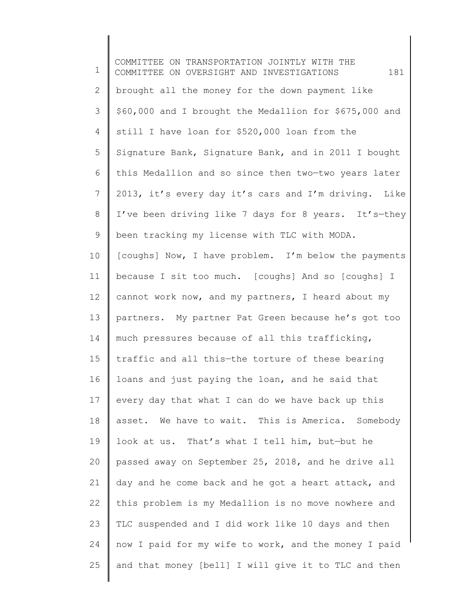1 2 3 4 5 6 7 8 9 10 11 12 13 14 15 16 17 18 19 20 21 22 23 24 25 COMMITTEE ON TRANSPORTATION JOINTLY WITH THE COMMITTEE ON OVERSIGHT AND INVESTIGATIONS 181 brought all the money for the down payment like \$60,000 and I brought the Medallion for \$675,000 and still I have loan for \$520,000 loan from the Signature Bank, Signature Bank, and in 2011 I bought this Medallion and so since then two—two years later 2013, it's every day it's cars and I'm driving. Like I've been driving like 7 days for 8 years. It's—they been tracking my license with TLC with MODA. [coughs] Now, I have problem. I'm below the payments because I sit too much. [coughs] And so [coughs] I cannot work now, and my partners, I heard about my partners. My partner Pat Green because he's got too much pressures because of all this trafficking, traffic and all this—the torture of these bearing loans and just paying the loan, and he said that every day that what I can do we have back up this asset. We have to wait. This is America. Somebody look at us. That's what I tell him, but—but he passed away on September 25, 2018, and he drive all day and he come back and he got a heart attack, and this problem is my Medallion is no move nowhere and TLC suspended and I did work like 10 days and then now I paid for my wife to work, and the money I paid and that money [bell] I will give it to TLC and then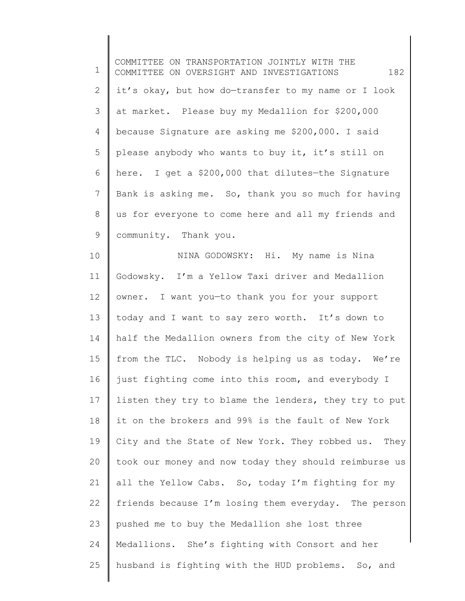1 2 3 4 5 6 7 8 9 10 11 12 13 14 15 16 17 18 19 20 21 22 23 24 25 COMMITTEE ON TRANSPORTATION JOINTLY WITH THE COMMITTEE ON OVERSIGHT AND INVESTIGATIONS 182 it's okay, but how do—transfer to my name or I look at market. Please buy my Medallion for \$200,000 because Signature are asking me \$200,000. I said please anybody who wants to buy it, it's still on here. I get a \$200,000 that dilutes—the Signature Bank is asking me. So, thank you so much for having us for everyone to come here and all my friends and community. Thank you. NINA GODOWSKY: Hi. My name is Nina Godowsky. I'm a Yellow Taxi driver and Medallion owner. I want you—to thank you for your support today and I want to say zero worth. It's down to half the Medallion owners from the city of New York from the TLC. Nobody is helping us as today. We're just fighting come into this room, and everybody I listen they try to blame the lenders, they try to put it on the brokers and 99% is the fault of New York City and the State of New York. They robbed us. They took our money and now today they should reimburse us all the Yellow Cabs. So, today I'm fighting for my friends because I'm losing them everyday. The person pushed me to buy the Medallion she lost three Medallions. She's fighting with Consort and her husband is fighting with the HUD problems. So, and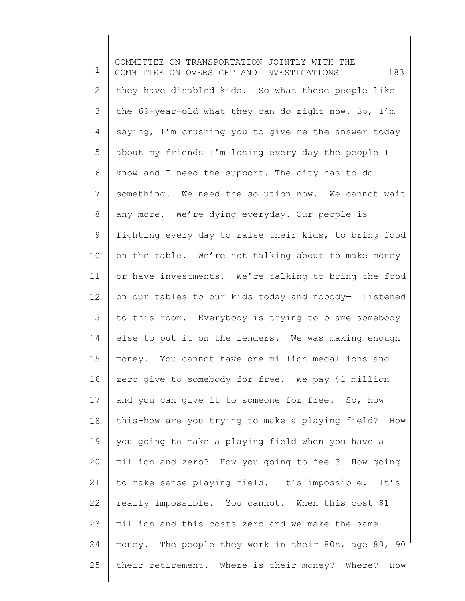1 2 3 4 5 6 7 8 9 10 11 12 13 14 15 16 17 18 19 20 21 22 23 24 25 COMMITTEE ON TRANSPORTATION JOINTLY WITH THE COMMITTEE ON OVERSIGHT AND INVESTIGATIONS 183 they have disabled kids. So what these people like the 69-year-old what they can do right now. So, I'm saying, I'm crushing you to give me the answer today about my friends I'm losing every day the people I know and I need the support. The city has to do something. We need the solution now. We cannot wait any more. We're dying everyday. Our people is fighting every day to raise their kids, to bring food on the table. We're not talking about to make money or have investments. We're talking to bring the food on our tables to our kids today and nobody—I listened to this room. Everybody is trying to blame somebody else to put it on the lenders. We was making enough money. You cannot have one million medallions and zero give to somebody for free. We pay \$1 million and you can give it to someone for free. So, how this-how are you trying to make a playing field? How you going to make a playing field when you have a million and zero? How you going to feel? How going to make sense playing field. It's impossible. It's really impossible. You cannot. When this cost \$1 million and this costs zero and we make the same money. The people they work in their 80s, age 80, 90 their retirement. Where is their money? Where? How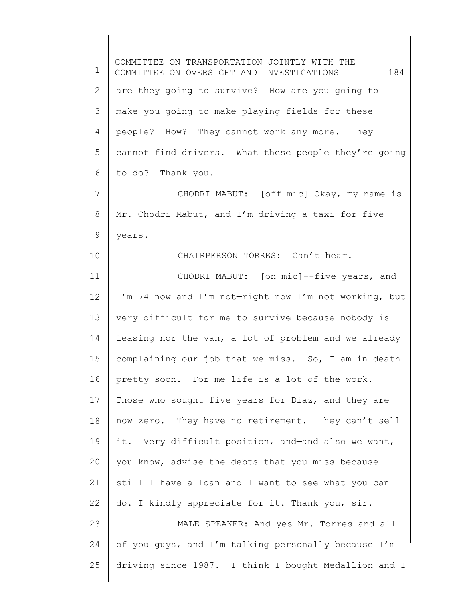1 2 3 4 5 6 7 8 9 10 11 12 13 14 15 16 17 18 19 20 21 22 23 24 25 COMMITTEE ON TRANSPORTATION JOINTLY WITH THE COMMITTEE ON OVERSIGHT AND INVESTIGATIONS 184 are they going to survive? How are you going to make—you going to make playing fields for these people? How? They cannot work any more. They cannot find drivers. What these people they're going to do? Thank you. CHODRI MABUT: [off mic] Okay, my name is Mr. Chodri Mabut, and I'm driving a taxi for five years. CHAIRPERSON TORRES: Can't hear. CHODRI MABUT: [on mic]--five years, and I'm 74 now and I'm not—right now I'm not working, but very difficult for me to survive because nobody is leasing nor the van, a lot of problem and we already complaining our job that we miss. So, I am in death pretty soon. For me life is a lot of the work. Those who sought five years for Diaz, and they are now zero. They have no retirement. They can't sell it. Very difficult position, and—and also we want, you know, advise the debts that you miss because still I have a loan and I want to see what you can do. I kindly appreciate for it. Thank you, sir. MALE SPEAKER: And yes Mr. Torres and all of you guys, and I'm talking personally because I'm driving since 1987. I think I bought Medallion and I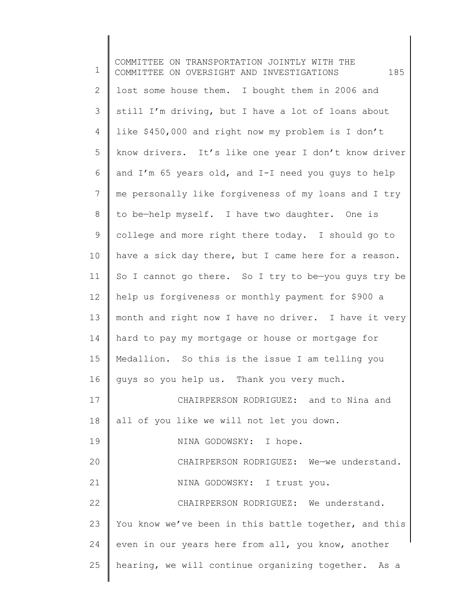1 2 3 4 5 6 7 8 9 10 11 12 13 14 15 16 17 18 19 20 21 22 23 24 25 COMMITTEE ON TRANSPORTATION JOINTLY WITH THE COMMITTEE ON OVERSIGHT AND INVESTIGATIONS 185 lost some house them. I bought them in 2006 and still I'm driving, but I have a lot of loans about like \$450,000 and right now my problem is I don't know drivers. It's like one year I don't know driver and I'm 65 years old, and I-I need you guys to help me personally like forgiveness of my loans and I try to be—help myself. I have two daughter. One is college and more right there today. I should go to have a sick day there, but I came here for a reason. So I cannot go there. So I try to be—you guys try be help us forgiveness or monthly payment for \$900 a month and right now I have no driver. I have it very hard to pay my mortgage or house or mortgage for Medallion. So this is the issue I am telling you guys so you help us. Thank you very much. CHAIRPERSON RODRIGUEZ: and to Nina and all of you like we will not let you down. NINA GODOWSKY: I hope. CHAIRPERSON RODRIGUEZ: We—we understand. NINA GODOWSKY: I trust you. CHAIRPERSON RODRIGUEZ: We understand. You know we've been in this battle together, and this even in our years here from all, you know, another hearing, we will continue organizing together. As a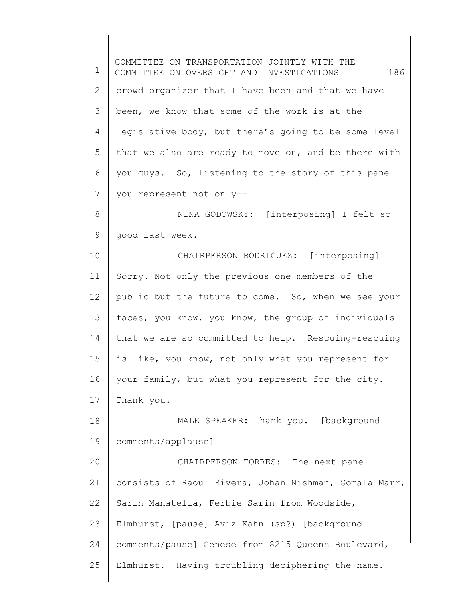1 2 3 4 5 6 7 8 9 10 11 12 13 14 15 16 17 18 19 20 21 22 23 24 25 COMMITTEE ON TRANSPORTATION JOINTLY WITH THE COMMITTEE ON OVERSIGHT AND INVESTIGATIONS 186 crowd organizer that I have been and that we have been, we know that some of the work is at the legislative body, but there's going to be some level that we also are ready to move on, and be there with you guys. So, listening to the story of this panel you represent not only-- NINA GODOWSKY: [interposing] I felt so good last week. CHAIRPERSON RODRIGUEZ: [interposing] Sorry. Not only the previous one members of the public but the future to come. So, when we see your faces, you know, you know, the group of individuals that we are so committed to help. Rescuing-rescuing is like, you know, not only what you represent for your family, but what you represent for the city. Thank you. MALE SPEAKER: Thank you. [background comments/applause] CHAIRPERSON TORRES: The next panel consists of Raoul Rivera, Johan Nishman, Gomala Marr, Sarin Manatella, Ferbie Sarin from Woodside, Elmhurst, [pause] Aviz Kahn (sp?) [background comments/pause] Genese from 8215 Queens Boulevard, Elmhurst. Having troubling deciphering the name.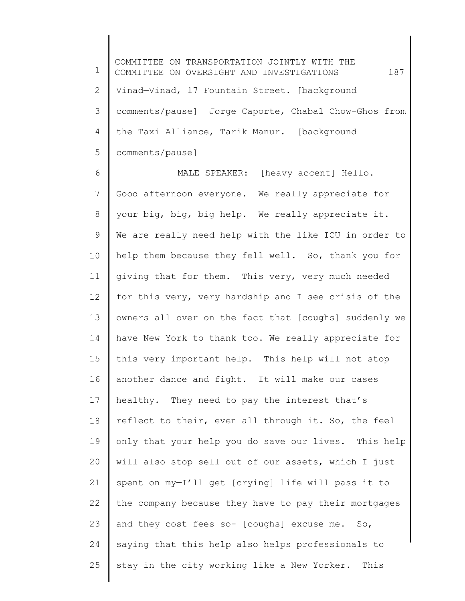1 2 3 4 5 COMMITTEE ON TRANSPORTATION JOINTLY WITH THE COMMITTEE ON OVERSIGHT AND INVESTIGATIONS  $187$ Vinad—Vinad, 17 Fountain Street. [background comments/pause] Jorge Caporte, Chabal Chow-Ghos from the Taxi Alliance, Tarik Manur. [background comments/pause]

6 7 8 9 10 11 12 13 14 15 16 17 18 19 20 21 22 23 24 25 MALE SPEAKER: [heavy accent] Hello. Good afternoon everyone. We really appreciate for your big, big, big help. We really appreciate it. We are really need help with the like ICU in order to help them because they fell well. So, thank you for giving that for them. This very, very much needed for this very, very hardship and I see crisis of the owners all over on the fact that [coughs] suddenly we have New York to thank too. We really appreciate for this very important help. This help will not stop another dance and fight. It will make our cases healthy. They need to pay the interest that's reflect to their, even all through it. So, the feel only that your help you do save our lives. This help will also stop sell out of our assets, which I just spent on my—I'll get [crying] life will pass it to the company because they have to pay their mortgages and they cost fees so- [coughs] excuse me. So, saying that this help also helps professionals to stay in the city working like a New Yorker. This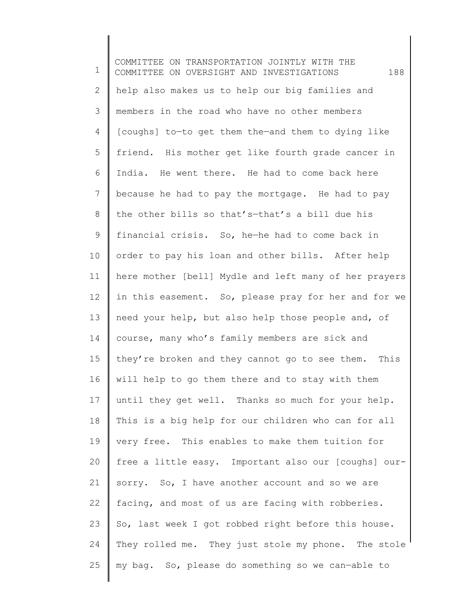1 2 3 4 5 6 7 8 9 10 11 12 13 14 15 16 17 18 19 20 21 22 23 24 25 COMMITTEE ON TRANSPORTATION JOINTLY WITH THE COMMITTEE ON OVERSIGHT AND INVESTIGATIONS 188 help also makes us to help our big families and members in the road who have no other members [coughs] to—to get them the—and them to dying like friend. His mother get like fourth grade cancer in India. He went there. He had to come back here because he had to pay the mortgage. He had to pay the other bills so that's—that's a bill due his financial crisis. So, he—he had to come back in order to pay his loan and other bills. After help here mother [bell] Mydle and left many of her prayers in this easement. So, please pray for her and for we need your help, but also help those people and, of course, many who's family members are sick and they're broken and they cannot go to see them. This will help to go them there and to stay with them until they get well. Thanks so much for your help. This is a big help for our children who can for all very free. This enables to make them tuition for free a little easy. Important also our [coughs] oursorry. So, I have another account and so we are facing, and most of us are facing with robberies. So, last week I got robbed right before this house. They rolled me. They just stole my phone. The stole my bag. So, please do something so we can—able to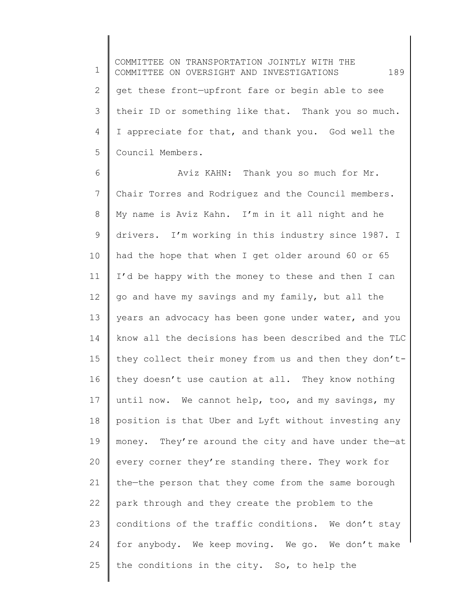1 2 3 4 5 COMMITTEE ON TRANSPORTATION JOINTLY WITH THE COMMITTEE ON OVERSIGHT AND INVESTIGATIONS 189 get these front—upfront fare or begin able to see their ID or something like that. Thank you so much. I appreciate for that, and thank you. God well the Council Members.

6 7 8 9 10 11 12 13 14 15 16 17 18 19 20 21 22 23 24 25 Aviz KAHN: Thank you so much for Mr. Chair Torres and Rodriguez and the Council members. My name is Aviz Kahn. I'm in it all night and he drivers. I'm working in this industry since 1987. I had the hope that when I get older around 60 or 65 I'd be happy with the money to these and then I can go and have my savings and my family, but all the years an advocacy has been gone under water, and you know all the decisions has been described and the TLC they collect their money from us and then they don'tthey doesn't use caution at all. They know nothing until now. We cannot help, too, and my savings, my position is that Uber and Lyft without investing any money. They're around the city and have under the—at every corner they're standing there. They work for the—the person that they come from the same borough park through and they create the problem to the conditions of the traffic conditions. We don't stay for anybody. We keep moving. We go. We don't make the conditions in the city. So, to help the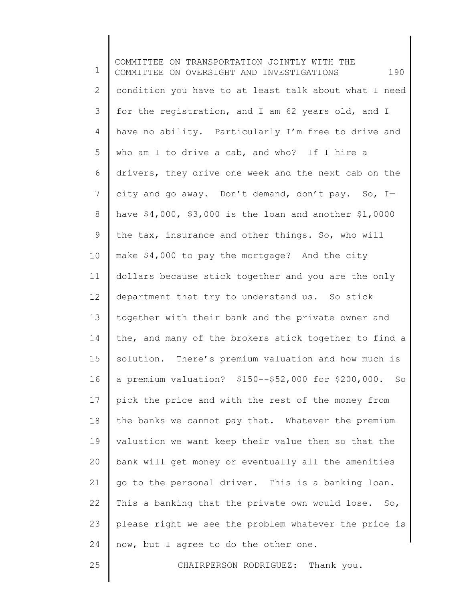1 2 3 4 5 6 7 8 9 10 11 12 13 14 15 16 17 18 19 20 21 22 23 24 COMMITTEE ON TRANSPORTATION JOINTLY WITH THE COMMITTEE ON OVERSIGHT AND INVESTIGATIONS 190 condition you have to at least talk about what I need for the registration, and I am 62 years old, and I have no ability. Particularly I'm free to drive and who am I to drive a cab, and who? If I hire a drivers, they drive one week and the next cab on the city and go away. Don't demand, don't pay. So, I have \$4,000, \$3,000 is the loan and another \$1,0000 the tax, insurance and other things. So, who will make \$4,000 to pay the mortgage? And the city dollars because stick together and you are the only department that try to understand us. So stick together with their bank and the private owner and the, and many of the brokers stick together to find a solution. There's premium valuation and how much is a premium valuation? \$150--\$52,000 for \$200,000. So pick the price and with the rest of the money from the banks we cannot pay that. Whatever the premium valuation we want keep their value then so that the bank will get money or eventually all the amenities go to the personal driver. This is a banking loan. This a banking that the private own would lose. So, please right we see the problem whatever the price is now, but I agree to do the other one.

25

CHAIRPERSON RODRIGUEZ: Thank you.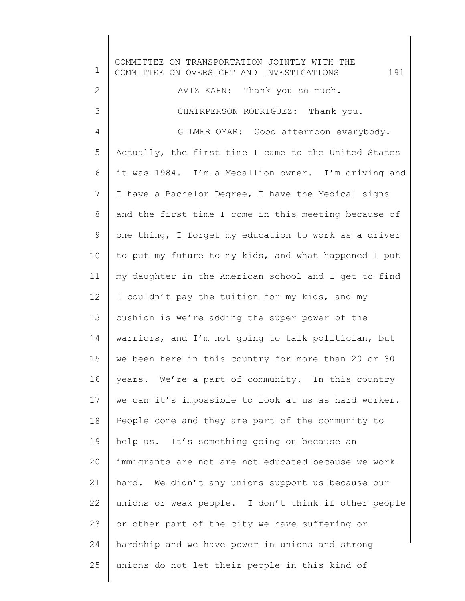1 2 3 4 5 6 7 8 9 10 11 12 13 14 15 16 17 18 19 20 21 22 23 24 25 COMMITTEE ON TRANSPORTATION JOINTLY WITH THE COMMITTEE ON OVERSIGHT AND INVESTIGATIONS  $191$ AVIZ KAHN: Thank you so much. CHAIRPERSON RODRIGUEZ: Thank you. GILMER OMAR: Good afternoon everybody. Actually, the first time I came to the United States it was 1984. I'm a Medallion owner. I'm driving and I have a Bachelor Degree, I have the Medical signs and the first time I come in this meeting because of one thing, I forget my education to work as a driver to put my future to my kids, and what happened I put my daughter in the American school and I get to find I couldn't pay the tuition for my kids, and my cushion is we're adding the super power of the warriors, and I'm not going to talk politician, but we been here in this country for more than 20 or 30 years. We're a part of community. In this country we can—it's impossible to look at us as hard worker. People come and they are part of the community to help us. It's something going on because an immigrants are not—are not educated because we work hard. We didn't any unions support us because our unions or weak people. I don't think if other people or other part of the city we have suffering or hardship and we have power in unions and strong unions do not let their people in this kind of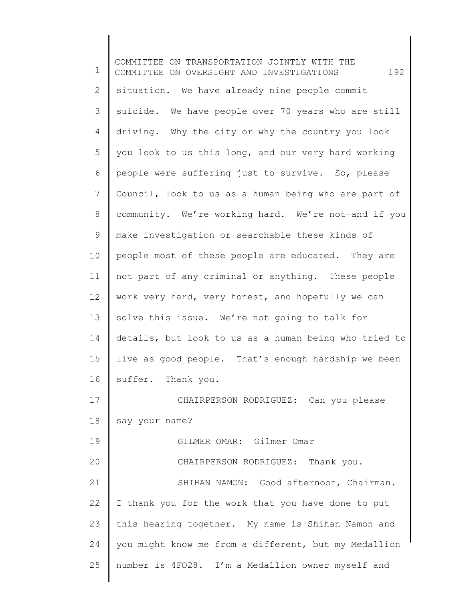1 2 3 4 5 6 7 8 9 10 11 12 13 14 15 16 17 18 19 20 21 22 23 24 25 COMMITTEE ON TRANSPORTATION JOINTLY WITH THE COMMITTEE ON OVERSIGHT AND INVESTIGATIONS 192 situation. We have already nine people commit suicide. We have people over 70 years who are still driving. Why the city or why the country you look you look to us this long, and our very hard working people were suffering just to survive. So, please Council, look to us as a human being who are part of community. We're working hard. We're not—and if you make investigation or searchable these kinds of people most of these people are educated. They are not part of any criminal or anything. These people work very hard, very honest, and hopefully we can solve this issue. We're not going to talk for details, but look to us as a human being who tried to live as good people. That's enough hardship we been suffer. Thank you. CHAIRPERSON RODRIGUEZ: Can you please say your name? GILMER OMAR: Gilmer Omar CHAIRPERSON RODRIGUEZ: Thank you. SHIHAN NAMON: Good afternoon, Chairman. I thank you for the work that you have done to put this hearing together. My name is Shihan Namon and you might know me from a different, but my Medallion number is 4FO28. I'm a Medallion owner myself and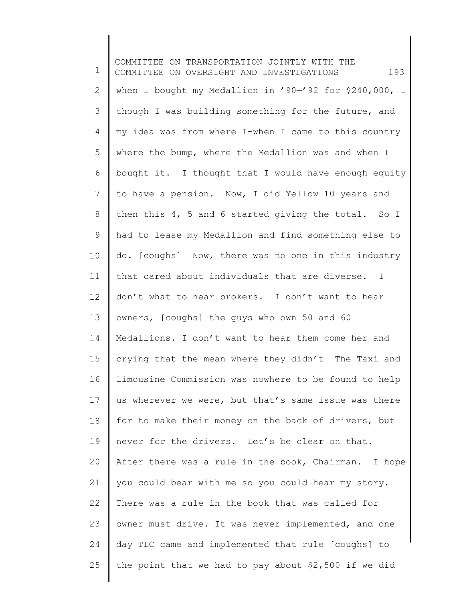1 2 3 4 5 6 7 8 9 10 11 12 13 14 15 16 17 18 19 20 21 22 23 24 25 COMMITTEE ON TRANSPORTATION JOINTLY WITH THE COMMITTEE ON OVERSIGHT AND INVESTIGATIONS 193 when I bought my Medallion in '90—'92 for \$240,000, I though I was building something for the future, and my idea was from where I-when I came to this country where the bump, where the Medallion was and when I bought it. I thought that I would have enough equity to have a pension. Now, I did Yellow 10 years and then this 4, 5 and 6 started giving the total. So I had to lease my Medallion and find something else to do. [coughs] Now, there was no one in this industry that cared about individuals that are diverse. I don't what to hear brokers. I don't want to hear owners, [coughs] the guys who own 50 and 60 Medallions. I don't want to hear them come her and crying that the mean where they didn't The Taxi and Limousine Commission was nowhere to be found to help us wherever we were, but that's same issue was there for to make their money on the back of drivers, but never for the drivers. Let's be clear on that. After there was a rule in the book, Chairman. I hope you could bear with me so you could hear my story. There was a rule in the book that was called for owner must drive. It was never implemented, and one day TLC came and implemented that rule [coughs] to the point that we had to pay about \$2,500 if we did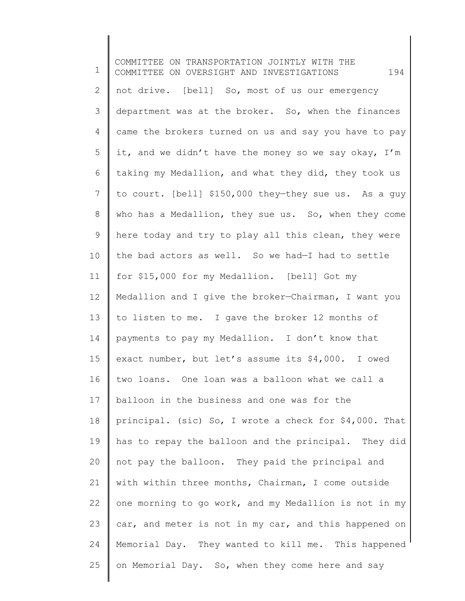1 2 3 4 5 6 7 8 9 10 11 12 13 14 15 16 17 18 19 20 21 22 23 24 25 COMMITTEE ON TRANSPORTATION JOINTLY WITH THE COMMITTEE ON OVERSIGHT AND INVESTIGATIONS 194 not drive. [bell] So, most of us our emergency department was at the broker. So, when the finances came the brokers turned on us and say you have to pay it, and we didn't have the money so we say okay, I'm taking my Medallion, and what they did, they took us to court. [bell] \$150,000 they—they sue us. As a guy who has a Medallion, they sue us. So, when they come here today and try to play all this clean, they were the bad actors as well. So we had—I had to settle for \$15,000 for my Medallion. [bell] Got my Medallion and I give the broker—Chairman, I want you to listen to me. I gave the broker 12 months of payments to pay my Medallion. I don't know that exact number, but let's assume its \$4,000. I owed two loans. One loan was a balloon what we call a balloon in the business and one was for the principal. (sic) So, I wrote a check for \$4,000. That has to repay the balloon and the principal. They did not pay the balloon. They paid the principal and with within three months, Chairman, I come outside one morning to go work, and my Medallion is not in my car, and meter is not in my car, and this happened on Memorial Day. They wanted to kill me. This happened on Memorial Day. So, when they come here and say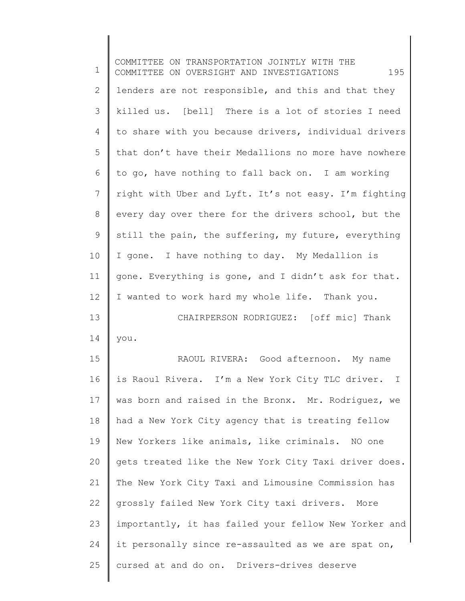| $\mathbf 1$ | COMMITTEE ON TRANSPORTATION JOINTLY WITH THE<br>195<br>COMMITTEE ON OVERSIGHT AND INVESTIGATIONS |
|-------------|--------------------------------------------------------------------------------------------------|
| 2           | lenders are not responsible, and this and that they                                              |
| 3           | killed us. [bell] There is a lot of stories I need                                               |
| 4           | to share with you because drivers, individual drivers                                            |
| 5           | that don't have their Medallions no more have nowhere                                            |
| 6           | to go, have nothing to fall back on. I am working                                                |
| 7           | right with Uber and Lyft. It's not easy. I'm fighting                                            |
| $8\,$       | every day over there for the drivers school, but the                                             |
| 9           | still the pain, the suffering, my future, everything                                             |
| 10          | I gone. I have nothing to day. My Medallion is                                                   |
| 11          | gone. Everything is gone, and I didn't ask for that.                                             |
| 12          | I wanted to work hard my whole life. Thank you.                                                  |
| 13          | CHAIRPERSON RODRIGUEZ: [off mic] Thank                                                           |
| 14          | you.                                                                                             |
| 15          | RAOUL RIVERA: Good afternoon. My name                                                            |
| 16          | is Raoul Rivera. I'm a New York City TLC driver. I                                               |
| 17          | was born and raised in the Bronx. Mr. Rodriguez, we                                              |
| 18          | had a New York City agency that is treating fellow                                               |
| 19          | New Yorkers like animals, like criminals. NO one                                                 |
| 20          | gets treated like the New York City Taxi driver does.                                            |
| 21          | The New York City Taxi and Limousine Commission has                                              |
| 22          | grossly failed New York City taxi drivers.<br>More                                               |
| 23          | importantly, it has failed your fellow New Yorker and                                            |
| 24          | it personally since re-assaulted as we are spat on,                                              |
| 25          | cursed at and do on. Drivers-drives deserve                                                      |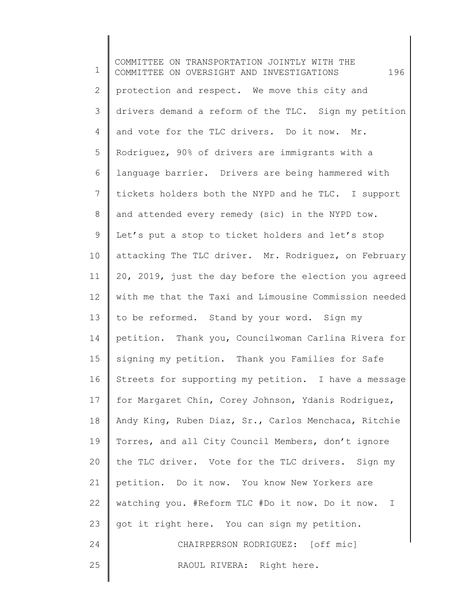1 2 3 4 5 6 7 8 9 10 11 12 13 14 15 16 17 18 19 20 21 22 23 24 25 COMMITTEE ON TRANSPORTATION JOINTLY WITH THE COMMITTEE ON OVERSIGHT AND INVESTIGATIONS 196 protection and respect. We move this city and drivers demand a reform of the TLC. Sign my petition and vote for the TLC drivers. Do it now. Mr. Rodriguez, 90% of drivers are immigrants with a language barrier. Drivers are being hammered with tickets holders both the NYPD and he TLC. I support and attended every remedy (sic) in the NYPD tow. Let's put a stop to ticket holders and let's stop attacking The TLC driver. Mr. Rodriguez, on February 20, 2019, just the day before the election you agreed with me that the Taxi and Limousine Commission needed to be reformed. Stand by your word. Sign my petition. Thank you, Councilwoman Carlina Rivera for signing my petition. Thank you Families for Safe Streets for supporting my petition. I have a message for Margaret Chin, Corey Johnson, Ydanis Rodriguez, Andy King, Ruben Diaz, Sr., Carlos Menchaca, Ritchie Torres, and all City Council Members, don't ignore the TLC driver. Vote for the TLC drivers. Sign my petition. Do it now. You know New Yorkers are watching you. #Reform TLC #Do it now. Do it now. I got it right here. You can sign my petition. CHAIRPERSON RODRIGUEZ: [off mic] RAOUL RIVERA: Right here.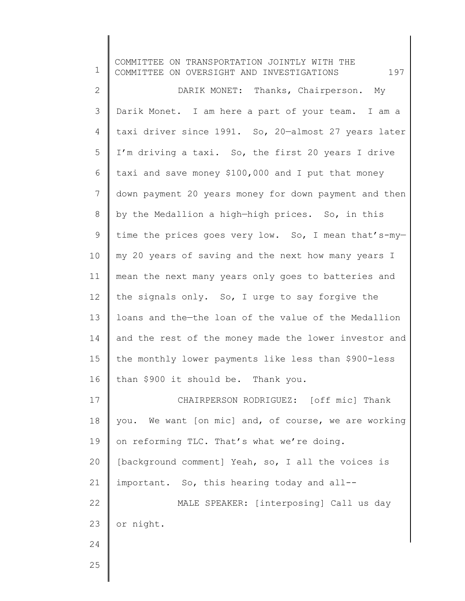1 2 3 4 5 6 7 8 9 10 11 12 13 14 15 16 17 18 19 20 21 22 23 24 25 COMMITTEE ON TRANSPORTATION JOINTLY WITH THE COMMITTEE ON OVERSIGHT AND INVESTIGATIONS  $197$ DARIK MONET: Thanks, Chairperson. My Darik Monet. I am here a part of your team. I am a taxi driver since 1991. So, 20—almost 27 years later I'm driving a taxi. So, the first 20 years I drive taxi and save money \$100,000 and I put that money down payment 20 years money for down payment and then by the Medallion a high—high prices. So, in this time the prices goes very low. So, I mean that's-my my 20 years of saving and the next how many years I mean the next many years only goes to batteries and the signals only. So, I urge to say forgive the loans and the—the loan of the value of the Medallion and the rest of the money made the lower investor and the monthly lower payments like less than \$900-less than \$900 it should be. Thank you. CHAIRPERSON RODRIGUEZ: [off mic] Thank you. We want [on mic] and, of course, we are working on reforming TLC. That's what we're doing. [background comment] Yeah, so, I all the voices is important. So, this hearing today and all-- MALE SPEAKER: [interposing] Call us day or night.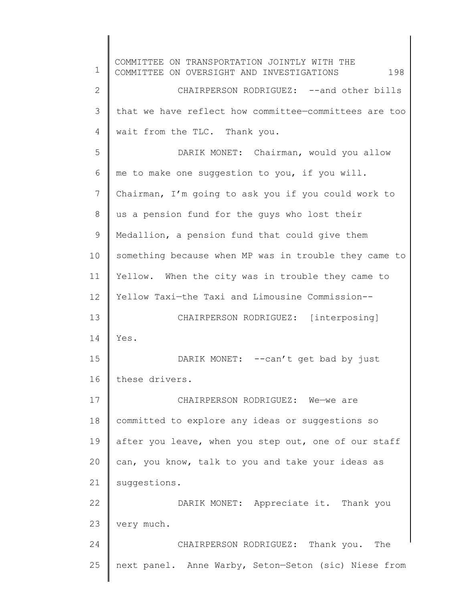1 2 3 4 5 6 7 8 9 10 11 12 13 14 15 16 17 18 19 20 21 22 23 24 25 COMMITTEE ON TRANSPORTATION JOINTLY WITH THE COMMITTEE ON OVERSIGHT AND INVESTIGATIONS  $198$ CHAIRPERSON RODRIGUEZ: --and other bills that we have reflect how committee—committees are too wait from the TLC. Thank you. DARIK MONET: Chairman, would you allow me to make one suggestion to you, if you will. Chairman, I'm going to ask you if you could work to us a pension fund for the guys who lost their Medallion, a pension fund that could give them something because when MP was in trouble they came to Yellow. When the city was in trouble they came to Yellow Taxi—the Taxi and Limousine Commission-- CHAIRPERSON RODRIGUEZ: [interposing] Yes. DARIK MONET: -- can't get bad by just these drivers. CHAIRPERSON RODRIGUEZ: We—we are committed to explore any ideas or suggestions so after you leave, when you step out, one of our staff can, you know, talk to you and take your ideas as suggestions. DARIK MONET: Appreciate it. Thank you very much. CHAIRPERSON RODRIGUEZ: Thank you. The next panel. Anne Warby, Seton—Seton (sic) Niese from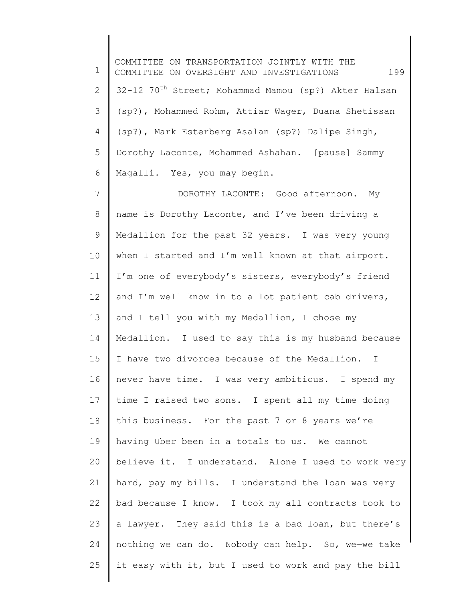1 2 3 4 5 6 7 8 9 10 11 12 13 14 15 16 17 18 19 20 21 22 23 24 25 COMMITTEE ON TRANSPORTATION JOINTLY WITH THE COMMITTEE ON OVERSIGHT AND INVESTIGATIONS 199 32-12 70<sup>th</sup> Street; Mohammad Mamou (sp?) Akter Halsan (sp?), Mohammed Rohm, Attiar Wager, Duana Shetissan (sp?), Mark Esterberg Asalan (sp?) Dalipe Singh, Dorothy Laconte, Mohammed Ashahan. [pause] Sammy Magalli. Yes, you may begin. DOROTHY LACONTE: Good afternoon. My name is Dorothy Laconte, and I've been driving a Medallion for the past 32 years. I was very young when I started and I'm well known at that airport. I'm one of everybody's sisters, everybody's friend and I'm well know in to a lot patient cab drivers, and I tell you with my Medallion, I chose my Medallion. I used to say this is my husband because I have two divorces because of the Medallion. I never have time. I was very ambitious. I spend my time I raised two sons. I spent all my time doing this business. For the past 7 or 8 years we're having Uber been in a totals to us. We cannot believe it. I understand. Alone I used to work very hard, pay my bills. I understand the loan was very bad because I know. I took my—all contracts—took to a lawyer. They said this is a bad loan, but there's nothing we can do. Nobody can help. So, we—we take it easy with it, but I used to work and pay the bill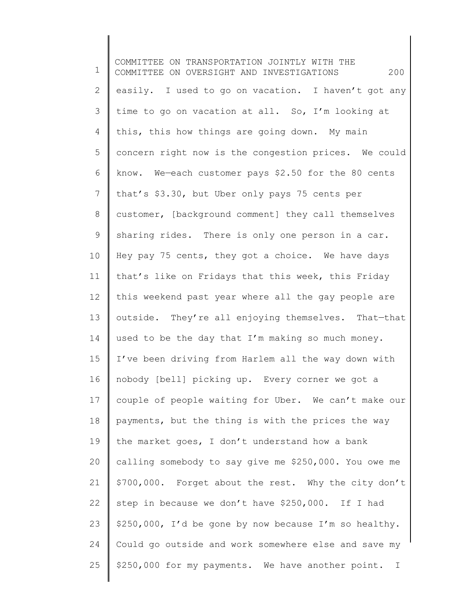1 2 3 4 5 6 7 8 9 10 11 12 13 14 15 16 17 18 19 20 21 22 23 24 25 COMMITTEE ON TRANSPORTATION JOINTLY WITH THE COMMITTEE ON OVERSIGHT AND INVESTIGATIONS 200 easily. I used to go on vacation. I haven't got any time to go on vacation at all. So, I'm looking at this, this how things are going down. My main concern right now is the congestion prices. We could know. We—each customer pays \$2.50 for the 80 cents that's \$3.30, but Uber only pays 75 cents per customer, [background comment] they call themselves sharing rides. There is only one person in a car. Hey pay 75 cents, they got a choice. We have days that's like on Fridays that this week, this Friday this weekend past year where all the gay people are outside. They're all enjoying themselves. That—that used to be the day that I'm making so much money. I've been driving from Harlem all the way down with nobody [bell] picking up. Every corner we got a couple of people waiting for Uber. We can't make our payments, but the thing is with the prices the way the market goes, I don't understand how a bank calling somebody to say give me \$250,000. You owe me \$700,000. Forget about the rest. Why the city don't step in because we don't have \$250,000. If I had \$250,000, I'd be gone by now because I'm so healthy. Could go outside and work somewhere else and save my \$250,000 for my payments. We have another point. I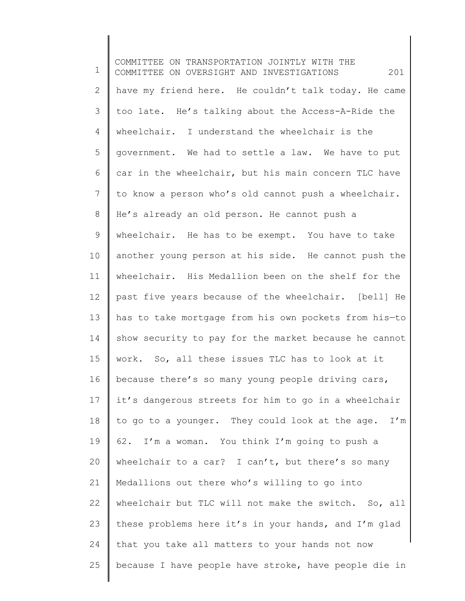1 2 3 4 5 6 7 8 9 10 11 12 13 14 15 16 17 18 19 20 21 22 23 24 25 COMMITTEE ON TRANSPORTATION JOINTLY WITH THE COMMITTEE ON OVERSIGHT AND INVESTIGATIONS 201 have my friend here. He couldn't talk today. He came too late. He's talking about the Access-A-Ride the wheelchair. I understand the wheelchair is the government. We had to settle a law. We have to put car in the wheelchair, but his main concern TLC have to know a person who's old cannot push a wheelchair. He's already an old person. He cannot push a wheelchair. He has to be exempt. You have to take another young person at his side. He cannot push the wheelchair. His Medallion been on the shelf for the past five years because of the wheelchair. [bell] He has to take mortgage from his own pockets from his—to show security to pay for the market because he cannot work. So, all these issues TLC has to look at it because there's so many young people driving cars, it's dangerous streets for him to go in a wheelchair to go to a younger. They could look at the age. I'm 62. I'm a woman. You think I'm going to push a wheelchair to a car? I can't, but there's so many Medallions out there who's willing to go into wheelchair but TLC will not make the switch. So, all these problems here it's in your hands, and I'm glad that you take all matters to your hands not now because I have people have stroke, have people die in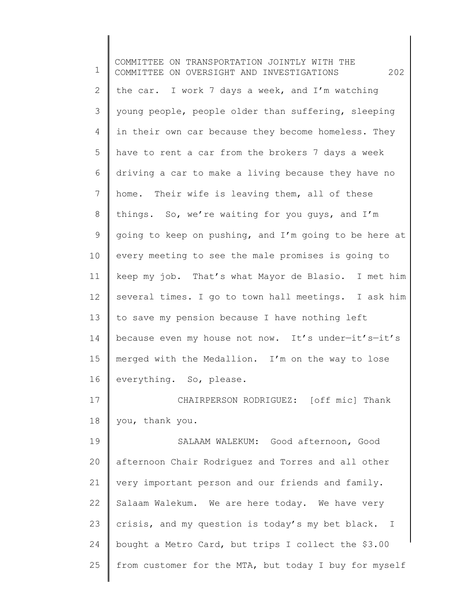1 2 3 4 5 6 7 8 9 10 11 12 13 14 15 16 17 18 19 20 21 22 23 24 25 COMMITTEE ON TRANSPORTATION JOINTLY WITH THE COMMITTEE ON OVERSIGHT AND INVESTIGATIONS 202 the car. I work 7 days a week, and I'm watching young people, people older than suffering, sleeping in their own car because they become homeless. They have to rent a car from the brokers 7 days a week driving a car to make a living because they have no home. Their wife is leaving them, all of these things. So, we're waiting for you guys, and I'm going to keep on pushing, and I'm going to be here at every meeting to see the male promises is going to keep my job. That's what Mayor de Blasio. I met him several times. I go to town hall meetings. I ask him to save my pension because I have nothing left because even my house not now. It's under—it's—it's merged with the Medallion. I'm on the way to lose everything. So, please. CHAIRPERSON RODRIGUEZ: [off mic] Thank you, thank you. SALAAM WALEKUM: Good afternoon, Good afternoon Chair Rodriguez and Torres and all other very important person and our friends and family. Salaam Walekum. We are here today. We have very crisis, and my question is today's my bet black. I bought a Metro Card, but trips I collect the \$3.00 from customer for the MTA, but today I buy for myself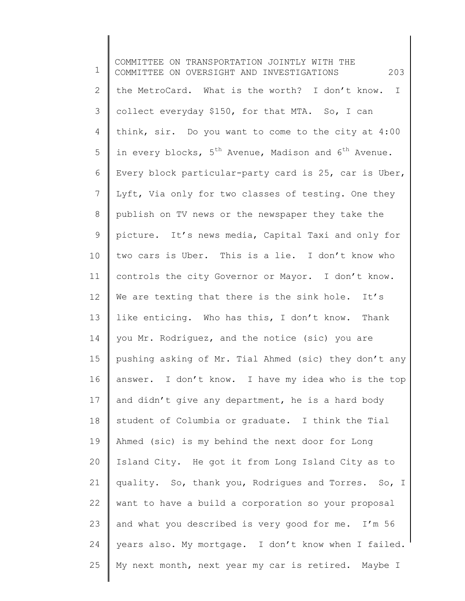1 2 3 4 5 6 7 8 9 10 11 12 13 14 15 16 17 18 19 20 21 22 23 24 25 COMMITTEE ON TRANSPORTATION JOINTLY WITH THE COMMITTEE ON OVERSIGHT AND INVESTIGATIONS 203 the MetroCard. What is the worth? I don't know. I collect everyday \$150, for that MTA. So, I can think, sir. Do you want to come to the city at 4:00 in every blocks,  $5<sup>th</sup>$  Avenue, Madison and  $6<sup>th</sup>$  Avenue. Every block particular-party card is 25, car is Uber, Lyft, Via only for two classes of testing. One they publish on TV news or the newspaper they take the picture. It's news media, Capital Taxi and only for two cars is Uber. This is a lie. I don't know who controls the city Governor or Mayor. I don't know. We are texting that there is the sink hole. It's like enticing. Who has this, I don't know. Thank you Mr. Rodriguez, and the notice (sic) you are pushing asking of Mr. Tial Ahmed (sic) they don't any answer. I don't know. I have my idea who is the top and didn't give any department, he is a hard body student of Columbia or graduate. I think the Tial Ahmed (sic) is my behind the next door for Long Island City. He got it from Long Island City as to quality. So, thank you, Rodrigues and Torres. So, I want to have a build a corporation so your proposal and what you described is very good for me. I'm 56 years also. My mortgage. I don't know when I failed. My next month, next year my car is retired. Maybe I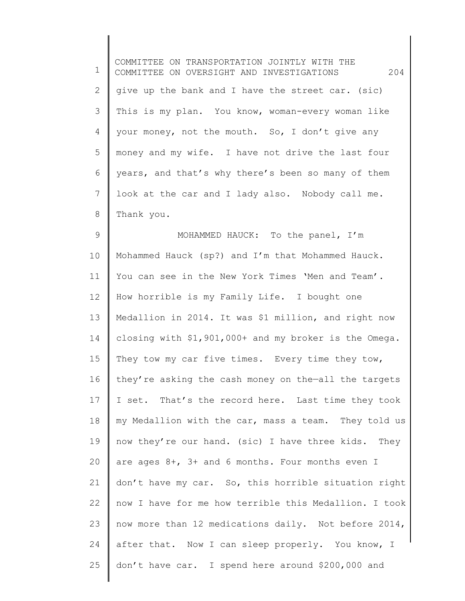| 1               | COMMITTEE ON TRANSPORTATION JOINTLY WITH THE<br>204<br>COMMITTEE ON OVERSIGHT AND INVESTIGATIONS |
|-----------------|--------------------------------------------------------------------------------------------------|
| 2               | give up the bank and I have the street car. (sic)                                                |
| 3               | This is my plan. You know, woman-every woman like                                                |
| 4               | your money, not the mouth. So, I don't give any                                                  |
| 5               | money and my wife. I have not drive the last four                                                |
| 6               | years, and that's why there's been so many of them                                               |
| 7               | look at the car and I lady also. Nobody call me.                                                 |
| 8               | Thank you.                                                                                       |
| 9               | MOHAMMED HAUCK: To the panel, I'm                                                                |
| 10              | Mohammed Hauck (sp?) and I'm that Mohammed Hauck.                                                |
| 11              | You can see in the New York Times 'Men and Team'.                                                |
| 12 <sup>°</sup> | How horrible is my Family Life. I bought one                                                     |
| 13              | Medallion in 2014. It was \$1 million, and right now                                             |
| 14              | closing with \$1,901,000+ and my broker is the Omega.                                            |
| 15              | They tow my car five times. Every time they tow,                                                 |
| 16              | they're asking the cash money on the-all the targets                                             |
| 17              | I set. That's the record here. Last time they took                                               |
| 18              | my Medallion with the car, mass a team. They told us                                             |
| 19              | now they're our hand. (sic) I have three kids. They                                              |
| 20              | are ages 8+, 3+ and 6 months. Four months even I                                                 |
| 21              | don't have my car. So, this horrible situation right                                             |
| 22              | now I have for me how terrible this Medallion. I took                                            |
| 23              | now more than 12 medications daily. Not before 2014,                                             |
| 24              | after that. Now I can sleep properly. You know, I                                                |
| 25              | don't have car. I spend here around \$200,000 and                                                |
|                 |                                                                                                  |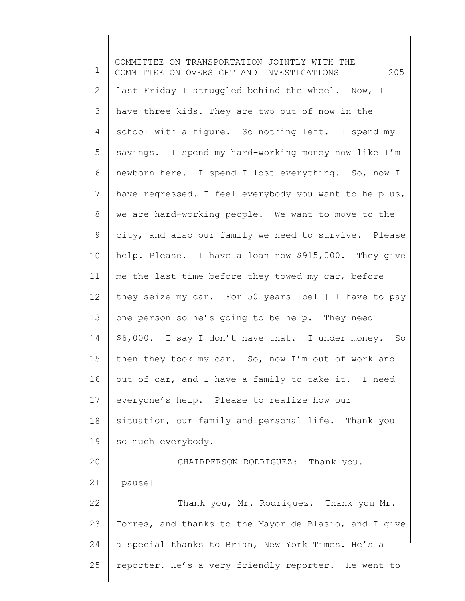1 2 3 4 5 6 7 8 9 10 11 12 13 14 15 16 17 18 19 20 21 22 23 24 25 COMMITTEE ON TRANSPORTATION JOINTLY WITH THE COMMITTEE ON OVERSIGHT AND INVESTIGATIONS 205 last Friday I struggled behind the wheel. Now, I have three kids. They are two out of—now in the school with a figure. So nothing left. I spend my savings. I spend my hard-working money now like I'm newborn here. I spend—I lost everything. So, now I have regressed. I feel everybody you want to help us, we are hard-working people. We want to move to the city, and also our family we need to survive. Please help. Please. I have a loan now \$915,000. They give me the last time before they towed my car, before they seize my car. For 50 years [bell] I have to pay one person so he's going to be help. They need \$6,000. I say I don't have that. I under money. So then they took my car. So, now I'm out of work and out of car, and I have a family to take it. I need everyone's help. Please to realize how our situation, our family and personal life. Thank you so much everybody. CHAIRPERSON RODRIGUEZ: Thank you. [pause] Thank you, Mr. Rodriguez. Thank you Mr. Torres, and thanks to the Mayor de Blasio, and I give a special thanks to Brian, New York Times. He's a reporter. He's a very friendly reporter. He went to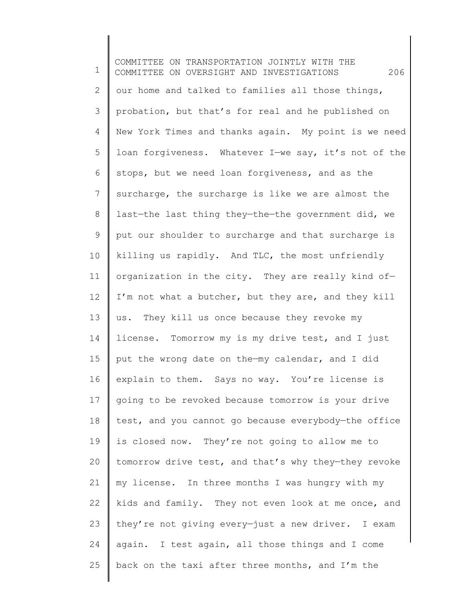1 2 3 4 5 6 7 8 9 10 11 12 13 14 15 16 17 18 19 20 21 22 23 24 25 COMMITTEE ON TRANSPORTATION JOINTLY WITH THE COMMITTEE ON OVERSIGHT AND INVESTIGATIONS 206 our home and talked to families all those things, probation, but that's for real and he published on New York Times and thanks again. My point is we need loan forgiveness. Whatever I—we say, it's not of the stops, but we need loan forgiveness, and as the surcharge, the surcharge is like we are almost the last—the last thing they—the—the government did, we put our shoulder to surcharge and that surcharge is killing us rapidly. And TLC, the most unfriendly organization in the city. They are really kind of— I'm not what a butcher, but they are, and they kill us. They kill us once because they revoke my license. Tomorrow my is my drive test, and I just put the wrong date on the—my calendar, and I did explain to them. Says no way. You're license is going to be revoked because tomorrow is your drive test, and you cannot go because everybody—the office is closed now. They're not going to allow me to tomorrow drive test, and that's why they—they revoke my license. In three months I was hungry with my kids and family. They not even look at me once, and they're not giving every—just a new driver. I exam again. I test again, all those things and I come back on the taxi after three months, and I'm the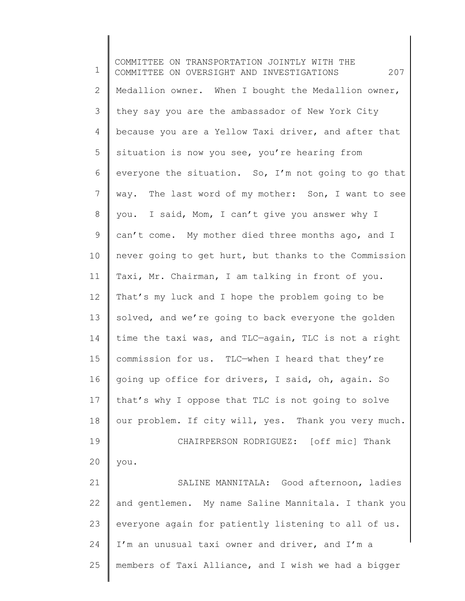1 2 3 4 5 6 7 8 9 10 11 12 13 14 15 16 17 18 19 20 21 22 23 24 25 COMMITTEE ON TRANSPORTATION JOINTLY WITH THE COMMITTEE ON OVERSIGHT AND INVESTIGATIONS 207 Medallion owner. When I bought the Medallion owner, they say you are the ambassador of New York City because you are a Yellow Taxi driver, and after that situation is now you see, you're hearing from everyone the situation. So, I'm not going to go that way. The last word of my mother: Son, I want to see you. I said, Mom, I can't give you answer why I can't come. My mother died three months ago, and I never going to get hurt, but thanks to the Commission Taxi, Mr. Chairman, I am talking in front of you. That's my luck and I hope the problem going to be solved, and we're going to back everyone the golden time the taxi was, and TLC—again, TLC is not a right commission for us. TLC—when I heard that they're going up office for drivers, I said, oh, again. So that's why I oppose that TLC is not going to solve our problem. If city will, yes. Thank you very much. CHAIRPERSON RODRIGUEZ: [off mic] Thank you. SALINE MANNITALA: Good afternoon, ladies and gentlemen. My name Saline Mannitala. I thank you everyone again for patiently listening to all of us. I'm an unusual taxi owner and driver, and I'm a members of Taxi Alliance, and I wish we had a bigger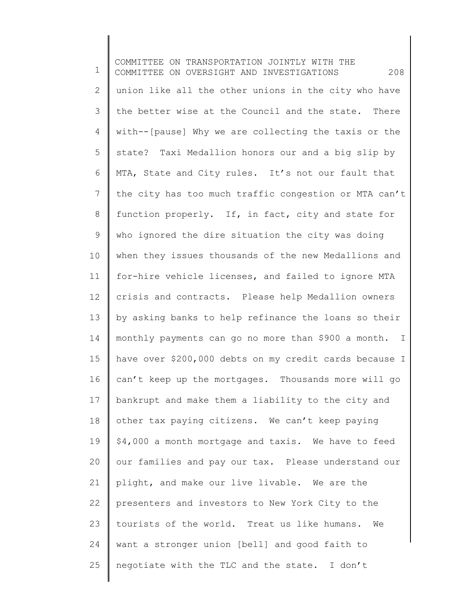1 2 3 4 5 6 7 8 9 10 11 12 13 14 15 16 17 18 19 20 21 22 23 24 25 COMMITTEE ON TRANSPORTATION JOINTLY WITH THE COMMITTEE ON OVERSIGHT AND INVESTIGATIONS 208 union like all the other unions in the city who have the better wise at the Council and the state. There with--[pause] Why we are collecting the taxis or the state? Taxi Medallion honors our and a big slip by MTA, State and City rules. It's not our fault that the city has too much traffic congestion or MTA can't function properly. If, in fact, city and state for who ignored the dire situation the city was doing when they issues thousands of the new Medallions and for-hire vehicle licenses, and failed to ignore MTA crisis and contracts. Please help Medallion owners by asking banks to help refinance the loans so their monthly payments can go no more than \$900 a month. I have over \$200,000 debts on my credit cards because I can't keep up the mortgages. Thousands more will go bankrupt and make them a liability to the city and other tax paying citizens. We can't keep paying \$4,000 a month mortgage and taxis. We have to feed our families and pay our tax. Please understand our plight, and make our live livable. We are the presenters and investors to New York City to the tourists of the world. Treat us like humans. We want a stronger union [bell] and good faith to negotiate with the TLC and the state. I don't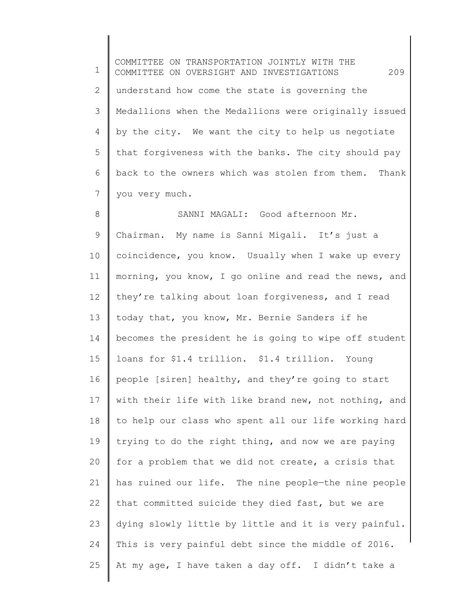1 2 3 4 5 6 7 COMMITTEE ON TRANSPORTATION JOINTLY WITH THE COMMITTEE ON OVERSIGHT AND INVESTIGATIONS 209 understand how come the state is governing the Medallions when the Medallions were originally issued by the city. We want the city to help us negotiate that forgiveness with the banks. The city should pay back to the owners which was stolen from them. Thank you very much.

8 9 10 11 12 13 14 15 16 17 18 19 20 21 22 23 24 25 SANNI MAGALI: Good afternoon Mr. Chairman. My name is Sanni Migali. It's just a coincidence, you know. Usually when I wake up every morning, you know, I go online and read the news, and they're talking about loan forgiveness, and I read today that, you know, Mr. Bernie Sanders if he becomes the president he is going to wipe off student loans for \$1.4 trillion. \$1.4 trillion. Young people [siren] healthy, and they're going to start with their life with like brand new, not nothing, and to help our class who spent all our life working hard trying to do the right thing, and now we are paying for a problem that we did not create, a crisis that has ruined our life. The nine people—the nine people that committed suicide they died fast, but we are dying slowly little by little and it is very painful. This is very painful debt since the middle of 2016. At my age, I have taken a day off. I didn't take a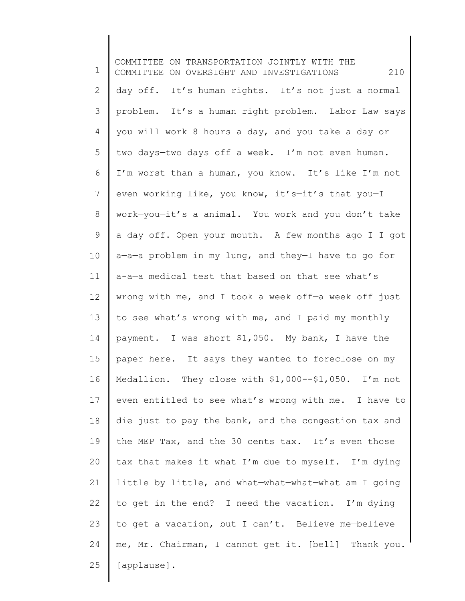1 2 3 4 5 6 7 8 9 10 11 12 13 14 15 16 17 18 19 20 21 22 23 24 25 COMMITTEE ON TRANSPORTATION JOINTLY WITH THE COMMITTEE ON OVERSIGHT AND INVESTIGATIONS 210 day off. It's human rights. It's not just a normal problem. It's a human right problem. Labor Law says you will work 8 hours a day, and you take a day or two days—two days off a week. I'm not even human. I'm worst than a human, you know. It's like I'm not even working like, you know, it's—it's that you—I work—you—it's a animal. You work and you don't take a day off. Open your mouth. A few months ago I—I got a—a—a problem in my lung, and they—I have to go for a-a—a medical test that based on that see what's wrong with me, and I took a week off—a week off just to see what's wrong with me, and I paid my monthly payment. I was short \$1,050. My bank, I have the paper here. It says they wanted to foreclose on my Medallion. They close with \$1,000--\$1,050. I'm not even entitled to see what's wrong with me. I have to die just to pay the bank, and the congestion tax and the MEP Tax, and the 30 cents tax. It's even those tax that makes it what I'm due to myself. I'm dying little by little, and what—what—what—what am I going to get in the end? I need the vacation. I'm dying to get a vacation, but I can't. Believe me—believe me, Mr. Chairman, I cannot get it. [bell] Thank you. [applause].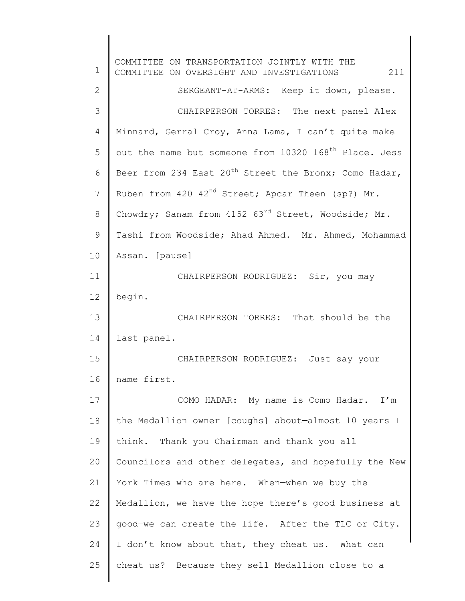1 2 3 4 5 6 7 8 9 10 11 12 13 14 15 16 17 18 19 20 21 22 23 24 25 COMMITTEE ON TRANSPORTATION JOINTLY WITH THE COMMITTEE ON OVERSIGHT AND INVESTIGATIONS 211 SERGEANT-AT-ARMS: Keep it down, please. CHAIRPERSON TORRES: The next panel Alex Minnard, Gerral Croy, Anna Lama, I can't quite make out the name but someone from 10320 168<sup>th</sup> Place. Jess Beer from 234 East 20<sup>th</sup> Street the Bronx; Como Hadar, Ruben from 420 42<sup>nd</sup> Street; Apcar Theen (sp?) Mr. Chowdry; Sanam from 4152 63<sup>rd</sup> Street, Woodside; Mr. Tashi from Woodside; Ahad Ahmed. Mr. Ahmed, Mohammad Assan. [pause] CHAIRPERSON RODRIGUEZ: Sir, you may begin. CHAIRPERSON TORRES: That should be the last panel. CHAIRPERSON RODRIGUEZ: Just say your name first. COMO HADAR: My name is Como Hadar. I'm the Medallion owner [coughs] about—almost 10 years I think. Thank you Chairman and thank you all Councilors and other delegates, and hopefully the New York Times who are here. When—when we buy the Medallion, we have the hope there's good business at good—we can create the life. After the TLC or City. I don't know about that, they cheat us. What can cheat us? Because they sell Medallion close to a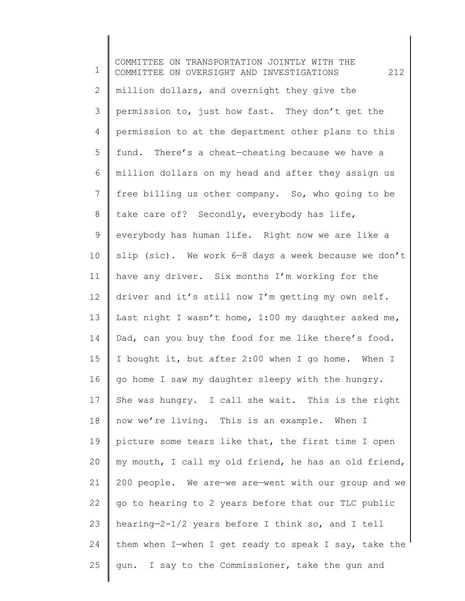1 2 3 4 5 6 7 8 9 10 11 12 13 14 15 16 17 18 19 20 21 22 23 24 25 COMMITTEE ON TRANSPORTATION JOINTLY WITH THE COMMITTEE ON OVERSIGHT AND INVESTIGATIONS 212 million dollars, and overnight they give the permission to, just how fast. They don't get the permission to at the department other plans to this fund. There's a cheat—cheating because we have a million dollars on my head and after they assign us free billing us other company. So, who going to be take care of? Secondly, everybody has life, everybody has human life. Right now we are like a slip (sic). We work  $6-8$  days a week because we don't have any driver. Six months I'm working for the driver and it's still now I'm getting my own self. Last night I wasn't home, 1:00 my daughter asked me, Dad, can you buy the food for me like there's food. I bought it, but after 2:00 when I go home. When I go home I saw my daughter sleepy with the hungry. She was hungry. I call she wait. This is the right now we're living. This is an example. When I picture some tears like that, the first time I open my mouth, I call my old friend, he has an old friend, 200 people. We are—we are—went with our group and we go to hearing to 2 years before that our TLC public hearing—2-1/2 years before I think so, and I tell them when I—when I get ready to speak I say, take the gun. I say to the Commissioner, take the gun and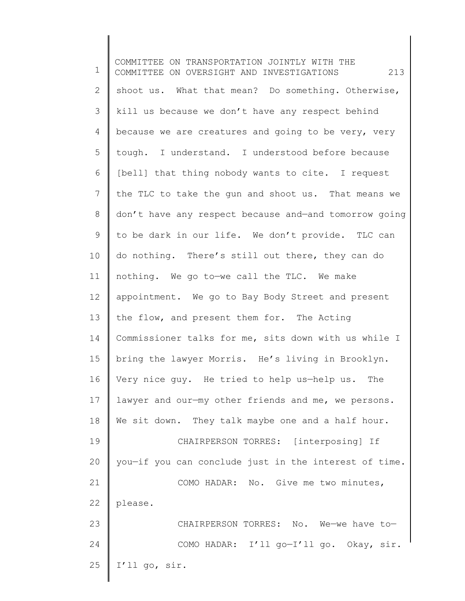1 2 3 4 5 6 7 8 9 10 11 12 13 14 15 16 17 18 19 20 21 22 23 24 25 COMMITTEE ON TRANSPORTATION JOINTLY WITH THE COMMITTEE ON OVERSIGHT AND INVESTIGATIONS 213 shoot us. What that mean? Do something. Otherwise, kill us because we don't have any respect behind because we are creatures and going to be very, very tough. I understand. I understood before because [bell] that thing nobody wants to cite. I request the TLC to take the gun and shoot us. That means we don't have any respect because and—and tomorrow going to be dark in our life. We don't provide. TLC can do nothing. There's still out there, they can do nothing. We go to—we call the TLC. We make appointment. We go to Bay Body Street and present the flow, and present them for. The Acting Commissioner talks for me, sits down with us while I bring the lawyer Morris. He's living in Brooklyn. Very nice guy. He tried to help us—help us. The lawyer and our—my other friends and me, we persons. We sit down. They talk maybe one and a half hour. CHAIRPERSON TORRES: [interposing] If you—if you can conclude just in the interest of time. COMO HADAR: No. Give me two minutes, please. CHAIRPERSON TORRES: No. We—we have to— COMO HADAR: I'll go—I'll go. Okay, sir. I'll go, sir.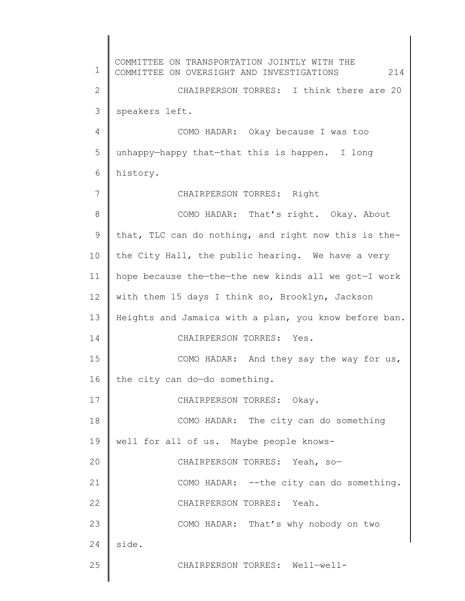1 2 3 4 5 6 7 8 9 10 11 12 13 14 15 16 17 18 19 20 21 22 23 24 25 COMMITTEE ON TRANSPORTATION JOINTLY WITH THE COMMITTEE ON OVERSIGHT AND INVESTIGATIONS 214 CHAIRPERSON TORRES: I think there are 20 speakers left. COMO HADAR: Okay because I was too unhappy—happy that—that this is happen. I long history. CHAIRPERSON TORRES: Right COMO HADAR: That's right. Okay. About that, TLC can do nothing, and right now this is thethe City Hall, the public hearing. We have a very hope because the—the—the new kinds all we got—I work with them 15 days I think so, Brooklyn, Jackson Heights and Jamaica with a plan, you know before ban. CHAIRPERSON TORRES: Yes. COMO HADAR: And they say the way for us, the city can do—do something. CHAIRPERSON TORRES: Okay. COMO HADAR: The city can do something well for all of us. Maybe people knows-CHAIRPERSON TORRES: Yeah, so— COMO HADAR: --the city can do something. CHAIRPERSON TORRES: Yeah. COMO HADAR: That's why nobody on two side. CHAIRPERSON TORRES: Well—well-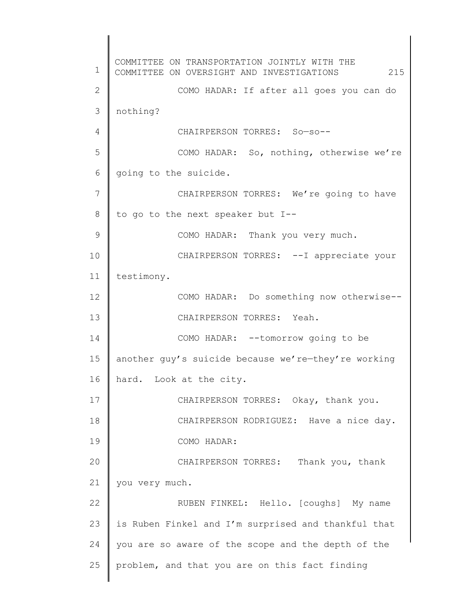1 2 3 4 5 6 7 8 9 10 11 12 13 14 15 16 17 18 19 20 21 22 23 24 25 COMMITTEE ON TRANSPORTATION JOINTLY WITH THE COMMITTEE ON OVERSIGHT AND INVESTIGATIONS 215 COMO HADAR: If after all goes you can do nothing? CHAIRPERSON TORRES: So—so-- COMO HADAR: So, nothing, otherwise we're going to the suicide. CHAIRPERSON TORRES: We're going to have to go to the next speaker but I-- COMO HADAR: Thank you very much. CHAIRPERSON TORRES: --I appreciate your testimony. COMO HADAR: Do something now otherwise-- CHAIRPERSON TORRES: Yeah. COMO HADAR: --tomorrow going to be another guy's suicide because we're—they're working hard. Look at the city. CHAIRPERSON TORRES: Okay, thank you. CHAIRPERSON RODRIGUEZ: Have a nice day. COMO HADAR: CHAIRPERSON TORRES: Thank you, thank you very much. RUBEN FINKEL: Hello. [coughs] My name is Ruben Finkel and I'm surprised and thankful that you are so aware of the scope and the depth of the problem, and that you are on this fact finding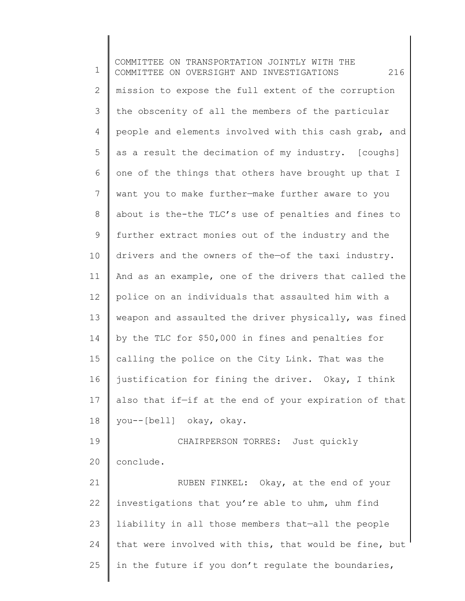1 2 3 4 5 6 7 8 9 10 11 12 13 14 15 16 17 18 19 20 COMMITTEE ON TRANSPORTATION JOINTLY WITH THE COMMITTEE ON OVERSIGHT AND INVESTIGATIONS 216 mission to expose the full extent of the corruption the obscenity of all the members of the particular people and elements involved with this cash grab, and as a result the decimation of my industry. [coughs] one of the things that others have brought up that I want you to make further—make further aware to you about is the-the TLC's use of penalties and fines to further extract monies out of the industry and the drivers and the owners of the—of the taxi industry. And as an example, one of the drivers that called the police on an individuals that assaulted him with a weapon and assaulted the driver physically, was fined by the TLC for \$50,000 in fines and penalties for calling the police on the City Link. That was the justification for fining the driver. Okay, I think also that if—if at the end of your expiration of that you--[bell] okay, okay. CHAIRPERSON TORRES: Just quickly conclude.

21 22 23 24 25 RUBEN FINKEL: Okay, at the end of your investigations that you're able to uhm, uhm find liability in all those members that—all the people that were involved with this, that would be fine, but in the future if you don't regulate the boundaries,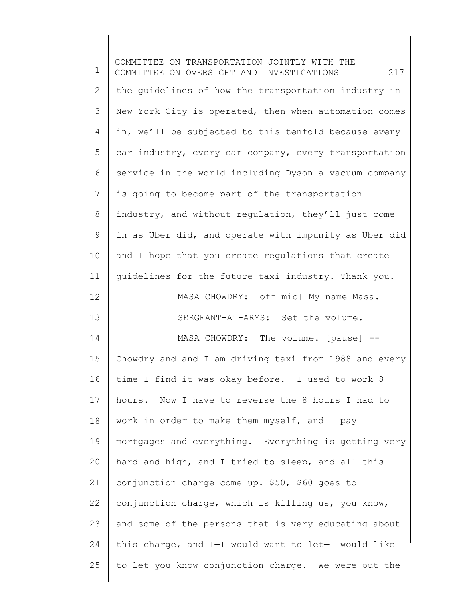| 1              | COMMITTEE ON TRANSPORTATION JOINTLY WITH THE<br>217<br>COMMITTEE ON OVERSIGHT AND INVESTIGATIONS |
|----------------|--------------------------------------------------------------------------------------------------|
| $\mathbf{2}$   | the guidelines of how the transportation industry in                                             |
| 3              | New York City is operated, then when automation comes                                            |
| $\overline{4}$ | in, we'll be subjected to this tenfold because every                                             |
| 5              | car industry, every car company, every transportation                                            |
| 6              | service in the world including Dyson a vacuum company                                            |
| $\overline{7}$ | is going to become part of the transportation                                                    |
| 8              | industry, and without regulation, they'll just come                                              |
| $\mathsf 9$    | in as Uber did, and operate with impunity as Uber did                                            |
| 10             | and I hope that you create regulations that create                                               |
| 11             | guidelines for the future taxi industry. Thank you.                                              |
| 12             | MASA CHOWDRY: [off mic] My name Masa.                                                            |
| 13             | SERGEANT-AT-ARMS: Set the volume.                                                                |
| 14             | MASA CHOWDRY: The volume. [pause] --                                                             |
| 15             | Chowdry and-and I am driving taxi from 1988 and every                                            |
| 16             | time I find it was okay before. I used to work 8                                                 |
| 17             | hours. Now I have to reverse the 8 hours I had to                                                |
| 18             | work in order to make them myself, and I pay                                                     |
| 19             | mortgages and everything. Everything is getting very                                             |
| 20             | hard and high, and I tried to sleep, and all this                                                |
| 21             | conjunction charge come up. \$50, \$60 goes to                                                   |
| 22             | conjunction charge, which is killing us, you know,                                               |
| 23             | and some of the persons that is very educating about                                             |
| 24             | this charge, and I-I would want to let-I would like                                              |
| 25             | to let you know conjunction charge. We were out the                                              |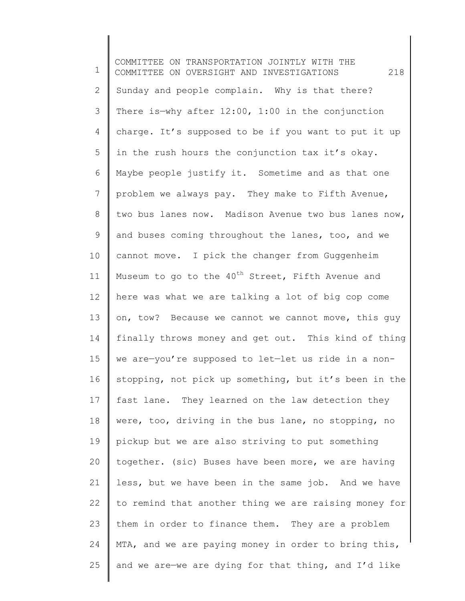1 2 3 4 5 6 7 8 9 10 11 12 13 14 15 16 17 18 19 20 21 22 23 24 25 COMMITTEE ON TRANSPORTATION JOINTLY WITH THE COMMITTEE ON OVERSIGHT AND INVESTIGATIONS 218 Sunday and people complain. Why is that there? There is—why after 12:00, 1:00 in the conjunction charge. It's supposed to be if you want to put it up in the rush hours the conjunction tax it's okay. Maybe people justify it. Sometime and as that one problem we always pay. They make to Fifth Avenue, two bus lanes now. Madison Avenue two bus lanes now, and buses coming throughout the lanes, too, and we cannot move. I pick the changer from Guggenheim Museum to go to the  $40^{th}$  Street, Fifth Avenue and here was what we are talking a lot of big cop come on, tow? Because we cannot we cannot move, this guy finally throws money and get out. This kind of thing we are—you're supposed to let—let us ride in a nonstopping, not pick up something, but it's been in the fast lane. They learned on the law detection they were, too, driving in the bus lane, no stopping, no pickup but we are also striving to put something together. (sic) Buses have been more, we are having less, but we have been in the same job. And we have to remind that another thing we are raising money for them in order to finance them. They are a problem MTA, and we are paying money in order to bring this, and we are—we are dying for that thing, and I'd like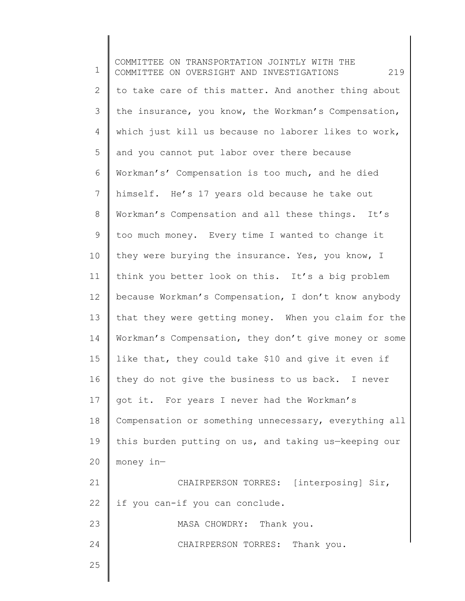1 2 3 4 5 6 7 8 9 10 11 12 13 14 15 16 17 18 19 20 21 22 23 24 25 COMMITTEE ON TRANSPORTATION JOINTLY WITH THE COMMITTEE ON OVERSIGHT AND INVESTIGATIONS 219 to take care of this matter. And another thing about the insurance, you know, the Workman's Compensation, which just kill us because no laborer likes to work, and you cannot put labor over there because Workman's' Compensation is too much, and he died himself. He's 17 years old because he take out Workman's Compensation and all these things. It's too much money. Every time I wanted to change it they were burying the insurance. Yes, you know, I think you better look on this. It's a big problem because Workman's Compensation, I don't know anybody that they were getting money. When you claim for the Workman's Compensation, they don't give money or some like that, they could take \$10 and give it even if they do not give the business to us back. I never got it. For years I never had the Workman's Compensation or something unnecessary, everything all this burden putting on us, and taking us—keeping our money in— CHAIRPERSON TORRES: [interposing] Sir, if you can-if you can conclude. MASA CHOWDRY: Thank you. CHAIRPERSON TORRES: Thank you.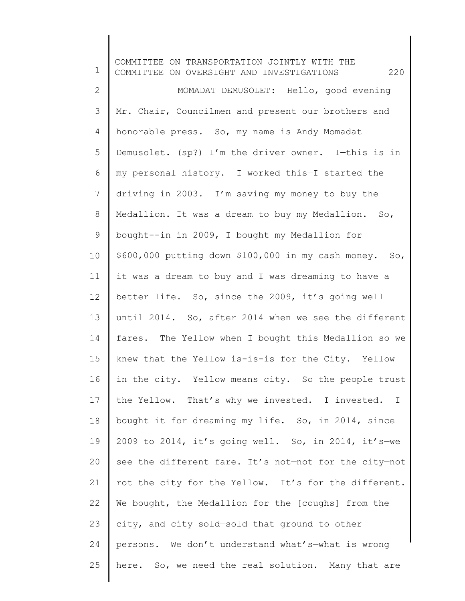1 2 3 4 5 6 7 8 9 10 11 12 13 14 15 16 17 18 19 20 21 22 23 24 25 COMMITTEE ON TRANSPORTATION JOINTLY WITH THE COMMITTEE ON OVERSIGHT AND INVESTIGATIONS 220 MOMADAT DEMUSOLET: Hello, good evening Mr. Chair, Councilmen and present our brothers and honorable press. So, my name is Andy Momadat Demusolet. (sp?) I'm the driver owner. I—this is in my personal history. I worked this—I started the driving in 2003. I'm saving my money to buy the Medallion. It was a dream to buy my Medallion. So, bought--in in 2009, I bought my Medallion for \$600,000 putting down \$100,000 in my cash money. So, it was a dream to buy and I was dreaming to have a better life. So, since the 2009, it's going well until 2014. So, after 2014 when we see the different fares. The Yellow when I bought this Medallion so we knew that the Yellow is-is-is for the City. Yellow in the city. Yellow means city. So the people trust the Yellow. That's why we invested. I invested. I bought it for dreaming my life. So, in 2014, since 2009 to 2014, it's going well. So, in 2014, it's-we see the different fare. It's not—not for the city—not rot the city for the Yellow. It's for the different. We bought, the Medallion for the [coughs] from the city, and city sold—sold that ground to other persons. We don't understand what's—what is wrong here. So, we need the real solution. Many that are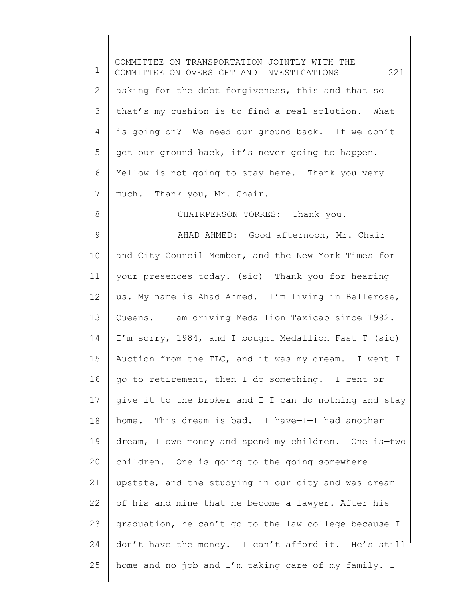1 2 3 4 5 6 7 8 9 10 11 12 13 14 15 16 17 18 19 20 21 22 23 24 25 COMMITTEE ON TRANSPORTATION JOINTLY WITH THE COMMITTEE ON OVERSIGHT AND INVESTIGATIONS 221 asking for the debt forgiveness, this and that so that's my cushion is to find a real solution. What is going on? We need our ground back. If we don't get our ground back, it's never going to happen. Yellow is not going to stay here. Thank you very much. Thank you, Mr. Chair. CHAIRPERSON TORRES: Thank you. AHAD AHMED: Good afternoon, Mr. Chair and City Council Member, and the New York Times for your presences today. (sic) Thank you for hearing us. My name is Ahad Ahmed. I'm living in Bellerose, Queens. I am driving Medallion Taxicab since 1982. I'm sorry, 1984, and I bought Medallion Fast T (sic) Auction from the TLC, and it was my dream. I went—I go to retirement, then I do something. I rent or give it to the broker and I—I can do nothing and stay home. This dream is bad. I have—I—I had another dream, I owe money and spend my children. One is—two children. One is going to the—going somewhere upstate, and the studying in our city and was dream of his and mine that he become a lawyer. After his graduation, he can't go to the law college because I don't have the money. I can't afford it. He's still home and no job and I'm taking care of my family. I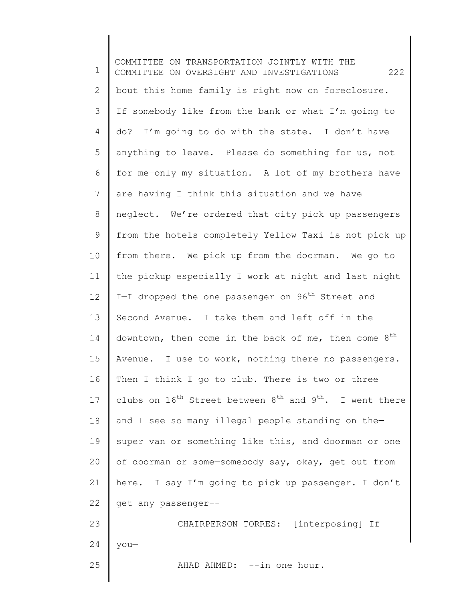1 2 3 4 5 6 7 8 9 10 11 12 13 14 15 16 17 18 19 20 21 22 23 24 25 COMMITTEE ON TRANSPORTATION JOINTLY WITH THE COMMITTEE ON OVERSIGHT AND INVESTIGATIONS 222 bout this home family is right now on foreclosure. If somebody like from the bank or what I'm going to do? I'm going to do with the state. I don't have anything to leave. Please do something for us, not for me—only my situation. A lot of my brothers have are having I think this situation and we have neglect. We're ordered that city pick up passengers from the hotels completely Yellow Taxi is not pick up from there. We pick up from the doorman. We go to the pickup especially I work at night and last night I-I dropped the one passenger on  $96<sup>th</sup>$  Street and Second Avenue. I take them and left off in the downtown, then come in the back of me, then come  $8^{th}$ Avenue. I use to work, nothing there no passengers. Then I think I go to club. There is two or three clubs on  $16^{th}$  Street between  $8^{th}$  and  $9^{th}$ . I went there and I see so many illegal people standing on the super van or something like this, and doorman or one of doorman or some—somebody say, okay, get out from here. I say I'm going to pick up passenger. I don't get any passenger-- CHAIRPERSON TORRES: [interposing] If you— AHAD AHMED: --in one hour.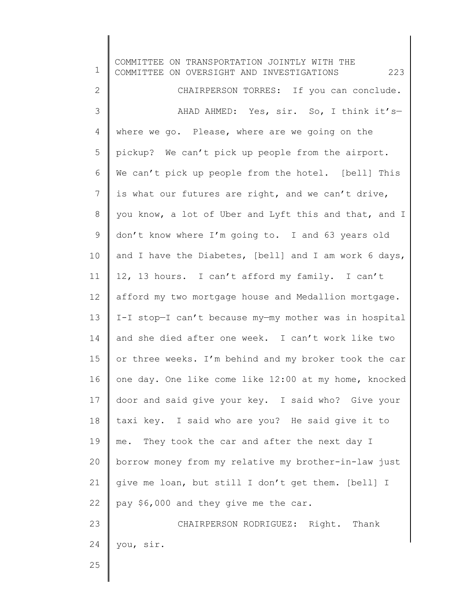1 2 3 4 5 6 7 8 9 10 11 12 13 14 15 16 17 18 19 20 21 22 23 24 25 COMMITTEE ON TRANSPORTATION JOINTLY WITH THE COMMITTEE ON OVERSIGHT AND INVESTIGATIONS 223 CHAIRPERSON TORRES: If you can conclude. AHAD AHMED: Yes, sir. So, I think it's where we go. Please, where are we going on the pickup? We can't pick up people from the airport. We can't pick up people from the hotel. [bell] This is what our futures are right, and we can't drive, you know, a lot of Uber and Lyft this and that, and I don't know where I'm going to. I and 63 years old and I have the Diabetes, [bell] and I am work 6 days, 12, 13 hours. I can't afford my family. I can't afford my two mortgage house and Medallion mortgage. I-I stop—I can't because my—my mother was in hospital and she died after one week. I can't work like two or three weeks. I'm behind and my broker took the car one day. One like come like 12:00 at my home, knocked door and said give your key. I said who? Give your taxi key. I said who are you? He said give it to me. They took the car and after the next day I borrow money from my relative my brother-in-law just give me loan, but still I don't get them. [bell] I pay \$6,000 and they give me the car. CHAIRPERSON RODRIGUEZ: Right. Thank you, sir.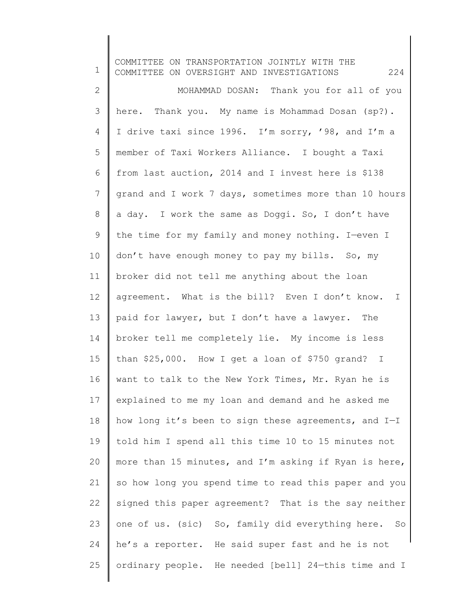1 2 3 4 5 6 7 8 9 10 11 12 13 14 15 16 17 18 19 20 21 22 23 24 25 COMMITTEE ON TRANSPORTATION JOINTLY WITH THE COMMITTEE ON OVERSIGHT AND INVESTIGATIONS 224 MOHAMMAD DOSAN: Thank you for all of you here. Thank you. My name is Mohammad Dosan (sp?). I drive taxi since 1996. I'm sorry, '98, and I'm a member of Taxi Workers Alliance. I bought a Taxi from last auction, 2014 and I invest here is \$138 grand and I work 7 days, sometimes more than 10 hours a day. I work the same as Doggi. So, I don't have the time for my family and money nothing. I—even I don't have enough money to pay my bills. So, my broker did not tell me anything about the loan agreement. What is the bill? Even I don't know. I paid for lawyer, but I don't have a lawyer. The broker tell me completely lie. My income is less than \$25,000. How I get a loan of \$750 grand? I want to talk to the New York Times, Mr. Ryan he is explained to me my loan and demand and he asked me how long it's been to sign these agreements, and I—I told him I spend all this time 10 to 15 minutes not more than 15 minutes, and I'm asking if Ryan is here, so how long you spend time to read this paper and you signed this paper agreement? That is the say neither one of us. (sic) So, family did everything here. So he's a reporter. He said super fast and he is not ordinary people. He needed [bell] 24—this time and I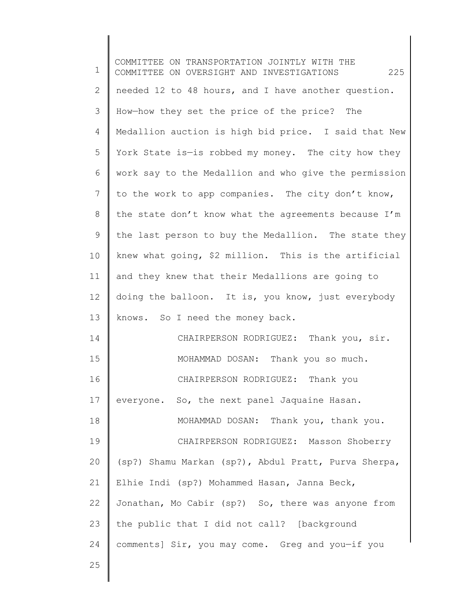1 2 3 4 5 6 7 8 9 10 11 12 13 14 15 16 17 18 19 20 21 22 23 24 25 COMMITTEE ON TRANSPORTATION JOINTLY WITH THE COMMITTEE ON OVERSIGHT AND INVESTIGATIONS 225 needed 12 to 48 hours, and I have another question. How—how they set the price of the price? The Medallion auction is high bid price. I said that New York State is—is robbed my money. The city how they work say to the Medallion and who give the permission to the work to app companies. The city don't know, the state don't know what the agreements because I'm the last person to buy the Medallion. The state they knew what going, \$2 million. This is the artificial and they knew that their Medallions are going to doing the balloon. It is, you know, just everybody knows. So I need the money back. CHAIRPERSON RODRIGUEZ: Thank you, sir. MOHAMMAD DOSAN: Thank you so much. CHAIRPERSON RODRIGUEZ: Thank you everyone. So, the next panel Jaquaine Hasan. MOHAMMAD DOSAN: Thank you, thank you. CHAIRPERSON RODRIGUEZ: Masson Shoberry (sp?) Shamu Markan (sp?), Abdul Pratt, Purva Sherpa, Elhie Indi (sp?) Mohammed Hasan, Janna Beck, Jonathan, Mo Cabir (sp?) So, there was anyone from the public that I did not call? [background comments] Sir, you may come. Greg and you—if you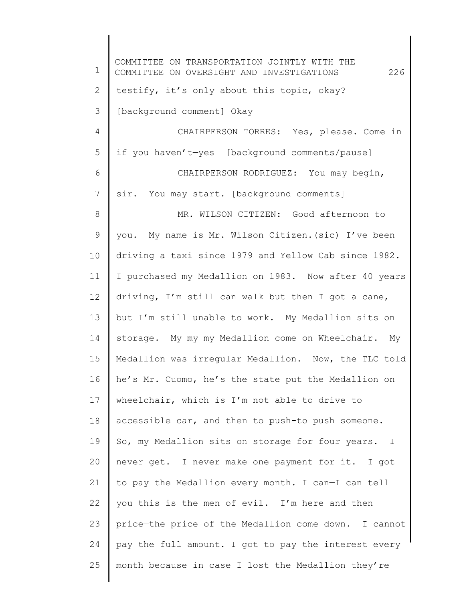1 2 3 4 5 6 7 8 9 10 11 12 13 14 15 16 17 18 19 20 21 22 23 24 25 COMMITTEE ON TRANSPORTATION JOINTLY WITH THE COMMITTEE ON OVERSIGHT AND INVESTIGATIONS 226 testify, it's only about this topic, okay? [background comment] Okay CHAIRPERSON TORRES: Yes, please. Come in if you haven't—yes [background comments/pause] CHAIRPERSON RODRIGUEZ: You may begin, sir. You may start. [background comments] MR. WILSON CITIZEN: Good afternoon to you. My name is Mr. Wilson Citizen.(sic) I've been driving a taxi since 1979 and Yellow Cab since 1982. I purchased my Medallion on 1983. Now after 40 years driving, I'm still can walk but then I got a cane, but I'm still unable to work. My Medallion sits on storage. My—my—my Medallion come on Wheelchair. My Medallion was irregular Medallion. Now, the TLC told he's Mr. Cuomo, he's the state put the Medallion on wheelchair, which is I'm not able to drive to accessible car, and then to push-to push someone. So, my Medallion sits on storage for four years. I never get. I never make one payment for it. I got to pay the Medallion every month. I can—I can tell you this is the men of evil. I'm here and then price—the price of the Medallion come down. I cannot pay the full amount. I got to pay the interest every month because in case I lost the Medallion they're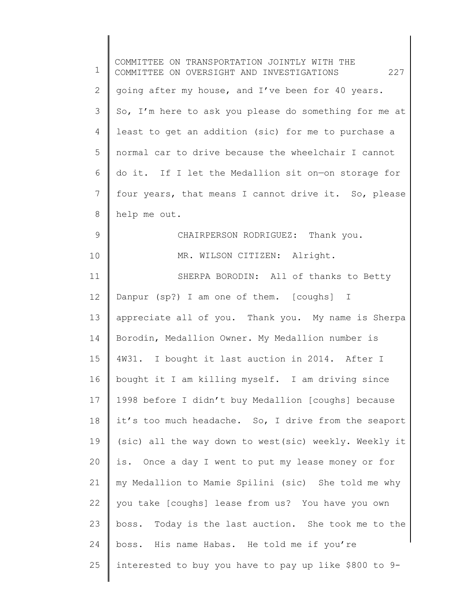| $\mathbf 1$     | COMMITTEE ON TRANSPORTATION JOINTLY WITH THE<br>227<br>COMMITTEE ON OVERSIGHT AND INVESTIGATIONS |
|-----------------|--------------------------------------------------------------------------------------------------|
| $\mathbf{2}$    | going after my house, and I've been for 40 years.                                                |
| 3               | So, I'm here to ask you please do something for me at                                            |
| $\overline{4}$  | least to get an addition (sic) for me to purchase a                                              |
| 5               | normal car to drive because the wheelchair I cannot                                              |
| 6               | do it. If I let the Medallion sit on-on storage for                                              |
| 7               | four years, that means I cannot drive it. So, please                                             |
| 8               | help me out.                                                                                     |
| $\mathsf 9$     | CHAIRPERSON RODRIGUEZ: Thank you.                                                                |
| 10              | MR. WILSON CITIZEN: Alright.                                                                     |
| 11              | SHERPA BORODIN: All of thanks to Betty                                                           |
| 12 <sup>°</sup> | Danpur (sp?) I am one of them. [coughs] I                                                        |
| 13              | appreciate all of you. Thank you. My name is Sherpa                                              |
| 14              | Borodin, Medallion Owner. My Medallion number is                                                 |
| 15              | 4W31. I bought it last auction in 2014. After I                                                  |
| 16              | bought it I am killing myself. I am driving since                                                |
| 17              | 1998 before I didn't buy Medallion [coughs] because                                              |
| 18              | it's too much headache. So, I drive from the seaport                                             |
| 19              | (sic) all the way down to west(sic) weekly. Weekly it                                            |
| 20              | is. Once a day I went to put my lease money or for                                               |
| 21              | my Medallion to Mamie Spilini (sic) She told me why                                              |
| 22              | you take [coughs] lease from us? You have you own                                                |
| 23              | boss. Today is the last auction. She took me to the                                              |
| 24              | boss. His name Habas. He told me if you're                                                       |
| 25              | interested to buy you have to pay up like \$800 to 9-                                            |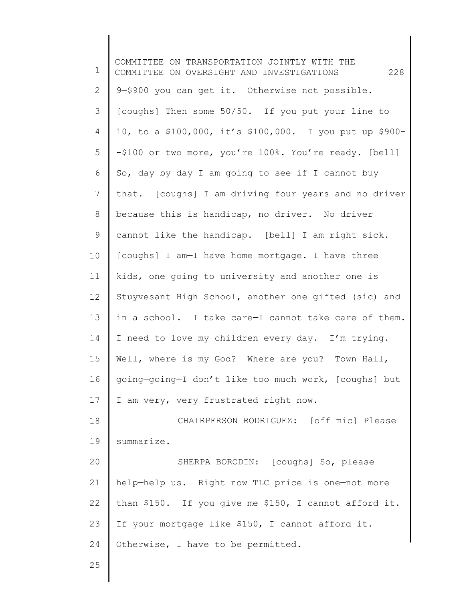1 2 3 4 5 6 7 8 9 10 11 12 13 14 15 16 17 18 19 20 21 22 23 24 25 COMMITTEE ON TRANSPORTATION JOINTLY WITH THE COMMITTEE ON OVERSIGHT AND INVESTIGATIONS 228 9—\$900 you can get it. Otherwise not possible. [coughs] Then some 50/50. If you put your line to 10, to a \$100,000, it's \$100,000. I you put up \$900- -\$100 or two more, you're 100%. You're ready. [bell] So, day by day I am going to see if I cannot buy that. [coughs] I am driving four years and no driver because this is handicap, no driver. No driver cannot like the handicap. [bell] I am right sick. [coughs] I am—I have home mortgage. I have three kids, one going to university and another one is Stuyvesant High School, another one gifted (sic) and in a school. I take care—I cannot take care of them. I need to love my children every day. I'm trying. Well, where is my God? Where are you? Town Hall, going—going—I don't like too much work, [coughs] but I am very, very frustrated right now. CHAIRPERSON RODRIGUEZ: [off mic] Please summarize. SHERPA BORODIN: [coughs] So, please help—help us. Right now TLC price is one—not more than \$150. If you give me \$150, I cannot afford it. If your mortgage like \$150, I cannot afford it. Otherwise, I have to be permitted.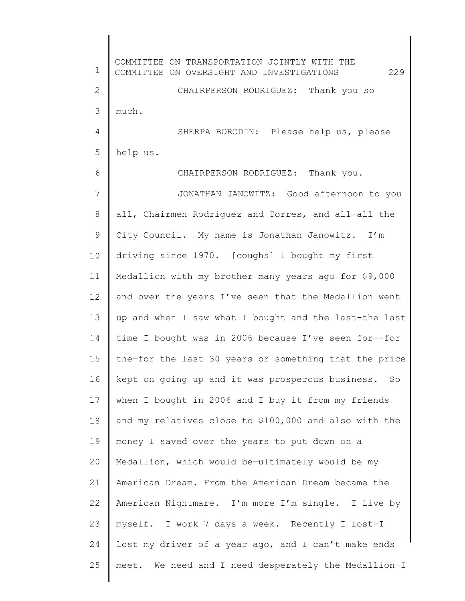1 2 3 4 5 6 7 8 9 10 11 12 13 14 15 16 17 18 19 20 21 22 23 24 25 COMMITTEE ON TRANSPORTATION JOINTLY WITH THE COMMITTEE ON OVERSIGHT AND INVESTIGATIONS 229 CHAIRPERSON RODRIGUEZ: Thank you so much. SHERPA BORODIN: Please help us, please help us. CHAIRPERSON RODRIGUEZ: Thank you. JONATHAN JANOWITZ: Good afternoon to you all, Chairmen Rodriguez and Torres, and all—all the City Council. My name is Jonathan Janowitz. I'm driving since 1970. [coughs] I bought my first Medallion with my brother many years ago for \$9,000 and over the years I've seen that the Medallion went up and when I saw what I bought and the last-the last time I bought was in 2006 because I've seen for--for the—for the last 30 years or something that the price kept on going up and it was prosperous business. So when I bought in 2006 and I buy it from my friends and my relatives close to \$100,000 and also with the money I saved over the years to put down on a Medallion, which would be—ultimately would be my American Dream. From the American Dream became the American Nightmare. I'm more—I'm single. I live by myself. I work 7 days a week. Recently I lost-I lost my driver of a year ago, and I can't make ends meet. We need and I need desperately the Medallion—I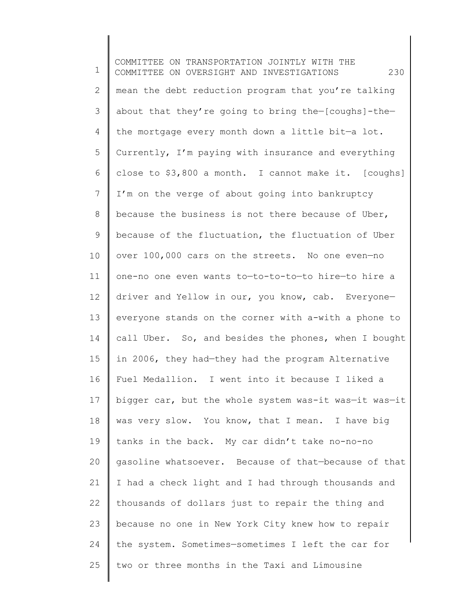1 2 3 4 5 6 7 8 9 10 11 12 13 14 15 16 17 18 19 20 21 22 23 24 25 COMMITTEE ON TRANSPORTATION JOINTLY WITH THE COMMITTEE ON OVERSIGHT AND INVESTIGATIONS 230 mean the debt reduction program that you're talking about that they're going to bring the—[coughs]-the the mortgage every month down a little bit—a lot. Currently, I'm paying with insurance and everything close to \$3,800 a month. I cannot make it. [coughs] I'm on the verge of about going into bankruptcy because the business is not there because of Uber, because of the fluctuation, the fluctuation of Uber over 100,000 cars on the streets. No one even—no one-no one even wants to—to-to-to—to hire—to hire a driver and Yellow in our, you know, cab. Everyone everyone stands on the corner with a-with a phone to call Uber. So, and besides the phones, when I bought in 2006, they had—they had the program Alternative Fuel Medallion. I went into it because I liked a bigger car, but the whole system was-it was—it was—it was very slow. You know, that I mean. I have big tanks in the back. My car didn't take no-no-no gasoline whatsoever. Because of that—because of that I had a check light and I had through thousands and thousands of dollars just to repair the thing and because no one in New York City knew how to repair the system. Sometimes—sometimes I left the car for two or three months in the Taxi and Limousine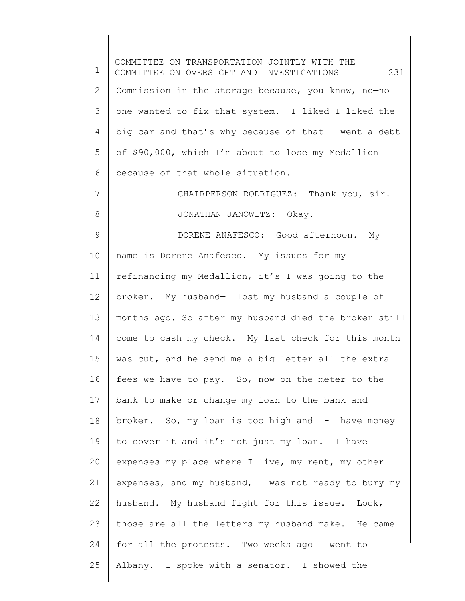1 2 3 4 5 6 7 8 9 10 11 12 13 14 15 16 17 18 19 20 21 22 23 24 25 COMMITTEE ON TRANSPORTATION JOINTLY WITH THE COMMITTEE ON OVERSIGHT AND INVESTIGATIONS 231 Commission in the storage because, you know, no—no one wanted to fix that system. I liked—I liked the big car and that's why because of that I went a debt of \$90,000, which I'm about to lose my Medallion because of that whole situation. CHAIRPERSON RODRIGUEZ: Thank you, sir. JONATHAN JANOWITZ: Okay. DORENE ANAFESCO: Good afternoon. My name is Dorene Anafesco. My issues for my refinancing my Medallion, it's—I was going to the broker. My husband—I lost my husband a couple of months ago. So after my husband died the broker still come to cash my check. My last check for this month was cut, and he send me a big letter all the extra fees we have to pay. So, now on the meter to the bank to make or change my loan to the bank and broker. So, my loan is too high and I-I have money to cover it and it's not just my loan. I have expenses my place where I live, my rent, my other expenses, and my husband, I was not ready to bury my husband. My husband fight for this issue. Look, those are all the letters my husband make. He came for all the protests. Two weeks ago I went to Albany. I spoke with a senator. I showed the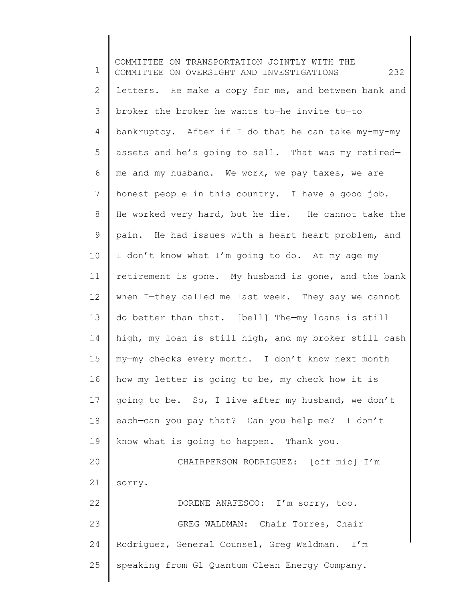1 2 3 4 5 6 7 8 9 10 11 12 13 14 15 16 17 18 19 20 21 22 23 24 25 COMMITTEE ON TRANSPORTATION JOINTLY WITH THE COMMITTEE ON OVERSIGHT AND INVESTIGATIONS 232 letters. He make a copy for me, and between bank and broker the broker he wants to—he invite to—to bankruptcy. After if I do that he can take my-my-my assets and he's going to sell. That was my retired me and my husband. We work, we pay taxes, we are honest people in this country. I have a good job. He worked very hard, but he die. He cannot take the pain. He had issues with a heart—heart problem, and I don't know what I'm going to do. At my age my retirement is gone. My husband is gone, and the bank when I—they called me last week. They say we cannot do better than that. [bell] The—my loans is still high, my loan is still high, and my broker still cash my—my checks every month. I don't know next month how my letter is going to be, my check how it is going to be. So, I live after my husband, we don't each—can you pay that? Can you help me? I don't know what is going to happen. Thank you. CHAIRPERSON RODRIGUEZ: [off mic] I'm sorry. DORENE ANAFESCO: I'm sorry, too. GREG WALDMAN: Chair Torres, Chair Rodriguez, General Counsel, Greg Waldman. I'm speaking from G1 Quantum Clean Energy Company.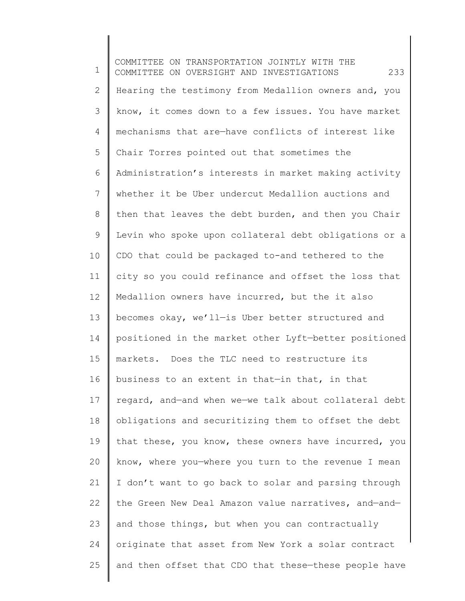1 2 3 4 5 6 7 8 9 10 11 12 13 14 15 16 17 18 19 20 21 22 23 24 25 COMMITTEE ON TRANSPORTATION JOINTLY WITH THE COMMITTEE ON OVERSIGHT AND INVESTIGATIONS 233 Hearing the testimony from Medallion owners and, you know, it comes down to a few issues. You have market mechanisms that are—have conflicts of interest like Chair Torres pointed out that sometimes the Administration's interests in market making activity whether it be Uber undercut Medallion auctions and then that leaves the debt burden, and then you Chair Levin who spoke upon collateral debt obligations or a CDO that could be packaged to-and tethered to the city so you could refinance and offset the loss that Medallion owners have incurred, but the it also becomes okay, we'll—is Uber better structured and positioned in the market other Lyft—better positioned markets. Does the TLC need to restructure its business to an extent in that—in that, in that regard, and—and when we—we talk about collateral debt obligations and securitizing them to offset the debt that these, you know, these owners have incurred, you know, where you—where you turn to the revenue I mean I don't want to go back to solar and parsing through the Green New Deal Amazon value narratives, and—and and those things, but when you can contractually originate that asset from New York a solar contract and then offset that CDO that these—these people have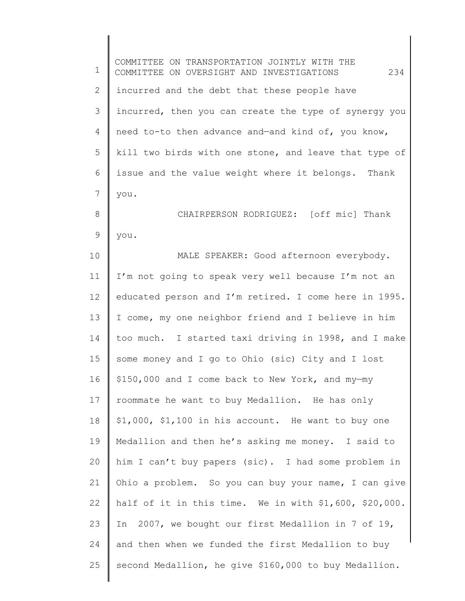1 2 3 4 5 6 7 8 9 10 11 12 13 14 15 16 17 18 19 20 21 22 23 24 25 COMMITTEE ON TRANSPORTATION JOINTLY WITH THE COMMITTEE ON OVERSIGHT AND INVESTIGATIONS 234 incurred and the debt that these people have incurred, then you can create the type of synergy you need to-to then advance and—and kind of, you know, kill two birds with one stone, and leave that type of issue and the value weight where it belongs. Thank you. CHAIRPERSON RODRIGUEZ: [off mic] Thank you. MALE SPEAKER: Good afternoon everybody. I'm not going to speak very well because I'm not an educated person and I'm retired. I come here in 1995. I come, my one neighbor friend and I believe in him too much. I started taxi driving in 1998, and I make some money and I go to Ohio (sic) City and I lost \$150,000 and I come back to New York, and my—my roommate he want to buy Medallion. He has only \$1,000, \$1,100 in his account. He want to buy one Medallion and then he's asking me money. I said to him I can't buy papers (sic). I had some problem in Ohio a problem. So you can buy your name, I can give half of it in this time. We in with \$1,600, \$20,000. In 2007, we bought our first Medallion in 7 of 19, and then when we funded the first Medallion to buy second Medallion, he give \$160,000 to buy Medallion.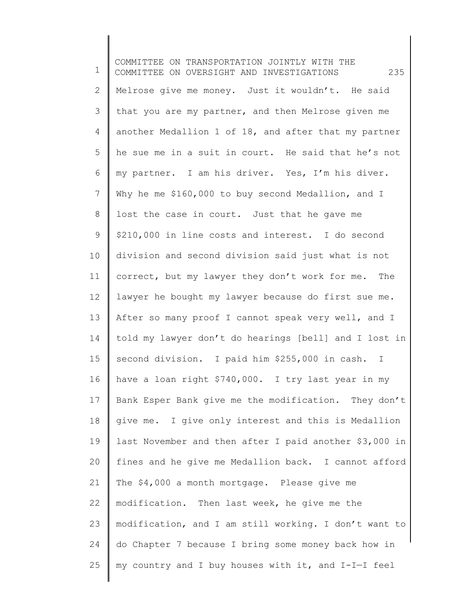1 2 3 4 5 6 7 8 9 10 11 12 13 14 15 16 17 18 19 20 21 22 23 24 25 COMMITTEE ON TRANSPORTATION JOINTLY WITH THE COMMITTEE ON OVERSIGHT AND INVESTIGATIONS 235 Melrose give me money. Just it wouldn't. He said that you are my partner, and then Melrose given me another Medallion 1 of 18, and after that my partner he sue me in a suit in court. He said that he's not my partner. I am his driver. Yes, I'm his diver. Why he me \$160,000 to buy second Medallion, and I lost the case in court. Just that he gave me \$210,000 in line costs and interest. I do second division and second division said just what is not correct, but my lawyer they don't work for me. The lawyer he bought my lawyer because do first sue me. After so many proof I cannot speak very well, and I told my lawyer don't do hearings [bell] and I lost in second division. I paid him \$255,000 in cash. I have a loan right \$740,000. I try last year in my Bank Esper Bank give me the modification. They don't give me. I give only interest and this is Medallion last November and then after I paid another \$3,000 in fines and he give me Medallion back. I cannot afford The \$4,000 a month mortgage. Please give me modification. Then last week, he give me the modification, and I am still working. I don't want to do Chapter 7 because I bring some money back how in my country and I buy houses with it, and I-I—I feel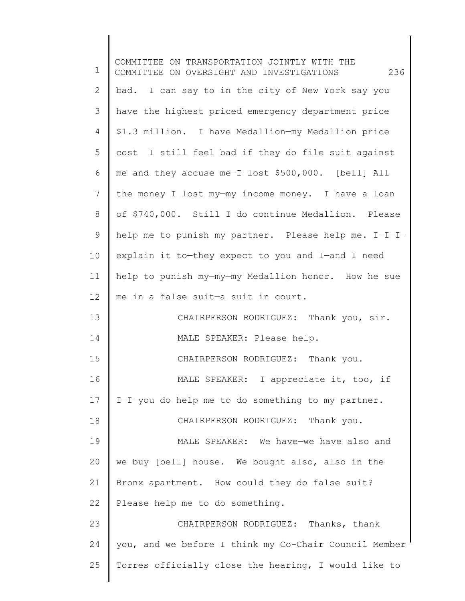| $\mathbf 1$ | COMMITTEE ON TRANSPORTATION JOINTLY WITH THE<br>236<br>COMMITTEE ON OVERSIGHT AND INVESTIGATIONS |
|-------------|--------------------------------------------------------------------------------------------------|
| 2           | bad. I can say to in the city of New York say you                                                |
| 3           | have the highest priced emergency department price                                               |
| 4           | \$1.3 million. I have Medallion-my Medallion price                                               |
| 5           | cost I still feel bad if they do file suit against                                               |
| 6           | me and they accuse me-I lost \$500,000. [bell] All                                               |
| 7           | the money I lost my-my income money. I have a loan                                               |
| 8           | of \$740,000. Still I do continue Medallion. Please                                              |
| 9           | help me to punish my partner. Please help me. I-I-I-                                             |
| 10          | explain it to-they expect to you and I-and I need                                                |
| 11          | help to punish my-my-my Medallion honor. How he sue                                              |
| 12          | me in a false suit-a suit in court.                                                              |
| 13          | CHAIRPERSON RODRIGUEZ: Thank you, sir.                                                           |
| 14          | MALE SPEAKER: Please help.                                                                       |
| 15          | CHAIRPERSON RODRIGUEZ: Thank you.                                                                |
| 16          | MALE SPEAKER: I appreciate it, too, if                                                           |
| 17          | I-I-you do help me to do something to my partner.                                                |
| 18          | CHAIRPERSON RODRIGUEZ: Thank you.                                                                |
| 19          | MALE SPEAKER: We have-we have also and                                                           |
| 20          | we buy [bell] house. We bought also, also in the                                                 |
| 21          | Bronx apartment. How could they do false suit?                                                   |
| 22          | Please help me to do something.                                                                  |
| 23          | CHAIRPERSON RODRIGUEZ: Thanks, thank                                                             |
| 24          | you, and we before I think my Co-Chair Council Member                                            |
| 25          | Torres officially close the hearing, I would like to                                             |
|             |                                                                                                  |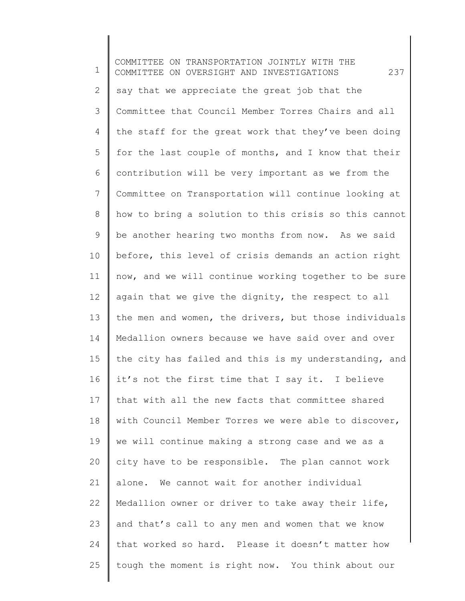1 2 3 4 5 6 7 8 9 10 11 12 13 14 15 16 17 18 19 20 21 22 23 24 25 COMMITTEE ON TRANSPORTATION JOINTLY WITH THE COMMITTEE ON OVERSIGHT AND INVESTIGATIONS 237 say that we appreciate the great job that the Committee that Council Member Torres Chairs and all the staff for the great work that they've been doing for the last couple of months, and I know that their contribution will be very important as we from the Committee on Transportation will continue looking at how to bring a solution to this crisis so this cannot be another hearing two months from now. As we said before, this level of crisis demands an action right now, and we will continue working together to be sure again that we give the dignity, the respect to all the men and women, the drivers, but those individuals Medallion owners because we have said over and over the city has failed and this is my understanding, and it's not the first time that I say it. I believe that with all the new facts that committee shared with Council Member Torres we were able to discover, we will continue making a strong case and we as a city have to be responsible. The plan cannot work alone. We cannot wait for another individual Medallion owner or driver to take away their life, and that's call to any men and women that we know that worked so hard. Please it doesn't matter how tough the moment is right now. You think about our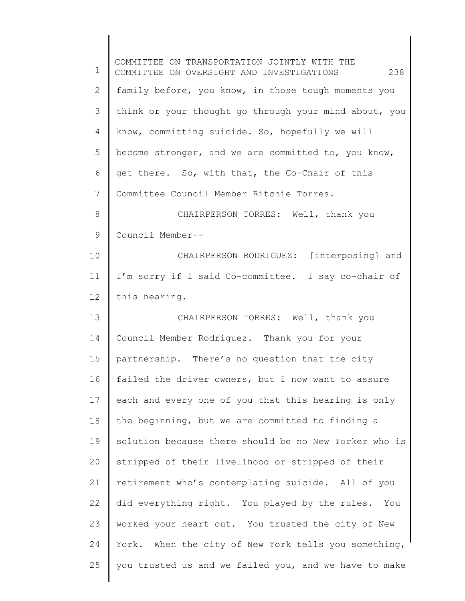| $\mathbf 1$    | COMMITTEE ON TRANSPORTATION JOINTLY WITH THE<br>238<br>COMMITTEE ON OVERSIGHT AND INVESTIGATIONS |
|----------------|--------------------------------------------------------------------------------------------------|
| 2              | family before, you know, in those tough moments you                                              |
| 3              | think or your thought go through your mind about, you                                            |
| $\overline{4}$ | know, committing suicide. So, hopefully we will                                                  |
| 5              | become stronger, and we are committed to, you know,                                              |
| 6              | get there. So, with that, the Co-Chair of this                                                   |
| 7              | Committee Council Member Ritchie Torres.                                                         |
| $8\,$          | CHAIRPERSON TORRES: Well, thank you                                                              |
| 9              | Council Member--                                                                                 |
| 10             | CHAIRPERSON RODRIGUEZ: [interposing] and                                                         |
| 11             | I'm sorry if I said Co-committee. I say co-chair of                                              |
| 12             | this hearing.                                                                                    |
| 13             | CHAIRPERSON TORRES: Well, thank you                                                              |
| 14             | Council Member Rodriguez. Thank you for your                                                     |
| 15             | partnership. There's no question that the city                                                   |
| 16             | failed the driver owners, but I now want to assure                                               |
| 17             | each and every one of you that this hearing is only                                              |
| 18             | the beginning, but we are committed to finding a                                                 |
| 19             | solution because there should be no New Yorker who is                                            |
| 20             | stripped of their livelihood or stripped of their                                                |
| 21             | retirement who's contemplating suicide. All of you                                               |
| 22             | did everything right. You played by the rules. You                                               |
| 23             | worked your heart out. You trusted the city of New                                               |
| 24             | York. When the city of New York tells you something,                                             |
| 25             | you trusted us and we failed you, and we have to make                                            |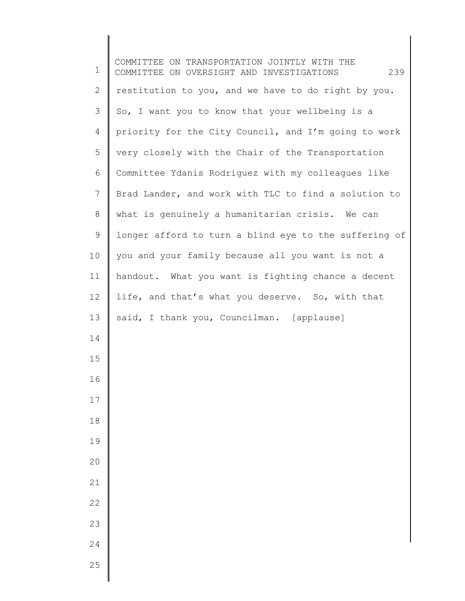| $\mathbf 1$    | COMMITTEE ON TRANSPORTATION JOINTLY WITH THE<br>239<br>COMMITTEE ON OVERSIGHT AND INVESTIGATIONS |
|----------------|--------------------------------------------------------------------------------------------------|
| $\mathbf{2}$   | restitution to you, and we have to do right by you.                                              |
| 3              | So, I want you to know that your wellbeing is a                                                  |
| $\overline{4}$ | priority for the City Council, and I'm going to work                                             |
| 5              | very closely with the Chair of the Transportation                                                |
| 6              | Committee Ydanis Rodriguez with my colleagues like                                               |
| 7              | Brad Lander, and work with TLC to find a solution to                                             |
| $8\,$          | what is genuinely a humanitarian crisis. We can                                                  |
| 9              | longer afford to turn a blind eye to the suffering of                                            |
| 10             | you and your family because all you want is not a                                                |
| 11             | handout. What you want is fighting chance a decent                                               |
| 12             | life, and that's what you deserve. So, with that                                                 |
| 13             | said, I thank you, Councilman. [applause]                                                        |
| 14             |                                                                                                  |
| 15             |                                                                                                  |
| 16             |                                                                                                  |
| 17             |                                                                                                  |
| 18             |                                                                                                  |
| 19             |                                                                                                  |
| 20             |                                                                                                  |
| 21             |                                                                                                  |
| 22             |                                                                                                  |
| 23             |                                                                                                  |
| 24             |                                                                                                  |
| 25             |                                                                                                  |